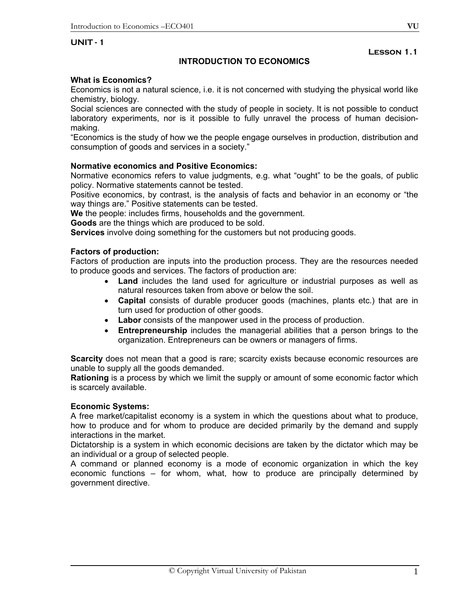#### **UNIT - 1**

# **Lesson 1.1**

# **INTRODUCTION TO ECONOMICS**

#### **What is Economics?**

Economics is not a natural science, i.e. it is not concerned with studying the physical world like chemistry, biology.

Social sciences are connected with the study of people in society. It is not possible to conduct laboratory experiments, nor is it possible to fully unravel the process of human decisionmaking.

"Economics is the study of how we the people engage ourselves in production, distribution and consumption of goods and services in a society."

#### **Normative economics and Positive Economics:**

Normative economics refers to value judgments, e.g. what "ought" to be the goals, of public policy. Normative statements cannot be tested.

Positive economics, by contrast, is the analysis of facts and behavior in an economy or "the way things are." Positive statements can be tested.

**We** the people: includes firms, households and the government.

**Goods** are the things which are produced to be sold.

**Services** involve doing something for the customers but not producing goods.

#### **Factors of production:**

Factors of production are inputs into the production process. They are the resources needed to produce goods and services. The factors of production are:

- **Land** includes the land used for agriculture or industrial purposes as well as natural resources taken from above or below the soil.
- **Capital** consists of durable producer goods (machines, plants etc.) that are in turn used for production of other goods.
- **Labor** consists of the manpower used in the process of production.
- **Entrepreneurship** includes the managerial abilities that a person brings to the organization. Entrepreneurs can be owners or managers of firms.

**Scarcity** does not mean that a good is rare; scarcity exists because economic resources are unable to supply all the goods demanded.

**Rationing** is a process by which we limit the supply or amount of some economic factor which is scarcely available.

#### **Economic Systems:**

A free market/capitalist economy is a system in which the questions about what to produce, how to produce and for whom to produce are decided primarily by the demand and supply interactions in the market.

Dictatorship is a system in which economic decisions are taken by the dictator which may be an individual or a group of selected people.

A command or planned economy is a mode of economic organization in which the key economic functions – for whom, what, how to produce are principally determined by government directive.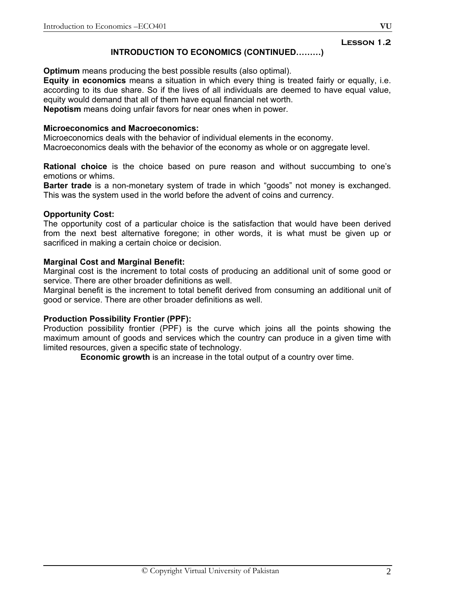# **Lesson 1.2**

# **INTRODUCTION TO ECONOMICS (CONTINUED………)**

**Optimum** means producing the best possible results (also optimal).

**Equity in economics** means a situation in which every thing is treated fairly or equally, i.e. according to its due share. So if the lives of all individuals are deemed to have equal value, equity would demand that all of them have equal financial net worth.

**Nepotism** means doing unfair favors for near ones when in power.

# **Microeconomics and Macroeconomics:**

Microeconomics deals with the behavior of individual elements in the economy. Macroeconomics deals with the behavior of the economy as whole or on aggregate level.

**Rational choice** is the choice based on pure reason and without succumbing to one's emotions or whims.

**Barter trade** is a non-monetary system of trade in which "goods" not money is exchanged. This was the system used in the world before the advent of coins and currency.

# **Opportunity Cost:**

The opportunity cost of a particular choice is the satisfaction that would have been derived from the next best alternative foregone; in other words, it is what must be given up or sacrificed in making a certain choice or decision.

# **Marginal Cost and Marginal Benefit:**

Marginal cost is the increment to total costs of producing an additional unit of some good or service. There are other broader definitions as well.

Marginal benefit is the increment to total benefit derived from consuming an additional unit of good or service. There are other broader definitions as well.

# **Production Possibility Frontier (PPF):**

Production possibility frontier (PPF) is the curve which joins all the points showing the maximum amount of goods and services which the country can produce in a given time with limited resources, given a specific state of technology.

**Economic growth** is an increase in the total output of a country over time.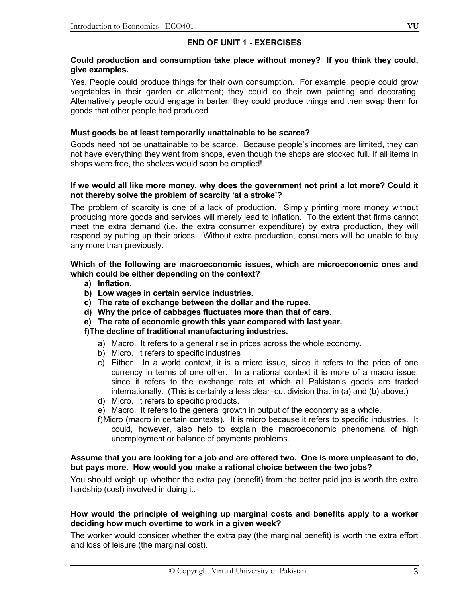#### **END OF UNIT 1 - EXERCISES**

#### **Could production and consumption take place without money? If you think they could, give examples.**

Yes. People could produce things for their own consumption. For example, people could grow vegetables in their garden or allotment; they could do their own painting and decorating. Alternatively people could engage in barter: they could produce things and then swap them for goods that other people had produced.

#### **Must goods be at least temporarily unattainable to be scarce?**

Goods need not be unattainable to be scarce. Because people's incomes are limited, they can not have everything they want from shops, even though the shops are stocked full. If all items in shops were free, the shelves would soon be emptied!

#### **If we would all like more money, why does the government not print a lot more? Could it not thereby solve the problem of scarcity 'at a stroke'?**

The problem of scarcity is one of a lack of production. Simply printing more money without producing more goods and services will merely lead to inflation. To the extent that firms cannot meet the extra demand (i.e. the extra consumer expenditure) by extra production, they will respond by putting up their prices. Without extra production, consumers will be unable to buy any more than previously.

#### **Which of the following are macroeconomic issues, which are microeconomic ones and which could be either depending on the context?**

- **a) Inflation.**
- **b) Low wages in certain service industries.**
- **c) The rate of exchange between the dollar and the rupee.**
- **d) Why the price of cabbages fluctuates more than that of cars.**
- **e) The rate of economic growth this year compared with last year.**

#### **f) The decline of traditional manufacturing industries.**

- a) Macro. It refers to a general rise in prices across the whole economy.
- b) Micro. It refers to specific industries
- c) Either. In a world context, it is a micro issue, since it refers to the price of one currency in terms of one other. In a national context it is more of a macro issue, since it refers to the exchange rate at which all Pakistanis goods are traded internationally. (This is certainly a less clear–cut division that in (a) and (b) above.)
- d) Micro. It refers to specific products.
- e) Macro. It refers to the general growth in output of the economy as a whole.
- f) Micro (macro in certain contexts). It is micro because it refers to specific industries. It could, however, also help to explain the macroeconomic phenomena of high unemployment or balance of payments problems.

#### **Assume that you are looking for a job and are offered two. One is more unpleasant to do, but pays more. How would you make a rational choice between the two jobs?**

You should weigh up whether the extra pay (benefit) from the better paid job is worth the extra hardship (cost) involved in doing it.

#### **How would the principle of weighing up marginal costs and benefits apply to a worker deciding how much overtime to work in a given week?**

The worker would consider whether the extra pay (the marginal benefit) is worth the extra effort and loss of leisure (the marginal cost).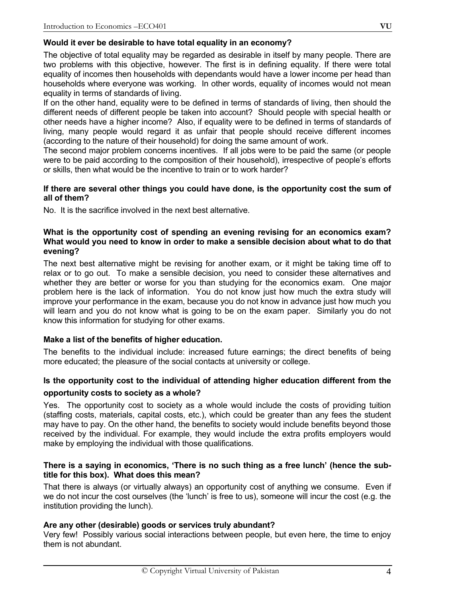#### **Would it ever be desirable to have total equality in an economy?**

The objective of total equality may be regarded as desirable in itself by many people. There are two problems with this objective, however. The first is in defining equality. If there were total equality of incomes then households with dependants would have a lower income per head than households where everyone was working. In other words, equality of incomes would not mean equality in terms of standards of living.

If on the other hand, equality were to be defined in terms of standards of living, then should the different needs of different people be taken into account? Should people with special health or other needs have a higher income? Also, if equality were to be defined in terms of standards of living, many people would regard it as unfair that people should receive different incomes (according to the nature of their household) for doing the same amount of work.

The second major problem concerns incentives. If all jobs were to be paid the same (or people were to be paid according to the composition of their household), irrespective of people's efforts or skills, then what would be the incentive to train or to work harder?

#### **If there are several other things you could have done, is the opportunity cost the sum of all of them?**

No. It is the sacrifice involved in the next best alternative.

#### **What is the opportunity cost of spending an evening revising for an economics exam? What would you need to know in order to make a sensible decision about what to do that evening?**

The next best alternative might be revising for another exam, or it might be taking time off to relax or to go out. To make a sensible decision, you need to consider these alternatives and whether they are better or worse for you than studying for the economics exam. One major problem here is the lack of information. You do not know just how much the extra study will improve your performance in the exam, because you do not know in advance just how much you will learn and you do not know what is going to be on the exam paper. Similarly you do not know this information for studying for other exams.

#### **Make a list of the benefits of higher education.**

The benefits to the individual include: increased future earnings; the direct benefits of being more educated; the pleasure of the social contacts at university or college.

# **Is the opportunity cost to the individual of attending higher education different from the opportunity costs to society as a whole?**

Yes. The opportunity cost to society as a whole would include the costs of providing tuition (staffing costs, materials, capital costs, etc.), which could be greater than any fees the student may have to pay. On the other hand, the benefits to society would include benefits beyond those received by the individual. For example, they would include the extra profits employers would make by employing the individual with those qualifications.

#### **There is a saying in economics, 'There is no such thing as a free lunch' (hence the subtitle for this box). What does this mean?**

That there is always (or virtually always) an opportunity cost of anything we consume. Even if we do not incur the cost ourselves (the 'lunch' is free to us), someone will incur the cost (e.g. the institution providing the lunch).

#### **Are any other (desirable) goods or services truly abundant?**

Very few! Possibly various social interactions between people, but even here, the time to enjoy them is not abundant.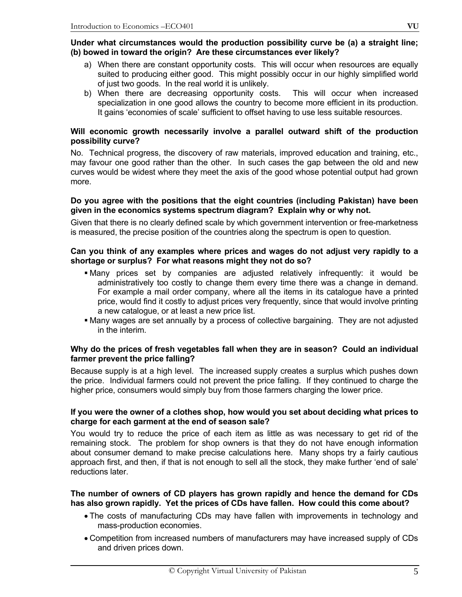#### **Under what circumstances would the production possibility curve be (a) a straight line; (b) bowed in toward the origin? Are these circumstances ever likely?**

- a) When there are constant opportunity costs. This will occur when resources are equally suited to producing either good. This might possibly occur in our highly simplified world of just two goods. In the real world it is unlikely.
- b) When there are decreasing opportunity costs. This will occur when increased specialization in one good allows the country to become more efficient in its production. It gains 'economies of scale' sufficient to offset having to use less suitable resources.

### **Will economic growth necessarily involve a parallel outward shift of the production possibility curve?**

No. Technical progress, the discovery of raw materials, improved education and training, etc., may favour one good rather than the other. In such cases the gap between the old and new curves would be widest where they meet the axis of the good whose potential output had grown more.

#### **Do you agree with the positions that the eight countries (including Pakistan) have been given in the economics systems spectrum diagram? Explain why or why not.**

Given that there is no clearly defined scale by which government intervention or free-marketness is measured, the precise position of the countries along the spectrum is open to question.

#### **Can you think of any examples where prices and wages do not adjust very rapidly to a shortage or surplus? For what reasons might they not do so?**

- Many prices set by companies are adjusted relatively infrequently: it would be administratively too costly to change them every time there was a change in demand. For example a mail order company, where all the items in its catalogue have a printed price, would find it costly to adjust prices very frequently, since that would involve printing a new catalogue, or at least a new price list.
- Many wages are set annually by a process of collective bargaining. They are not adjusted in the interim.

#### **Why do the prices of fresh vegetables fall when they are in season? Could an individual farmer prevent the price falling?**

Because supply is at a high level. The increased supply creates a surplus which pushes down the price. Individual farmers could not prevent the price falling. If they continued to charge the higher price, consumers would simply buy from those farmers charging the lower price.

#### **If you were the owner of a clothes shop, how would you set about deciding what prices to charge for each garment at the end of season sale?**

You would try to reduce the price of each item as little as was necessary to get rid of the remaining stock. The problem for shop owners is that they do not have enough information about consumer demand to make precise calculations here. Many shops try a fairly cautious approach first, and then, if that is not enough to sell all the stock, they make further 'end of sale' reductions later.

#### **The number of owners of CD players has grown rapidly and hence the demand for CDs has also grown rapidly. Yet the prices of CDs have fallen. How could this come about?**

- The costs of manufacturing CDs may have fallen with improvements in technology and mass-production economies.
- Competition from increased numbers of manufacturers may have increased supply of CDs and driven prices down.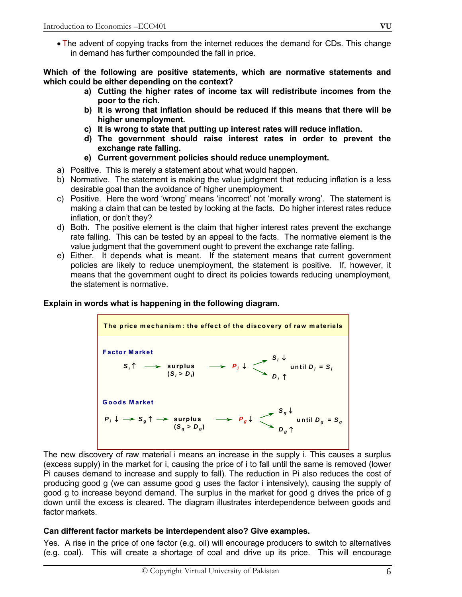• The advent of copying tracks from the internet reduces the demand for CDs. This change in demand has further compounded the fall in price.

**Which of the following are positive statements, which are normative statements and which could be either depending on the context?**

- **a) Cutting the higher rates of income tax will redistribute incomes from the poor to the rich.**
- **b) It is wrong that inflation should be reduced if this means that there will be higher unemployment.**
- **c) It is wrong to state that putting up interest rates will reduce inflation.**
- **d) The government should raise interest rates in order to prevent the exchange rate falling.**
- **e) Current government policies should reduce unemployment.**
- a) Positive. This is merely a statement about what would happen.
- b) Normative. The statement is making the value judgment that reducing inflation is a less desirable goal than the avoidance of higher unemployment.
- c) Positive. Here the word 'wrong' means 'incorrect' not 'morally wrong'. The statement is making a claim that can be tested by looking at the facts. Do higher interest rates reduce inflation, or don't they?
- d) Both. The positive element is the claim that higher interest rates prevent the exchange rate falling. This can be tested by an appeal to the facts. The normative element is the value judgment that the government ought to prevent the exchange rate falling.
- e) Either. It depends what is meant. If the statement means that current government policies are likely to reduce unemployment, the statement is positive. If, however, it means that the government ought to direct its policies towards reducing unemployment, the statement is normative.

#### **Explain in words what is happening in the following diagram.**



The new discovery of raw material i means an increase in the supply i. This causes a surplus (excess supply) in the market for i, causing the price of i to fall until the same is removed (lower Pi causes demand to increase and supply to fall). The reduction in Pi also reduces the cost of producing good g (we can assume good g uses the factor i intensively), causing the supply of good g to increase beyond demand. The surplus in the market for good g drives the price of g down until the excess is cleared. The diagram illustrates interdependence between goods and factor markets.

#### **Can different factor markets be interdependent also? Give examples.**

Yes. A rise in the price of one factor (e.g. oil) will encourage producers to switch to alternatives (e.g. coal). This will create a shortage of coal and drive up its price. This will encourage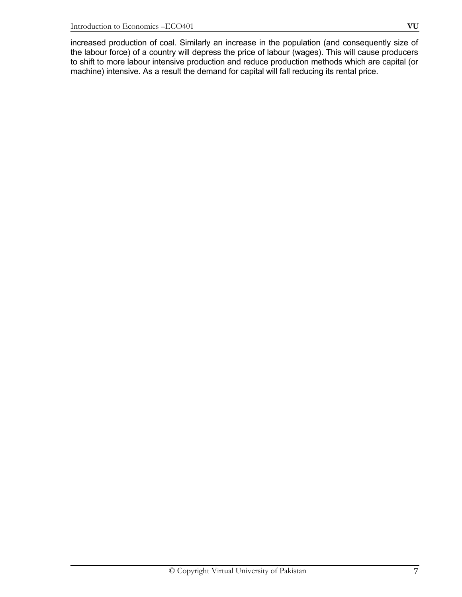increased production of coal. Similarly an increase in the population (and consequently size of the labour force) of a country will depress the price of labour (wages). This will cause producers to shift to more labour intensive production and reduce production methods which are capital (or machine) intensive. As a result the demand for capital will fall reducing its rental price.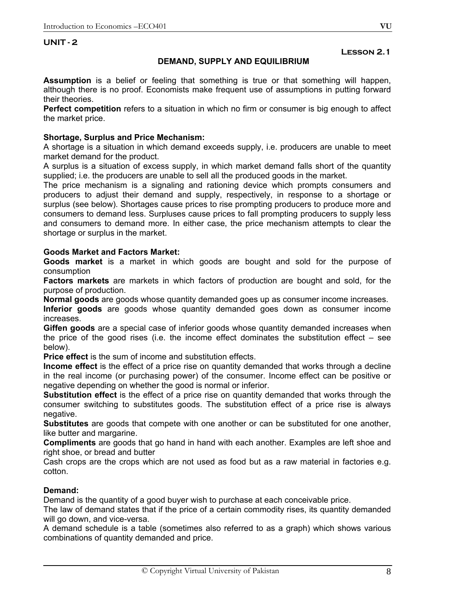# **UNIT - 2**

# **Lesson 2.1**

# **DEMAND, SUPPLY AND EQUILIBRIUM**

**Assumption** is a belief or feeling that something is true or that something will happen, although there is no proof. Economists make frequent use of assumptions in putting forward their theories.

**Perfect competition** refers to a situation in which no firm or consumer is big enough to affect the market price.

### **Shortage, Surplus and Price Mechanism:**

A shortage is a situation in which demand exceeds supply, i.e. producers are unable to meet market demand for the product.

A surplus is a situation of excess supply, in which market demand falls short of the quantity supplied; i.e. the producers are unable to sell all the produced goods in the market.

The price mechanism is a signaling and rationing device which prompts consumers and producers to adjust their demand and supply, respectively, in response to a shortage or surplus (see below). Shortages cause prices to rise prompting producers to produce more and consumers to demand less. Surpluses cause prices to fall prompting producers to supply less and consumers to demand more. In either case, the price mechanism attempts to clear the shortage or surplus in the market.

# **Goods Market and Factors Market:**

**Goods market** is a market in which goods are bought and sold for the purpose of consumption

**Factors markets** are markets in which factors of production are bought and sold, for the purpose of production.

**Normal goods** are goods whose quantity demanded goes up as consumer income increases.

**Inferior goods** are goods whose quantity demanded goes down as consumer income increases.

**Giffen goods** are a special case of inferior goods whose quantity demanded increases when the price of the good rises (i.e. the income effect dominates the substitution effect  $-$  see below).

**Price effect** is the sum of income and substitution effects.

**Income effect** is the effect of a price rise on quantity demanded that works through a decline in the real income (or purchasing power) of the consumer. Income effect can be positive or negative depending on whether the good is normal or inferior.

**Substitution effect** is the effect of a price rise on quantity demanded that works through the consumer switching to substitutes goods. The substitution effect of a price rise is always negative.

**Substitutes** are goods that compete with one another or can be substituted for one another, like butter and margarine.

**Compliments** are goods that go hand in hand with each another. Examples are left shoe and right shoe, or bread and butter

Cash crops are the crops which are not used as food but as a raw material in factories e.g. cotton.

# **Demand:**

Demand is the quantity of a good buyer wish to purchase at each conceivable price.

The law of demand states that if the price of a certain commodity rises, its quantity demanded will go down, and vice-versa.

A demand schedule is a table (sometimes also referred to as a graph) which shows various combinations of quantity demanded and price.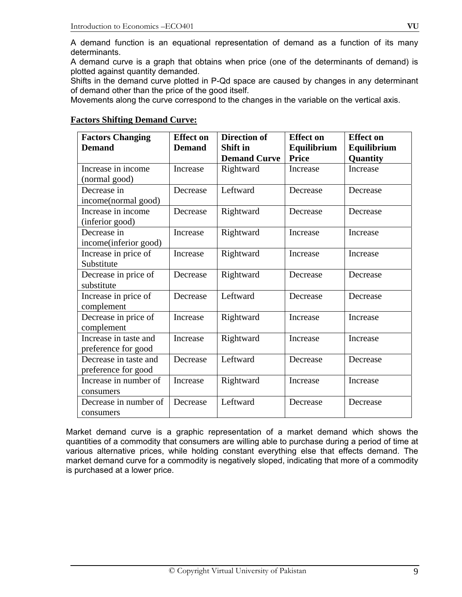A demand function is an equational representation of demand as a function of its many determinants.

A demand curve is a graph that obtains when price (one of the determinants of demand) is plotted against quantity demanded.

Shifts in the demand curve plotted in P-Qd space are caused by changes in any determinant of demand other than the price of the good itself.

Movements along the curve correspond to the changes in the variable on the vertical axis.

| <b>Factors Changing</b><br><b>Demand</b>     | <b>Effect on</b><br><b>Demand</b> | <b>Direction of</b><br>Shift in<br><b>Demand Curve</b> | <b>Effect on</b><br>Equilibrium<br><b>Price</b> | <b>Effect on</b><br>Equilibrium<br>Quantity |
|----------------------------------------------|-----------------------------------|--------------------------------------------------------|-------------------------------------------------|---------------------------------------------|
| Increase in income<br>(normal good)          | Increase                          | Rightward                                              | Increase                                        | Increase                                    |
| Decrease in<br>income(normal good)           | Decrease                          | Leftward                                               | Decrease                                        | Decrease                                    |
| Increase in income<br>(inferior good)        | Decrease                          | Rightward                                              | Decrease                                        | Decrease                                    |
| Decrease in<br>income(inferior good)         | Increase                          | Rightward                                              | Increase                                        | Increase                                    |
| Increase in price of<br>Substitute           | Increase                          | Rightward                                              | Increase                                        | Increase                                    |
| Decrease in price of<br>substitute           | Decrease                          | Rightward                                              | Decrease                                        | Decrease                                    |
| Increase in price of<br>complement           | Decrease                          | Leftward                                               | Decrease                                        | Decrease                                    |
| Decrease in price of<br>complement           | Increase                          | Rightward                                              | Increase                                        | Increase                                    |
| Increase in taste and<br>preference for good | Increase                          | Rightward                                              | Increase                                        | Increase                                    |
| Decrease in taste and<br>preference for good | Decrease                          | Leftward                                               | Decrease                                        | Decrease                                    |
| Increase in number of<br>consumers           | Increase                          | Rightward                                              | Increase                                        | Increase                                    |
| Decrease in number of<br>consumers           | Decrease                          | Leftward                                               | Decrease                                        | Decrease                                    |

# **Factors Shifting Demand Curve:**

Market demand curve is a graphic representation of a market demand which shows the quantities of a commodity that consumers are willing able to purchase during a period of time at various alternative prices, while holding constant everything else that effects demand. The market demand curve for a commodity is negatively sloped, indicating that more of a commodity is purchased at a lower price.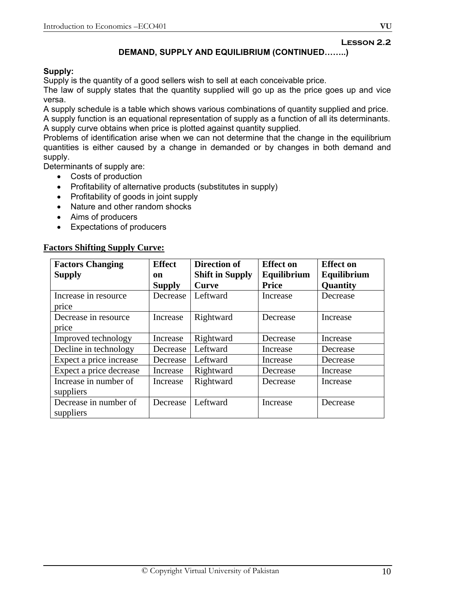# **Lesson 2.2**

# **DEMAND, SUPPLY AND EQUILIBRIUM (CONTINUED……..)**

# **Supply:**

Supply is the quantity of a good sellers wish to sell at each conceivable price.

The law of supply states that the quantity supplied will go up as the price goes up and vice versa.

A supply schedule is a table which shows various combinations of quantity supplied and price. A supply function is an equational representation of supply as a function of all its determinants. A supply curve obtains when price is plotted against quantity supplied.

Problems of identification arise when we can not determine that the change in the equilibrium quantities is either caused by a change in demanded or by changes in both demand and supply.

Determinants of supply are:

- Costs of production
- Profitability of alternative products (substitutes in supply)
- Profitability of goods in joint supply
- Nature and other random shocks
- Aims of producers
- Expectations of producers

# **Factors Shifting Supply Curve:**

| <b>Factors Changing</b><br><b>Supply</b> | <b>Effect</b><br>on<br><b>Supply</b> | <b>Direction of</b><br><b>Shift in Supply</b><br><b>Curve</b> | <b>Effect on</b><br>Equilibrium<br><b>Price</b> | <b>Effect on</b><br>Equilibrium<br>Quantity |  |
|------------------------------------------|--------------------------------------|---------------------------------------------------------------|-------------------------------------------------|---------------------------------------------|--|
| Increase in resource<br>price            | Decrease                             | Leftward                                                      | Increase                                        | Decrease                                    |  |
| Decrease in resource<br>price            | Increase                             | Rightward                                                     | Decrease                                        | Increase                                    |  |
| Improved technology                      | Increase                             | Rightward                                                     | Decrease                                        | Increase                                    |  |
| Decline in technology                    | Decrease                             | Leftward                                                      | Increase                                        | Decrease                                    |  |
| Expect a price increase                  | Decrease                             | Leftward                                                      | Increase                                        | Decrease                                    |  |
| Expect a price decrease                  | Increase                             | Rightward                                                     | Decrease                                        | Increase                                    |  |
| Increase in number of<br>suppliers       | Increase                             | Rightward                                                     | Decrease                                        | Increase                                    |  |
| Decrease in number of<br>suppliers       | Decrease                             | Leftward                                                      | Increase                                        | Decrease                                    |  |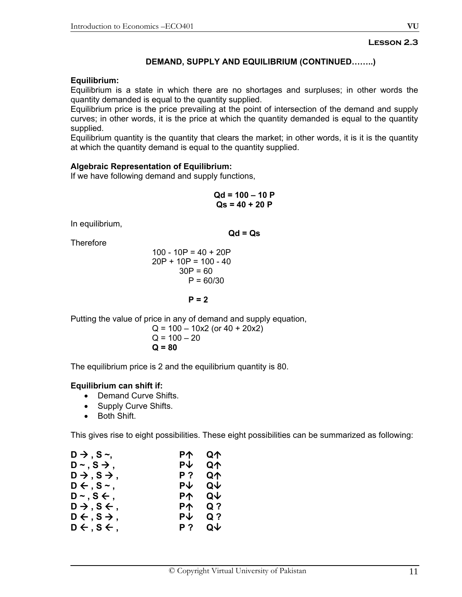### **Lesson 2.3**

# **DEMAND, SUPPLY AND EQUILIBRIUM (CONTINUED……..)**

### **Equilibrium:**

Equilibrium is a state in which there are no shortages and surpluses; in other words the quantity demanded is equal to the quantity supplied.

Equilibrium price is the price prevailing at the point of intersection of the demand and supply curves; in other words, it is the price at which the quantity demanded is equal to the quantity supplied.

Equilibrium quantity is the quantity that clears the market; in other words, it is it is the quantity at which the quantity demand is equal to the quantity supplied.

#### **Algebraic Representation of Equilibrium:**

If we have following demand and supply functions,

$$
Qd = 100 - 10 P
$$
  
Qs = 40 + 20 P

In equilibrium,

**Qd = Qs** 

**Therefore** 

$$
100 - 10P = 40 + 20P
$$
  
20P + 10P = 100 - 40  
30P = 60  
P = 60/30

 $P = 2$ 

Putting the value of price in any of demand and supply equation,

$$
Q = 100 - 10x2 (or 40 + 20x2)
$$
  
Q = 100 - 20  
**Q** = **80**

The equilibrium price is 2 and the equilibrium quantity is 80.

#### **Equilibrium can shift if:**

- Demand Curve Shifts.
- Supply Curve Shifts.
- Both Shift.

This gives rise to eight possibilities. These eight possibilities can be summarized as following:

| $D \rightarrow$ , S ~,          | ΡΛ | Q个 |
|---------------------------------|----|----|
| $D \sim S \rightarrow$ ,        | P↓ | QΛ |
| $D \rightarrow S \rightarrow$ , | P? | QΛ |
| $D \leftarrow S \sim$ ,         | P↓ | Q↓ |
| $D \sim S \leftarrow$ ,         | Р个 | Q↓ |
| $D \rightarrow S \leftarrow$    | РΛ | Q? |
| $D \leftarrow S \rightarrow$ ,  | P↓ | Q? |
| $D \leftarrow S \leftarrow$     | P? | QÝ |
|                                 |    |    |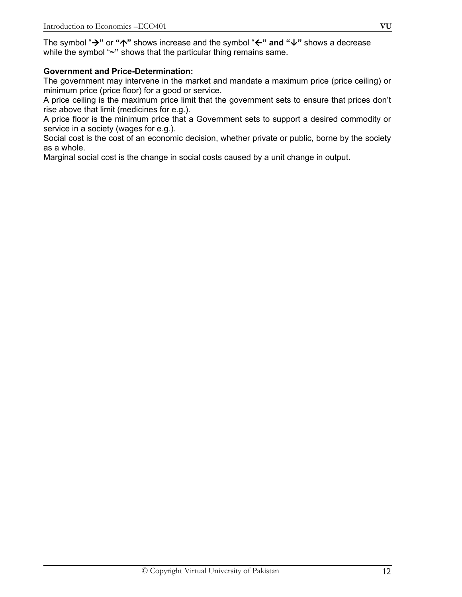The symbol "→" or "↑" shows increase and the symbol "←" and "↓" shows a decrease while the symbol "**~"** shows that the particular thing remains same.

# **Government and Price-Determination:**

The government may intervene in the market and mandate a maximum price (price ceiling) or minimum price (price floor) for a good or service.

A price ceiling is the maximum price limit that the government sets to ensure that prices don't rise above that limit (medicines for e.g.).

A price floor is the minimum price that a Government sets to support a desired commodity or service in a society (wages for e.g.).

Social cost is the cost of an economic decision, whether private or public, borne by the society as a whole.

Marginal social cost is the change in social costs caused by a unit change in output.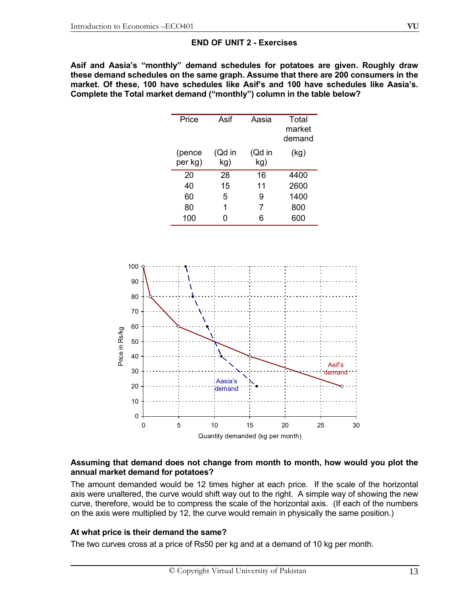#### **END OF UNIT 2 - Exercises**

**Asif and Aasia's "monthly" demand schedules for potatoes are given. Roughly draw these demand schedules on the same graph. Assume that there are 200 consumers in the market. Of these, 100 have schedules like Asif's and 100 have schedules like Aasia's. Complete the Total market demand ("monthly") column in the table below?** 

| Price             | Asif          | Aasia         | Total<br>market<br>demand |
|-------------------|---------------|---------------|---------------------------|
| (pence<br>per kg) | (Qd in<br>kg) | (Qd in<br>kg) | (kg)                      |
| 20                | 28            | 16            | 4400                      |
| 40                | 15            | 11            | 2600                      |
| 60                | 5             | 9             | 1400                      |
| 80                | 1             | 7             | 800                       |
| 100               |               | հ             | 600                       |



#### **Assuming that demand does not change from month to month, how would you plot the annual market demand for potatoes?**

The amount demanded would be 12 times higher at each price. If the scale of the horizontal axis were unaltered, the curve would shift way out to the right. A simple way of showing the new curve, therefore, would be to compress the scale of the horizontal axis. (If each of the numbers on the axis were multiplied by 12, the curve would remain in physically the same position.)

# **At what price is their demand the same?**

The two curves cross at a price of Rs50 per kg and at a demand of 10 kg per month.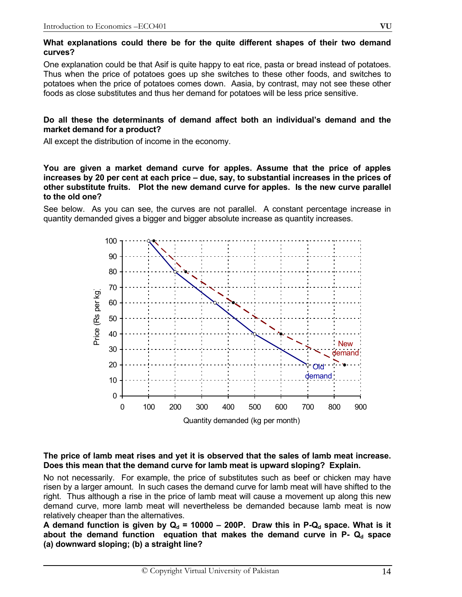One explanation could be that Asif is quite happy to eat rice, pasta or bread instead of potatoes. Thus when the price of potatoes goes up she switches to these other foods, and switches to potatoes when the price of potatoes comes down. Aasia, by contrast, may not see these other foods as close substitutes and thus her demand for potatoes will be less price sensitive.

#### **Do all these the determinants of demand affect both an individual's demand and the market demand for a product?**

All except the distribution of income in the economy.

**You are given a market demand curve for apples. Assume that the price of apples increases by 20 per cent at each price – due, say, to substantial increases in the prices of other substitute fruits. Plot the new demand curve for apples. Is the new curve parallel to the old one?**

See below. As you can see, the curves are not parallel. A constant percentage increase in quantity demanded gives a bigger and bigger absolute increase as quantity increases.



#### **The price of lamb meat rises and yet it is observed that the sales of lamb meat increase. Does this mean that the demand curve for lamb meat is upward sloping? Explain.**

No not necessarily. For example, the price of substitutes such as beef or chicken may have risen by a larger amount. In such cases the demand curve for lamb meat will have shifted to the right. Thus although a rise in the price of lamb meat will cause a movement up along this new demand curve, more lamb meat will nevertheless be demanded because lamb meat is now relatively cheaper than the alternatives.

A demand function is given by  $Q_d = 10000 - 200P$ . Draw this in P- $Q_d$  space. What is it about the demand function equation that makes the demand curve in P- Q<sub>d</sub> space **(a) downward sloping; (b) a straight line?**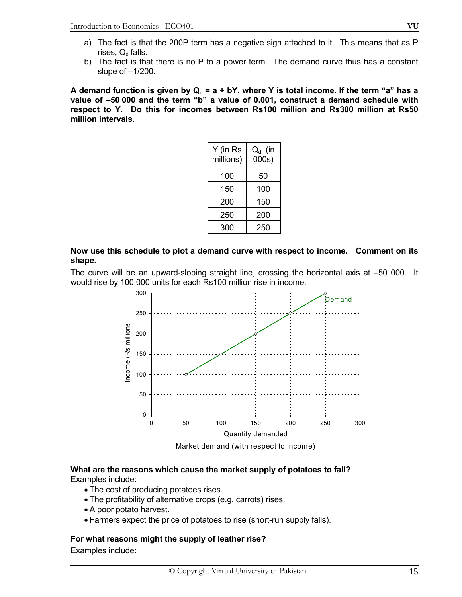- a) The fact is that the 200P term has a negative sign attached to it. This means that as P rises,  $Q_d$  falls.
- b) The fact is that there is no P to a power term. The demand curve thus has a constant slope of –1/200.

A demand function is given by  $Q_d = a + bY$ , where Y is total income. If the term "a" has a **value of –50 000 and the term "b" a value of 0.001, construct a demand schedule with respect to Y. Do this for incomes between Rs100 million and Rs300 million at Rs50 million intervals.**

| Y (in Rs<br>millions) | $\mathsf{Q}_{\sf d}$ (in<br>000s |
|-----------------------|----------------------------------|
| 100                   | 50                               |
| 150                   | 100                              |
| 200                   | 150                              |
| 250                   | 200                              |
| 300                   | 250                              |

### **Now use this schedule to plot a demand curve with respect to income. Comment on its shape.**

The curve will be an upward-sloping straight line, crossing the horizontal axis at –50 000. It would rise by 100 000 units for each Rs100 million rise in income.



Market demand (with respect to income)

#### **What are the reasons which cause the market supply of potatoes to fall?** Examples include:

- The cost of producing potatoes rises.
- The profitability of alternative crops (e.g. carrots) rises.
- A poor potato harvest.
- Farmers expect the price of potatoes to rise (short-run supply falls).

#### **For what reasons might the supply of leather rise?**

Examples include: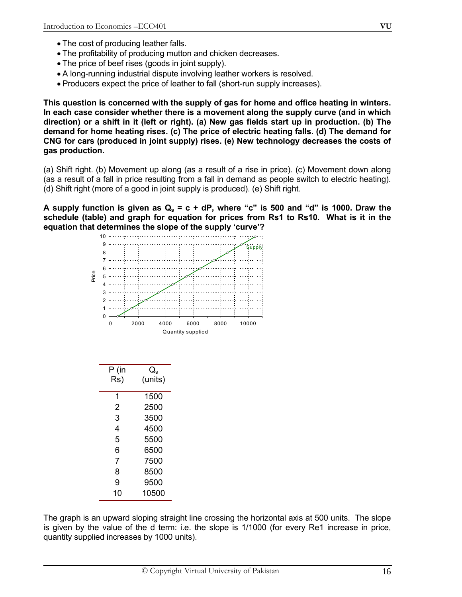- The cost of producing leather falls.
- The profitability of producing mutton and chicken decreases.
- The price of beef rises (goods in joint supply).
- A long-running industrial dispute involving leather workers is resolved.
- Producers expect the price of leather to fall (short-run supply increases).

**This question is concerned with the supply of gas for home and office heating in winters. In each case consider whether there is a movement along the supply curve (and in which direction) or a shift in it (left or right). (a) New gas fields start up in production. (b) The demand for home heating rises. (c) The price of electric heating falls. (d) The demand for CNG for cars (produced in joint supply) rises. (e) New technology decreases the costs of gas production.**

(a) Shift right. (b) Movement up along (as a result of a rise in price). (c) Movement down along (as a result of a fall in price resulting from a fall in demand as people switch to electric heating). (d) Shift right (more of a good in joint supply is produced). (e) Shift right.

A supply function is given as  $Q_s = c + dP$ , where "c" is 500 and "d" is 1000. Draw the **schedule (table) and graph for equation for prices from Rs1 to Rs10. What is it in the equation that determines the slope of the supply 'curve'?** 



| P (in<br>Rs) | Q,<br>(units) |
|--------------|---------------|
| 1            | 1500          |
| 2            | 2500          |
| 3            | 3500          |
| 4            | 4500          |
| 5            | 5500          |
| 6            | 6500          |
| 7            | 7500          |
| 8            | 8500          |
| 9            | 9500          |
| 10           | 10500         |

The graph is an upward sloping straight line crossing the horizontal axis at 500 units. The slope is given by the value of the d term: i.e. the slope is 1/1000 (for every Re1 increase in price, quantity supplied increases by 1000 units).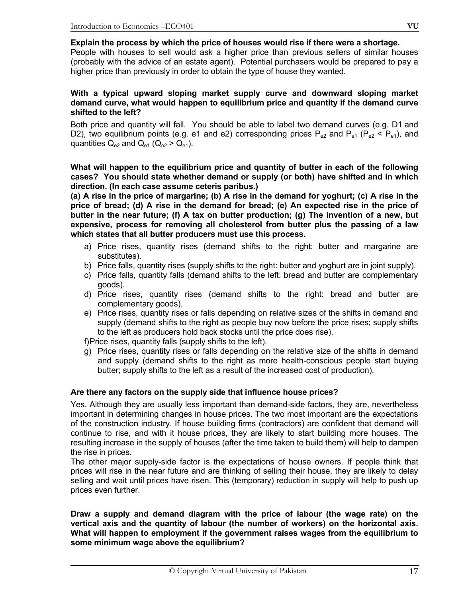#### **Explain the process by which the price of houses would rise if there were a shortage.**

People with houses to sell would ask a higher price than previous sellers of similar houses (probably with the advice of an estate agent). Potential purchasers would be prepared to pay a higher price than previously in order to obtain the type of house they wanted.

#### **With a typical upward sloping market supply curve and downward sloping market demand curve, what would happen to equilibrium price and quantity if the demand curve shifted to the left?**

Both price and quantity will fall. You should be able to label two demand curves (e.g. D1 and D2), two equilibrium points (e.g. e1 and e2) corresponding prices  $P_{e2}$  and  $P_{e1}$  ( $P_{e2}$  <  $P_{e1}$ ), and quantities  $Q_{e2}$  and  $Q_{e1}$  ( $Q_{e2}$  >  $Q_{e1}$ ).

**What will happen to the equilibrium price and quantity of butter in each of the following cases? You should state whether demand or supply (or both) have shifted and in which direction. (In each case assume ceteris paribus.)**

**(a) A rise in the price of margarine; (b) A rise in the demand for yoghurt; (c) A rise in the price of bread; (d) A rise in the demand for bread; (e) An expected rise in the price of butter in the near future; (f) A tax on butter production; (g) The invention of a new, but expensive, process for removing all cholesterol from butter plus the passing of a law which states that all butter producers must use this process.** 

- a) Price rises, quantity rises (demand shifts to the right: butter and margarine are substitutes).
- b) Price falls, quantity rises (supply shifts to the right: butter and yoghurt are in joint supply).
- c) Price falls, quantity falls (demand shifts to the left: bread and butter are complementary goods).
- d) Price rises, quantity rises (demand shifts to the right: bread and butter are complementary goods).
- e) Price rises, quantity rises or falls depending on relative sizes of the shifts in demand and supply (demand shifts to the right as people buy now before the price rises; supply shifts to the left as producers hold back stocks until the price does rise).
- f) Price rises, quantity falls (supply shifts to the left).
- g) Price rises, quantity rises or falls depending on the relative size of the shifts in demand and supply (demand shifts to the right as more health-conscious people start buying butter; supply shifts to the left as a result of the increased cost of production).

#### **Are there any factors on the supply side that influence house prices?**

Yes. Although they are usually less important than demand-side factors, they are, nevertheless important in determining changes in house prices. The two most important are the expectations of the construction industry. If house building firms (contractors) are confident that demand will continue to rise, and with it house prices, they are likely to start building more houses. The resulting increase in the supply of houses (after the time taken to build them) will help to dampen the rise in prices.

The other major supply-side factor is the expectations of house owners. If people think that prices will rise in the near future and are thinking of selling their house, they are likely to delay selling and wait until prices have risen. This (temporary) reduction in supply will help to push up prices even further.

**Draw a supply and demand diagram with the price of labour (the wage rate) on the vertical axis and the quantity of labour (the number of workers) on the horizontal axis. What will happen to employment if the government raises wages from the equilibrium to some minimum wage above the equilibrium?**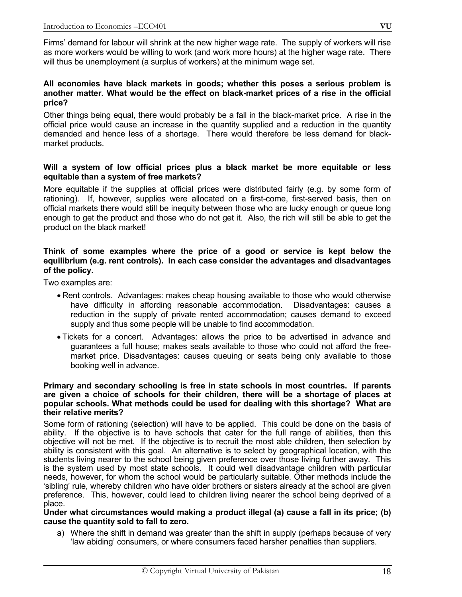Firms' demand for labour will shrink at the new higher wage rate. The supply of workers will rise as more workers would be willing to work (and work more hours) at the higher wage rate. There will thus be unemployment (a surplus of workers) at the minimum wage set.

#### **All economies have black markets in goods; whether this poses a serious problem is another matter. What would be the effect on black-market prices of a rise in the official price?**

Other things being equal, there would probably be a fall in the black-market price. A rise in the official price would cause an increase in the quantity supplied and a reduction in the quantity demanded and hence less of a shortage. There would therefore be less demand for blackmarket products.

#### **Will a system of low official prices plus a black market be more equitable or less equitable than a system of free markets?**

More equitable if the supplies at official prices were distributed fairly (e.g. by some form of rationing). If, however, supplies were allocated on a first-come, first-served basis, then on official markets there would still be inequity between those who are lucky enough or queue long enough to get the product and those who do not get it. Also, the rich will still be able to get the product on the black market!

#### **Think of some examples where the price of a good or service is kept below the equilibrium (e.g. rent controls). In each case consider the advantages and disadvantages of the policy.**

Two examples are:

- Rent controls. Advantages: makes cheap housing available to those who would otherwise have difficulty in affording reasonable accommodation. Disadvantages: causes a reduction in the supply of private rented accommodation; causes demand to exceed supply and thus some people will be unable to find accommodation.
- Tickets for a concert. Advantages: allows the price to be advertised in advance and guarantees a full house; makes seats available to those who could not afford the freemarket price. Disadvantages: causes queuing or seats being only available to those booking well in advance.

#### **Primary and secondary schooling is free in state schools in most countries. If parents are given a choice of schools for their children, there will be a shortage of places at popular schools. What methods could be used for dealing with this shortage? What are their relative merits?**

Some form of rationing (selection) will have to be applied. This could be done on the basis of ability. If the objective is to have schools that cater for the full range of abilities, then this objective will not be met. If the objective is to recruit the most able children, then selection by ability is consistent with this goal. An alternative is to select by geographical location, with the students living nearer to the school being given preference over those living further away. This is the system used by most state schools. It could well disadvantage children with particular needs, however, for whom the school would be particularly suitable. Other methods include the 'sibling' rule, whereby children who have older brothers or sisters already at the school are given preference. This, however, could lead to children living nearer the school being deprived of a place.

#### **Under what circumstances would making a product illegal (a) cause a fall in its price; (b) cause the quantity sold to fall to zero.**

a) Where the shift in demand was greater than the shift in supply (perhaps because of very 'law abiding' consumers, or where consumers faced harsher penalties than suppliers.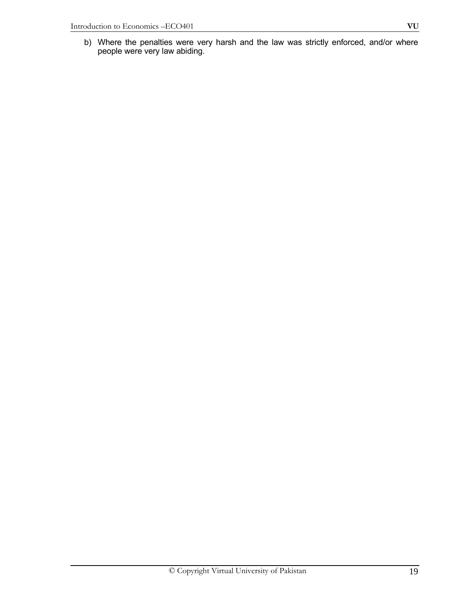b) Where the penalties were very harsh and the law was strictly enforced, and/or where people were very law abiding.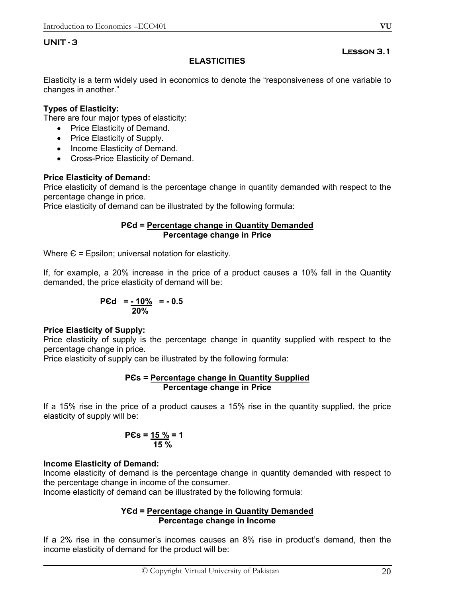# **UNIT - 3**

# **Lesson 3.1**

# **ELASTICITIES**

Elasticity is a term widely used in economics to denote the "responsiveness of one variable to changes in another."

# **Types of Elasticity:**

There are four major types of elasticity:

- Price Elasticity of Demand.
- Price Elasticity of Supply.
- Income Elasticity of Demand.
- Cross-Price Elasticity of Demand.

# **Price Elasticity of Demand:**

Price elasticity of demand is the percentage change in quantity demanded with respect to the percentage change in price.

Price elasticity of demand can be illustrated by the following formula:

#### **PЄd = Percentage change in Quantity Demanded Percentage change in Price**

Where  $\epsilon$  = Epsilon; universal notation for elasticity.

If, for example, a 20% increase in the price of a product causes a 10% fall in the Quantity demanded, the price elasticity of demand will be:

$$
PEd = \frac{-10\%}{20\%} = -0.5
$$

#### **Price Elasticity of Supply:**

Price elasticity of supply is the percentage change in quantity supplied with respect to the percentage change in price.

Price elasticity of supply can be illustrated by the following formula:

#### **PЄs = Percentage change in Quantity Supplied Percentage change in Price**

If a 15% rise in the price of a product causes a 15% rise in the quantity supplied, the price elasticity of supply will be:

$$
PEs = \frac{15 \frac{9}{6}}{15 \frac{9}{6}} = 1
$$

# **Income Elasticity of Demand:**

Income elasticity of demand is the percentage change in quantity demanded with respect to the percentage change in income of the consumer.

Income elasticity of demand can be illustrated by the following formula:

#### **YЄd = Percentage change in Quantity Demanded Percentage change in Income**

If a 2% rise in the consumer's incomes causes an 8% rise in product's demand, then the income elasticity of demand for the product will be: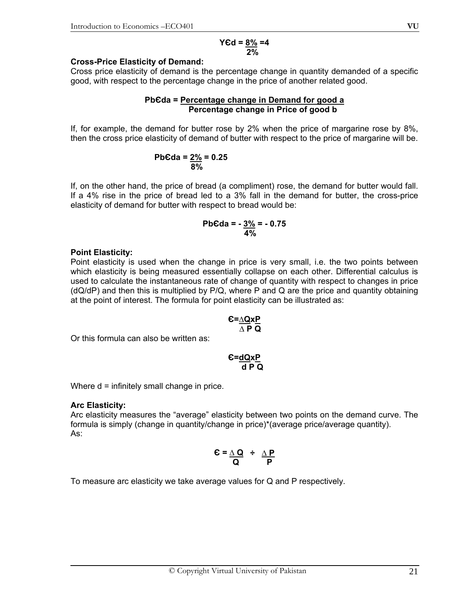$$
YEd = \frac{8\%}{2\%} = 4
$$

# **Cross-Price Elasticity of Demand:**

Cross price elasticity of demand is the percentage change in quantity demanded of a specific good, with respect to the percentage change in the price of another related good.

#### **PbЄda = Percentage change in Demand for good a Percentage change in Price of good b**

If, for example, the demand for butter rose by 2% when the price of margarine rose by 8%, then the cross price elasticity of demand of butter with respect to the price of margarine will be.

$$
PbEda = \frac{2\%}{8\%} = 0.25
$$

If, on the other hand, the price of bread (a compliment) rose, the demand for butter would fall. If a 4% rise in the price of bread led to a 3% fall in the demand for butter, the cross-price elasticity of demand for butter with respect to bread would be:

PbEda = 
$$
-3\frac{9}{6}
$$
 =  $-0.75$ 

#### **Point Elasticity:**

Point elasticity is used when the change in price is very small, i.e. the two points between which elasticity is being measured essentially collapse on each other. Differential calculus is used to calculate the instantaneous rate of change of quantity with respect to changes in price (dQ/dP) and then this is multiplied by P/Q, where P and Q are the price and quantity obtaining at the point of interest. The formula for point elasticity can be illustrated as:

$$
\frac{\mathbf{C} = \underline{\Delta}\mathbf{Q} \mathbf{x} \mathbf{P}}{\Delta \mathbf{P} \mathbf{Q}}
$$

Or this formula can also be written as:

#### **Є=dQxP d P Q**

Where  $d =$  infinitely small change in price.

#### **Arc Elasticity:**

Arc elasticity measures the "average" elasticity between two points on the demand curve. The formula is simply (change in quantity/change in price)\*(average price/average quantity). As:

$$
E = \frac{\Delta Q}{Q} \div \frac{\Delta P}{P}
$$

To measure arc elasticity we take average values for Q and P respectively.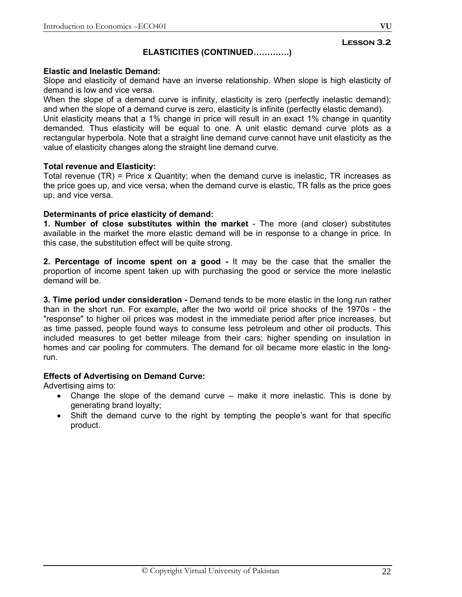# **Lesson 3.2**

# **ELASTICITIES (CONTINUED………….)**

#### **Elastic and Inelastic Demand:**

Slope and elasticity of demand have an inverse relationship. When slope is high elasticity of demand is low and vice versa.

When the slope of a demand curve is infinity, elasticity is zero (perfectly inelastic demand); and when the slope of a demand curve is zero, elasticity is infinite (perfectly elastic demand). Unit elasticity means that a 1% change in price will result in an exact 1% change in quantity demanded. Thus elasticity will be equal to one. A unit elastic demand curve plots as a rectangular hyperbola. Note that a straight line demand curve cannot have unit elasticity as the value of elasticity changes along the straight line demand curve.

#### **Total revenue and Elasticity:**

Total revenue (TR) = Price x Quantity; when the demand curve is inelastic, TR increases as the price goes up, and vice versa; when the demand curve is elastic, TR falls as the price goes up, and vice versa.

#### **Determinants of price elasticity of demand:**

**1. Number of close substitutes within the market** - The more (and closer) substitutes available in the market the more elastic demand will be in response to a change in price. In this case, the substitution effect will be quite strong.

**2. Percentage of income spent on a good -** It may be the case that the smaller the proportion of income spent taken up with purchasing the good or service the more inelastic demand will be.

**3. Time period under consideration -** Demand tends to be more elastic in the long run rather than in the short run. For example, after the two world oil price shocks of the 1970s - the "response" to higher oil prices was modest in the immediate period after price increases, but as time passed, people found ways to consume less petroleum and other oil products. This included measures to get better mileage from their cars; higher spending on insulation in homes and car pooling for commuters. The demand for oil became more elastic in the longrun.

#### **Effects of Advertising on Demand Curve:**

Advertising aims to:

- Change the slope of the demand curve make it more inelastic. This is done by generating brand loyalty;
- Shift the demand curve to the right by tempting the people's want for that specific product.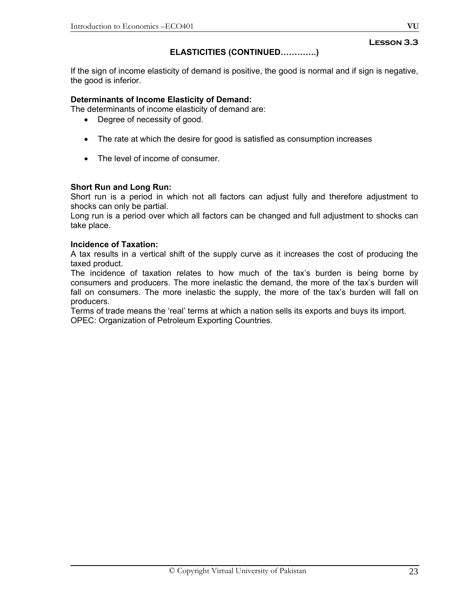# **Lesson 3.3**

# **ELASTICITIES (CONTINUED………….)**

If the sign of income elasticity of demand is positive, the good is normal and if sign is negative, the good is inferior.

# **Determinants of Income Elasticity of Demand:**

The determinants of income elasticity of demand are:

- Degree of necessity of good.
- The rate at which the desire for good is satisfied as consumption increases
- The level of income of consumer.

# **Short Run and Long Run:**

Short run is a period in which not all factors can adjust fully and therefore adjustment to shocks can only be partial.

Long run is a period over which all factors can be changed and full adjustment to shocks can take place.

# **Incidence of Taxation:**

A tax results in a vertical shift of the supply curve as it increases the cost of producing the taxed product.

The incidence of taxation relates to how much of the tax's burden is being borne by consumers and producers. The more inelastic the demand, the more of the tax's burden will fall on consumers. The more inelastic the supply, the more of the tax's burden will fall on producers.

Terms of trade means the 'real' terms at which a nation sells its exports and buys its import. OPEC: Organization of Petroleum Exporting Countries.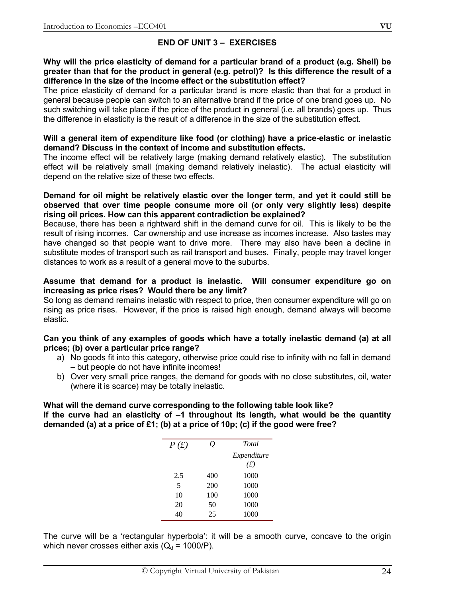### **END OF UNIT 3 – EXERCISES**

#### **Why will the price elasticity of demand for a particular brand of a product (e.g. Shell) be greater than that for the product in general (e.g. petrol)? Is this difference the result of a difference in the size of the income effect or the substitution effect?**

The price elasticity of demand for a particular brand is more elastic than that for a product in general because people can switch to an alternative brand if the price of one brand goes up. No such switching will take place if the price of the product in general (i.e. all brands) goes up. Thus the difference in elasticity is the result of a difference in the size of the substitution effect.

#### **Will a general item of expenditure like food (or clothing) have a price-elastic or inelastic demand? Discuss in the context of income and substitution effects.**

The income effect will be relatively large (making demand relatively elastic). The substitution effect will be relatively small (making demand relatively inelastic). The actual elasticity will depend on the relative size of these two effects.

#### **Demand for oil might be relatively elastic over the longer term, and yet it could still be observed that over time people consume more oil (or only very slightly less) despite rising oil prices. How can this apparent contradiction be explained?**

Because, there has been a rightward shift in the demand curve for oil. This is likely to be the result of rising incomes. Car ownership and use increase as incomes increase. Also tastes may have changed so that people want to drive more. There may also have been a decline in substitute modes of transport such as rail transport and buses. Finally, people may travel longer distances to work as a result of a general move to the suburbs.

#### **Assume that demand for a product is inelastic. Will consumer expenditure go on increasing as price rises? Would there be any limit?**

So long as demand remains inelastic with respect to price, then consumer expenditure will go on rising as price rises. However, if the price is raised high enough, demand always will become elastic.

#### **Can you think of any examples of goods which have a totally inelastic demand (a) at all prices; (b) over a particular price range?**

- a) No goods fit into this category, otherwise price could rise to infinity with no fall in demand – but people do not have infinite incomes!
- b) Over very small price ranges, the demand for goods with no close substitutes, oil, water (where it is scarce) may be totally inelastic.

#### **What will the demand curve corresponding to the following table look like? If the curve had an elasticity of –1 throughout its length, what would be the quantity demanded (a) at a price of £1; (b) at a price of 10p; (c) if the good were free?**

| P(f) | Q   | Total              |
|------|-----|--------------------|
|      |     | Expenditure<br>(f) |
| 2.5  | 400 | 1000               |
| 5    | 200 | 1000               |
| 10   | 100 | 1000               |
| 20   | 50  | 1000               |
| 40   | 25  | 1000               |

The curve will be a 'rectangular hyperbola': it will be a smooth curve, concave to the origin which never crosses either axis ( $Q_d$  = 1000/P).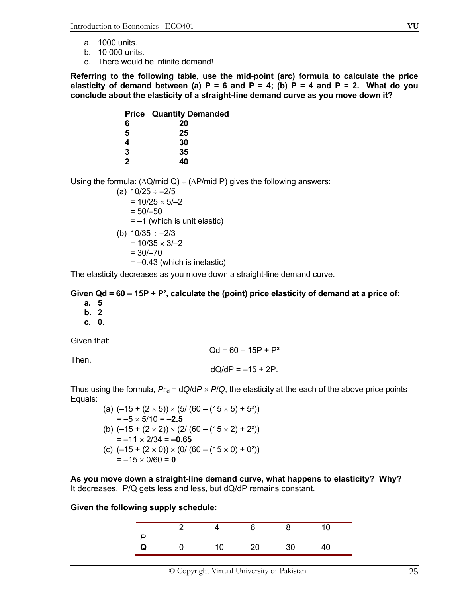- a. 1000 units.
- b. 10 000 units.
- c. There would be infinite demand!

**Referring to the following table, use the mid-point (arc) formula to calculate the price**  elasticity of demand between (a)  $P = 6$  and  $P = 4$ ; (b)  $P = 4$  and  $P = 2$ . What do you **conclude about the elasticity of a straight-line demand curve as you move down it?** 

|   | <b>Price Quantity Demanded</b> |  |  |
|---|--------------------------------|--|--|
| 6 | 20                             |  |  |
| 5 | 25                             |  |  |
| 4 | 30                             |  |  |
| 3 | 35                             |  |  |
| 2 | 40                             |  |  |

Using the formula:  $(\Delta Q/\text{mid } Q) \div (\Delta P/\text{mid } P)$  gives the following answers:

(a)  $10/25 \div -2/5$  $= 10/25 \times 5/-2$  $= 50/-50$  $= -1$  (which is unit elastic) (b)  $10/35 \div -2/3$  $= 10/35 \times 3/-2$  $= 30/-70$  $= -0.43$  (which is inelastic)

The elasticity decreases as you move down a straight-line demand curve.

#### **Given Qd = 60 – 15P + P², calculate the (point) price elasticity of demand at a price of:**

- **a. 5**
- **b. 2**
- **c. 0.**

Given that:

Then,

$$
Qd = 60 - 15P + P^2
$$

$$
dQ/dP = -15 + 2P
$$
.

Thus using the formula,  $P_{\epsilon_d}$  = d $Q/dP \times P/Q$ , the elasticity at the each of the above price points Equals:

(a) 
$$
(-15 + (2 \times 5)) \times (5/(60 - (15 \times 5) + 5^2))
$$
  
\t=  $-5 \times 5/10 = -2.5$   
(b)  $(-15 + (2 \times 2)) \times (2/(60 - (15 \times 2) + 2^2))$   
\t=  $-11 \times 2/34 = -0.65$   
(c)  $(-15 + (2 \times 0)) \times (0/(60 - (15 \times 0) + 0^2))$   
\t=  $-15 \times 0/60 = 0$ 

**As you move down a straight-line demand curve, what happens to elasticity? Why?**  It decreases. P/Q gets less and less, but dQ/dP remains constant.

#### **Given the following supply schedule:**

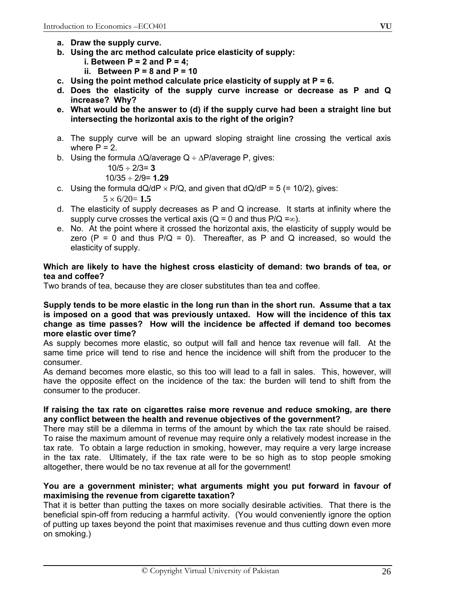- **a. Draw the supply curve.**
- **b. Using the arc method calculate price elasticity of supply:** 
	- **i. Between P = 2 and P = 4;** 
		- **ii.** Between  $P = 8$  and  $P = 10$
- **c. Using the point method calculate price elasticity of supply at P = 6.**
- **d. Does the elasticity of the supply curve increase or decrease as P and Q increase? Why?**
- **e. What would be the answer to (d) if the supply curve had been a straight line but intersecting the horizontal axis to the right of the origin?**
- a. The supply curve will be an upward sloping straight line crossing the vertical axis where  $P = 2$ .
- b. Using the formula  $\Delta Q$ /average  $Q \div \Delta P$ /average P, gives:

 $10/5 \div 2/3 = 3$ 

10/35 ÷ 2/9= **1.29**

c. Using the formula  $dQ/dP \times P/Q$ , and given that  $dQ/dP = 5$  (= 10/2), gives:

 $5 \times 6/20 = 1.5$ 

- d. The elasticity of supply decreases as P and Q increase. It starts at infinity where the supply curve crosses the vertical axis ( $Q = 0$  and thus P/ $Q = \infty$ ).
- e. No. At the point where it crossed the horizontal axis, the elasticity of supply would be zero ( $P = 0$  and thus  $P/Q = 0$ ). Thereafter, as P and Q increased, so would the elasticity of supply.

#### **Which are likely to have the highest cross elasticity of demand: two brands of tea, or tea and coffee?**

Two brands of tea, because they are closer substitutes than tea and coffee.

#### **Supply tends to be more elastic in the long run than in the short run. Assume that a tax is imposed on a good that was previously untaxed. How will the incidence of this tax change as time passes? How will the incidence be affected if demand too becomes more elastic over time?**

As supply becomes more elastic, so output will fall and hence tax revenue will fall. At the same time price will tend to rise and hence the incidence will shift from the producer to the consumer.

As demand becomes more elastic, so this too will lead to a fall in sales. This, however, will have the opposite effect on the incidence of the tax: the burden will tend to shift from the consumer to the producer.

#### **If raising the tax rate on cigarettes raise more revenue and reduce smoking, are there any conflict between the health and revenue objectives of the government?**

There may still be a dilemma in terms of the amount by which the tax rate should be raised. To raise the maximum amount of revenue may require only a relatively modest increase in the tax rate. To obtain a large reduction in smoking, however, may require a very large increase in the tax rate. Ultimately, if the tax rate were to be so high as to stop people smoking altogether, there would be no tax revenue at all for the government!

#### **You are a government minister; what arguments might you put forward in favour of maximising the revenue from cigarette taxation?**

That it is better than putting the taxes on more socially desirable activities. That there is the beneficial spin-off from reducing a harmful activity. (You would conveniently ignore the option of putting up taxes beyond the point that maximises revenue and thus cutting down even more on smoking.)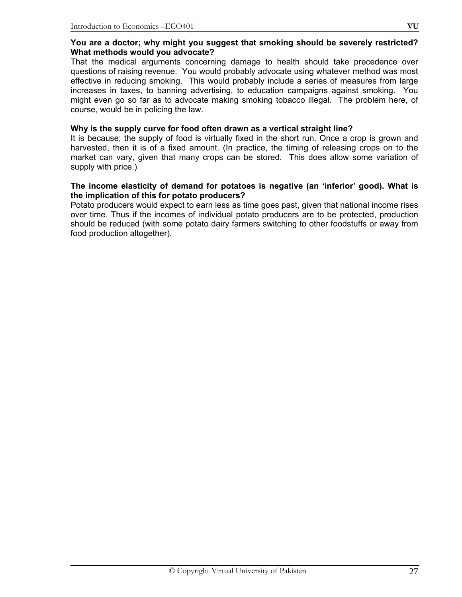That the medical arguments concerning damage to health should take precedence over questions of raising revenue. You would probably advocate using whatever method was most effective in reducing smoking. This would probably include a series of measures from large increases in taxes, to banning advertising, to education campaigns against smoking. You might even go so far as to advocate making smoking tobacco illegal. The problem here, of course, would be in policing the law.

#### **Why is the supply curve for food often drawn as a vertical straight line?**

It is because; the supply of food is virtually fixed in the short run. Once a crop is grown and harvested, then it is of a fixed amount. (In practice, the timing of releasing crops on to the market can vary, given that many crops can be stored. This does allow some variation of supply with price.)

#### **The income elasticity of demand for potatoes is negative (an 'inferior' good). What is the implication of this for potato producers?**

Potato producers would expect to earn less as time goes past, given that national income rises over time. Thus if the incomes of individual potato producers are to be protected, production should be reduced (with some potato dairy farmers switching to other foodstuffs or away from food production altogether).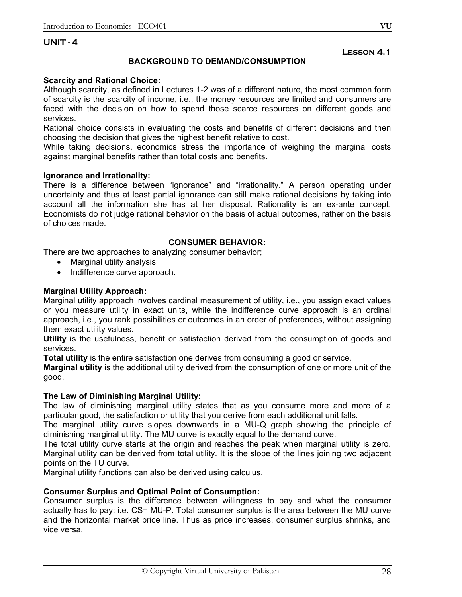#### **UNIT - 4**

#### **Lesson 4.1**

#### **BACKGROUND TO DEMAND/CONSUMPTION**

#### **Scarcity and Rational Choice:**

Although scarcity, as defined in Lectures 1-2 was of a different nature, the most common form of scarcity is the scarcity of income, i.e., the money resources are limited and consumers are faced with the decision on how to spend those scarce resources on different goods and services.

Rational choice consists in evaluating the costs and benefits of different decisions and then choosing the decision that gives the highest benefit relative to cost.

While taking decisions, economics stress the importance of weighing the marginal costs against marginal benefits rather than total costs and benefits.

#### **Ignorance and Irrationality:**

There is a difference between "ignorance" and "irrationality." A person operating under uncertainty and thus at least partial ignorance can still make rational decisions by taking into account all the information she has at her disposal. Rationality is an ex-ante concept. Economists do not judge rational behavior on the basis of actual outcomes, rather on the basis of choices made.

#### **CONSUMER BEHAVIOR:**

There are two approaches to analyzing consumer behavior;

- Marginal utility analysis
- Indifference curve approach.

#### **Marginal Utility Approach:**

Marginal utility approach involves cardinal measurement of utility, i.e., you assign exact values or you measure utility in exact units, while the indifference curve approach is an ordinal approach, i.e., you rank possibilities or outcomes in an order of preferences, without assigning them exact utility values.

**Utility** is the usefulness, benefit or satisfaction derived from the consumption of goods and services.

**Total utility** is the entire satisfaction one derives from consuming a good or service.

**Marginal utility** is the additional utility derived from the consumption of one or more unit of the good.

#### **The Law of Diminishing Marginal Utility:**

The law of diminishing marginal utility states that as you consume more and more of a particular good, the satisfaction or utility that you derive from each additional unit falls.

The marginal utility curve slopes downwards in a MU-Q graph showing the principle of diminishing marginal utility. The MU curve is exactly equal to the demand curve.

The total utility curve starts at the origin and reaches the peak when marginal utility is zero. Marginal utility can be derived from total utility. It is the slope of the lines joining two adjacent points on the TU curve.

Marginal utility functions can also be derived using calculus.

#### **Consumer Surplus and Optimal Point of Consumption:**

Consumer surplus is the difference between willingness to pay and what the consumer actually has to pay: i.e. CS= MU-P. Total consumer surplus is the area between the MU curve and the horizontal market price line. Thus as price increases, consumer surplus shrinks, and vice versa.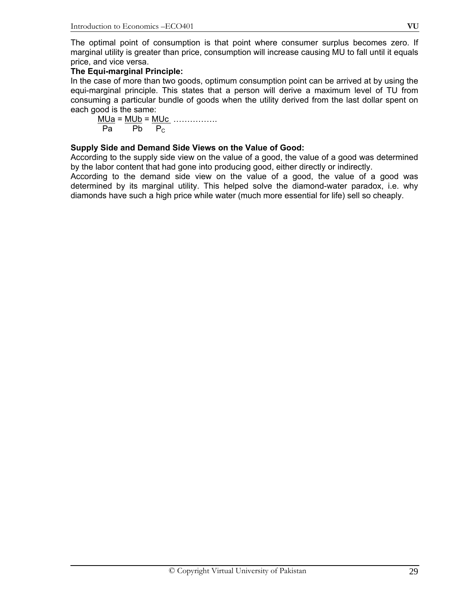The optimal point of consumption is that point where consumer surplus becomes zero. If marginal utility is greater than price, consumption will increase causing MU to fall until it equals price, and vice versa.

# **The Equi-marginal Principle:**

In the case of more than two goods, optimum consumption point can be arrived at by using the equi-marginal principle. This states that a person will derive a maximum level of TU from consuming a particular bundle of goods when the utility derived from the last dollar spent on each good is the same:

$$
\frac{\text{MUA}}{\text{Pa}} = \frac{\text{MUb}}{\text{Pb}} = \frac{\text{MUC}}{\text{Pc}}
$$

# **Supply Side and Demand Side Views on the Value of Good:**

According to the supply side view on the value of a good, the value of a good was determined by the labor content that had gone into producing good, either directly or indirectly.

According to the demand side view on the value of a good, the value of a good was determined by its marginal utility. This helped solve the diamond-water paradox, i.e. why diamonds have such a high price while water (much more essential for life) sell so cheaply.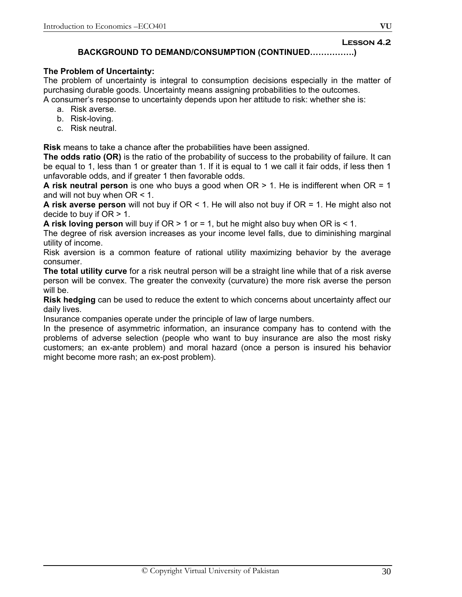# **Lesson 4.2**

# **BACKGROUND TO DEMAND/CONSUMPTION (CONTINUED…………….)**

# **The Problem of Uncertainty:**

The problem of uncertainty is integral to consumption decisions especially in the matter of purchasing durable goods. Uncertainty means assigning probabilities to the outcomes.

A consumer's response to uncertainty depends upon her attitude to risk: whether she is:

- a. Risk averse.
- b. Risk-loving.
- c. Risk neutral.

**Risk** means to take a chance after the probabilities have been assigned.

**The odds ratio (OR)** is the ratio of the probability of success to the probability of failure. It can be equal to 1, less than 1 or greater than 1. If it is equal to 1 we call it fair odds, if less then 1 unfavorable odds, and if greater 1 then favorable odds.

**A risk neutral person** is one who buys a good when OR > 1. He is indifferent when OR = 1 and will not buy when OR < 1.

**A risk averse person** will not buy if OR < 1. He will also not buy if OR = 1. He might also not decide to buy if  $OR > 1$ .

**A risk loving person** will buy if OR > 1 or = 1, but he might also buy when OR is < 1.

The degree of risk aversion increases as your income level falls, due to diminishing marginal utility of income.

Risk aversion is a common feature of rational utility maximizing behavior by the average consumer.

**The total utility curve** for a risk neutral person will be a straight line while that of a risk averse person will be convex. The greater the convexity (curvature) the more risk averse the person will be.

**Risk hedging** can be used to reduce the extent to which concerns about uncertainty affect our daily lives.

Insurance companies operate under the principle of law of large numbers.

In the presence of asymmetric information, an insurance company has to contend with the problems of adverse selection (people who want to buy insurance are also the most risky customers; an ex-ante problem) and moral hazard (once a person is insured his behavior might become more rash; an ex-post problem).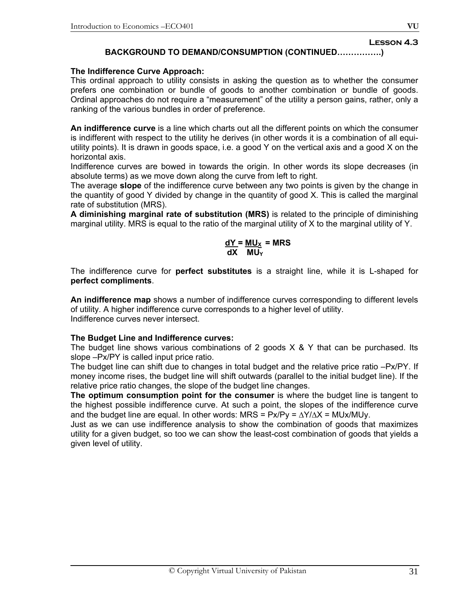#### **Lesson 4.3**

# **BACKGROUND TO DEMAND/CONSUMPTION (CONTINUED…………….)**

#### **The Indifference Curve Approach:**

This ordinal approach to utility consists in asking the question as to whether the consumer prefers one combination or bundle of goods to another combination or bundle of goods. Ordinal approaches do not require a "measurement" of the utility a person gains, rather, only a ranking of the various bundles in order of preference.

**An indifference curve** is a line which charts out all the different points on which the consumer is indifferent with respect to the utility he derives (in other words it is a combination of all equiutility points). It is drawn in goods space, i.e. a good Y on the vertical axis and a good X on the horizontal axis.

Indifference curves are bowed in towards the origin. In other words its slope decreases (in absolute terms) as we move down along the curve from left to right.

The average **slope** of the indifference curve between any two points is given by the change in the quantity of good Y divided by change in the quantity of good X. This is called the marginal rate of substitution (MRS).

**A diminishing marginal rate of substitution (MRS)** is related to the principle of diminishing marginal utility. MRS is equal to the ratio of the marginal utility of X to the marginal utility of Y.

$$
\frac{dY}{dX} = \frac{MU_x}{MU_y} = MRS
$$

The indifference curve for **perfect substitutes** is a straight line, while it is L-shaped for **perfect compliments**.

**An indifference map** shows a number of indifference curves corresponding to different levels of utility. A higher indifference curve corresponds to a higher level of utility. Indifference curves never intersect.

#### **The Budget Line and Indifference curves:**

The budget line shows various combinations of 2 goods  $X \& Y$  that can be purchased. Its slope –Px/PY is called input price ratio.

The budget line can shift due to changes in total budget and the relative price ratio –Px/PY. If money income rises, the budget line will shift outwards (parallel to the initial budget line). If the relative price ratio changes, the slope of the budget line changes.

**The optimum consumption point for the consumer** is where the budget line is tangent to the highest possible indifference curve. At such a point, the slopes of the indifference curve and the budget line are equal. In other words: MRS =  $Px/Py = \Delta Y/\Delta X = MUx/MUy$ .

Just as we can use indifference analysis to show the combination of goods that maximizes utility for a given budget, so too we can show the least-cost combination of goods that yields a given level of utility.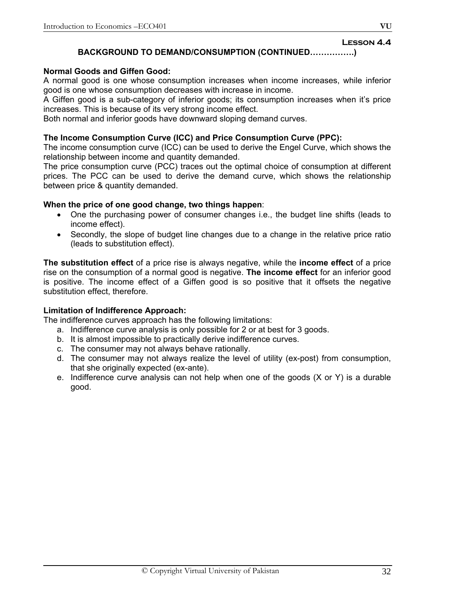#### **Lesson 4.4**

# **BACKGROUND TO DEMAND/CONSUMPTION (CONTINUED…………….)**

#### **Normal Goods and Giffen Good:**

A normal good is one whose consumption increases when income increases, while inferior good is one whose consumption decreases with increase in income.

A Giffen good is a sub-category of inferior goods; its consumption increases when it's price increases. This is because of its very strong income effect.

Both normal and inferior goods have downward sloping demand curves.

#### **The Income Consumption Curve (ICC) and Price Consumption Curve (PPC):**

The income consumption curve (ICC) can be used to derive the Engel Curve, which shows the relationship between income and quantity demanded.

The price consumption curve (PCC) traces out the optimal choice of consumption at different prices. The PCC can be used to derive the demand curve, which shows the relationship between price & quantity demanded.

#### **When the price of one good change, two things happen**:

- One the purchasing power of consumer changes i.e., the budget line shifts (leads to income effect).
- Secondly, the slope of budget line changes due to a change in the relative price ratio (leads to substitution effect).

**The substitution effect** of a price rise is always negative, while the **income effect** of a price rise on the consumption of a normal good is negative. **The income effect** for an inferior good is positive. The income effect of a Giffen good is so positive that it offsets the negative substitution effect, therefore.

#### **Limitation of Indifference Approach:**

The indifference curves approach has the following limitations:

- a. Indifference curve analysis is only possible for 2 or at best for 3 goods.
- b. It is almost impossible to practically derive indifference curves.
- c. The consumer may not always behave rationally.
- d. The consumer may not always realize the level of utility (ex-post) from consumption, that she originally expected (ex-ante).
- e. Indifference curve analysis can not help when one of the goods (X or Y) is a durable good.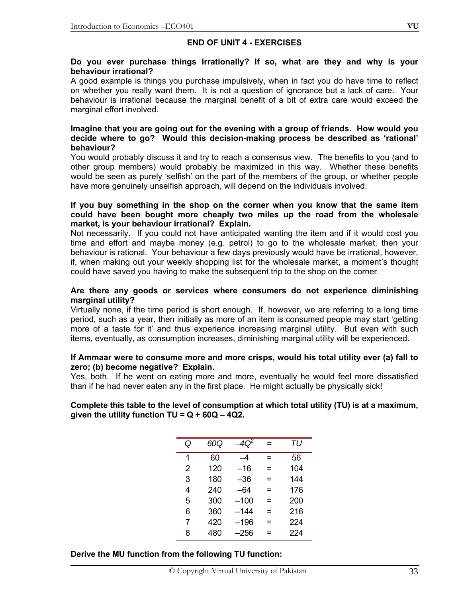#### **END OF UNIT 4 - EXERCISES**

#### **Do you ever purchase things irrationally? If so, what are they and why is your behaviour irrational?**

A good example is things you purchase impulsively, when in fact you do have time to reflect on whether you really want them. It is not a question of ignorance but a lack of care. Your behaviour is irrational because the marginal benefit of a bit of extra care would exceed the marginal effort involved.

#### **Imagine that you are going out for the evening with a group of friends. How would you decide where to go? Would this decision-making process be described as 'rational' behaviour?**

You would probably discuss it and try to reach a consensus view. The benefits to you (and to other group members) would probably be maximized in this way. Whether these benefits would be seen as purely 'selfish' on the part of the members of the group, or whether people have more genuinely unselfish approach, will depend on the individuals involved.

#### **If you buy something in the shop on the corner when you know that the same item could have been bought more cheaply two miles up the road from the wholesale market, is your behaviour irrational? Explain.**

Not necessarily. If you could not have anticipated wanting the item and if it would cost you time and effort and maybe money (e.g. petrol) to go to the wholesale market, then your behaviour is rational. Your behaviour a few days previously would have be irrational, however, if, when making out your weekly shopping list for the wholesale market, a moment's thought could have saved you having to make the subsequent trip to the shop on the corner.

#### **Are there any goods or services where consumers do not experience diminishing marginal utility?**

Virtually none, if the time period is short enough. If, however, we are referring to a long time period, such as a year, then initially as more of an item is consumed people may start 'getting more of a taste for it' and thus experience increasing marginal utility. But even with such items, eventually, as consumption increases, diminishing marginal utility will be experienced.

#### **If Ammaar were to consume more and more crisps, would his total utility ever (a) fall to zero; (b) become negative? Explain.**

Yes, both. If he went on eating more and more, eventually he would feel more dissatisfied than if he had never eaten any in the first place. He might actually be physically sick!

**Complete this table to the level of consumption at which total utility (TU) is at a maximum, given the utility function TU = Q + 60Q – 4Q2.** 

| Q | 60Q |        | = | TU  |
|---|-----|--------|---|-----|
| 1 | 60  | -4     | = | 56  |
| 2 | 120 | –16    | = | 104 |
| 3 | 180 | -36    | = | 144 |
| 4 | 240 | -64    | = | 176 |
| 5 | 300 | $-100$ | = | 200 |
| 6 | 360 | –144   | = | 216 |
| 7 | 420 | $-196$ | = | 224 |
| 8 | 480 | –256   | = | 224 |

#### **Derive the MU function from the following TU function:**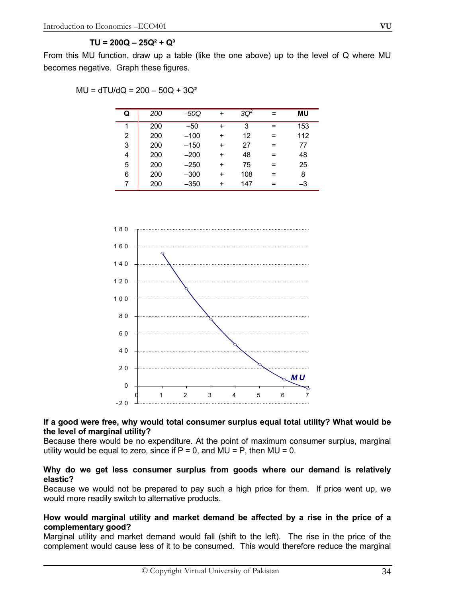From this MU function, draw up a table (like the one above) up to the level of Q where MU becomes negative. Graph these figures.

$$
MU = dTU/dQ = 200 - 50Q + 3Q^2
$$

| Q | 200 | $-50Q$ | $\ddot{}$ | $3Q^2$ |   | <b>MU</b> |
|---|-----|--------|-----------|--------|---|-----------|
| 1 | 200 | $-50$  | $\ddot{}$ | 3      | Ξ | 153       |
| 2 | 200 | $-100$ | $\ddag$   | 12     | = | 112       |
| 3 | 200 | $-150$ | $\ddot{}$ | 27     | = | 77        |
| 4 | 200 | $-200$ | $\ddot{}$ | 48     | = | 48        |
| 5 | 200 | $-250$ | $\ddot{}$ | 75     | = | 25        |
| 6 | 200 | $-300$ | $\ddot{}$ | 108    | = | 8         |
| 7 | 200 | $-350$ | $\ddot{}$ | 147    | = | -3        |
|   |     |        |           |        |   |           |



#### **If a good were free, why would total consumer surplus equal total utility? What would be the level of marginal utility?**

Because there would be no expenditure. At the point of maximum consumer surplus, marginal utility would be equal to zero, since if  $P = 0$ , and MU = P, then MU = 0.

#### **Why do we get less consumer surplus from goods where our demand is relatively elastic?**

Because we would not be prepared to pay such a high price for them. If price went up, we would more readily switch to alternative products.

#### **How would marginal utility and market demand be affected by a rise in the price of a complementary good?**

Marginal utility and market demand would fall (shift to the left). The rise in the price of the complement would cause less of it to be consumed. This would therefore reduce the marginal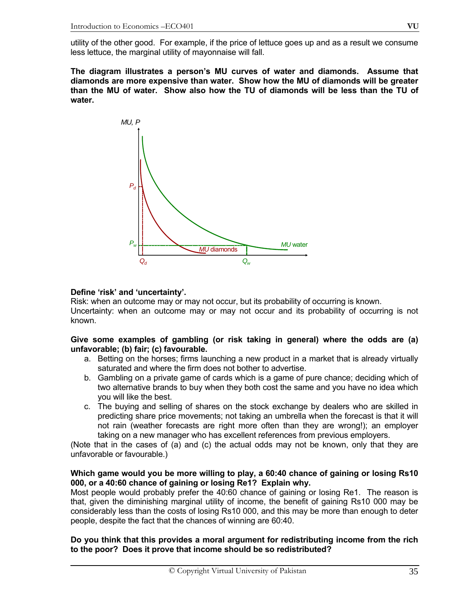utility of the other good. For example, if the price of lettuce goes up and as a result we consume less lettuce, the marginal utility of mayonnaise will fall.

**The diagram illustrates a person's MU curves of water and diamonds. Assume that diamonds are more expensive than water. Show how the MU of diamonds will be greater than the MU of water. Show also how the TU of diamonds will be less than the TU of water.** 



#### **Define 'risk' and 'uncertainty'.**

Risk: when an outcome may or may not occur, but its probability of occurring is known. Uncertainty: when an outcome may or may not occur and its probability of occurring is not known.

#### **Give some examples of gambling (or risk taking in general) where the odds are (a) unfavorable; (b) fair; (c) favourable.**

- a. Betting on the horses; firms launching a new product in a market that is already virtually saturated and where the firm does not bother to advertise.
- b. Gambling on a private game of cards which is a game of pure chance; deciding which of two alternative brands to buy when they both cost the same and you have no idea which you will like the best.
- c. The buying and selling of shares on the stock exchange by dealers who are skilled in predicting share price movements; not taking an umbrella when the forecast is that it will not rain (weather forecasts are right more often than they are wrong!); an employer taking on a new manager who has excellent references from previous employers.

(Note that in the cases of (a) and (c) the actual odds may not be known, only that they are unfavorable or favourable.)

#### **Which game would you be more willing to play, a 60:40 chance of gaining or losing Rs10 000, or a 40:60 chance of gaining or losing Re1? Explain why.**

Most people would probably prefer the 40:60 chance of gaining or losing Re1. The reason is that, given the diminishing marginal utility of income, the benefit of gaining Rs10 000 may be considerably less than the costs of losing Rs10 000, and this may be more than enough to deter people, despite the fact that the chances of winning are 60:40.

**Do you think that this provides a moral argument for redistributing income from the rich to the poor? Does it prove that income should be so redistributed?**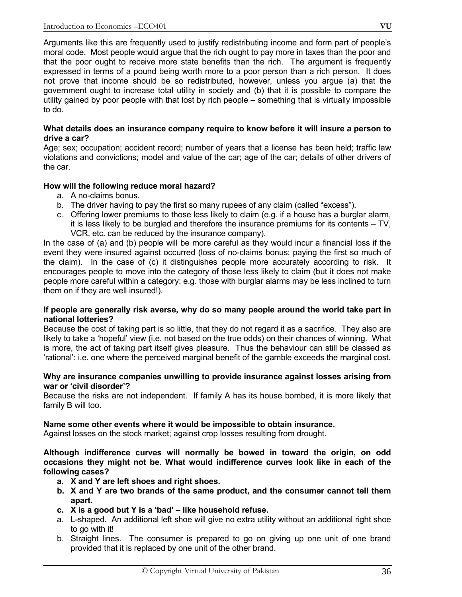Arguments like this are frequently used to justify redistributing income and form part of people's moral code. Most people would argue that the rich ought to pay more in taxes than the poor and that the poor ought to receive more state benefits than the rich. The argument is frequently expressed in terms of a pound being worth more to a poor person than a rich person. It does not prove that income should be so redistributed, however, unless you argue (a) that the government ought to increase total utility in society and (b) that it is possible to compare the utility gained by poor people with that lost by rich people – something that is virtually impossible to do.

#### **What details does an insurance company require to know before it will insure a person to drive a car?**

Age; sex; occupation; accident record; number of years that a license has been held; traffic law violations and convictions; model and value of the car; age of the car; details of other drivers of the car.

# **How will the following reduce moral hazard?**

- a. A no-claims bonus.
- b. The driver having to pay the first so many rupees of any claim (called "excess").
- c. Offering lower premiums to those less likely to claim (e.g. if a house has a burglar alarm, it is less likely to be burgled and therefore the insurance premiums for its contents – TV, VCR, etc. can be reduced by the insurance company).

In the case of (a) and (b) people will be more careful as they would incur a financial loss if the event they were insured against occurred (loss of no-claims bonus; paying the first so much of the claim). In the case of (c) it distinguishes people more accurately according to risk. It encourages people to move into the category of those less likely to claim (but it does not make people more careful within a category: e.g. those with burglar alarms may be less inclined to turn them on if they are well insured!).

#### **If people are generally risk averse, why do so many people around the world take part in national lotteries?**

Because the cost of taking part is so little, that they do not regard it as a sacrifice. They also are likely to take a 'hopeful' view (i.e. not based on the true odds) on their chances of winning. What is more, the act of taking part itself gives pleasure. Thus the behaviour can still be classed as 'rational': i.e. one where the perceived marginal benefit of the gamble exceeds the marginal cost.

#### **Why are insurance companies unwilling to provide insurance against losses arising from war or 'civil disorder'?**

Because the risks are not independent. If family A has its house bombed, it is more likely that family B will too.

#### **Name some other events where it would be impossible to obtain insurance.**

Against losses on the stock market; against crop losses resulting from drought.

**Although indifference curves will normally be bowed in toward the origin, on odd occasions they might not be. What would indifference curves look like in each of the following cases?** 

- **a. X and Y are left shoes and right shoes.**
- **b. X and Y are two brands of the same product, and the consumer cannot tell them apart.**
- **c. X is a good but Y is a 'bad' like household refuse.**
- a. L-shaped. An additional left shoe will give no extra utility without an additional right shoe to go with it!
- b. Straight lines. The consumer is prepared to go on giving up one unit of one brand provided that it is replaced by one unit of the other brand.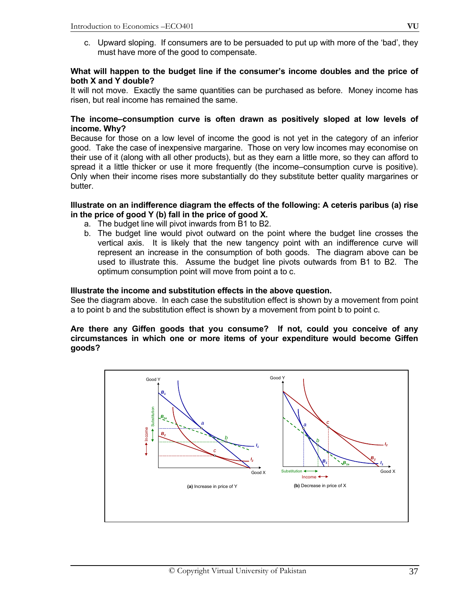c. Upward sloping. If consumers are to be persuaded to put up with more of the 'bad', they must have more of the good to compensate.

### **What will happen to the budget line if the consumer's income doubles and the price of both X and Y double?**

It will not move. Exactly the same quantities can be purchased as before. Money income has risen, but real income has remained the same.

### **The income–consumption curve is often drawn as positively sloped at low levels of income. Why?**

Because for those on a low level of income the good is not yet in the category of an inferior good. Take the case of inexpensive margarine. Those on very low incomes may economise on their use of it (along with all other products), but as they earn a little more, so they can afford to spread it a little thicker or use it more frequently (the income–consumption curve is positive). Only when their income rises more substantially do they substitute better quality margarines or butter.

#### **Illustrate on an indifference diagram the effects of the following: A ceteris paribus (a) rise in the price of good Y (b) fall in the price of good X.**

- a. The budget line will pivot inwards from B1 to B2.
- b. The budget line would pivot outward on the point where the budget line crosses the vertical axis. It is likely that the new tangency point with an indifference curve will represent an increase in the consumption of both goods. The diagram above can be used to illustrate this. Assume the budget line pivots outwards from B1 to B2. The optimum consumption point will move from point a to c.

### **Illustrate the income and substitution effects in the above question.**

See the diagram above. In each case the substitution effect is shown by a movement from point a to point b and the substitution effect is shown by a movement from point b to point c.

**Are there any Giffen goods that you consume? If not, could you conceive of any circumstances in which one or more items of your expenditure would become Giffen goods?**

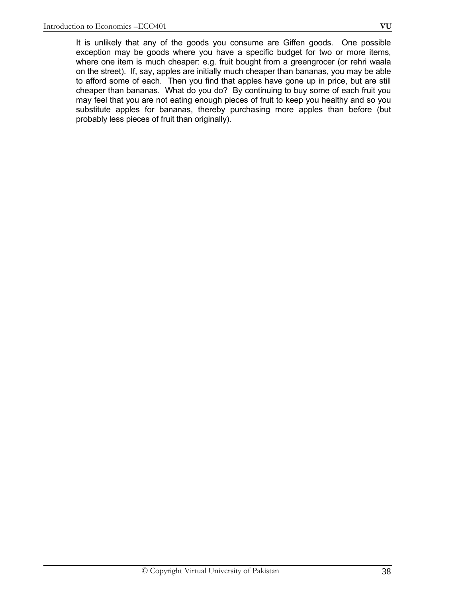It is unlikely that any of the goods you consume are Giffen goods. One possible exception may be goods where you have a specific budget for two or more items, where one item is much cheaper: e.g. fruit bought from a greengrocer (or rehri waala on the street). If, say, apples are initially much cheaper than bananas, you may be able to afford some of each. Then you find that apples have gone up in price, but are still cheaper than bananas. What do you do? By continuing to buy some of each fruit you may feel that you are not eating enough pieces of fruit to keep you healthy and so you substitute apples for bananas, thereby purchasing more apples than before (but probably less pieces of fruit than originally).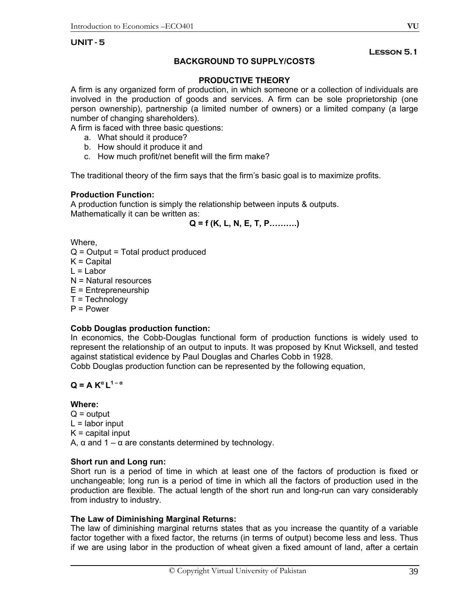## **UNIT - 5**

# **Lesson 5.1**

# **BACKGROUND TO SUPPLY/COSTS**

## **PRODUCTIVE THEORY**

A firm is any organized form of production, in which someone or a collection of individuals are involved in the production of goods and services. A firm can be sole proprietorship (one person ownership), partnership (a limited number of owners) or a limited company (a large number of changing shareholders).

A firm is faced with three basic questions:

- a. What should it produce?
- b. How should it produce it and
- c. How much profit/net benefit will the firm make?

The traditional theory of the firm says that the firm's basic goal is to maximize profits.

# **Production Function:**

A production function is simply the relationship between inputs & outputs. Mathematically it can be written as:

$$
Q = f(K, L, N, E, T, P
$$
........

Where,

- $Q =$  Output = Total product produced
- $K =$  Capital
- $l = l$  abor
- N = Natural resources
- E = Entrepreneurship
- T = Technology

P = Power

## **Cobb Douglas production function:**

In economics, the Cobb-Douglas functional form of production functions is widely used to represent the relationship of an output to inputs. It was proposed by Knut Wicksell, and tested against statistical evidence by Paul Douglas and Charles Cobb in 1928.

Cobb Douglas production function can be represented by the following equation,

# $Q = A K^{\alpha} L^{1-\alpha}$

## **Where:**

 $Q =$  output  $L =$  labor input  $K =$  capital input A,  $\alpha$  and 1 –  $\alpha$  are constants determined by technology.

# **Short run and Long run:**

Short run is a period of time in which at least one of the factors of production is fixed or unchangeable; long run is a period of time in which all the factors of production used in the production are flexible. The actual length of the short run and long-run can vary considerably from industry to industry.

# **The Law of Diminishing Marginal Returns:**

The law of diminishing marginal returns states that as you increase the quantity of a variable factor together with a fixed factor, the returns (in terms of output) become less and less. Thus if we are using labor in the production of wheat given a fixed amount of land, after a certain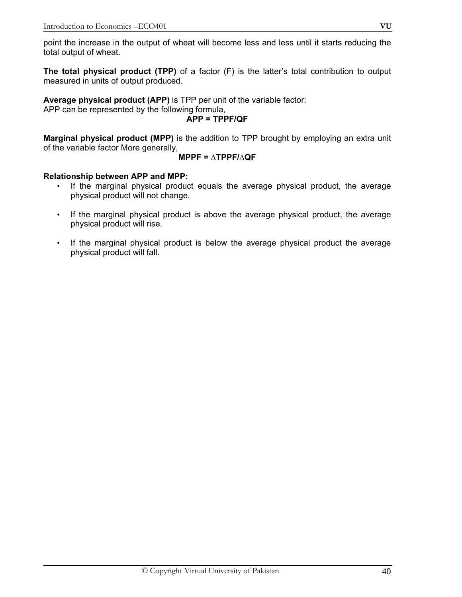point the increase in the output of wheat will become less and less until it starts reducing the total output of wheat.

**The total physical product (TPP)** of a factor (F) is the latter's total contribution to output measured in units of output produced.

**Average physical product (APP)** is TPP per unit of the variable factor:

APP can be represented by the following formula,

# **APP = TPPF/QF**

**Marginal physical product (MPP)** is the addition to TPP brought by employing an extra unit of the variable factor More generally,

# **MPPF = ∆TPPF/∆QF**

# **Relationship between APP and MPP:**

- If the marginal physical product equals the average physical product, the average physical product will not change.
- If the marginal physical product is above the average physical product, the average physical product will rise.
- If the marginal physical product is below the average physical product the average physical product will fall.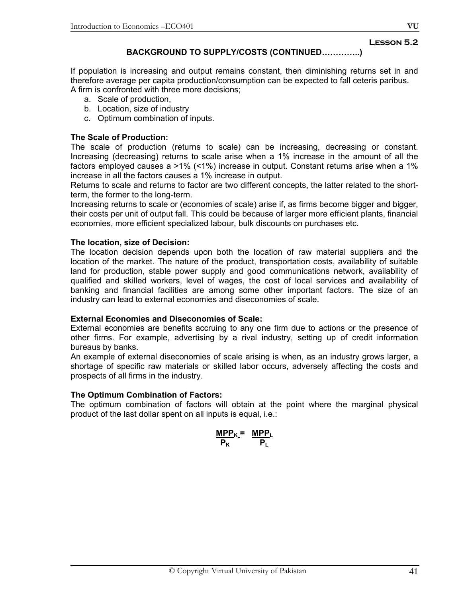# **BACKGROUND TO SUPPLY/COSTS (CONTINUED…………..)**

If population is increasing and output remains constant, then diminishing returns set in and therefore average per capita production/consumption can be expected to fall ceteris paribus. A firm is confronted with three more decisions;

- a. Scale of production,
- b. Location, size of industry
- c. Optimum combination of inputs.

# **The Scale of Production:**

The scale of production (returns to scale) can be increasing, decreasing or constant. Increasing (decreasing) returns to scale arise when a 1% increase in the amount of all the factors employed causes a >1% (<1%) increase in output. Constant returns arise when a 1% increase in all the factors causes a 1% increase in output.

Returns to scale and returns to factor are two different concepts, the latter related to the shortterm, the former to the long-term.

Increasing returns to scale or (economies of scale) arise if, as firms become bigger and bigger, their costs per unit of output fall. This could be because of larger more efficient plants, financial economies, more efficient specialized labour, bulk discounts on purchases etc.

# **The location, size of Decision:**

The location decision depends upon both the location of raw material suppliers and the location of the market. The nature of the product, transportation costs, availability of suitable land for production, stable power supply and good communications network, availability of qualified and skilled workers, level of wages, the cost of local services and availability of banking and financial facilities are among some other important factors. The size of an industry can lead to external economies and diseconomies of scale.

# **External Economies and Diseconomies of Scale:**

External economies are benefits accruing to any one firm due to actions or the presence of other firms. For example, advertising by a rival industry, setting up of credit information bureaus by banks.

An example of external diseconomies of scale arising is when, as an industry grows larger, a shortage of specific raw materials or skilled labor occurs, adversely affecting the costs and prospects of all firms in the industry.

# **The Optimum Combination of Factors:**

The optimum combination of factors will obtain at the point where the marginal physical product of the last dollar spent on all inputs is equal, i.e.:

$$
\frac{\text{MPP}_{K} = \text{MPP}_{L}}{P_{K}}
$$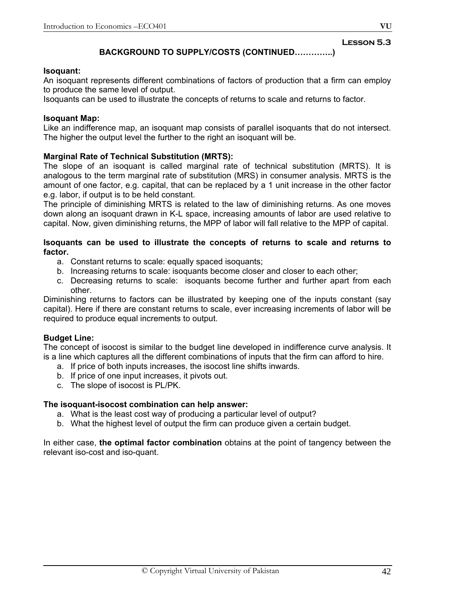# **BACKGROUND TO SUPPLY/COSTS (CONTINUED…………..)**

### **Isoquant:**

An isoquant represents different combinations of factors of production that a firm can employ to produce the same level of output.

Isoquants can be used to illustrate the concepts of returns to scale and returns to factor.

## **Isoquant Map:**

Like an indifference map, an isoquant map consists of parallel isoquants that do not intersect. The higher the output level the further to the right an isoquant will be.

# **Marginal Rate of Technical Substitution (MRTS):**

The slope of an isoquant is called marginal rate of technical substitution (MRTS). It is analogous to the term marginal rate of substitution (MRS) in consumer analysis. MRTS is the amount of one factor, e.g. capital, that can be replaced by a 1 unit increase in the other factor e.g. labor, if output is to be held constant.

The principle of diminishing MRTS is related to the law of diminishing returns. As one moves down along an isoquant drawn in K-L space, increasing amounts of labor are used relative to capital. Now, given diminishing returns, the MPP of labor will fall relative to the MPP of capital.

### **Isoquants can be used to illustrate the concepts of returns to scale and returns to factor.**

- a. Constant returns to scale: equally spaced isoquants;
- b. Increasing returns to scale: isoquants become closer and closer to each other;
- c. Decreasing returns to scale: isoquants become further and further apart from each other.

Diminishing returns to factors can be illustrated by keeping one of the inputs constant (say capital). Here if there are constant returns to scale, ever increasing increments of labor will be required to produce equal increments to output.

## **Budget Line:**

The concept of isocost is similar to the budget line developed in indifference curve analysis. It is a line which captures all the different combinations of inputs that the firm can afford to hire.

- a. If price of both inputs increases, the isocost line shifts inwards.
- b. If price of one input increases, it pivots out.
- c. The slope of isocost is PL/PK.

## **The isoquant-isocost combination can help answer:**

- a. What is the least cost way of producing a particular level of output?
- b. What the highest level of output the firm can produce given a certain budget.

In either case, **the optimal factor combination** obtains at the point of tangency between the relevant iso-cost and iso-quant.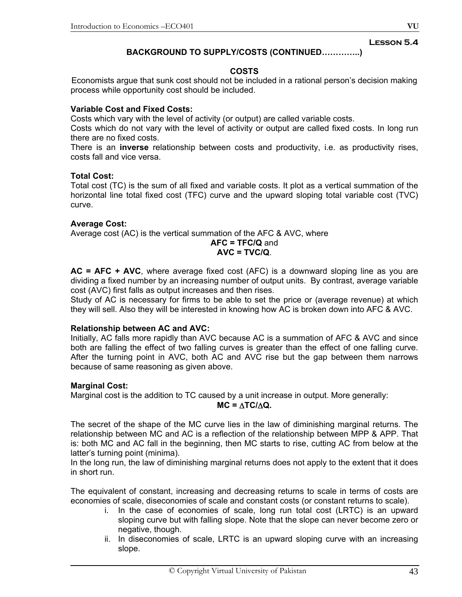# **BACKGROUND TO SUPPLY/COSTS (CONTINUED…………..)**

# **COSTS**

Economists argue that sunk cost should not be included in a rational person's decision making process while opportunity cost should be included.

# **Variable Cost and Fixed Costs:**

Costs which vary with the level of activity (or output) are called variable costs.

Costs which do not vary with the level of activity or output are called fixed costs. In long run there are no fixed costs.

There is an **inverse** relationship between costs and productivity, i.e. as productivity rises, costs fall and vice versa.

# **Total Cost:**

Total cost (TC) is the sum of all fixed and variable costs. It plot as a vertical summation of the horizontal line total fixed cost (TFC) curve and the upward sloping total variable cost (TVC) curve.

# **Average Cost:**

Average cost (AC) is the vertical summation of the AFC & AVC, where

#### **AFC = TFC/Q** and **AVC = TVC/Q**.

**AC = AFC + AVC**, where average fixed cost (AFC) is a downward sloping line as you are dividing a fixed number by an increasing number of output units. By contrast, average variable cost (AVC) first falls as output increases and then rises.

Study of AC is necessary for firms to be able to set the price or (average revenue) at which they will sell. Also they will be interested in knowing how AC is broken down into AFC & AVC.

## **Relationship between AC and AVC:**

Initially, AC falls more rapidly than AVC because AC is a summation of AFC & AVC and since both are falling the effect of two falling curves is greater than the effect of one falling curve. After the turning point in AVC, both AC and AVC rise but the gap between them narrows because of same reasoning as given above.

## **Marginal Cost:**

Marginal cost is the addition to TC caused by a unit increase in output. More generally:

**MC =** Δ**TC/**Δ**Q.** 

The secret of the shape of the MC curve lies in the law of diminishing marginal returns. The relationship between MC and AC is a reflection of the relationship between MPP & APP. That is: both MC and AC fall in the beginning, then MC starts to rise, cutting AC from below at the latter's turning point (minima).

In the long run, the law of diminishing marginal returns does not apply to the extent that it does in short run.

The equivalent of constant, increasing and decreasing returns to scale in terms of costs are economies of scale, diseconomies of scale and constant costs (or constant returns to scale).

- i. In the case of economies of scale, long run total cost (LRTC) is an upward sloping curve but with falling slope. Note that the slope can never become zero or negative, though.
- ii. In diseconomies of scale, LRTC is an upward sloping curve with an increasing slope.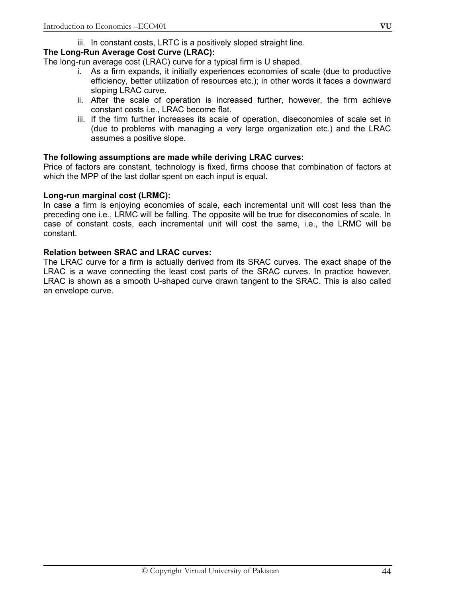## **The Long-Run Average Cost Curve (LRAC):**

The long-run average cost (LRAC) curve for a typical firm is U shaped.

- i. As a firm expands, it initially experiences economies of scale (due to productive efficiency, better utilization of resources etc.); in other words it faces a downward sloping LRAC curve.
- ii. After the scale of operation is increased further, however, the firm achieve constant costs i.e., LRAC become flat.
- iii. If the firm further increases its scale of operation, diseconomies of scale set in (due to problems with managing a very large organization etc.) and the LRAC assumes a positive slope.

### **The following assumptions are made while deriving LRAC curves:**

Price of factors are constant, technology is fixed, firms choose that combination of factors at which the MPP of the last dollar spent on each input is equal.

### **Long-run marginal cost (LRMC):**

In case a firm is enjoying economies of scale, each incremental unit will cost less than the preceding one i.e., LRMC will be falling. The opposite will be true for diseconomies of scale. In case of constant costs, each incremental unit will cost the same, i.e., the LRMC will be constant.

### **Relation between SRAC and LRAC curves:**

The LRAC curve for a firm is actually derived from its SRAC curves. The exact shape of the LRAC is a wave connecting the least cost parts of the SRAC curves. In practice however, LRAC is shown as a smooth U-shaped curve drawn tangent to the SRAC. This is also called an envelope curve.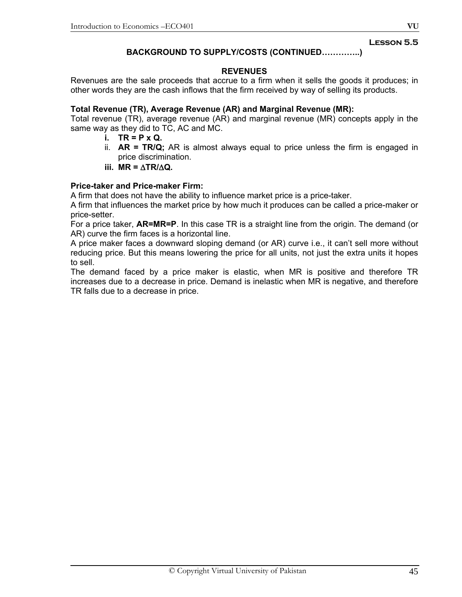# **BACKGROUND TO SUPPLY/COSTS (CONTINUED…………..)**

# **REVENUES**

Revenues are the sale proceeds that accrue to a firm when it sells the goods it produces; in other words they are the cash inflows that the firm received by way of selling its products.

# **Total Revenue (TR), Average Revenue (AR) and Marginal Revenue (MR):**

Total revenue (TR), average revenue (AR) and marginal revenue (MR) concepts apply in the same way as they did to TC, AC and MC.

- **i. TR = P x Q.**
- ii. **AR = TR/Q;** AR is almost always equal to price unless the firm is engaged in price discrimination.
- **iii. MR =** Δ**TR/**Δ**Q.**

# **Price-taker and Price-maker Firm:**

A firm that does not have the ability to influence market price is a price-taker.

A firm that influences the market price by how much it produces can be called a price-maker or price-setter.

For a price taker, **AR=MR=P**. In this case TR is a straight line from the origin. The demand (or AR) curve the firm faces is a horizontal line.

A price maker faces a downward sloping demand (or AR) curve i.e., it can't sell more without reducing price. But this means lowering the price for all units, not just the extra units it hopes to sell.

The demand faced by a price maker is elastic, when MR is positive and therefore TR increases due to a decrease in price. Demand is inelastic when MR is negative, and therefore TR falls due to a decrease in price.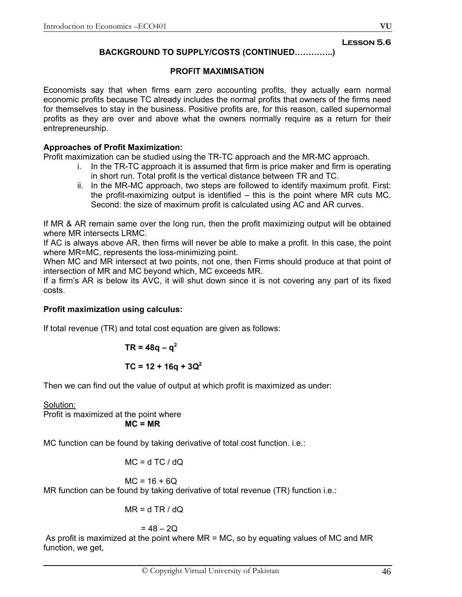# **BACKGROUND TO SUPPLY/COSTS (CONTINUED…………..)**

# **PROFIT MAXIMISATION**

Economists say that when firms earn zero accounting profits, they actually earn normal economic profits because TC already includes the normal profits that owners of the firms need for themselves to stay in the business. Positive profits are, for this reason, called supernormal profits as they are over and above what the owners normally require as a return for their entrepreneurship.

## **Approaches of Profit Maximization:**

Profit maximization can be studied using the TR-TC approach and the MR-MC approach.

- i. In the TR-TC approach it is assumed that firm is price maker and firm is operating in short run. Total profit is the vertical distance between TR and TC.
- ii. In the MR-MC approach, two steps are followed to identify maximum profit. First: the profit-maximizing output is identified – this is the point where MR cuts MC. Second: the size of maximum profit is calculated using AC and AR curves.

If MR & AR remain same over the long run, then the profit maximizing output will be obtained where MR intersects LRMC.

If AC is always above AR, then firms will never be able to make a profit. In this case, the point where MR=MC, represents the loss-minimizing point.

When MC and MR intersect at two points, not one, then Firms should produce at that point of intersection of MR and MC beyond which, MC exceeds MR.

If a firm's AR is below its AVC, it will shut down since it is not covering any part of its fixed costs.

# **Profit maximization using calculus:**

If total revenue (TR) and total cost equation are given as follows:

 $TR = 48q - q^2$  $TC = 12 + 16q + 3Q^2$ 

Then we can find out the value of output at which profit is maximized as under:

Solution: Profit is maximized at the point where **MC = MR** 

MC function can be found by taking derivative of total cost function. i.e.:

$$
MC = d \, TC / dQ
$$

 $MC = 16 + 6Q$ 

MR function can be found by taking derivative of total revenue (TR) function i.e.:

$$
MR = d TR / dQ
$$

$$
=48-2Q
$$

 As profit is maximized at the point where MR = MC, so by equating values of MC and MR function, we get,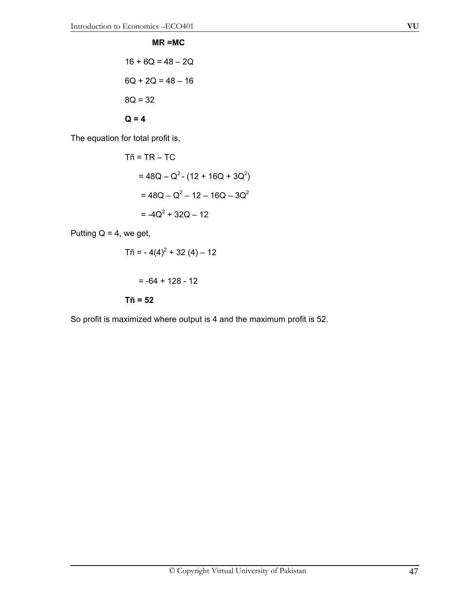$$
MR = MC
$$
  
16 + 6Q = 48 - 2Q  
6Q + 2Q = 48 - 16  
8Q = 32  
Q = 4

The equation for total profit is,

$$
T\tilde{n} = TR - TC
$$
  
= 48Q - Q<sup>2</sup> - (12 + 16Q + 3Q<sup>2</sup>)  
= 48Q - Q<sup>2</sup> - 12 - 16Q - 3Q<sup>2</sup>  
= -4Q<sup>2</sup> + 32Q - 12

Putting  $Q = 4$ , we get,

$$
T\tilde{n} = -4(4)^{2} + 32(4) - 12
$$

$$
= -64 + 128 - 12
$$

$$
T\tilde{n} = 52
$$

So profit is maximized where output is 4 and the maximum profit is 52.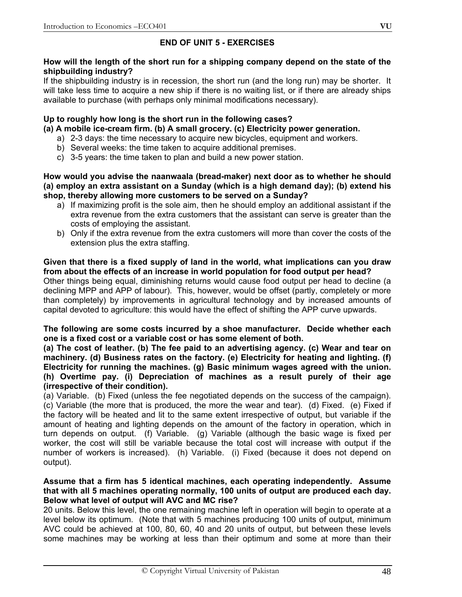# **END OF UNIT 5 - EXERCISES**

### **How will the length of the short run for a shipping company depend on the state of the shipbuilding industry?**

If the shipbuilding industry is in recession, the short run (and the long run) may be shorter. It will take less time to acquire a new ship if there is no waiting list, or if there are already ships available to purchase (with perhaps only minimal modifications necessary).

### **Up to roughly how long is the short run in the following cases?**

**(a) A mobile ice-cream firm. (b) A small grocery. (c) Electricity power generation.** 

- a) 2-3 days: the time necessary to acquire new bicycles, equipment and workers.
- b) Several weeks: the time taken to acquire additional premises.
- c) 3-5 years: the time taken to plan and build a new power station.

#### **How would you advise the naanwaala (bread-maker) next door as to whether he should (a) employ an extra assistant on a Sunday (which is a high demand day); (b) extend his shop, thereby allowing more customers to be served on a Sunday?**

- a) If maximizing profit is the sole aim, then he should employ an additional assistant if the extra revenue from the extra customers that the assistant can serve is greater than the costs of employing the assistant.
- b) Only if the extra revenue from the extra customers will more than cover the costs of the extension plus the extra staffing.

# **Given that there is a fixed supply of land in the world, what implications can you draw from about the effects of an increase in world population for food output per head?**

Other things being equal, diminishing returns would cause food output per head to decline (a declining MPP and APP of labour). This, however, would be offset (partly, completely or more than completely) by improvements in agricultural technology and by increased amounts of capital devoted to agriculture: this would have the effect of shifting the APP curve upwards.

## **The following are some costs incurred by a shoe manufacturer. Decide whether each one is a fixed cost or a variable cost or has some element of both.**

**(a) The cost of leather. (b) The fee paid to an advertising agency. (c) Wear and tear on machinery. (d) Business rates on the factory. (e) Electricity for heating and lighting. (f) Electricity for running the machines. (g) Basic minimum wages agreed with the union. (h) Overtime pay. (i) Depreciation of machines as a result purely of their age (irrespective of their condition).** 

(a) Variable. (b) Fixed (unless the fee negotiated depends on the success of the campaign). (c) Variable (the more that is produced, the more the wear and tear). (d) Fixed. (e) Fixed if the factory will be heated and lit to the same extent irrespective of output, but variable if the amount of heating and lighting depends on the amount of the factory in operation, which in turn depends on output. (f) Variable. (g) Variable (although the basic wage is fixed per worker, the cost will still be variable because the total cost will increase with output if the number of workers is increased). (h) Variable. (i) Fixed (because it does not depend on output).

### **Assume that a firm has 5 identical machines, each operating independently. Assume that with all 5 machines operating normally, 100 units of output are produced each day. Below what level of output will AVC and MC rise?**

20 units. Below this level, the one remaining machine left in operation will begin to operate at a level below its optimum. (Note that with 5 machines producing 100 units of output, minimum AVC could be achieved at 100, 80, 60, 40 and 20 units of output, but between these levels some machines may be working at less than their optimum and some at more than their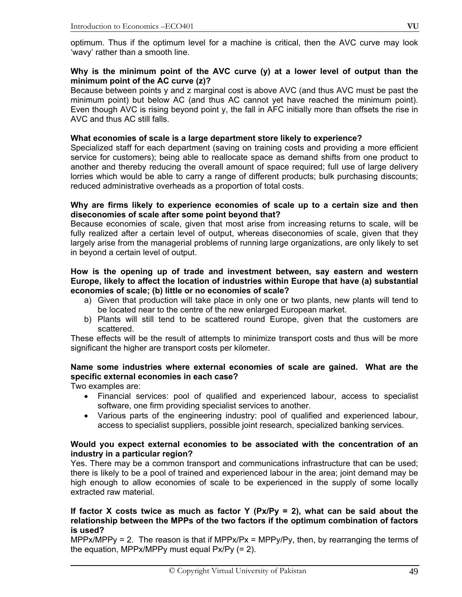optimum. Thus if the optimum level for a machine is critical, then the AVC curve may look 'wavy' rather than a smooth line.

# **Why is the minimum point of the AVC curve (y) at a lower level of output than the minimum point of the AC curve (z)?**

Because between points y and z marginal cost is above AVC (and thus AVC must be past the minimum point) but below AC (and thus AC cannot yet have reached the minimum point). Even though AVC is rising beyond point y, the fall in AFC initially more than offsets the rise in AVC and thus AC still falls.

# **What economies of scale is a large department store likely to experience?**

Specialized staff for each department (saving on training costs and providing a more efficient service for customers); being able to reallocate space as demand shifts from one product to another and thereby reducing the overall amount of space required; full use of large delivery lorries which would be able to carry a range of different products; bulk purchasing discounts; reduced administrative overheads as a proportion of total costs.

## **Why are firms likely to experience economies of scale up to a certain size and then diseconomies of scale after some point beyond that?**

Because economies of scale, given that most arise from increasing returns to scale, will be fully realized after a certain level of output, whereas diseconomies of scale, given that they largely arise from the managerial problems of running large organizations, are only likely to set in beyond a certain level of output.

### **How is the opening up of trade and investment between, say eastern and western Europe, likely to affect the location of industries within Europe that have (a) substantial economies of scale; (b) little or no economies of scale?**

- a) Given that production will take place in only one or two plants, new plants will tend to be located near to the centre of the new enlarged European market.
- b) Plants will still tend to be scattered round Europe, given that the customers are scattered.

These effects will be the result of attempts to minimize transport costs and thus will be more significant the higher are transport costs per kilometer.

# **Name some industries where external economies of scale are gained. What are the specific external economies in each case?**

Two examples are:

- Financial services: pool of qualified and experienced labour, access to specialist software, one firm providing specialist services to another.
- Various parts of the engineering industry: pool of qualified and experienced labour, access to specialist suppliers, possible joint research, specialized banking services.

## **Would you expect external economies to be associated with the concentration of an industry in a particular region?**

Yes. There may be a common transport and communications infrastructure that can be used; there is likely to be a pool of trained and experienced labour in the area; joint demand may be high enough to allow economies of scale to be experienced in the supply of some locally extracted raw material.

### **If factor X costs twice as much as factor Y (Px/Py = 2), what can be said about the relationship between the MPPs of the two factors if the optimum combination of factors is used?**

MPPx/MPPy = 2. The reason is that if MPPx/Px = MPPy/Py, then, by rearranging the terms of the equation, MPPx/MPPy must equal Px/Py (= 2).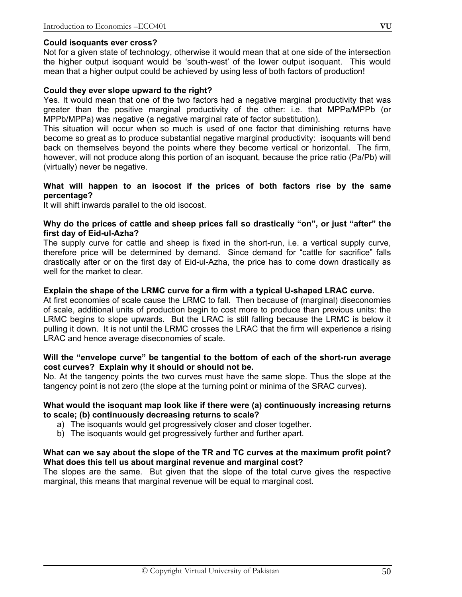#### **Could isoquants ever cross?**

Not for a given state of technology, otherwise it would mean that at one side of the intersection the higher output isoquant would be 'south-west' of the lower output isoquant. This would mean that a higher output could be achieved by using less of both factors of production!

#### **Could they ever slope upward to the right?**

Yes. It would mean that one of the two factors had a negative marginal productivity that was greater than the positive marginal productivity of the other: i.e. that MPPa/MPPb (or MPPb/MPPa) was negative (a negative marginal rate of factor substitution).

This situation will occur when so much is used of one factor that diminishing returns have become so great as to produce substantial negative marginal productivity: isoquants will bend back on themselves beyond the points where they become vertical or horizontal. The firm, however, will not produce along this portion of an isoquant, because the price ratio (Pa/Pb) will (virtually) never be negative.

### **What will happen to an isocost if the prices of both factors rise by the same percentage?**

It will shift inwards parallel to the old isocost.

## **Why do the prices of cattle and sheep prices fall so drastically "on", or just "after" the first day of Eid-ul-Azha?**

The supply curve for cattle and sheep is fixed in the short-run, i.e. a vertical supply curve, therefore price will be determined by demand. Since demand for "cattle for sacrifice" falls drastically after or on the first day of Eid-ul-Azha, the price has to come down drastically as well for the market to clear.

## **Explain the shape of the LRMC curve for a firm with a typical U-shaped LRAC curve.**

At first economies of scale cause the LRMC to fall. Then because of (marginal) diseconomies of scale, additional units of production begin to cost more to produce than previous units: the LRMC begins to slope upwards. But the LRAC is still falling because the LRMC is below it pulling it down. It is not until the LRMC crosses the LRAC that the firm will experience a rising LRAC and hence average diseconomies of scale.

## **Will the "envelope curve" be tangential to the bottom of each of the short-run average cost curves? Explain why it should or should not be.**

No. At the tangency points the two curves must have the same slope. Thus the slope at the tangency point is not zero (the slope at the turning point or minima of the SRAC curves).

#### **What would the isoquant map look like if there were (a) continuously increasing returns to scale; (b) continuously decreasing returns to scale?**

- a) The isoquants would get progressively closer and closer together.
- b) The isoquants would get progressively further and further apart.

### **What can we say about the slope of the TR and TC curves at the maximum profit point? What does this tell us about marginal revenue and marginal cost?**

The slopes are the same. But given that the slope of the total curve gives the respective marginal, this means that marginal revenue will be equal to marginal cost.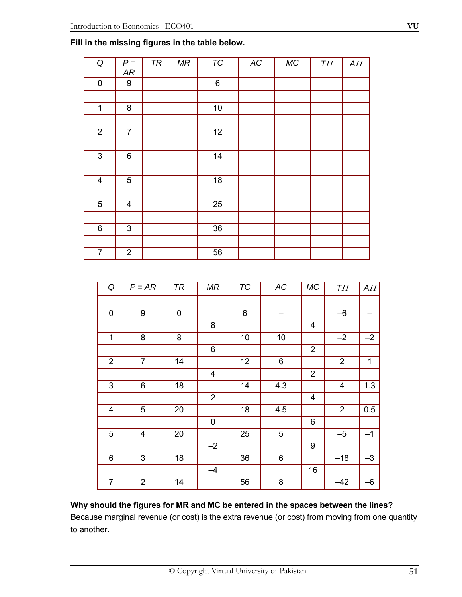| Q                       | $P =$<br>AR    | ${\cal TR}$ | $\overline{\text{MR}}$ | $\overline{TC}$ | AC | MC | $T\!I\!I$ | AII |
|-------------------------|----------------|-------------|------------------------|-----------------|----|----|-----------|-----|
| $\pmb{0}$               | 9              |             |                        | $\,6\,$         |    |    |           |     |
|                         |                |             |                        |                 |    |    |           |     |
| 1                       | 8              |             |                        | 10              |    |    |           |     |
|                         |                |             |                        |                 |    |    |           |     |
| $\overline{2}$          | $\overline{7}$ |             |                        | 12              |    |    |           |     |
|                         |                |             |                        |                 |    |    |           |     |
| $\mathfrak{S}$          | $\,6$          |             |                        | 14              |    |    |           |     |
|                         |                |             |                        |                 |    |    |           |     |
| $\overline{\mathbf{4}}$ | $\overline{5}$ |             |                        | 18              |    |    |           |     |
|                         |                |             |                        |                 |    |    |           |     |
| $\overline{5}$          | 4              |             |                        | 25              |    |    |           |     |
|                         |                |             |                        |                 |    |    |           |     |
| $\,6\,$                 | $\mathfrak{S}$ |             |                        | 36              |    |    |           |     |
|                         |                |             |                        |                 |    |    |           |     |
| $\overline{7}$          | $\overline{2}$ |             |                        | 56              |    |    |           |     |

# **Fill in the missing figures in the table below.**

| $\pmb Q$       | $P = AR$                | <b>TR</b> | MR             | TC | AC         | MC                      | $7\pi$                  | AT   |
|----------------|-------------------------|-----------|----------------|----|------------|-------------------------|-------------------------|------|
|                |                         |           |                |    |            |                         |                         |      |
| $\mathbf 0$    | 9                       | $\pmb{0}$ |                | 6  |            |                         | $-6$                    |      |
|                |                         |           | 8              |    |            | 4                       |                         |      |
| 1              | 8                       | 8         |                | 10 | 10         |                         | $-2$                    | $-2$ |
|                |                         |           | 6              |    |            | $\overline{2}$          |                         |      |
| $\overline{2}$ | $\overline{7}$          | 14        |                | 12 | 6          |                         | $\overline{2}$          | 1    |
|                |                         |           | $\overline{4}$ |    |            | $\overline{2}$          |                         |      |
| 3              | $\,6$                   | 18        |                | 14 | 4.3        |                         | $\overline{\mathbf{4}}$ | 1.3  |
|                |                         |           | $\overline{2}$ |    |            | $\overline{\mathbf{4}}$ |                         |      |
| 4              | 5                       | 20        |                | 18 | 4.5        |                         | $\overline{2}$          | 0.5  |
|                |                         |           | $\mathbf 0$    |    |            | 6                       |                         |      |
| 5              | $\overline{\mathbf{4}}$ | 20        |                | 25 | $\sqrt{5}$ |                         | $-5$                    | $-1$ |
|                |                         |           | $-2$           |    |            | 9                       |                         |      |
| 6              | 3                       | 18        |                | 36 | 6          |                         | $-18$                   | $-3$ |
|                |                         |           | $-4$           |    |            | 16                      |                         |      |
| 7              | $\overline{2}$          | 14        |                | 56 | 8          |                         | $-42$                   | $-6$ |

**Why should the figures for MR and MC be entered in the spaces between the lines?**  Because marginal revenue (or cost) is the extra revenue (or cost) from moving from one quantity to another.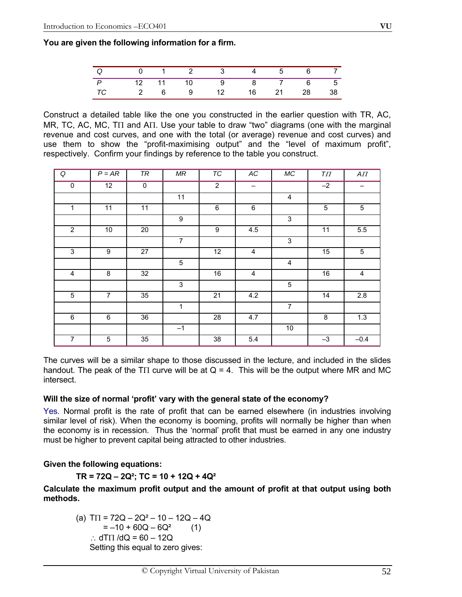# **You are given the following information for a firm.**

|      |  | Q 0 1 2 3 4 5 6 7    |  |  |
|------|--|----------------------|--|--|
|      |  | P 12 11 10 9 8 7 6 5 |  |  |
| TC T |  | 2 6 9 12 16 21 28 38 |  |  |

Construct a detailed table like the one you constructed in the earlier question with TR, AC, MR, TC, AC, MC, TΠ and AΠ. Use your table to draw "two" diagrams (one with the marginal revenue and cost curves, and one with the total (or average) revenue and cost curves) and use them to show the "profit-maximising output" and the "level of maximum profit", respectively. Confirm your findings by reference to the table you construct.

| $\overline{Q}$ | $P = AR$         | $\overline{\textit{TR}}$ | $\overline{MR}$ | $\overline{TC}$  | AC                      | MC             | $T\!I\!I$       | A <sub>II</sub> |
|----------------|------------------|--------------------------|-----------------|------------------|-------------------------|----------------|-----------------|-----------------|
| $\pmb{0}$      | $\overline{12}$  | $\overline{0}$           |                 | $\overline{2}$   | $\qquad \qquad -$       |                | $\overline{-2}$ |                 |
|                |                  |                          | $\overline{11}$ |                  |                         | 4              |                 |                 |
| $\mathbf{1}$   | 11               | 11                       |                 | $\,6\,$          | $\,6\,$                 |                | 5               | $\sqrt{5}$      |
|                |                  |                          | $\overline{9}$  |                  |                         | $\overline{3}$ |                 |                 |
| $\overline{2}$ | $10\,$           | 20                       |                 | $\boldsymbol{9}$ | 4.5                     |                | 11              | 5.5             |
|                |                  |                          | $\overline{7}$  |                  |                         | $\mathfrak{S}$ |                 |                 |
| $\overline{3}$ | $\boldsymbol{9}$ | $\overline{27}$          |                 | 12               | 4                       |                | 15              | $\overline{5}$  |
|                |                  |                          | $\overline{5}$  |                  |                         | $\overline{4}$ |                 |                 |
| $\overline{4}$ | 8                | 32                       |                 | 16               | $\overline{\mathbf{4}}$ |                | 16              | $\overline{4}$  |
|                |                  |                          | $\overline{3}$  |                  |                         | 5              |                 |                 |
| 5              | $\overline{7}$   | 35                       |                 | 21               | 4.2                     |                | 14              | 2.8             |
|                |                  |                          | $\mathbf{1}$    |                  |                         | $\overline{7}$ |                 |                 |
| $\overline{6}$ | $\overline{6}$   | 36                       |                 | 28               | 4.7                     |                | $\overline{8}$  | 1.3             |
|                |                  |                          | $-1$            |                  |                         | $10\,$         |                 |                 |
| $\overline{7}$ | $\,$ 5 $\,$      | 35                       |                 | 38               | 5.4                     |                | $-3$            | $-0.4$          |

The curves will be a similar shape to those discussed in the lecture, and included in the slides handout. The peak of the TII curve will be at  $Q = 4$ . This will be the output where MR and MC intersect.

## **Will the size of normal 'profit' vary with the general state of the economy?**

Yes. Normal profit is the rate of profit that can be earned elsewhere (in industries involving similar level of risk). When the economy is booming, profits will normally be higher than when the economy is in recession. Thus the 'normal' profit that must be earned in any one industry must be higher to prevent capital being attracted to other industries.

## **Given the following equations:**

**TR = 72Q – 2Q²; TC = 10 + 12Q + 4Q²** 

**Calculate the maximum profit output and the amount of profit at that output using both methods.** 

(a)  $TTI = 72Q - 2Q^2 - 10 - 12Q - 4Q$  $= -10 + 60Q - 6Q^2$  (1) ∴ dT $\Pi$  /dQ = 60 – 12Q Setting this equal to zero gives: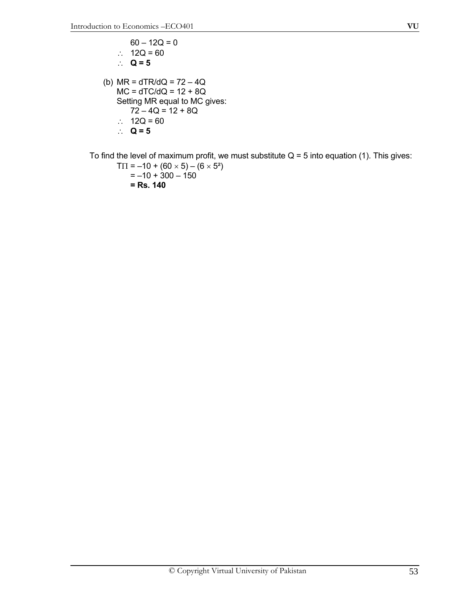$60 - 12Q = 0$ ∴ 12Q = 60 ∴ **Q = 5** (b)  $MR = dTR/dQ = 72 - 4Q$  $MC = dTC/dQ = 12 + 8Q$  Setting MR equal to MC gives:  $72 - 4Q = 12 + 8Q$ ∴ 12Q = 60 ∴ **Q = 5** 

To find the level of maximum profit, we must substitute  $Q = 5$  into equation (1). This gives:

$$
T\Pi = -10 + (60 \times 5) - (6 \times 5^{2})
$$
  
= -10 + 300 - 150  
= Rs. 140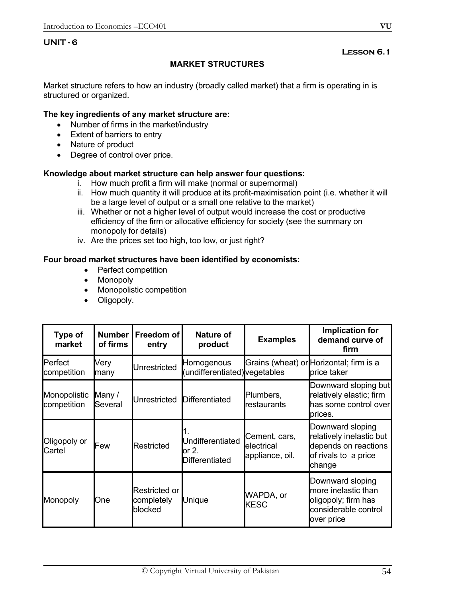# **UNIT - 6**

# **Lesson 6.1**

# **MARKET STRUCTURES**

Market structure refers to how an industry (broadly called market) that a firm is operating in is structured or organized.

# **The key ingredients of any market structure are:**

- Number of firms in the market/industry
- Extent of barriers to entry
- Nature of product
- Degree of control over price.

# **Knowledge about market structure can help answer four questions:**

- i. How much profit a firm will make (normal or supernormal)
- ii. How much quantity it will produce at its profit-maximisation point (i.e. whether it will be a large level of output or a small one relative to the market)
- iii. Whether or not a higher level of output would increase the cost or productive efficiency of the firm or allocative efficiency for society (see the summary on monopoly for details)
- iv. Are the prices set too high, too low, or just right?

# **Four broad market structures have been identified by economists:**

- Perfect competition
- Monopoly
- Monopolistic competition
- Oligopoly.

| Type of<br>market           | <b>Number</b><br>of firms    |                                        | Freedom of<br>Nature of<br>product                        | <b>Examples</b>                                 | Implication for<br>demand curve of<br>firm                                                             |  |
|-----------------------------|------------------------------|----------------------------------------|-----------------------------------------------------------|-------------------------------------------------|--------------------------------------------------------------------------------------------------------|--|
| Perfect<br>competition      | Very<br>Unrestricted<br>many |                                        | Homogenous<br>(undifferentiated) vegetables               |                                                 | Grains (wheat) or Horizontal; firm is a<br>price taker                                                 |  |
| Monopolistic<br>competition | Many /<br>Several            | Unrestricted                           | Differentiated                                            | Plumbers,<br>restaurants                        | Downward sloping but<br>relatively elastic; firm<br>has some control over<br>prices.                   |  |
| Oligopoly or<br>Cartel      | Few                          | Restricted                             | 1.<br>Undifferentiated<br>lor 2.<br><b>Differentiated</b> | Cement, cars,<br>lelectrical<br>appliance, oil. | Downward sloping<br>relatively inelastic but<br>depends on reactions<br>of rivals to a price<br>change |  |
| Monopoly                    | One                          | Restricted or<br>completely<br>blocked | Unique                                                    | WAPDA, or<br><b>KESC</b>                        | Downward sloping<br>more inelastic than<br>oligopoly; firm has<br>considerable control<br>over price   |  |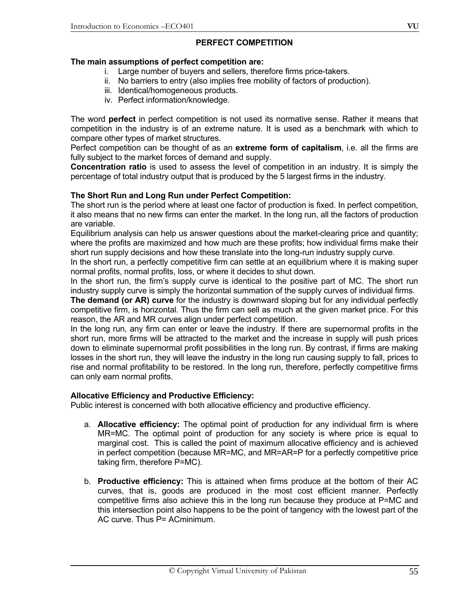# **PERFECT COMPETITION**

## **The main assumptions of perfect competition are:**

- i. Large number of buyers and sellers, therefore firms price-takers.
- ii. No barriers to entry (also implies free mobility of factors of production).
- iii. Identical/homogeneous products.
- iv. Perfect information/knowledge.

The word **perfect** in perfect competition is not used its normative sense. Rather it means that competition in the industry is of an extreme nature. It is used as a benchmark with which to compare other types of market structures.

Perfect competition can be thought of as an **extreme form of capitalism**, i.e. all the firms are fully subject to the market forces of demand and supply.

**Concentration ratio** is used to assess the level of competition in an industry. It is simply the percentage of total industry output that is produced by the 5 largest firms in the industry.

### **The Short Run and Long Run under Perfect Competition:**

The short run is the period where at least one factor of production is fixed. In perfect competition, it also means that no new firms can enter the market. In the long run, all the factors of production are variable.

Equilibrium analysis can help us answer questions about the market-clearing price and quantity; where the profits are maximized and how much are these profits; how individual firms make their short run supply decisions and how these translate into the long-run industry supply curve.

In the short run, a perfectly competitive firm can settle at an equilibrium where it is making super normal profits, normal profits, loss, or where it decides to shut down.

In the short run, the firm's supply curve is identical to the positive part of MC. The short run industry supply curve is simply the horizontal summation of the supply curves of individual firms.

**The demand (or AR) curve** for the industry is downward sloping but for any individual perfectly competitive firm, is horizontal. Thus the firm can sell as much at the given market price. For this reason, the AR and MR curves align under perfect competition.

In the long run, any firm can enter or leave the industry. If there are supernormal profits in the short run, more firms will be attracted to the market and the increase in supply will push prices down to eliminate supernormal profit possibilities in the long run. By contrast, if firms are making losses in the short run, they will leave the industry in the long run causing supply to fall, prices to rise and normal profitability to be restored. In the long run, therefore, perfectly competitive firms can only earn normal profits.

## **Allocative Efficiency and Productive Efficiency:**

Public interest is concerned with both allocative efficiency and productive efficiency.

- a. **Allocative efficiency:** The optimal point of production for any individual firm is where MR=MC. The optimal point of production for any society is where price is equal to marginal cost. This is called the point of maximum allocative efficiency and is achieved in perfect competition (because MR=MC, and MR=AR=P for a perfectly competitive price taking firm, therefore P=MC).
- b. **Productive efficiency:** This is attained when firms produce at the bottom of their AC curves, that is, goods are produced in the most cost efficient manner. Perfectly competitive firms also achieve this in the long run because they produce at P=MC and this intersection point also happens to be the point of tangency with the lowest part of the AC curve. Thus P= ACminimum.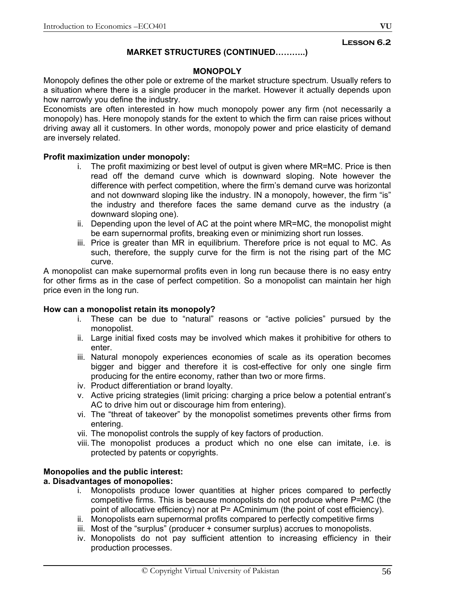# **Lesson 6.2**

# **MARKET STRUCTURES (CONTINUED………..)**

# **MONOPOLY**

Monopoly defines the other pole or extreme of the market structure spectrum. Usually refers to a situation where there is a single producer in the market. However it actually depends upon how narrowly you define the industry.

Economists are often interested in how much monopoly power any firm (not necessarily a monopoly) has. Here monopoly stands for the extent to which the firm can raise prices without driving away all it customers. In other words, monopoly power and price elasticity of demand are inversely related.

# **Profit maximization under monopoly:**

- i. The profit maximizing or best level of output is given where MR=MC. Price is then read off the demand curve which is downward sloping. Note however the difference with perfect competition, where the firm's demand curve was horizontal and not downward sloping like the industry. IN a monopoly, however, the firm "is" the industry and therefore faces the same demand curve as the industry (a downward sloping one).
- ii. Depending upon the level of AC at the point where MR=MC, the monopolist might be earn supernormal profits, breaking even or minimizing short run losses.
- iii. Price is greater than MR in equilibrium. Therefore price is not equal to MC. As such, therefore, the supply curve for the firm is not the rising part of the MC curve.

A monopolist can make supernormal profits even in long run because there is no easy entry for other firms as in the case of perfect competition. So a monopolist can maintain her high price even in the long run.

# **How can a monopolist retain its monopoly?**

- i. These can be due to "natural" reasons or "active policies" pursued by the monopolist.
- ii. Large initial fixed costs may be involved which makes it prohibitive for others to enter.
- iii. Natural monopoly experiences economies of scale as its operation becomes bigger and bigger and therefore it is cost-effective for only one single firm producing for the entire economy, rather than two or more firms.
- iv. Product differentiation or brand loyalty.
- v. Active pricing strategies (limit pricing: charging a price below a potential entrant's AC to drive him out or discourage him from entering).
- vi. The "threat of takeover" by the monopolist sometimes prevents other firms from entering.
- vii. The monopolist controls the supply of key factors of production.
- viii. The monopolist produces a product which no one else can imitate, i.e. is protected by patents or copyrights.

## **Monopolies and the public interest:**

# **a. Disadvantages of monopolies:**

- i. Monopolists produce lower quantities at higher prices compared to perfectly competitive firms. This is because monopolists do not produce where P=MC (the point of allocative efficiency) nor at P= ACminimum (the point of cost efficiency).
- ii. Monopolists earn supernormal profits compared to perfectly competitive firms
- iii. Most of the "surplus" (producer + consumer surplus) accrues to monopolists.
- iv. Monopolists do not pay sufficient attention to increasing efficiency in their production processes.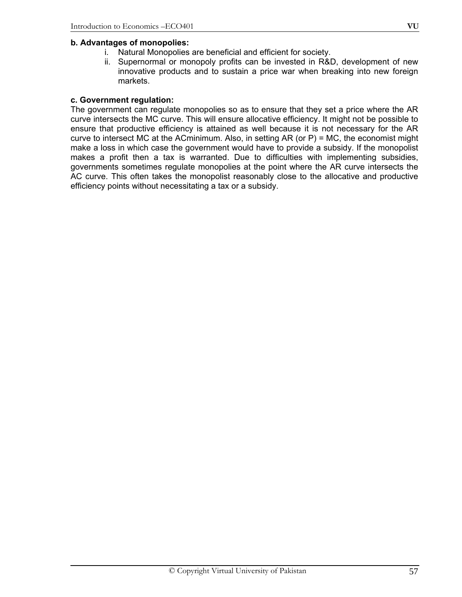## **b. Advantages of monopolies:**

- i. Natural Monopolies are beneficial and efficient for society.
- ii. Supernormal or monopoly profits can be invested in R&D, development of new innovative products and to sustain a price war when breaking into new foreign markets.

#### **c. Government regulation:**

The government can regulate monopolies so as to ensure that they set a price where the AR curve intersects the MC curve. This will ensure allocative efficiency. It might not be possible to ensure that productive efficiency is attained as well because it is not necessary for the AR curve to intersect MC at the ACminimum. Also, in setting AR (or  $P$ ) = MC, the economist might make a loss in which case the government would have to provide a subsidy. If the monopolist makes a profit then a tax is warranted. Due to difficulties with implementing subsidies, governments sometimes regulate monopolies at the point where the AR curve intersects the AC curve. This often takes the monopolist reasonably close to the allocative and productive efficiency points without necessitating a tax or a subsidy.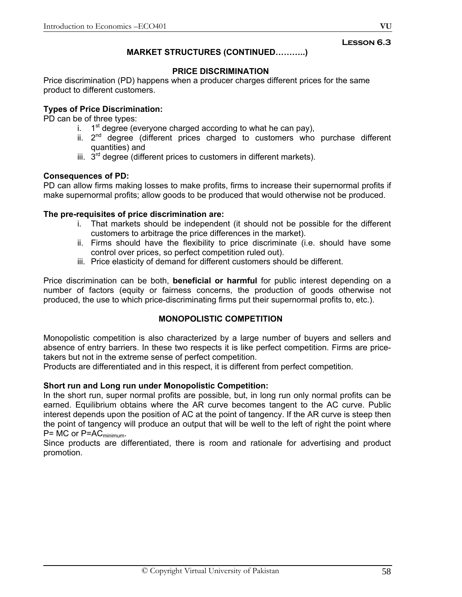# **Lesson 6.3**

# **MARKET STRUCTURES (CONTINUED………..)**

# **PRICE DISCRIMINATION**

Price discrimination (PD) happens when a producer charges different prices for the same product to different customers.

# **Types of Price Discrimination:**

PD can be of three types:

- i.  $1<sup>st</sup>$  degree (everyone charged according to what he can pay),
- ii.  $2^{nd}$  degree (different prices charged to customers who purchase different quantities) and
- iii.  $3<sup>rd</sup>$  degree (different prices to customers in different markets).

## **Consequences of PD:**

PD can allow firms making losses to make profits, firms to increase their supernormal profits if make supernormal profits; allow goods to be produced that would otherwise not be produced.

## **The pre-requisites of price discrimination are:**

- i. That markets should be independent (it should not be possible for the different customers to arbitrage the price differences in the market).
- ii. Firms should have the flexibility to price discriminate (i.e. should have some control over prices, so perfect competition ruled out).
- iii. Price elasticity of demand for different customers should be different.

Price discrimination can be both, **beneficial or harmful** for public interest depending on a number of factors (equity or fairness concerns, the production of goods otherwise not produced, the use to which price-discriminating firms put their supernormal profits to, etc.).

## **MONOPOLISTIC COMPETITION**

Monopolistic competition is also characterized by a large number of buyers and sellers and absence of entry barriers. In these two respects it is like perfect competition. Firms are pricetakers but not in the extreme sense of perfect competition.

Products are differentiated and in this respect, it is different from perfect competition.

## **Short run and Long run under Monopolistic Competition:**

In the short run, super normal profits are possible, but, in long run only normal profits can be earned. Equilibrium obtains where the AR curve becomes tangent to the AC curve. Public interest depends upon the position of AC at the point of tangency. If the AR curve is steep then the point of tangency will produce an output that will be well to the left of right the point where P= MC or P=AC<sub>minimum</sub>.

Since products are differentiated, there is room and rationale for advertising and product promotion.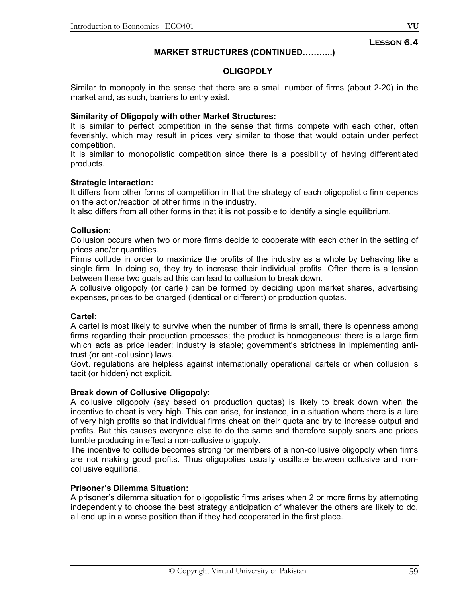# **MARKET STRUCTURES (CONTINUED………..)**

# **OLIGOPOLY**

Similar to monopoly in the sense that there are a small number of firms (about 2-20) in the market and, as such, barriers to entry exist.

## **Similarity of Oligopoly with other Market Structures:**

It is similar to perfect competition in the sense that firms compete with each other, often feverishly, which may result in prices very similar to those that would obtain under perfect competition.

It is similar to monopolistic competition since there is a possibility of having differentiated products.

### **Strategic interaction:**

It differs from other forms of competition in that the strategy of each oligopolistic firm depends on the action/reaction of other firms in the industry.

It also differs from all other forms in that it is not possible to identify a single equilibrium.

### **Collusion:**

Collusion occurs when two or more firms decide to cooperate with each other in the setting of prices and/or quantities.

Firms collude in order to maximize the profits of the industry as a whole by behaving like a single firm. In doing so, they try to increase their individual profits. Often there is a tension between these two goals ad this can lead to collusion to break down.

A collusive oligopoly (or cartel) can be formed by deciding upon market shares, advertising expenses, prices to be charged (identical or different) or production quotas.

#### **Cartel:**

A cartel is most likely to survive when the number of firms is small, there is openness among firms regarding their production processes; the product is homogeneous; there is a large firm which acts as price leader; industry is stable; government's strictness in implementing antitrust (or anti-collusion) laws.

Govt. regulations are helpless against internationally operational cartels or when collusion is tacit (or hidden) not explicit.

## **Break down of Collusive Oligopoly:**

A collusive oligopoly (say based on production quotas) is likely to break down when the incentive to cheat is very high. This can arise, for instance, in a situation where there is a lure of very high profits so that individual firms cheat on their quota and try to increase output and profits. But this causes everyone else to do the same and therefore supply soars and prices tumble producing in effect a non-collusive oligopoly.

The incentive to collude becomes strong for members of a non-collusive oligopoly when firms are not making good profits. Thus oligopolies usually oscillate between collusive and noncollusive equilibria.

## **Prisoner's Dilemma Situation:**

A prisoner's dilemma situation for oligopolistic firms arises when 2 or more firms by attempting independently to choose the best strategy anticipation of whatever the others are likely to do, all end up in a worse position than if they had cooperated in the first place.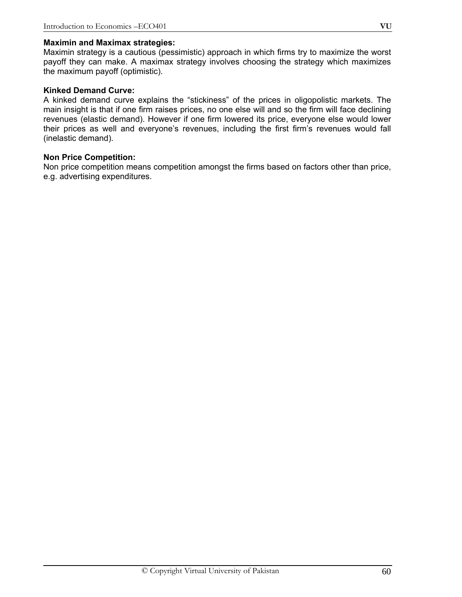### **Maximin and Maximax strategies:**

Maximin strategy is a cautious (pessimistic) approach in which firms try to maximize the worst payoff they can make. A maximax strategy involves choosing the strategy which maximizes the maximum payoff (optimistic).

#### **Kinked Demand Curve:**

A kinked demand curve explains the "stickiness" of the prices in oligopolistic markets. The main insight is that if one firm raises prices, no one else will and so the firm will face declining revenues (elastic demand). However if one firm lowered its price, everyone else would lower their prices as well and everyone's revenues, including the first firm's revenues would fall (inelastic demand).

### **Non Price Competition:**

Non price competition means competition amongst the firms based on factors other than price, e.g. advertising expenditures.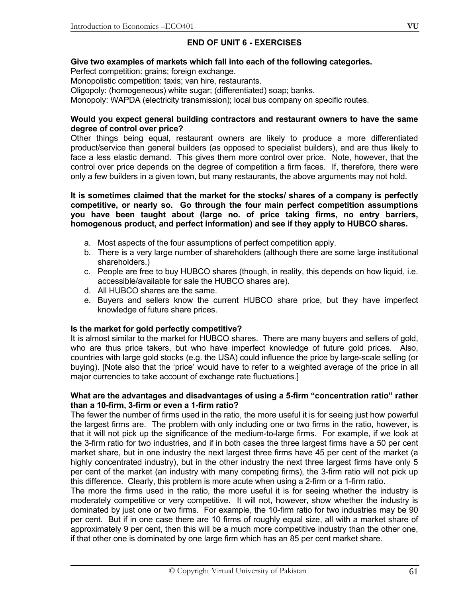# **END OF UNIT 6 - EXERCISES**

### **Give two examples of markets which fall into each of the following categories.**

Perfect competition: grains; foreign exchange.

Monopolistic competition: taxis; van hire, restaurants.

Oligopoly: (homogeneous) white sugar; (differentiated) soap; banks.

Monopoly: WAPDA (electricity transmission); local bus company on specific routes.

### **Would you expect general building contractors and restaurant owners to have the same degree of control over price?**

Other things being equal, restaurant owners are likely to produce a more differentiated product/service than general builders (as opposed to specialist builders), and are thus likely to face a less elastic demand. This gives them more control over price. Note, however, that the control over price depends on the degree of competition a firm faces. If, therefore, there were only a few builders in a given town, but many restaurants, the above arguments may not hold.

**It is sometimes claimed that the market for the stocks/ shares of a company is perfectly competitive, or nearly so. Go through the four main perfect competition assumptions you have been taught about (large no. of price taking firms, no entry barriers, homogenous product, and perfect information) and see if they apply to HUBCO shares.** 

- a. Most aspects of the four assumptions of perfect competition apply.
- b. There is a very large number of shareholders (although there are some large institutional shareholders.)
- c. People are free to buy HUBCO shares (though, in reality, this depends on how liquid, i.e. accessible/available for sale the HUBCO shares are).
- d. All HUBCO shares are the same.
- e. Buyers and sellers know the current HUBCO share price, but they have imperfect knowledge of future share prices.

## **Is the market for gold perfectly competitive?**

It is almost similar to the market for HUBCO shares. There are many buyers and sellers of gold, who are thus price takers, but who have imperfect knowledge of future gold prices. Also, countries with large gold stocks (e.g. the USA) could influence the price by large-scale selling (or buying). [Note also that the 'price' would have to refer to a weighted average of the price in all major currencies to take account of exchange rate fluctuations.]

### **What are the advantages and disadvantages of using a 5-firm "concentration ratio" rather than a 10-firm, 3-firm or even a 1-firm ratio?**

The fewer the number of firms used in the ratio, the more useful it is for seeing just how powerful the largest firms are. The problem with only including one or two firms in the ratio, however, is that it will not pick up the significance of the medium-to-large firms. For example, if we look at the 3-firm ratio for two industries, and if in both cases the three largest firms have a 50 per cent market share, but in one industry the next largest three firms have 45 per cent of the market (a highly concentrated industry), but in the other industry the next three largest firms have only 5 per cent of the market (an industry with many competing firms), the 3-firm ratio will not pick up this difference. Clearly, this problem is more acute when using a 2-firm or a 1-firm ratio.

The more the firms used in the ratio, the more useful it is for seeing whether the industry is moderately competitive or very competitive. It will not, however, show whether the industry is dominated by just one or two firms. For example, the 10-firm ratio for two industries may be 90 per cent. But if in one case there are 10 firms of roughly equal size, all with a market share of approximately 9 per cent, then this will be a much more competitive industry than the other one, if that other one is dominated by one large firm which has an 85 per cent market share.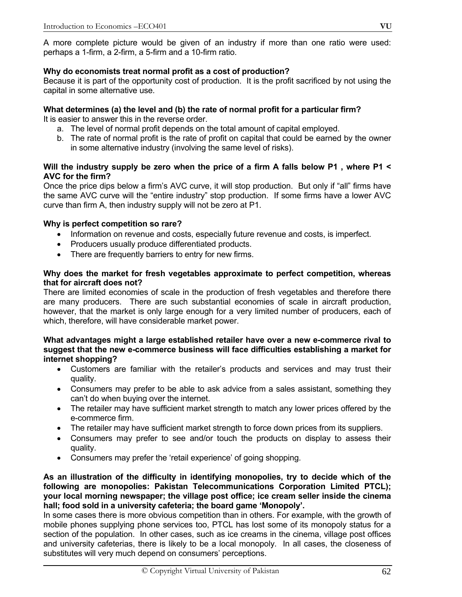A more complete picture would be given of an industry if more than one ratio were used: perhaps a 1-firm, a 2-firm, a 5-firm and a 10-firm ratio.

# **Why do economists treat normal profit as a cost of production?**

Because it is part of the opportunity cost of production. It is the profit sacrificed by not using the capital in some alternative use.

# **What determines (a) the level and (b) the rate of normal profit for a particular firm?**

It is easier to answer this in the reverse order.

- a. The level of normal profit depends on the total amount of capital employed.
- b. The rate of normal profit is the rate of profit on capital that could be earned by the owner in some alternative industry (involving the same level of risks).

## **Will the industry supply be zero when the price of a firm A falls below P1 , where P1 < AVC for the firm?**

Once the price dips below a firm's AVC curve, it will stop production. But only if "all" firms have the same AVC curve will the "entire industry" stop production. If some firms have a lower AVC curve than firm A, then industry supply will not be zero at P1.

# **Why is perfect competition so rare?**

- Information on revenue and costs, especially future revenue and costs, is imperfect.
- Producers usually produce differentiated products.
- There are frequently barriers to entry for new firms.

#### **Why does the market for fresh vegetables approximate to perfect competition, whereas that for aircraft does not?**

There are limited economies of scale in the production of fresh vegetables and therefore there are many producers. There are such substantial economies of scale in aircraft production, however, that the market is only large enough for a very limited number of producers, each of which, therefore, will have considerable market power.

#### **What advantages might a large established retailer have over a new e-commerce rival to suggest that the new e-commerce business will face difficulties establishing a market for internet shopping?**

- Customers are familiar with the retailer's products and services and may trust their quality.
- Consumers may prefer to be able to ask advice from a sales assistant, something they can't do when buying over the internet.
- The retailer may have sufficient market strength to match any lower prices offered by the e-commerce firm.
- The retailer may have sufficient market strength to force down prices from its suppliers.
- Consumers may prefer to see and/or touch the products on display to assess their quality.
- Consumers may prefer the 'retail experience' of going shopping.

### **As an illustration of the difficulty in identifying monopolies, try to decide which of the following are monopolies: Pakistan Telecommunications Corporation Limited PTCL); your local morning newspaper; the village post office; ice cream seller inside the cinema hall; food sold in a university cafeteria; the board game 'Monopoly'.**

In some cases there is more obvious competition than in others. For example, with the growth of mobile phones supplying phone services too, PTCL has lost some of its monopoly status for a section of the population. In other cases, such as ice creams in the cinema, village post offices and university cafeterias, there is likely to be a local monopoly. In all cases, the closeness of substitutes will very much depend on consumers' perceptions.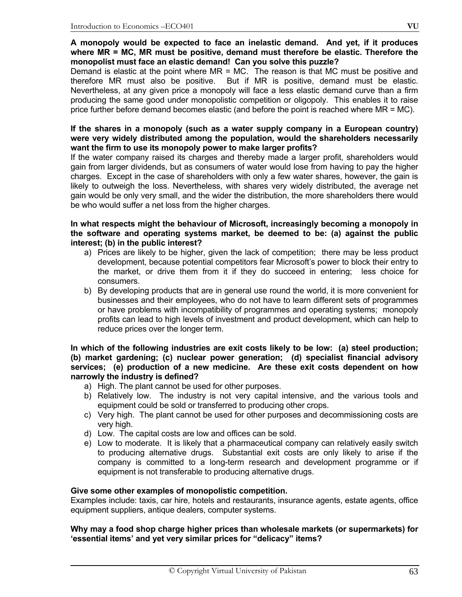### **A monopoly would be expected to face an inelastic demand. And yet, if it produces where MR = MC, MR must be positive, demand must therefore be elastic. Therefore the monopolist must face an elastic demand! Can you solve this puzzle?**

Demand is elastic at the point where  $MR = MC$ . The reason is that MC must be positive and therefore MR must also be positive. But if MR is positive, demand must be elastic. Nevertheless, at any given price a monopoly will face a less elastic demand curve than a firm producing the same good under monopolistic competition or oligopoly. This enables it to raise price further before demand becomes elastic (and before the point is reached where MR = MC).

### **If the shares in a monopoly (such as a water supply company in a European country) were very widely distributed among the population, would the shareholders necessarily want the firm to use its monopoly power to make larger profits?**

If the water company raised its charges and thereby made a larger profit, shareholders would gain from larger dividends, but as consumers of water would lose from having to pay the higher charges. Except in the case of shareholders with only a few water shares, however, the gain is likely to outweigh the loss. Nevertheless, with shares very widely distributed, the average net gain would be only very small, and the wider the distribution, the more shareholders there would be who would suffer a net loss from the higher charges.

### **In what respects might the behaviour of Microsoft, increasingly becoming a monopoly in the software and operating systems market, be deemed to be: (a) against the public interest; (b) in the public interest?**

- a) Prices are likely to be higher, given the lack of competition; there may be less product development, because potential competitors fear Microsoft's power to block their entry to the market, or drive them from it if they do succeed in entering; less choice for consumers.
- b) By developing products that are in general use round the world, it is more convenient for businesses and their employees, who do not have to learn different sets of programmes or have problems with incompatibility of programmes and operating systems; monopoly profits can lead to high levels of investment and product development, which can help to reduce prices over the longer term.

**In which of the following industries are exit costs likely to be low: (a) steel production; (b) market gardening; (c) nuclear power generation; (d) specialist financial advisory services; (e) production of a new medicine. Are these exit costs dependent on how narrowly the industry is defined?** 

- a) High. The plant cannot be used for other purposes.
- b) Relatively low. The industry is not very capital intensive, and the various tools and equipment could be sold or transferred to producing other crops.
- c) Very high. The plant cannot be used for other purposes and decommissioning costs are very high.
- d) Low. The capital costs are low and offices can be sold.
- e) Low to moderate. It is likely that a pharmaceutical company can relatively easily switch to producing alternative drugs. Substantial exit costs are only likely to arise if the company is committed to a long-term research and development programme or if equipment is not transferable to producing alternative drugs.

# **Give some other examples of monopolistic competition.**

Examples include: taxis, car hire, hotels and restaurants, insurance agents, estate agents, office equipment suppliers, antique dealers, computer systems.

## **Why may a food shop charge higher prices than wholesale markets (or supermarkets) for 'essential items' and yet very similar prices for "delicacy" items?**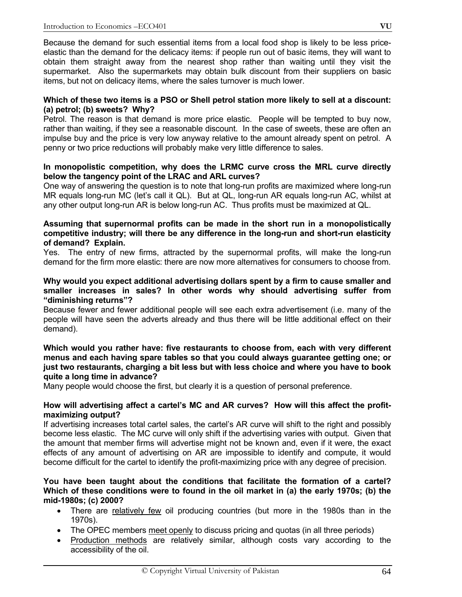Because the demand for such essential items from a local food shop is likely to be less priceelastic than the demand for the delicacy items: if people run out of basic items, they will want to obtain them straight away from the nearest shop rather than waiting until they visit the supermarket. Also the supermarkets may obtain bulk discount from their suppliers on basic items, but not on delicacy items, where the sales turnover is much lower.

### **Which of these two items is a PSO or Shell petrol station more likely to sell at a discount: (a) petrol; (b) sweets? Why?**

Petrol. The reason is that demand is more price elastic. People will be tempted to buy now, rather than waiting, if they see a reasonable discount. In the case of sweets, these are often an impulse buy and the price is very low anyway relative to the amount already spent on petrol. A penny or two price reductions will probably make very little difference to sales.

### **In monopolistic competition, why does the LRMC curve cross the MRL curve directly below the tangency point of the LRAC and ARL curves?**

One way of answering the question is to note that long-run profits are maximized where long-run MR equals long-run MC (let's call it QL). But at QL, long-run AR equals long-run AC, whilst at any other output long-run AR is below long-run AC. Thus profits must be maximized at QL.

### **Assuming that supernormal profits can be made in the short run in a monopolistically competitive industry; will there be any difference in the long-run and short-run elasticity of demand? Explain.**

Yes. The entry of new firms, attracted by the supernormal profits, will make the long-run demand for the firm more elastic: there are now more alternatives for consumers to choose from.

### **Why would you expect additional advertising dollars spent by a firm to cause smaller and smaller increases in sales? In other words why should advertising suffer from "diminishing returns"?**

Because fewer and fewer additional people will see each extra advertisement (i.e. many of the people will have seen the adverts already and thus there will be little additional effect on their demand).

### **Which would you rather have: five restaurants to choose from, each with very different menus and each having spare tables so that you could always guarantee getting one; or just two restaurants, charging a bit less but with less choice and where you have to book quite a long time in advance?**

Many people would choose the first, but clearly it is a question of personal preference.

### **How will advertising affect a cartel's MC and AR curves? How will this affect the profitmaximizing output?**

If advertising increases total cartel sales, the cartel's AR curve will shift to the right and possibly become less elastic. The MC curve will only shift if the advertising varies with output. Given that the amount that member firms will advertise might not be known and, even if it were, the exact effects of any amount of advertising on AR are impossible to identify and compute, it would become difficult for the cartel to identify the profit-maximizing price with any degree of precision.

### **You have been taught about the conditions that facilitate the formation of a cartel? Which of these conditions were to found in the oil market in (a) the early 1970s; (b) the mid-1980s; (c) 2000?**

- There are relatively few oil producing countries (but more in the 1980s than in the 1970s).
- The OPEC members meet openly to discuss pricing and quotas (in all three periods)
- Production methods are relatively similar, although costs vary according to the accessibility of the oil.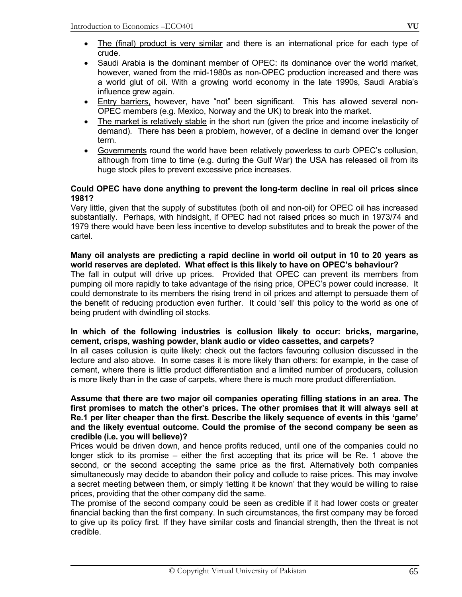- The (final) product is very similar and there is an international price for each type of crude.
- Saudi Arabia is the dominant member of OPEC: its dominance over the world market, however, waned from the mid-1980s as non-OPEC production increased and there was a world glut of oil. With a growing world economy in the late 1990s, Saudi Arabia's influence grew again.
- Entry barriers, however, have "not" been significant. This has allowed several non-OPEC members (e.g. Mexico, Norway and the UK) to break into the market.
- The market is relatively stable in the short run (given the price and income inelasticity of demand). There has been a problem, however, of a decline in demand over the longer term.
- Governments round the world have been relatively powerless to curb OPEC's collusion, although from time to time (e.g. during the Gulf War) the USA has released oil from its huge stock piles to prevent excessive price increases.

## **Could OPEC have done anything to prevent the long-term decline in real oil prices since 1981?**

Very little, given that the supply of substitutes (both oil and non-oil) for OPEC oil has increased substantially. Perhaps, with hindsight, if OPEC had not raised prices so much in 1973/74 and 1979 there would have been less incentive to develop substitutes and to break the power of the cartel.

## **Many oil analysts are predicting a rapid decline in world oil output in 10 to 20 years as world reserves are depleted. What effect is this likely to have on OPEC's behaviour?**

The fall in output will drive up prices. Provided that OPEC can prevent its members from pumping oil more rapidly to take advantage of the rising price, OPEC's power could increase. It could demonstrate to its members the rising trend in oil prices and attempt to persuade them of the benefit of reducing production even further. It could 'sell' this policy to the world as one of being prudent with dwindling oil stocks.

## **In which of the following industries is collusion likely to occur: bricks, margarine, cement, crisps, washing powder, blank audio or video cassettes, and carpets?**

In all cases collusion is quite likely: check out the factors favouring collusion discussed in the lecture and also above. In some cases it is more likely than others: for example, in the case of cement, where there is little product differentiation and a limited number of producers, collusion is more likely than in the case of carpets, where there is much more product differentiation.

### **Assume that there are two major oil companies operating filling stations in an area. The first promises to match the other's prices. The other promises that it will always sell at Re.1 per liter cheaper than the first. Describe the likely sequence of events in this 'game' and the likely eventual outcome. Could the promise of the second company be seen as credible (i.e. you will believe)?**

Prices would be driven down, and hence profits reduced, until one of the companies could no longer stick to its promise – either the first accepting that its price will be Re. 1 above the second, or the second accepting the same price as the first. Alternatively both companies simultaneously may decide to abandon their policy and collude to raise prices. This may involve a secret meeting between them, or simply 'letting it be known' that they would be willing to raise prices, providing that the other company did the same.

The promise of the second company could be seen as credible if it had lower costs or greater financial backing than the first company. In such circumstances, the first company may be forced to give up its policy first. If they have similar costs and financial strength, then the threat is not credible.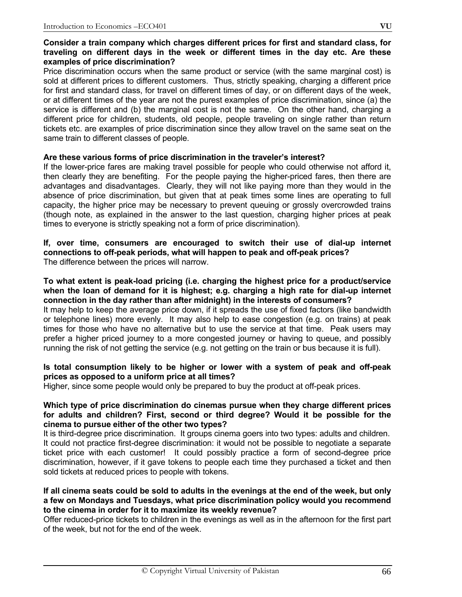### **Consider a train company which charges different prices for first and standard class, for traveling on different days in the week or different times in the day etc. Are these examples of price discrimination?**

Price discrimination occurs when the same product or service (with the same marginal cost) is sold at different prices to different customers. Thus, strictly speaking, charging a different price for first and standard class, for travel on different times of day, or on different days of the week, or at different times of the year are not the purest examples of price discrimination, since (a) the service is different and (b) the marginal cost is not the same. On the other hand, charging a different price for children, students, old people, people traveling on single rather than return tickets etc. are examples of price discrimination since they allow travel on the same seat on the same train to different classes of people.

# **Are these various forms of price discrimination in the traveler's interest?**

If the lower-price fares are making travel possible for people who could otherwise not afford it, then clearly they are benefiting. For the people paying the higher-priced fares, then there are advantages and disadvantages. Clearly, they will not like paying more than they would in the absence of price discrimination, but given that at peak times some lines are operating to full capacity, the higher price may be necessary to prevent queuing or grossly overcrowded trains (though note, as explained in the answer to the last question, charging higher prices at peak times to everyone is strictly speaking not a form of price discrimination).

### **If, over time, consumers are encouraged to switch their use of dial-up internet connections to off-peak periods, what will happen to peak and off-peak prices?**  The difference between the prices will narrow.

## **To what extent is peak-load pricing (i.e. charging the highest price for a product/service when the loan of demand for it is highest; e.g. charging a high rate for dial-up internet connection in the day rather than after midnight) in the interests of consumers?**

It may help to keep the average price down, if it spreads the use of fixed factors (like bandwidth or telephone lines) more evenly. It may also help to ease congestion (e.g. on trains) at peak times for those who have no alternative but to use the service at that time. Peak users may prefer a higher priced journey to a more congested journey or having to queue, and possibly running the risk of not getting the service (e.g. not getting on the train or bus because it is full).

## **Is total consumption likely to be higher or lower with a system of peak and off-peak prices as opposed to a uniform price at all times?**

Higher, since some people would only be prepared to buy the product at off-peak prices.

### **Which type of price discrimination do cinemas pursue when they charge different prices for adults and children? First, second or third degree? Would it be possible for the cinema to pursue either of the other two types?**

It is third-degree price discrimination. It groups cinema goers into two types: adults and children. It could not practice first-degree discrimination: it would not be possible to negotiate a separate ticket price with each customer! It could possibly practice a form of second-degree price discrimination, however, if it gave tokens to people each time they purchased a ticket and then sold tickets at reduced prices to people with tokens.

#### **If all cinema seats could be sold to adults in the evenings at the end of the week, but only a few on Mondays and Tuesdays, what price discrimination policy would you recommend to the cinema in order for it to maximize its weekly revenue?**

Offer reduced-price tickets to children in the evenings as well as in the afternoon for the first part of the week, but not for the end of the week.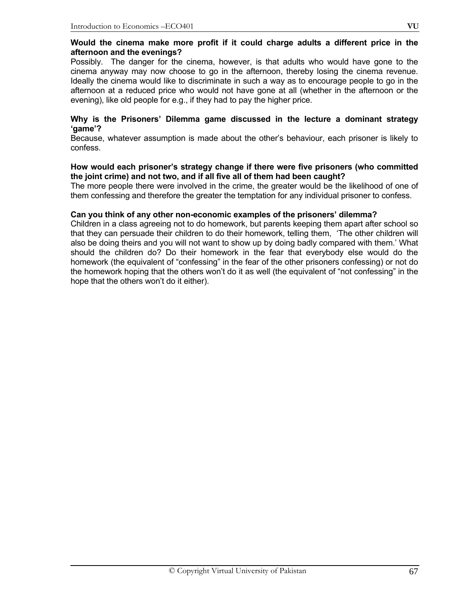## **Would the cinema make more profit if it could charge adults a different price in the afternoon and the evenings?**

Possibly. The danger for the cinema, however, is that adults who would have gone to the cinema anyway may now choose to go in the afternoon, thereby losing the cinema revenue. Ideally the cinema would like to discriminate in such a way as to encourage people to go in the afternoon at a reduced price who would not have gone at all (whether in the afternoon or the evening), like old people for e.g., if they had to pay the higher price.

#### **Why is the Prisoners' Dilemma game discussed in the lecture a dominant strategy 'game'?**

Because, whatever assumption is made about the other's behaviour, each prisoner is likely to confess.

### **How would each prisoner's strategy change if there were five prisoners (who committed the joint crime) and not two, and if all five all of them had been caught?**

The more people there were involved in the crime, the greater would be the likelihood of one of them confessing and therefore the greater the temptation for any individual prisoner to confess.

### **Can you think of any other non-economic examples of the prisoners' dilemma?**

Children in a class agreeing not to do homework, but parents keeping them apart after school so that they can persuade their children to do their homework, telling them, 'The other children will also be doing theirs and you will not want to show up by doing badly compared with them.' What should the children do? Do their homework in the fear that everybody else would do the homework (the equivalent of "confessing" in the fear of the other prisoners confessing) or not do the homework hoping that the others won't do it as well (the equivalent of "not confessing" in the hope that the others won't do it either).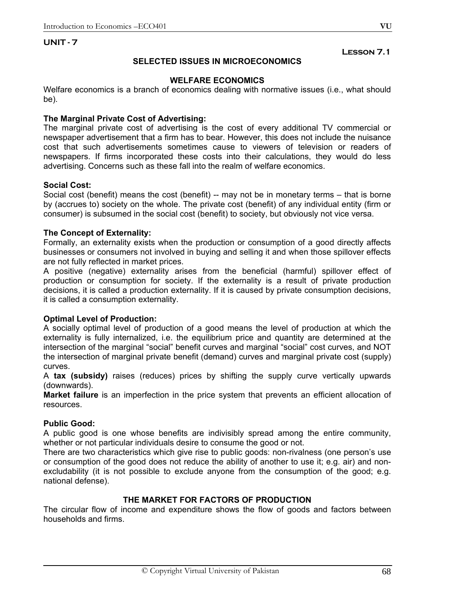#### **UNIT - 7**

## **Lesson 7.1**

# **SELECTED ISSUES IN MICROECONOMICS**

### **WELFARE ECONOMICS**

Welfare economics is a branch of economics dealing with normative issues (i.e., what should be).

### **The Marginal Private Cost of Advertising:**

The marginal private cost of advertising is the cost of every additional TV commercial or newspaper advertisement that a firm has to bear. However, this does not include the nuisance cost that such advertisements sometimes cause to viewers of television or readers of newspapers. If firms incorporated these costs into their calculations, they would do less advertising. Concerns such as these fall into the realm of welfare economics.

### **Social Cost:**

Social cost (benefit) means the cost (benefit) -- may not be in monetary terms – that is borne by (accrues to) society on the whole. The private cost (benefit) of any individual entity (firm or consumer) is subsumed in the social cost (benefit) to society, but obviously not vice versa.

## **The Concept of Externality:**

Formally, an externality exists when the production or consumption of a good directly affects businesses or consumers not involved in buying and selling it and when those spillover effects are not fully reflected in market prices.

A positive (negative) externality arises from the beneficial (harmful) spillover effect of production or consumption for society. If the externality is a result of private production decisions, it is called a production externality. If it is caused by private consumption decisions, it is called a consumption externality.

## **Optimal Level of Production:**

A socially optimal level of production of a good means the level of production at which the externality is fully internalized, i.e. the equilibrium price and quantity are determined at the intersection of the marginal "social" benefit curves and marginal "social" cost curves, and NOT the intersection of marginal private benefit (demand) curves and marginal private cost (supply) curves.

A **tax (subsidy)** raises (reduces) prices by shifting the supply curve vertically upwards (downwards).

**Market failure** is an imperfection in the price system that prevents an efficient allocation of resources.

## **Public Good:**

A public good is one whose benefits are indivisibly spread among the entire community, whether or not particular individuals desire to consume the good or not.

There are two characteristics which give rise to public goods: non-rivalness (one person's use or consumption of the good does not reduce the ability of another to use it; e.g. air) and nonexcludability (it is not possible to exclude anyone from the consumption of the good; e.g. national defense).

## **THE MARKET FOR FACTORS OF PRODUCTION**

The circular flow of income and expenditure shows the flow of goods and factors between households and firms.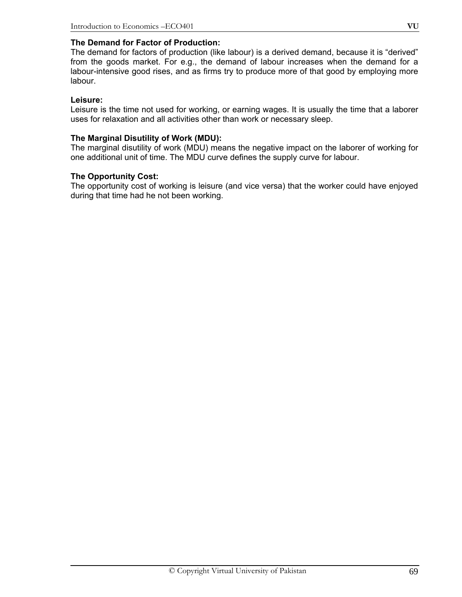## **The Demand for Factor of Production:**

The demand for factors of production (like labour) is a derived demand, because it is "derived" from the goods market. For e.g., the demand of labour increases when the demand for a labour-intensive good rises, and as firms try to produce more of that good by employing more labour.

### **Leisure:**

Leisure is the time not used for working, or earning wages. It is usually the time that a laborer uses for relaxation and all activities other than work or necessary sleep.

### **The Marginal Disutility of Work (MDU):**

The marginal disutility of work (MDU) means the negative impact on the laborer of working for one additional unit of time. The MDU curve defines the supply curve for labour.

## **The Opportunity Cost:**

The opportunity cost of working is leisure (and vice versa) that the worker could have enjoyed during that time had he not been working.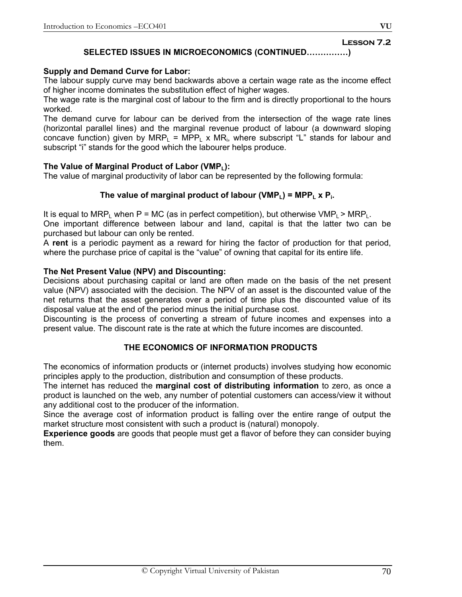# **Lesson 7.2**

# **SELECTED ISSUES IN MICROECONOMICS (CONTINUED……………)**

# **Supply and Demand Curve for Labor:**

The labour supply curve may bend backwards above a certain wage rate as the income effect of higher income dominates the substitution effect of higher wages.

The wage rate is the marginal cost of labour to the firm and is directly proportional to the hours worked.

The demand curve for labour can be derived from the intersection of the wage rate lines (horizontal parallel lines) and the marginal revenue product of labour (a downward sloping concave function) given by MRP<sub>L</sub> = MPP<sub>L</sub> x MR<sub>i</sub>, where subscript "L" stands for labour and subscript "i" stands for the good which the labourer helps produce.

# The Value of Marginal Product of Labor (VMP<sub>1</sub>):

The value of marginal productivity of labor can be represented by the following formula:

# The value of marginal product of labour (VMP<sub>L</sub>) = MPP<sub>L</sub> x P<sub>i</sub>.

It is equal to MRP<sub>I</sub> when P = MC (as in perfect competition), but otherwise  $VMP_1 > MRP_1$ .

One important difference between labour and land, capital is that the latter two can be purchased but labour can only be rented.

A **rent** is a periodic payment as a reward for hiring the factor of production for that period, where the purchase price of capital is the "value" of owning that capital for its entire life.

# **The Net Present Value (NPV) and Discounting:**

Decisions about purchasing capital or land are often made on the basis of the net present value (NPV) associated with the decision. The NPV of an asset is the discounted value of the net returns that the asset generates over a period of time plus the discounted value of its disposal value at the end of the period minus the initial purchase cost.

Discounting is the process of converting a stream of future incomes and expenses into a present value. The discount rate is the rate at which the future incomes are discounted.

# **THE ECONOMICS OF INFORMATION PRODUCTS**

The economics of information products or (internet products) involves studying how economic principles apply to the production, distribution and consumption of these products.

The internet has reduced the **marginal cost of distributing information** to zero, as once a product is launched on the web, any number of potential customers can access/view it without any additional cost to the producer of the information.

Since the average cost of information product is falling over the entire range of output the market structure most consistent with such a product is (natural) monopoly.

**Experience goods** are goods that people must get a flavor of before they can consider buying them.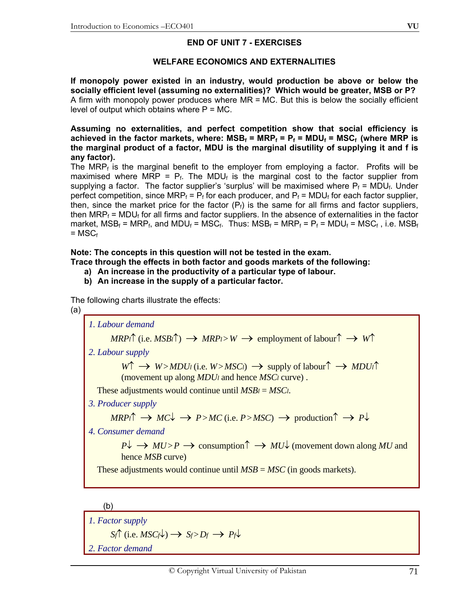## **END OF UNIT 7 - EXERCISES**

### **WELFARE ECONOMICS AND EXTERNALITIES**

**If monopoly power existed in an industry, would production be above or below the socially efficient level (assuming no externalities)? Which would be greater, MSB or P?**  A firm with monopoly power produces where  $MR = MC$ . But this is below the socially efficient level of output which obtains where  $P = MC$ .

**Assuming no externalities, and perfect competition show that social efficiency is**  achieved in the factor markets, where:  $MSB_f = MRP_f = P_f = MDU_f = MSC_f$  (where MRP is **the marginal product of a factor, MDU is the marginal disutility of supplying it and f is any factor).** 

The  $MRP<sub>f</sub>$  is the marginal benefit to the employer from employing a factor. Profits will be maximised where MRP =  $P_f$ . The MDU<sub>f</sub> is the marginal cost to the factor supplier from supplying a factor. The factor supplier's 'surplus' will be maximised where  $P_f = MDU_f$ . Under perfect competition, since MRP<sub>f</sub> = P<sub>f</sub> for each producer, and P<sub>f</sub> = MDU<sub>f</sub> for each factor supplier, then, since the market price for the factor  $(P_f)$  is the same for all firms and factor suppliers, then  $MRP_f = MDU_f$  for all firms and factor suppliers. In the absence of externalities in the factor market,  $MSB_f = MRP_f$ , and  $MDU_f = MSC_f$ . Thus:  $MSB_f = MRP_f = P_f = MDU_f = MSC_f$ , i.e.  $MSB_f$  $=$  MSC $<sub>f</sub>$ </sub>

### **Note: The concepts in this question will not be tested in the exam.**

**Trace through the effects in both factor and goods markets of the following:** 

- **a) An increase in the productivity of a particular type of labour.**
- **b) An increase in the supply of a particular factor.**

The following charts illustrate the effects:

(a)

*1. Labour demand*  $MRP\hat{i}$  (i.e.  $MSB\hat{i}$ )  $\rightarrow MRP\hat{i}$  *MRPl*  $\rightarrow$  employment of labour  $\hat{i}$   $\rightarrow W\hat{i}$ *2. Labour supply*  $W \uparrow \rightarrow W > MDU$  (i.e.  $W > MSC$ )  $\rightarrow$  supply of labour  $\uparrow \rightarrow MDU$ (movement up along *MDUl* and hence *MSCl* curve) . These adjustments would continue until *MSBl* = *MSCl*. *3. Producer supply*  $MRP\mathbf{i} \uparrow \rightarrow MC\mathbf{k} \rightarrow P > MC$  (i.e.  $P > MSC$ )  $\rightarrow$  production  $\uparrow \rightarrow P\mathbf{k}$ *4. Consumer demand*  $P\downarrow \rightarrow MU > P \rightarrow$  consumption  $\uparrow \rightarrow MU \downarrow$  (movement down along MU and hence *MSB* curve) These adjustments would continue until  $MSB = MSC$  (in goods markets).

#### (b)

*1. Factor supply*

$$
S_f \uparrow (i.e. \, \textit{MSC}_f \downarrow) \rightarrow S_f > D_f \rightarrow P_f \downarrow
$$

*2. Factor demand*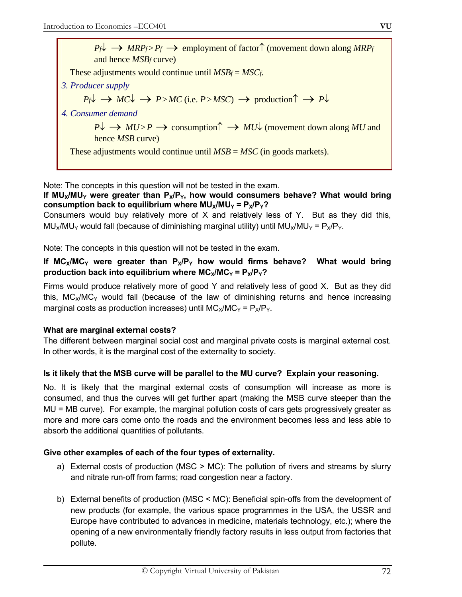$P_f \rightarrow MRP_f > P_f \rightarrow$  employment of factor $\uparrow$  (movement down along *MRPf* and hence *MSBf* curve)

These adjustments would continue until *MSBf* = *MSCf*.

*3. Producer supply*

$$
P_f \downarrow \rightarrow M C \downarrow \rightarrow P > MC \text{ (i.e. } P > MSC) \rightarrow production \uparrow \rightarrow P \downarrow
$$

*4. Consumer demand*

 $P\downarrow \rightarrow MU > P \rightarrow$  consumption  $\uparrow \rightarrow MU \downarrow$  (movement down along MU and hence *MSB* curve)

These adjustments would continue until  $MSB = MSC$  (in goods markets).

Note: The concepts in this question will not be tested in the exam.

If  $MU_X/MU_Y$  were greater than  $P_X/P_Y$ , how would consumers behave? What would bring consumption back to equilibrium where  $MU_X/MU_Y = P_X/P_Y$ ?

Consumers would buy relatively more of X and relatively less of Y. But as they did this, MU<sub>X</sub>/MU<sub>Y</sub> would fall (because of diminishing marginal utility) until MU<sub>X</sub>/MU<sub>Y</sub> = P<sub>x</sub>/P<sub>Y</sub>.

Note: The concepts in this question will not be tested in the exam.

# If  $MC_X/MC_Y$  were greater than  $P_X/P_Y$  how would firms behave? What would bring production back into equilibrium where  $MC_X/MC_Y = P_X/P_Y$ ?

Firms would produce relatively more of good Y and relatively less of good X. But as they did this,  $MC<sub>X</sub>/MC<sub>Y</sub>$  would fall (because of the law of diminishing returns and hence increasing marginal costs as production increases) until  $MC_x/MC_y = P_x/P_y$ .

# **What are marginal external costs?**

The different between marginal social cost and marginal private costs is marginal external cost. In other words, it is the marginal cost of the externality to society.

# **Is it likely that the MSB curve will be parallel to the MU curve? Explain your reasoning.**

No. It is likely that the marginal external costs of consumption will increase as more is consumed, and thus the curves will get further apart (making the MSB curve steeper than the MU = MB curve). For example, the marginal pollution costs of cars gets progressively greater as more and more cars come onto the roads and the environment becomes less and less able to absorb the additional quantities of pollutants.

# **Give other examples of each of the four types of externality.**

- a) External costs of production (MSC > MC): The pollution of rivers and streams by slurry and nitrate run-off from farms; road congestion near a factory.
- b) External benefits of production (MSC < MC): Beneficial spin-offs from the development of new products (for example, the various space programmes in the USA, the USSR and Europe have contributed to advances in medicine, materials technology, etc.); where the opening of a new environmentally friendly factory results in less output from factories that pollute.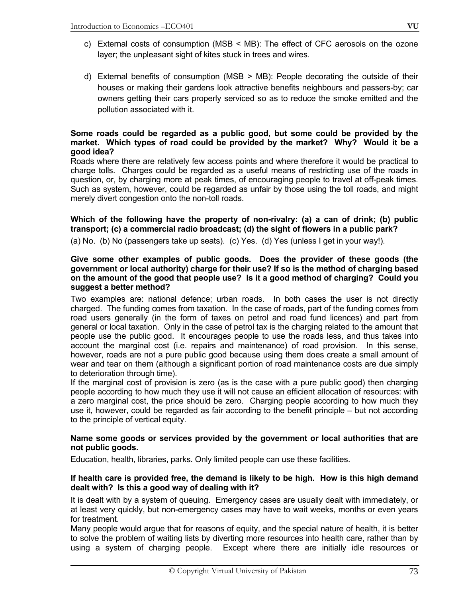- c) External costs of consumption (MSB < MB): The effect of CFC aerosols on the ozone layer; the unpleasant sight of kites stuck in trees and wires.
- d) External benefits of consumption (MSB > MB): People decorating the outside of their houses or making their gardens look attractive benefits neighbours and passers-by; car owners getting their cars properly serviced so as to reduce the smoke emitted and the pollution associated with it.

#### **Some roads could be regarded as a public good, but some could be provided by the market. Which types of road could be provided by the market? Why? Would it be a good idea?**

Roads where there are relatively few access points and where therefore it would be practical to charge tolls. Charges could be regarded as a useful means of restricting use of the roads in question, or, by charging more at peak times, of encouraging people to travel at off-peak times. Such as system, however, could be regarded as unfair by those using the toll roads, and might merely divert congestion onto the non-toll roads.

## **Which of the following have the property of non-rivalry: (a) a can of drink; (b) public transport; (c) a commercial radio broadcast; (d) the sight of flowers in a public park?**

(a) No. (b) No (passengers take up seats). (c) Yes. (d) Yes (unless I get in your way!).

#### **Give some other examples of public goods. Does the provider of these goods (the government or local authority) charge for their use? If so is the method of charging based on the amount of the good that people use? Is it a good method of charging? Could you suggest a better method?**

Two examples are: national defence; urban roads. In both cases the user is not directly charged. The funding comes from taxation. In the case of roads, part of the funding comes from road users generally (in the form of taxes on petrol and road fund licences) and part from general or local taxation. Only in the case of petrol tax is the charging related to the amount that people use the public good. It encourages people to use the roads less, and thus takes into account the marginal cost (i.e. repairs and maintenance) of road provision. In this sense, however, roads are not a pure public good because using them does create a small amount of wear and tear on them (although a significant portion of road maintenance costs are due simply to deterioration through time).

If the marginal cost of provision is zero (as is the case with a pure public good) then charging people according to how much they use it will not cause an efficient allocation of resources: with a zero marginal cost, the price should be zero. Charging people according to how much they use it, however, could be regarded as fair according to the benefit principle – but not according to the principle of vertical equity.

#### **Name some goods or services provided by the government or local authorities that are not public goods.**

Education, health, libraries, parks. Only limited people can use these facilities.

#### **If health care is provided free, the demand is likely to be high. How is this high demand dealt with? Is this a good way of dealing with it?**

It is dealt with by a system of queuing. Emergency cases are usually dealt with immediately, or at least very quickly, but non-emergency cases may have to wait weeks, months or even years for treatment.

Many people would argue that for reasons of equity, and the special nature of health, it is better to solve the problem of waiting lists by diverting more resources into health care, rather than by using a system of charging people. Except where there are initially idle resources or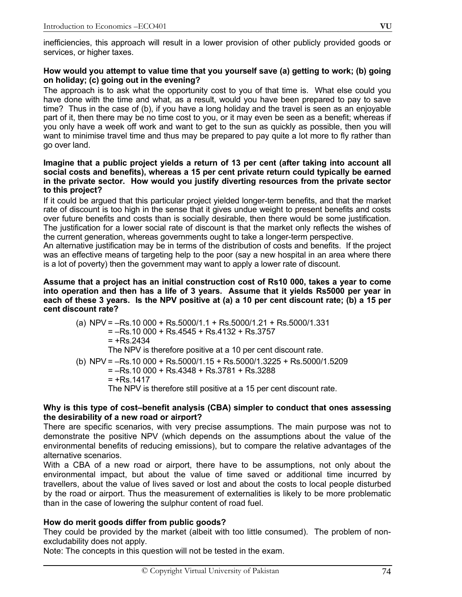inefficiencies, this approach will result in a lower provision of other publicly provided goods or services, or higher taxes.

## **How would you attempt to value time that you yourself save (a) getting to work; (b) going on holiday; (c) going out in the evening?**

The approach is to ask what the opportunity cost to you of that time is. What else could you have done with the time and what, as a result, would you have been prepared to pay to save time? Thus in the case of (b), if you have a long holiday and the travel is seen as an enjoyable part of it, then there may be no time cost to you, or it may even be seen as a benefit; whereas if you only have a week off work and want to get to the sun as quickly as possible, then you will want to minimise travel time and thus may be prepared to pay quite a lot more to fly rather than go over land.

#### **Imagine that a public project yields a return of 13 per cent (after taking into account all social costs and benefits), whereas a 15 per cent private return could typically be earned in the private sector. How would you justify diverting resources from the private sector to this project?**

If it could be argued that this particular project yielded longer-term benefits, and that the market rate of discount is too high in the sense that it gives undue weight to present benefits and costs over future benefits and costs than is socially desirable, then there would be some justification. The justification for a lower social rate of discount is that the market only reflects the wishes of the current generation, whereas governments ought to take a longer-term perspective.

An alternative justification may be in terms of the distribution of costs and benefits. If the project was an effective means of targeting help to the poor (say a new hospital in an area where there is a lot of poverty) then the government may want to apply a lower rate of discount.

**Assume that a project has an initial construction cost of Rs10 000, takes a year to come into operation and then has a life of 3 years. Assume that it yields Rs5000 per year in each of these 3 years. Is the NPV positive at (a) a 10 per cent discount rate; (b) a 15 per cent discount rate?** 

(a) NPV = –Rs.10 000 + Rs.5000/1.1 + Rs.5000/1.21 + Rs.5000/1.331  $= -Rs.10000 + Rs.4545 + Rs.4132 + Rs.3757$  $= +Rs.2434$  The NPV is therefore positive at a 10 per cent discount rate. (b) NPV = –Rs.10 000 + Rs.5000/1.15 + Rs.5000/1.3225 + Rs.5000/1.5209 = –Rs.10 000 + Rs.4348 + Rs.3781 + Rs.3288  $= +Rs.1417$ The NPV is therefore still positive at a 15 per cent discount rate.

## **Why is this type of cost–benefit analysis (CBA) simpler to conduct that ones assessing the desirability of a new road or airport?**

There are specific scenarios, with very precise assumptions. The main purpose was not to demonstrate the positive NPV (which depends on the assumptions about the value of the environmental benefits of reducing emissions), but to compare the relative advantages of the alternative scenarios.

With a CBA of a new road or airport, there have to be assumptions, not only about the environmental impact, but about the value of time saved or additional time incurred by travellers, about the value of lives saved or lost and about the costs to local people disturbed by the road or airport. Thus the measurement of externalities is likely to be more problematic than in the case of lowering the sulphur content of road fuel.

# **How do merit goods differ from public goods?**

They could be provided by the market (albeit with too little consumed). The problem of nonexcludability does not apply.

Note: The concepts in this question will not be tested in the exam.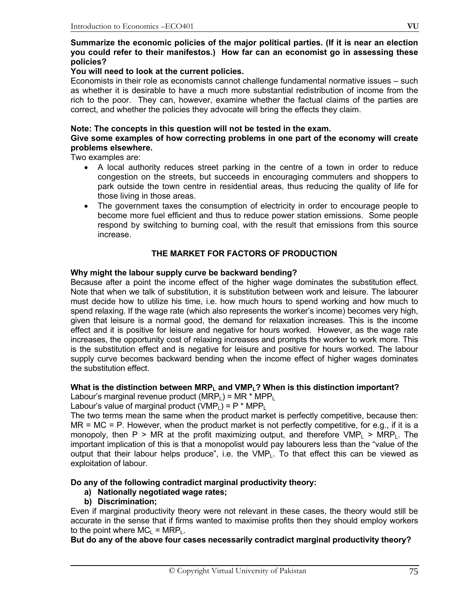#### **Summarize the economic policies of the major political parties. (If it is near an election you could refer to their manifestos.) How far can an economist go in assessing these policies?**

# **You will need to look at the current policies.**

Economists in their role as economists cannot challenge fundamental normative issues – such as whether it is desirable to have a much more substantial redistribution of income from the rich to the poor. They can, however, examine whether the factual claims of the parties are correct, and whether the policies they advocate will bring the effects they claim.

# **Note: The concepts in this question will not be tested in the exam.**

## **Give some examples of how correcting problems in one part of the economy will create problems elsewhere.**

Two examples are:

- A local authority reduces street parking in the centre of a town in order to reduce congestion on the streets, but succeeds in encouraging commuters and shoppers to park outside the town centre in residential areas, thus reducing the quality of life for those living in those areas.
- The government taxes the consumption of electricity in order to encourage people to become more fuel efficient and thus to reduce power station emissions. Some people respond by switching to burning coal, with the result that emissions from this source increase.

# **THE MARKET FOR FACTORS OF PRODUCTION**

## **Why might the labour supply curve be backward bending?**

Because after a point the income effect of the higher wage dominates the substitution effect. Note that when we talk of substitution, it is substitution between work and leisure. The labourer must decide how to utilize his time, i.e. how much hours to spend working and how much to spend relaxing. If the wage rate (which also represents the worker's income) becomes very high, given that leisure is a normal good, the demand for relaxation increases. This is the income effect and it is positive for leisure and negative for hours worked. However, as the wage rate increases, the opportunity cost of relaxing increases and prompts the worker to work more. This is the substitution effect and is negative for leisure and positive for hours worked. The labour supply curve becomes backward bending when the income effect of higher wages dominates the substitution effect.

## What is the distinction between MRP<sub>L</sub> and VMP<sub>L</sub>? When is this distinction important?

Labour's marginal revenue product (MRP<sub>L</sub>) = MR \* MPP<sub>L</sub>

Labour's value of marginal product (VMP<sub>L</sub>) =  $P * MPP_L$ 

The two terms mean the same when the product market is perfectly competitive, because then:  $MR = MC = P$ . However, when the product market is not perfectly competitive, for e.g., if it is a monopoly, then  $P > MR$  at the profit maximizing output, and therefore  $VMP_L > MRP_L$ . The important implication of this is that a monopolist would pay labourers less than the "value of the output that their labour helps produce", i.e. the  $VMP<sub>L</sub>$ . To that effect this can be viewed as exploitation of labour.

# **Do any of the following contradict marginal productivity theory:**

- **a) Nationally negotiated wage rates;**
- **b) Discrimination;**

Even if marginal productivity theory were not relevant in these cases, the theory would still be accurate in the sense that if firms wanted to maximise profits then they should employ workers to the point where  $MC_L = MRP_L$ .

**But do any of the above four cases necessarily contradict marginal productivity theory?**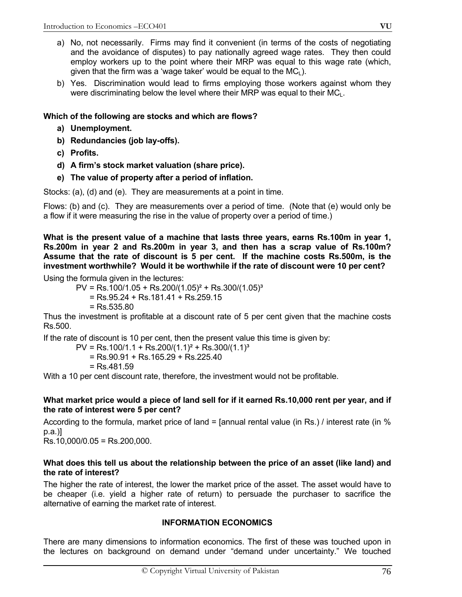- a) No, not necessarily. Firms may find it convenient (in terms of the costs of negotiating and the avoidance of disputes) to pay nationally agreed wage rates. They then could employ workers up to the point where their MRP was equal to this wage rate (which, given that the firm was a 'wage taker' would be equal to the  $MC<sub>1</sub>$ ).
- b) Yes. Discrimination would lead to firms employing those workers against whom they were discriminating below the level where their MRP was equal to their  $MC<sub>L</sub>$ .

## **Which of the following are stocks and which are flows?**

- **a) Unemployment.**
- **b) Redundancies (job lay-offs).**
- **c) Profits.**
- **d) A firm's stock market valuation (share price).**
- **e) The value of property after a period of inflation.**

Stocks: (a), (d) and (e). They are measurements at a point in time.

Flows: (b) and (c). They are measurements over a period of time. (Note that (e) would only be a flow if it were measuring the rise in the value of property over a period of time.)

**What is the present value of a machine that lasts three years, earns Rs.100m in year 1, Rs.200m in year 2 and Rs.200m in year 3, and then has a scrap value of Rs.100m? Assume that the rate of discount is 5 per cent. If the machine costs Rs.500m, is the investment worthwhile? Would it be worthwhile if the rate of discount were 10 per cent?** 

Using the formula given in the lectures:

- $PV = Rs.100/1.05 + Rs.200/(1.05)^{2} + Rs.300/(1.05)^{3}$ 
	- = Rs.95.24 + Rs.181.41 + Rs.259.15
	- $=$  Rs.535.80

Thus the investment is profitable at a discount rate of 5 per cent given that the machine costs Rs.500.

If the rate of discount is 10 per cent, then the present value this time is given by:

```
PV = Rs.100/1.1 + Rs.200/(1.1)^{2} + Rs.300/(1.1)^{3}= Rs. 90.91 + Rs. 165.29 + Rs. 225.40
```
= Rs.481.59

With a 10 per cent discount rate, therefore, the investment would not be profitable.

## **What market price would a piece of land sell for if it earned Rs.10,000 rent per year, and if the rate of interest were 5 per cent?**

According to the formula, market price of land = [annual rental value (in Rs.) / interest rate (in % p.a.)]

Rs.10,000/0.05 = Rs.200,000.

## **What does this tell us about the relationship between the price of an asset (like land) and the rate of interest?**

The higher the rate of interest, the lower the market price of the asset. The asset would have to be cheaper (i.e. yield a higher rate of return) to persuade the purchaser to sacrifice the alternative of earning the market rate of interest.

# **INFORMATION ECONOMICS**

There are many dimensions to information economics. The first of these was touched upon in the lectures on background on demand under "demand under uncertainty." We touched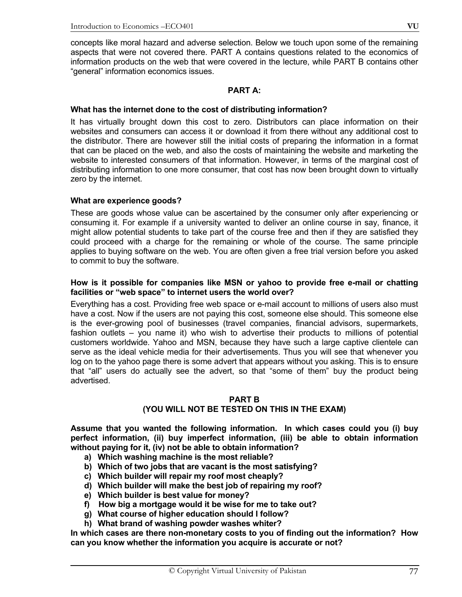concepts like moral hazard and adverse selection. Below we touch upon some of the remaining aspects that were not covered there. PART A contains questions related to the economics of information products on the web that were covered in the lecture, while PART B contains other "general" information economics issues.

## **PART A:**

#### **What has the internet done to the cost of distributing information?**

It has virtually brought down this cost to zero. Distributors can place information on their websites and consumers can access it or download it from there without any additional cost to the distributor. There are however still the initial costs of preparing the information in a format that can be placed on the web, and also the costs of maintaining the website and marketing the website to interested consumers of that information. However, in terms of the marginal cost of distributing information to one more consumer, that cost has now been brought down to virtually zero by the internet.

#### **What are experience goods?**

These are goods whose value can be ascertained by the consumer only after experiencing or consuming it. For example if a university wanted to deliver an online course in say, finance, it might allow potential students to take part of the course free and then if they are satisfied they could proceed with a charge for the remaining or whole of the course. The same principle applies to buying software on the web. You are often given a free trial version before you asked to commit to buy the software.

## **How is it possible for companies like MSN or yahoo to provide free e-mail or chatting facilities or "web space" to internet users the world over?**

Everything has a cost. Providing free web space or e-mail account to millions of users also must have a cost. Now if the users are not paying this cost, someone else should. This someone else is the ever-growing pool of businesses (travel companies, financial advisors, supermarkets, fashion outlets – you name it) who wish to advertise their products to millions of potential customers worldwide. Yahoo and MSN, because they have such a large captive clientele can serve as the ideal vehicle media for their advertisements. Thus you will see that whenever you log on to the yahoo page there is some advert that appears without you asking. This is to ensure that "all" users do actually see the advert, so that "some of them" buy the product being advertised.

#### **PART B**

# **(YOU WILL NOT BE TESTED ON THIS IN THE EXAM)**

**Assume that you wanted the following information. In which cases could you (i) buy perfect information, (ii) buy imperfect information, (iii) be able to obtain information without paying for it, (iv) not be able to obtain information?** 

- **a) Which washing machine is the most reliable?**
- **b) Which of two jobs that are vacant is the most satisfying?**
- **c) Which builder will repair my roof most cheaply?**
- **d) Which builder will make the best job of repairing my roof?**
- **e) Which builder is best value for money?**
- **f) How big a mortgage would it be wise for me to take out?**
- **g) What course of higher education should I follow?**
- **h) What brand of washing powder washes whiter?**

**In which cases are there non-monetary costs to you of finding out the information? How can you know whether the information you acquire is accurate or not?**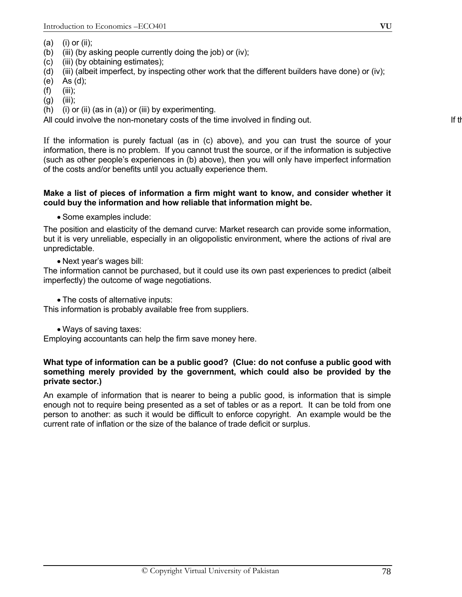- $(a)$  (i) or (ii):
- (b) (iii) (by asking people currently doing the job) or (iv);
- (c) (iii) (by obtaining estimates);
- (d) (iii) (albeit imperfect, by inspecting other work that the different builders have done) or (iv);
- (e) As (d);
- $(f)$  (iii);
- $(g)$  (iii);
- (h) (i) or (ii) (as in (a)) or (iii) by experimenting.

All could involve the non-monetary costs of the time involved in finding out. If the state of the time involved in finding out.

If the information is purely factual (as in (c) above), and you can trust the source of your information, there is no problem. If you cannot trust the source, or if the information is subjective (such as other people's experiences in (b) above), then you will only have imperfect information of the costs and/or benefits until you actually experience them.

## **Make a list of pieces of information a firm might want to know, and consider whether it could buy the information and how reliable that information might be.**

• Some examples include:

The position and elasticity of the demand curve: Market research can provide some information, but it is very unreliable, especially in an oligopolistic environment, where the actions of rival are unpredictable.

• Next year's wages bill:

The information cannot be purchased, but it could use its own past experiences to predict (albeit imperfectly) the outcome of wage negotiations.

• The costs of alternative inputs:

This information is probably available free from suppliers.

• Ways of saving taxes:

Employing accountants can help the firm save money here.

### **What type of information can be a public good? (Clue: do not confuse a public good with something merely provided by the government, which could also be provided by the private sector.)**

An example of information that is nearer to being a public good, is information that is simple enough not to require being presented as a set of tables or as a report. It can be told from one person to another: as such it would be difficult to enforce copyright. An example would be the current rate of inflation or the size of the balance of trade deficit or surplus.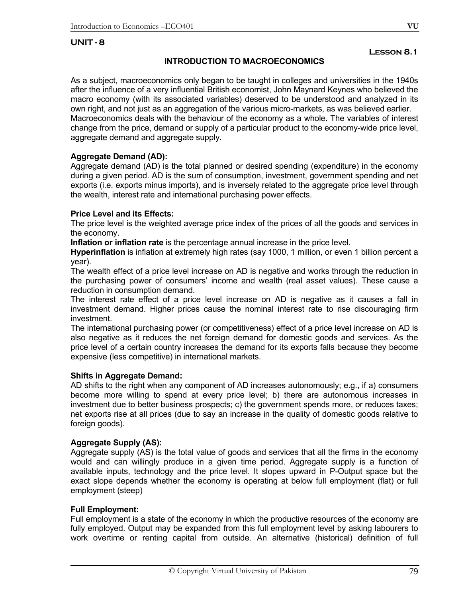## **UNIT - 8**

## **Lesson 8.1**

## **INTRODUCTION TO MACROECONOMICS**

As a subject, macroeconomics only began to be taught in colleges and universities in the 1940s after the influence of a very influential British economist, John Maynard Keynes who believed the macro economy (with its associated variables) deserved to be understood and analyzed in its own right, and not just as an aggregation of the various micro-markets, as was believed earlier. Macroeconomics deals with the behaviour of the economy as a whole. The variables of interest change from the price, demand or supply of a particular product to the economy-wide price level, aggregate demand and aggregate supply.

## **Aggregate Demand (AD):**

Aggregate demand (AD) is the total planned or desired spending (expenditure) in the economy during a given period. AD is the sum of consumption, investment, government spending and net exports (i.e. exports minus imports), and is inversely related to the aggregate price level through the wealth, interest rate and international purchasing power effects.

#### **Price Level and its Effects:**

The price level is the weighted average price index of the prices of all the goods and services in the economy.

**Inflation or inflation rate** is the percentage annual increase in the price level.

**Hyperinflation** is inflation at extremely high rates (say 1000, 1 million, or even 1 billion percent a year).

The wealth effect of a price level increase on AD is negative and works through the reduction in the purchasing power of consumers' income and wealth (real asset values). These cause a reduction in consumption demand.

The interest rate effect of a price level increase on AD is negative as it causes a fall in investment demand. Higher prices cause the nominal interest rate to rise discouraging firm investment.

The international purchasing power (or competitiveness) effect of a price level increase on AD is also negative as it reduces the net foreign demand for domestic goods and services. As the price level of a certain country increases the demand for its exports falls because they become expensive (less competitive) in international markets.

#### **Shifts in Aggregate Demand:**

AD shifts to the right when any component of AD increases autonomously; e.g., if a) consumers become more willing to spend at every price level; b) there are autonomous increases in investment due to better business prospects; c) the government spends more, or reduces taxes; net exports rise at all prices (due to say an increase in the quality of domestic goods relative to foreign goods).

#### **Aggregate Supply (AS):**

Aggregate supply (AS) is the total value of goods and services that all the firms in the economy would and can willingly produce in a given time period. Aggregate supply is a function of available inputs, technology and the price level. It slopes upward in P-Output space but the exact slope depends whether the economy is operating at below full employment (flat) or full employment (steep)

#### **Full Employment:**

Full employment is a state of the economy in which the productive resources of the economy are fully employed. Output may be expanded from this full employment level by asking labourers to work overtime or renting capital from outside. An alternative (historical) definition of full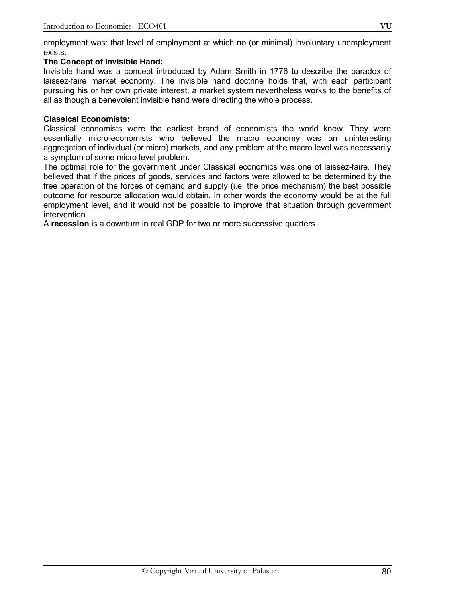employment was: that level of employment at which no (or minimal) involuntary unemployment exists.

## **The Concept of Invisible Hand:**

Invisible hand was a concept introduced by Adam Smith in 1776 to describe the paradox of laissez-faire market economy. The invisible hand doctrine holds that, with each participant pursuing his or her own private interest, a market system nevertheless works to the benefits of all as though a benevolent invisible hand were directing the whole process.

## **Classical Economists:**

Classical economists were the earliest brand of economists the world knew. They were essentially micro-economists who believed the macro economy was an uninteresting aggregation of individual (or micro) markets, and any problem at the macro level was necessarily a symptom of some micro level problem.

The optimal role for the government under Classical economics was one of laissez-faire. They believed that if the prices of goods, services and factors were allowed to be determined by the free operation of the forces of demand and supply (i.e. the price mechanism) the best possible outcome for resource allocation would obtain. In other words the economy would be at the full employment level, and it would not be possible to improve that situation through government intervention.

A **recession** is a downturn in real GDP for two or more successive quarters.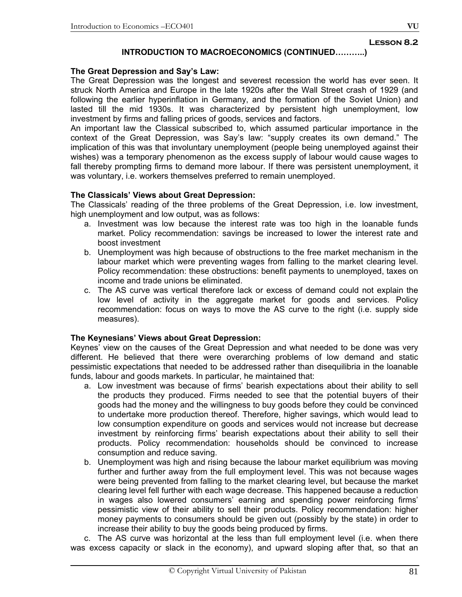#### **Lesson 8.2**

#### **INTRODUCTION TO MACROECONOMICS (CONTINUED………..)**

#### **The Great Depression and Say's Law:**

The Great Depression was the longest and severest recession the world has ever seen. It struck North America and Europe in the late 1920s after the Wall Street crash of 1929 (and following the earlier hyperinflation in Germany, and the formation of the Soviet Union) and lasted till the mid 1930s. It was characterized by persistent high unemployment, low investment by firms and falling prices of goods, services and factors.

An important law the Classical subscribed to, which assumed particular importance in the context of the Great Depression, was Say's law: "supply creates its own demand." The implication of this was that involuntary unemployment (people being unemployed against their wishes) was a temporary phenomenon as the excess supply of labour would cause wages to fall thereby prompting firms to demand more labour. If there was persistent unemployment, it was voluntary, i.e. workers themselves preferred to remain unemployed.

## **The Classicals' Views about Great Depression:**

The Classicals' reading of the three problems of the Great Depression, i.e. low investment, high unemployment and low output, was as follows:

- a. Investment was low because the interest rate was too high in the loanable funds market. Policy recommendation: savings be increased to lower the interest rate and boost investment
- b. Unemployment was high because of obstructions to the free market mechanism in the labour market which were preventing wages from falling to the market clearing level. Policy recommendation: these obstructions: benefit payments to unemployed, taxes on income and trade unions be eliminated.
- c. The AS curve was vertical therefore lack or excess of demand could not explain the low level of activity in the aggregate market for goods and services. Policy recommendation: focus on ways to move the AS curve to the right (i.e. supply side measures).

## **The Keynesians' Views about Great Depression:**

Keynes' view on the causes of the Great Depression and what needed to be done was very different. He believed that there were overarching problems of low demand and static pessimistic expectations that needed to be addressed rather than disequilibria in the loanable funds, labour and goods markets. In particular, he maintained that:

- a. Low investment was because of firms' bearish expectations about their ability to sell the products they produced. Firms needed to see that the potential buyers of their goods had the money and the willingness to buy goods before they could be convinced to undertake more production thereof. Therefore, higher savings, which would lead to low consumption expenditure on goods and services would not increase but decrease investment by reinforcing firms' bearish expectations about their ability to sell their products. Policy recommendation: households should be convinced to increase consumption and reduce saving.
- b. Unemployment was high and rising because the labour market equilibrium was moving further and further away from the full employment level. This was not because wages were being prevented from falling to the market clearing level, but because the market clearing level fell further with each wage decrease. This happened because a reduction in wages also lowered consumers' earning and spending power reinforcing firms' pessimistic view of their ability to sell their products. Policy recommendation: higher money payments to consumers should be given out (possibly by the state) in order to increase their ability to buy the goods being produced by firms.

c. The AS curve was horizontal at the less than full employment level (i.e. when there was excess capacity or slack in the economy), and upward sloping after that, so that an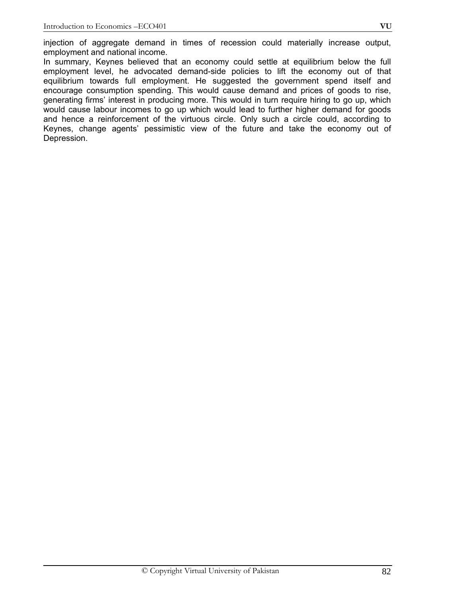injection of aggregate demand in times of recession could materially increase output, employment and national income.

In summary, Keynes believed that an economy could settle at equilibrium below the full employment level, he advocated demand-side policies to lift the economy out of that equilibrium towards full employment. He suggested the government spend itself and encourage consumption spending. This would cause demand and prices of goods to rise, generating firms' interest in producing more. This would in turn require hiring to go up, which would cause labour incomes to go up which would lead to further higher demand for goods and hence a reinforcement of the virtuous circle. Only such a circle could, according to Keynes, change agents' pessimistic view of the future and take the economy out of Depression.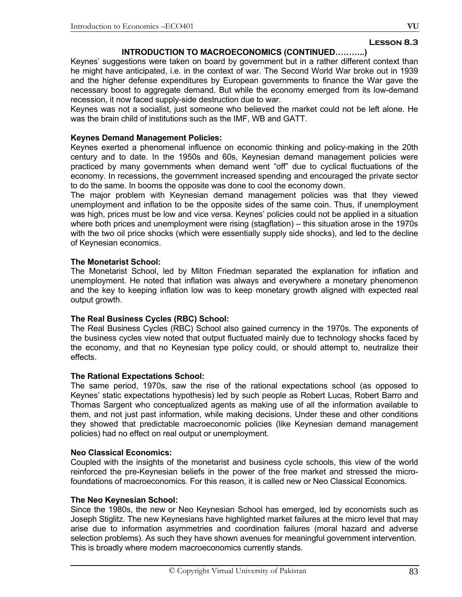# **Lesson 8.3**

# **INTRODUCTION TO MACROECONOMICS (CONTINUED………..)**

Keynes' suggestions were taken on board by government but in a rather different context than he might have anticipated, i.e. in the context of war. The Second World War broke out in 1939 and the higher defense expenditures by European governments to finance the War gave the necessary boost to aggregate demand. But while the economy emerged from its low-demand recession, it now faced supply-side destruction due to war.

Keynes was not a socialist, just someone who believed the market could not be left alone. He was the brain child of institutions such as the IMF, WB and GATT.

## **Keynes Demand Management Policies:**

Keynes exerted a phenomenal influence on economic thinking and policy-making in the 20th century and to date. In the 1950s and 60s, Keynesian demand management policies were practiced by many governments when demand went "off" due to cyclical fluctuations of the economy. In recessions, the government increased spending and encouraged the private sector to do the same. In booms the opposite was done to cool the economy down.

The major problem with Keynesian demand management policies was that they viewed unemployment and inflation to be the opposite sides of the same coin. Thus, if unemployment was high, prices must be low and vice versa. Keynes' policies could not be applied in a situation where both prices and unemployment were rising (stagflation) – this situation arose in the 1970s with the two oil price shocks (which were essentially supply side shocks), and led to the decline of Keynesian economics.

## **The Monetarist School:**

The Monetarist School, led by Milton Friedman separated the explanation for inflation and unemployment. He noted that inflation was always and everywhere a monetary phenomenon and the key to keeping inflation low was to keep monetary growth aligned with expected real output growth.

## **The Real Business Cycles (RBC) School:**

The Real Business Cycles (RBC) School also gained currency in the 1970s. The exponents of the business cycles view noted that output fluctuated mainly due to technology shocks faced by the economy, and that no Keynesian type policy could, or should attempt to, neutralize their effects.

## **The Rational Expectations School:**

The same period, 1970s, saw the rise of the rational expectations school (as opposed to Keynes' static expectations hypothesis) led by such people as Robert Lucas, Robert Barro and Thomas Sargent who conceptualized agents as making use of all the information available to them, and not just past information, while making decisions. Under these and other conditions they showed that predictable macroeconomic policies (like Keynesian demand management policies) had no effect on real output or unemployment.

## **Neo Classical Economics:**

Coupled with the insights of the monetarist and business cycle schools, this view of the world reinforced the pre-Keynesian beliefs in the power of the free market and stressed the microfoundations of macroeconomics. For this reason, it is called new or Neo Classical Economics.

## **The Neo Keynesian School:**

Since the 1980s, the new or Neo Keynesian School has emerged, led by economists such as Joseph Stiglitz. The new Keynesians have highlighted market failures at the micro level that may arise due to information asymmetries and coordination failures (moral hazard and adverse selection problems). As such they have shown avenues for meaningful government intervention. This is broadly where modern macroeconomics currently stands.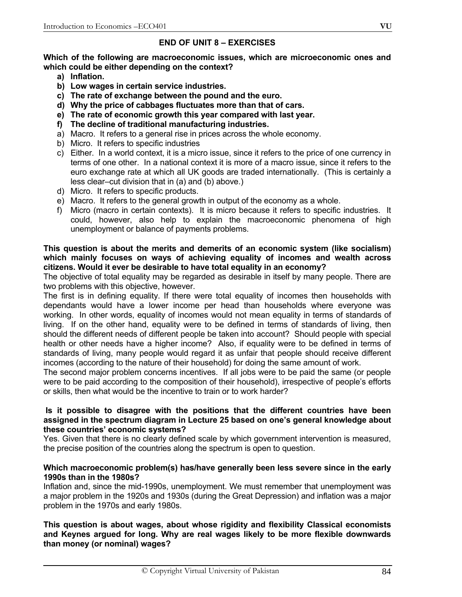## **END OF UNIT 8 – EXERCISES**

**Which of the following are macroeconomic issues, which are microeconomic ones and which could be either depending on the context?** 

- **a) Inflation.**
- **b) Low wages in certain service industries.**
- **c) The rate of exchange between the pound and the euro.**
- **d) Why the price of cabbages fluctuates more than that of cars.**
- **e) The rate of economic growth this year compared with last year.**
- **f) The decline of traditional manufacturing industries.**
- a) Macro. It refers to a general rise in prices across the whole economy.
- b) Micro. It refers to specific industries
- c) Either. In a world context, it is a micro issue, since it refers to the price of one currency in terms of one other. In a national context it is more of a macro issue, since it refers to the euro exchange rate at which all UK goods are traded internationally. (This is certainly a less clear–cut division that in (a) and (b) above.)
- d) Micro. It refers to specific products.
- e) Macro. It refers to the general growth in output of the economy as a whole.
- f) Micro (macro in certain contexts). It is micro because it refers to specific industries. It could, however, also help to explain the macroeconomic phenomena of high unemployment or balance of payments problems.

## **This question is about the merits and demerits of an economic system (like socialism) which mainly focuses on ways of achieving equality of incomes and wealth across citizens. Would it ever be desirable to have total equality in an economy?**

The objective of total equality may be regarded as desirable in itself by many people. There are two problems with this objective, however.

The first is in defining equality. If there were total equality of incomes then households with dependants would have a lower income per head than households where everyone was working. In other words, equality of incomes would not mean equality in terms of standards of living. If on the other hand, equality were to be defined in terms of standards of living, then should the different needs of different people be taken into account? Should people with special health or other needs have a higher income? Also, if equality were to be defined in terms of standards of living, many people would regard it as unfair that people should receive different incomes (according to the nature of their household) for doing the same amount of work.

The second major problem concerns incentives. If all jobs were to be paid the same (or people were to be paid according to the composition of their household), irrespective of people's efforts or skills, then what would be the incentive to train or to work harder?

#### **Is it possible to disagree with the positions that the different countries have been assigned in the spectrum diagram in Lecture 25 based on one's general knowledge about these countries' economic systems?**

Yes. Given that there is no clearly defined scale by which government intervention is measured, the precise position of the countries along the spectrum is open to question.

## **Which macroeconomic problem(s) has/have generally been less severe since in the early 1990s than in the 1980s?**

Inflation and, since the mid-1990s, unemployment. We must remember that unemployment was a major problem in the 1920s and 1930s (during the Great Depression) and inflation was a major problem in the 1970s and early 1980s.

## **This question is about wages, about whose rigidity and flexibility Classical economists and Keynes argued for long. Why are real wages likely to be more flexible downwards than money (or nominal) wages?**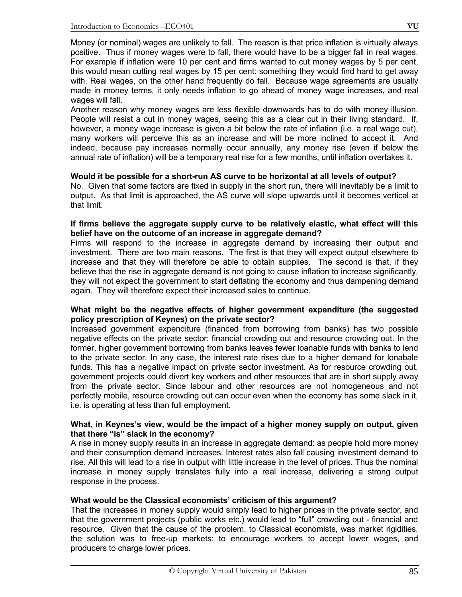Money (or nominal) wages are unlikely to fall. The reason is that price inflation is virtually always positive. Thus if money wages were to fall, there would have to be a bigger fall in real wages. For example if inflation were 10 per cent and firms wanted to cut money wages by 5 per cent, this would mean cutting real wages by 15 per cent: something they would find hard to get away with. Real wages, on the other hand frequently do fall. Because wage agreements are usually made in money terms, it only needs inflation to go ahead of money wage increases, and real wages will fall.

Another reason why money wages are less flexible downwards has to do with money illusion. People will resist a cut in money wages, seeing this as a clear cut in their living standard. If, however, a money wage increase is given a bit below the rate of inflation (i.e. a real wage cut), many workers will perceive this as an increase and will be more inclined to accept it. And indeed, because pay increases normally occur annually, any money rise (even if below the annual rate of inflation) will be a temporary real rise for a few months, until inflation overtakes it.

## **Would it be possible for a short-run AS curve to be horizontal at all levels of output?**

No. Given that some factors are fixed in supply in the short run, there will inevitably be a limit to output. As that limit is approached, the AS curve will slope upwards until it becomes vertical at that limit.

#### **If firms believe the aggregate supply curve to be relatively elastic, what effect will this belief have on the outcome of an increase in aggregate demand?**

Firms will respond to the increase in aggregate demand by increasing their output and investment. There are two main reasons. The first is that they will expect output elsewhere to increase and that they will therefore be able to obtain supplies. The second is that, if they believe that the rise in aggregate demand is not going to cause inflation to increase significantly, they will not expect the government to start deflating the economy and thus dampening demand again. They will therefore expect their increased sales to continue.

#### **What might be the negative effects of higher government expenditure (the suggested policy prescription of Keynes) on the private sector?**

Increased government expenditure (financed from borrowing from banks) has two possible negative effects on the private sector: financial crowding out and resource crowding out. In the former, higher government borrowing from banks leaves fewer loanable funds with banks to lend to the private sector. In any case, the interest rate rises due to a higher demand for lonabale funds. This has a negative impact on private sector investment. As for resource crowding out, government projects could divert key workers and other resources that are in short supply away from the private sector. Since labour and other resources are not homogeneous and not perfectly mobile, resource crowding out can occur even when the economy has some slack in it, i.e. is operating at less than full employment.

#### **What, in Keynes's view, would be the impact of a higher money supply on output, given that there "is" slack in the economy?**

A rise in money supply results in an increase in aggregate demand: as people hold more money and their consumption demand increases. Interest rates also fall causing investment demand to rise. All this will lead to a rise in output with little increase in the level of prices. Thus the nominal increase in money supply translates fully into a real increase, delivering a strong output response in the process.

#### **What would be the Classical economists' criticism of this argument?**

That the increases in money supply would simply lead to higher prices in the private sector, and that the government projects (public works etc.) would lead to "full" crowding out - financial and resource. Given that the cause of the problem, to Classical economists, was market rigidities, the solution was to free-up markets: to encourage workers to accept lower wages, and producers to charge lower prices.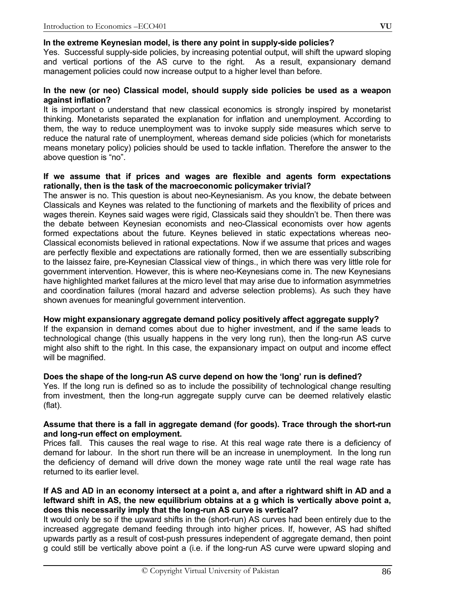## **In the extreme Keynesian model, is there any point in supply-side policies?**

Yes. Successful supply-side policies, by increasing potential output, will shift the upward sloping and vertical portions of the AS curve to the right. As a result, expansionary demand management policies could now increase output to a higher level than before.

#### **In the new (or neo) Classical model, should supply side policies be used as a weapon against inflation?**

It is important o understand that new classical economics is strongly inspired by monetarist thinking. Monetarists separated the explanation for inflation and unemployment. According to them, the way to reduce unemployment was to invoke supply side measures which serve to reduce the natural rate of unemployment, whereas demand side policies (which for monetarists means monetary policy) policies should be used to tackle inflation. Therefore the answer to the above question is "no".

#### **If we assume that if prices and wages are flexible and agents form expectations rationally, then is the task of the macroeconomic policymaker trivial?**

The answer is no. This question is about neo-Keynesianism. As you know, the debate between Classicals and Keynes was related to the functioning of markets and the flexibility of prices and wages therein. Keynes said wages were rigid, Classicals said they shouldn't be. Then there was the debate between Keynesian economists and neo-Classical economists over how agents formed expectations about the future. Keynes believed in static expectations whereas neo-Classical economists believed in rational expectations. Now if we assume that prices and wages are perfectly flexible and expectations are rationally formed, then we are essentially subscribing to the laissez faire, pre-Keynesian Classical view of things., in which there was very little role for government intervention. However, this is where neo-Keynesians come in. The new Keynesians have highlighted market failures at the micro level that may arise due to information asymmetries and coordination failures (moral hazard and adverse selection problems). As such they have shown avenues for meaningful government intervention.

## **How might expansionary aggregate demand policy positively affect aggregate supply?**

If the expansion in demand comes about due to higher investment, and if the same leads to technological change (this usually happens in the very long run), then the long-run AS curve might also shift to the right. In this case, the expansionary impact on output and income effect will be magnified.

## **Does the shape of the long-run AS curve depend on how the 'long' run is defined?**

Yes. If the long run is defined so as to include the possibility of technological change resulting from investment, then the long-run aggregate supply curve can be deemed relatively elastic (flat).

#### **Assume that there is a fall in aggregate demand (for goods). Trace through the short-run and long-run effect on employment.**

Prices fall. This causes the real wage to rise. At this real wage rate there is a deficiency of demand for labour. In the short run there will be an increase in unemployment. In the long run the deficiency of demand will drive down the money wage rate until the real wage rate has returned to its earlier level.

#### **If AS and AD in an economy intersect at a point a, and after a rightward shift in AD and a leftward shift in AS, the new equilibrium obtains at a g which is vertically above point a, does this necessarily imply that the long-run AS curve is vertical?**

It would only be so if the upward shifts in the (short-run) AS curves had been entirely due to the increased aggregate demand feeding through into higher prices. If, however, AS had shifted upwards partly as a result of cost-push pressures independent of aggregate demand, then point g could still be vertically above point a (i.e. if the long-run AS curve were upward sloping and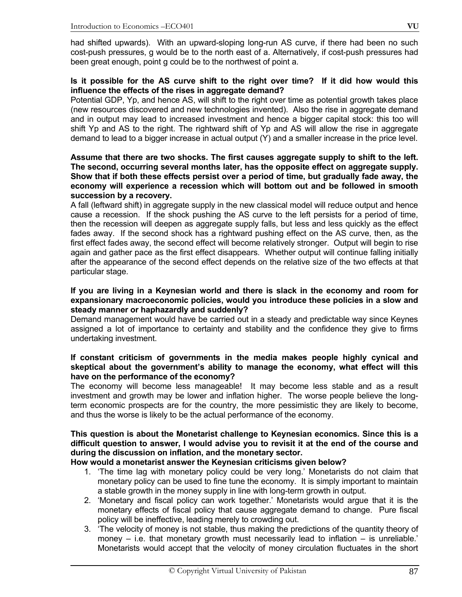had shifted upwards). With an upward-sloping long-run AS curve, if there had been no such cost-push pressures, g would be to the north east of a. Alternatively, if cost-push pressures had been great enough, point g could be to the northwest of point a.

## **Is it possible for the AS curve shift to the right over time? If it did how would this influence the effects of the rises in aggregate demand?**

Potential GDP, Yp, and hence AS, will shift to the right over time as potential growth takes place (new resources discovered and new technologies invented). Also the rise in aggregate demand and in output may lead to increased investment and hence a bigger capital stock: this too will shift Yp and AS to the right. The rightward shift of Yp and AS will allow the rise in aggregate demand to lead to a bigger increase in actual output (Y) and a smaller increase in the price level.

#### **Assume that there are two shocks. The first causes aggregate supply to shift to the left. The second, occurring several months later, has the opposite effect on aggregate supply. Show that if both these effects persist over a period of time, but gradually fade away, the economy will experience a recession which will bottom out and be followed in smooth succession by a recovery.**

A fall (leftward shift) in aggregate supply in the new classical model will reduce output and hence cause a recession. If the shock pushing the AS curve to the left persists for a period of time, then the recession will deepen as aggregate supply falls, but less and less quickly as the effect fades away. If the second shock has a rightward pushing effect on the AS curve, then, as the first effect fades away, the second effect will become relatively stronger. Output will begin to rise again and gather pace as the first effect disappears. Whether output will continue falling initially after the appearance of the second effect depends on the relative size of the two effects at that particular stage.

#### **If you are living in a Keynesian world and there is slack in the economy and room for expansionary macroeconomic policies, would you introduce these policies in a slow and steady manner or haphazardly and suddenly?**

Demand management would have be carried out in a steady and predictable way since Keynes assigned a lot of importance to certainty and stability and the confidence they give to firms undertaking investment.

### **If constant criticism of governments in the media makes people highly cynical and skeptical about the government's ability to manage the economy, what effect will this have on the performance of the economy?**

The economy will become less manageable! It may become less stable and as a result investment and growth may be lower and inflation higher. The worse people believe the longterm economic prospects are for the country, the more pessimistic they are likely to become, and thus the worse is likely to be the actual performance of the economy.

## **This question is about the Monetarist challenge to Keynesian economics. Since this is a difficult question to answer, I would advise you to revisit it at the end of the course and during the discussion on inflation, and the monetary sector.**

## **How would a monetarist answer the Keynesian criticisms given below?**

- 1. 'The time lag with monetary policy could be very long.' Monetarists do not claim that monetary policy can be used to fine tune the economy. It is simply important to maintain a stable growth in the money supply in line with long-term growth in output.
- 2. 'Monetary and fiscal policy can work together.' Monetarists would argue that it is the monetary effects of fiscal policy that cause aggregate demand to change. Pure fiscal policy will be ineffective, leading merely to crowding out.
- 3. 'The velocity of money is not stable, thus making the predictions of the quantity theory of money  $-$  i.e. that monetary growth must necessarily lead to inflation  $-$  is unreliable.' Monetarists would accept that the velocity of money circulation fluctuates in the short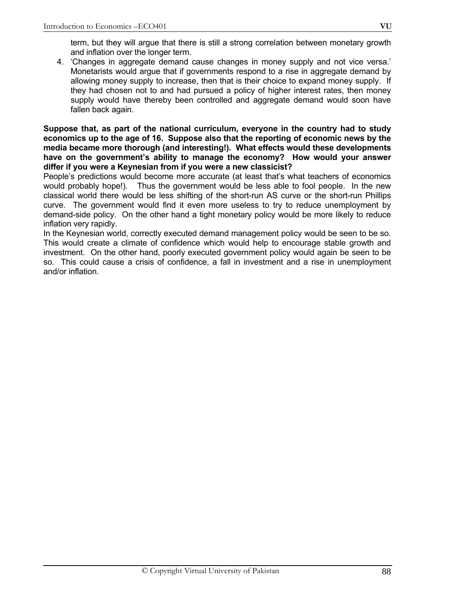term, but they will argue that there is still a strong correlation between monetary growth and inflation over the longer term.

4. 'Changes in aggregate demand cause changes in money supply and not vice versa.' Monetarists would argue that if governments respond to a rise in aggregate demand by allowing money supply to increase, then that is their choice to expand money supply. If they had chosen not to and had pursued a policy of higher interest rates, then money supply would have thereby been controlled and aggregate demand would soon have fallen back again.

**Suppose that, as part of the national curriculum, everyone in the country had to study economics up to the age of 16. Suppose also that the reporting of economic news by the media became more thorough (and interesting!). What effects would these developments have on the government's ability to manage the economy? How would your answer differ if you were a Keynesian from if you were a new classicist?** 

People's predictions would become more accurate (at least that's what teachers of economics would probably hope!). Thus the government would be less able to fool people. In the new classical world there would be less shifting of the short-run AS curve or the short-run Phillips curve. The government would find it even more useless to try to reduce unemployment by demand-side policy. On the other hand a tight monetary policy would be more likely to reduce inflation very rapidly.

In the Keynesian world, correctly executed demand management policy would be seen to be so. This would create a climate of confidence which would help to encourage stable growth and investment. On the other hand, poorly executed government policy would again be seen to be so. This could cause a crisis of confidence, a fall in investment and a rise in unemployment and/or inflation.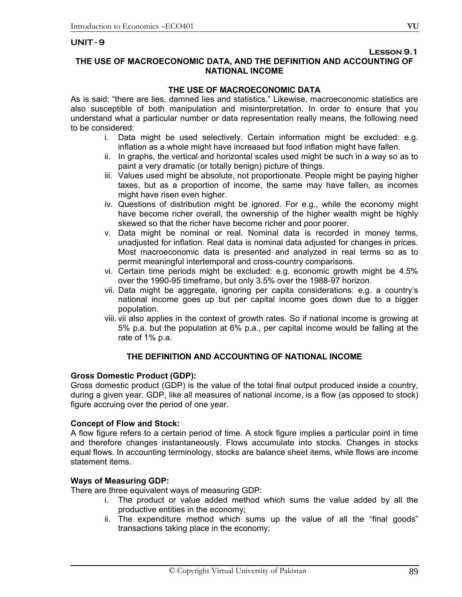#### **UNIT - 9**

#### **Lesson 9.1**

### **THE USE OF MACROECONOMIC DATA, AND THE DEFINITION AND ACCOUNTING OF NATIONAL INCOME**

#### **THE USE OF MACROECONOMIC DATA**

As is said: "there are lies, damned lies and statistics." Likewise, macroeconomic statistics are also susceptible of both manipulation and misinterpretation. In order to ensure that you understand what a particular number or data representation really means, the following need to be considered:

- i. Data might be used selectively. Certain information might be excluded: e.g. inflation as a whole might have increased but food inflation might have fallen.
- ii. In graphs, the vertical and horizontal scales used might be such in a way so as to paint a very dramatic (or totally benign) picture of things.
- iii. Values used might be absolute, not proportionate. People might be paying higher taxes, but as a proportion of income, the same may have fallen, as incomes might have risen even higher.
- iv. Questions of distribution might be ignored. For e.g., while the economy might have become richer overall, the ownership of the higher wealth might be highly skewed so that the richer have become richer and poor poorer.
- v. Data might be nominal or real. Nominal data is recorded in money terms, unadjusted for inflation. Real data is nominal data adjusted for changes in prices. Most macroeconomic data is presented and analyzed in real terms so as to permit meaningful intertemporal and cross-country comparisons.
- vi. Certain time periods might be excluded: e.g. economic growth might be 4.5% over the 1990-95 timeframe, but only 3.5% over the 1988-97 horizon.
- vii. Data might be aggregate, ignoring per capita considerations: e.g. a country's national income goes up but per capital income goes down due to a bigger population.
- viii. vii also applies in the context of growth rates. So if national income is growing at 5% p.a. but the population at 6% p.a., per capital income would be falling at the rate of 1% p.a.

## **THE DEFINITION AND ACCOUNTING OF NATIONAL INCOME**

## **Gross Domestic Product (GDP):**

Gross domestic product (GDP) is the value of the total final output produced inside a country, during a given year. GDP, like all measures of national income, is a flow (as opposed to stock) figure accruing over the period of one year.

## **Concept of Flow and Stock:**

A flow figure refers to a certain period of time. A stock figure implies a particular point in time and therefore changes instantaneously. Flows accumulate into stocks. Changes in stocks equal flows. In accounting terminology, stocks are balance sheet items, while flows are income statement items.

## **Ways of Measuring GDP:**

There are three equivalent ways of measuring GDP:

- i. The product or value added method which sums the value added by all the productive entities in the economy;
- ii. The expenditure method which sums up the value of all the "final goods" transactions taking place in the economy;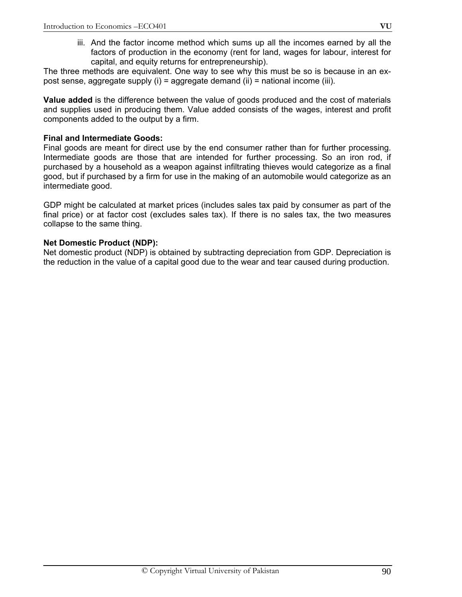iii. And the factor income method which sums up all the incomes earned by all the factors of production in the economy (rent for land, wages for labour, interest for capital, and equity returns for entrepreneurship).

The three methods are equivalent. One way to see why this must be so is because in an expost sense, aggregate supply (i) = aggregate demand (ii) = national income (iii).

**Value added** is the difference between the value of goods produced and the cost of materials and supplies used in producing them. Value added consists of the wages, interest and profit components added to the output by a firm.

## **Final and Intermediate Goods:**

Final goods are meant for direct use by the end consumer rather than for further processing. Intermediate goods are those that are intended for further processing. So an iron rod, if purchased by a household as a weapon against infiltrating thieves would categorize as a final good, but if purchased by a firm for use in the making of an automobile would categorize as an intermediate good.

GDP might be calculated at market prices (includes sales tax paid by consumer as part of the final price) or at factor cost (excludes sales tax). If there is no sales tax, the two measures collapse to the same thing.

#### **Net Domestic Product (NDP):**

Net domestic product (NDP) is obtained by subtracting depreciation from GDP. Depreciation is the reduction in the value of a capital good due to the wear and tear caused during production.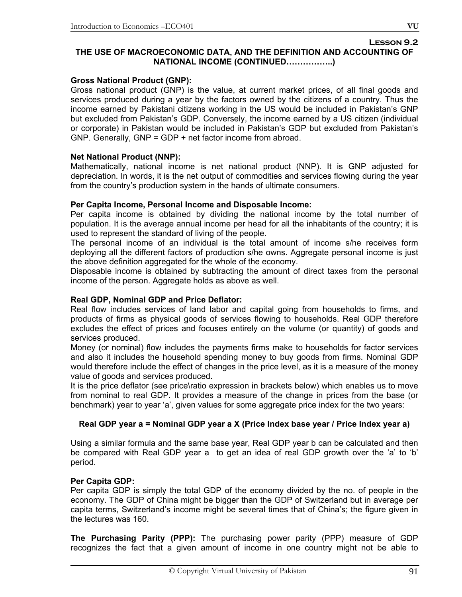# **Lesson 9.2**

## **THE USE OF MACROECONOMIC DATA, AND THE DEFINITION AND ACCOUNTING OF NATIONAL INCOME (CONTINUED……………..)**

# **Gross National Product (GNP):**

Gross national product (GNP) is the value, at current market prices, of all final goods and services produced during a year by the factors owned by the citizens of a country. Thus the income earned by Pakistani citizens working in the US would be included in Pakistan's GNP but excluded from Pakistan's GDP. Conversely, the income earned by a US citizen (individual or corporate) in Pakistan would be included in Pakistan's GDP but excluded from Pakistan's GNP. Generally, GNP = GDP + net factor income from abroad.

# **Net National Product (NNP):**

Mathematically, national income is net national product (NNP). It is GNP adjusted for depreciation. In words, it is the net output of commodities and services flowing during the year from the country's production system in the hands of ultimate consumers.

# **Per Capita Income, Personal Income and Disposable Income:**

Per capita income is obtained by dividing the national income by the total number of population. It is the average annual income per head for all the inhabitants of the country; it is used to represent the standard of living of the people.

The personal income of an individual is the total amount of income s/he receives form deploying all the different factors of production s/he owns. Aggregate personal income is just the above definition aggregated for the whole of the economy.

Disposable income is obtained by subtracting the amount of direct taxes from the personal income of the person. Aggregate holds as above as well.

# **Real GDP, Nominal GDP and Price Deflator:**

Real flow includes services of land labor and capital going from households to firms, and products of firms as physical goods of services flowing to households. Real GDP therefore excludes the effect of prices and focuses entirely on the volume (or quantity) of goods and services produced.

Money (or nominal) flow includes the payments firms make to households for factor services and also it includes the household spending money to buy goods from firms. Nominal GDP would therefore include the effect of changes in the price level, as it is a measure of the money value of goods and services produced.

It is the price deflator (see price\ratio expression in brackets below) which enables us to move from nominal to real GDP. It provides a measure of the change in prices from the base (or benchmark) year to year 'a', given values for some aggregate price index for the two years:

# **Real GDP year a = Nominal GDP year a X (Price Index base year / Price Index year a)**

Using a similar formula and the same base year, Real GDP year b can be calculated and then be compared with Real GDP year a to get an idea of real GDP growth over the 'a' to 'b' period.

# **Per Capita GDP:**

Per capita GDP is simply the total GDP of the economy divided by the no. of people in the economy. The GDP of China might be bigger than the GDP of Switzerland but in average per capita terms, Switzerland's income might be several times that of China's; the figure given in the lectures was 160.

**The Purchasing Parity (PPP):** The purchasing power parity (PPP) measure of GDP recognizes the fact that a given amount of income in one country might not be able to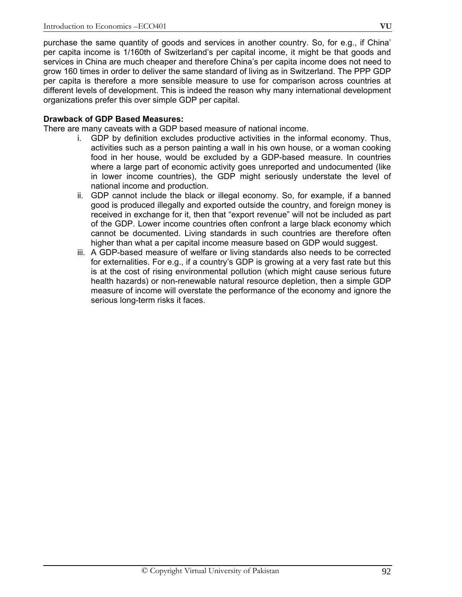purchase the same quantity of goods and services in another country. So, for e.g., if China' per capita income is 1/160th of Switzerland's per capital income, it might be that goods and services in China are much cheaper and therefore China's per capita income does not need to grow 160 times in order to deliver the same standard of living as in Switzerland. The PPP GDP per capita is therefore a more sensible measure to use for comparison across countries at different levels of development. This is indeed the reason why many international development organizations prefer this over simple GDP per capital.

## **Drawback of GDP Based Measures:**

There are many caveats with a GDP based measure of national income.

- i. GDP by definition excludes productive activities in the informal economy. Thus, activities such as a person painting a wall in his own house, or a woman cooking food in her house, would be excluded by a GDP-based measure. In countries where a large part of economic activity goes unreported and undocumented (like in lower income countries), the GDP might seriously understate the level of national income and production.
- ii. GDP cannot include the black or illegal economy. So, for example, if a banned good is produced illegally and exported outside the country, and foreign money is received in exchange for it, then that "export revenue" will not be included as part of the GDP. Lower income countries often confront a large black economy which cannot be documented. Living standards in such countries are therefore often higher than what a per capital income measure based on GDP would suggest.
- iii. A GDP-based measure of welfare or living standards also needs to be corrected for externalities. For e.g., if a country's GDP is growing at a very fast rate but this is at the cost of rising environmental pollution (which might cause serious future health hazards) or non-renewable natural resource depletion, then a simple GDP measure of income will overstate the performance of the economy and ignore the serious long-term risks it faces.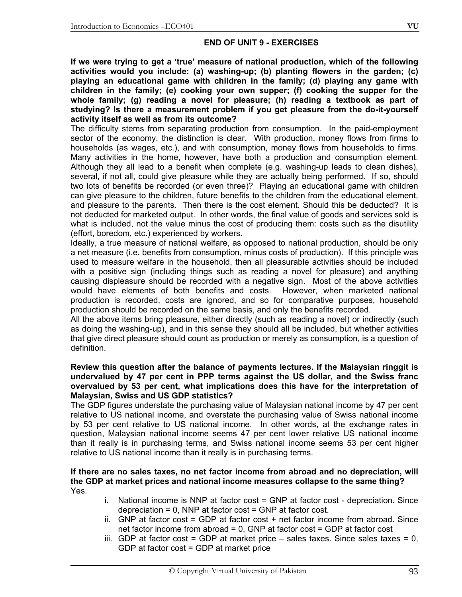#### **END OF UNIT 9 - EXERCISES**

**If we were trying to get a 'true' measure of national production, which of the following activities would you include: (a) washing-up; (b) planting flowers in the garden; (c) playing an educational game with children in the family; (d) playing any game with children in the family; (e) cooking your own supper; (f) cooking the supper for the whole family; (g) reading a novel for pleasure; (h) reading a textbook as part of studying? Is there a measurement problem if you get pleasure from the do-it-yourself activity itself as well as from its outcome?** 

The difficulty stems from separating production from consumption. In the paid-employment sector of the economy, the distinction is clear. With production, money flows from firms to households (as wages, etc.), and with consumption, money flows from households to firms. Many activities in the home, however, have both a production and consumption element. Although they all lead to a benefit when complete (e.g. washing-up leads to clean dishes), several, if not all, could give pleasure while they are actually being performed. If so, should two lots of benefits be recorded (or even three)? Playing an educational game with children can give pleasure to the children, future benefits to the children from the educational element, and pleasure to the parents. Then there is the cost element. Should this be deducted? It is not deducted for marketed output. In other words, the final value of goods and services sold is what is included, not the value minus the cost of producing them: costs such as the disutility (effort, boredom, etc.) experienced by workers.

Ideally, a true measure of national welfare, as opposed to national production, should be only a net measure (i.e. benefits from consumption, minus costs of production). If this principle was used to measure welfare in the household, then all pleasurable activities should be included with a positive sign (including things such as reading a novel for pleasure) and anything causing displeasure should be recorded with a negative sign. Most of the above activities would have elements of both benefits and costs. However, when marketed national production is recorded, costs are ignored, and so for comparative purposes, household production should be recorded on the same basis, and only the benefits recorded.

All the above items bring pleasure, either directly (such as reading a novel) or indirectly (such as doing the washing-up), and in this sense they should all be included, but whether activities that give direct pleasure should count as production or merely as consumption, is a question of definition.

#### **Review this question after the balance of payments lectures. If the Malaysian ringgit is undervalued by 47 per cent in PPP terms against the US dollar, and the Swiss franc overvalued by 53 per cent, what implications does this have for the interpretation of Malaysian, Swiss and US GDP statistics?**

The GDP figures understate the purchasing value of Malaysian national income by 47 per cent relative to US national income, and overstate the purchasing value of Swiss national income by 53 per cent relative to US national income. In other words, at the exchange rates in question, Malaysian national income seems 47 per cent lower relative US national income than it really is in purchasing terms, and Swiss national income seems 53 per cent higher relative to US national income than it really is in purchasing terms.

#### **If there are no sales taxes, no net factor income from abroad and no depreciation, will the GDP at market prices and national income measures collapse to the same thing?**  Yes.

- i. National income is NNP at factor cost = GNP at factor cost depreciation. Since depreciation = 0, NNP at factor cost = GNP at factor cost.
- ii. GNP at factor cost = GDP at factor cost + net factor income from abroad. Since net factor income from abroad = 0, GNP at factor cost = GDP at factor cost
- iii. GDP at factor cost = GDP at market price  $-$  sales taxes. Since sales taxes = 0, GDP at factor cost = GDP at market price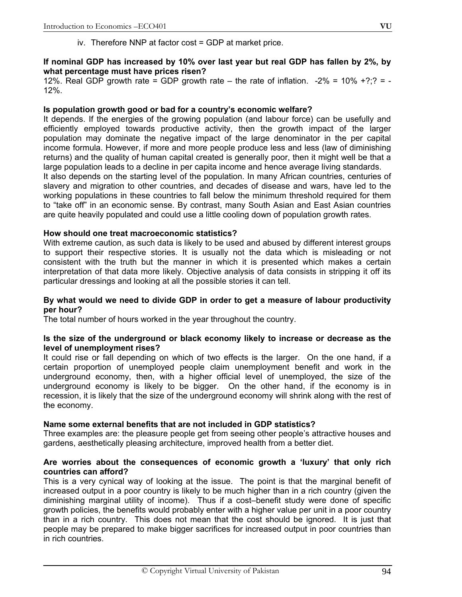#### **If nominal GDP has increased by 10% over last year but real GDP has fallen by 2%, by what percentage must have prices risen?**

12%. Real GDP growth rate = GDP growth rate – the rate of inflation.  $-2\% = 10\% + ?$ ;  $= -1$ 12%.

#### **Is population growth good or bad for a country's economic welfare?**

It depends. If the energies of the growing population (and labour force) can be usefully and efficiently employed towards productive activity, then the growth impact of the larger population may dominate the negative impact of the large denominator in the per capital income formula. However, if more and more people produce less and less (law of diminishing returns) and the quality of human capital created is generally poor, then it might well be that a large population leads to a decline in per capita income and hence average living standards. It also depends on the starting level of the population. In many African countries, centuries of slavery and migration to other countries, and decades of disease and wars, have led to the working populations in these countries to fall below the minimum threshold required for them to "take off" in an economic sense. By contrast, many South Asian and East Asian countries are quite heavily populated and could use a little cooling down of population growth rates.

#### **How should one treat macroeconomic statistics?**

With extreme caution, as such data is likely to be used and abused by different interest groups to support their respective stories. It is usually not the data which is misleading or not consistent with the truth but the manner in which it is presented which makes a certain interpretation of that data more likely. Objective analysis of data consists in stripping it off its particular dressings and looking at all the possible stories it can tell.

#### **By what would we need to divide GDP in order to get a measure of labour productivity per hour?**

The total number of hours worked in the year throughout the country.

#### **Is the size of the underground or black economy likely to increase or decrease as the level of unemployment rises?**

It could rise or fall depending on which of two effects is the larger. On the one hand, if a certain proportion of unemployed people claim unemployment benefit and work in the underground economy, then, with a higher official level of unemployed, the size of the underground economy is likely to be bigger. On the other hand, if the economy is in recession, it is likely that the size of the underground economy will shrink along with the rest of the economy.

#### **Name some external benefits that are not included in GDP statistics?**

Three examples are: the pleasure people get from seeing other people's attractive houses and gardens, aesthetically pleasing architecture, improved health from a better diet.

#### **Are worries about the consequences of economic growth a 'luxury' that only rich countries can afford?**

This is a very cynical way of looking at the issue. The point is that the marginal benefit of increased output in a poor country is likely to be much higher than in a rich country (given the diminishing marginal utility of income). Thus if a cost–benefit study were done of specific growth policies, the benefits would probably enter with a higher value per unit in a poor country than in a rich country. This does not mean that the cost should be ignored. It is just that people may be prepared to make bigger sacrifices for increased output in poor countries than in rich countries.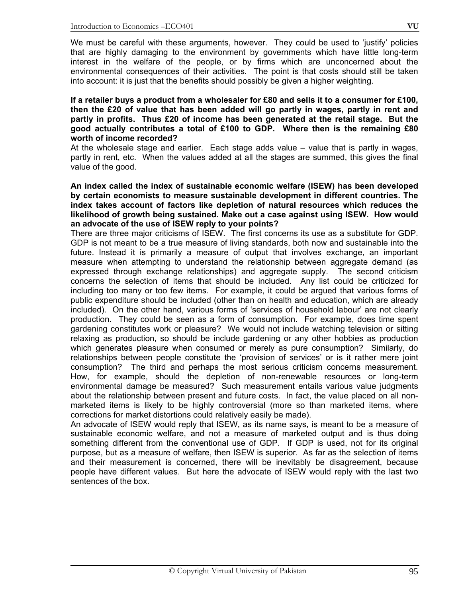We must be careful with these arguments, however. They could be used to 'justify' policies that are highly damaging to the environment by governments which have little long-term interest in the welfare of the people, or by firms which are unconcerned about the environmental consequences of their activities. The point is that costs should still be taken into account: it is just that the benefits should possibly be given a higher weighting.

**If a retailer buys a product from a wholesaler for £80 and sells it to a consumer for £100, then the £20 of value that has been added will go partly in wages, partly in rent and partly in profits. Thus £20 of income has been generated at the retail stage. But the good actually contributes a total of £100 to GDP. Where then is the remaining £80 worth of income recorded?** 

At the wholesale stage and earlier. Each stage adds value – value that is partly in wages, partly in rent, etc. When the values added at all the stages are summed, this gives the final value of the good.

**An index called the index of sustainable economic welfare (ISEW) has been developed by certain economists to measure sustainable development in different countries. The index takes account of factors like depletion of natural resources which reduces the likelihood of growth being sustained. Make out a case against using ISEW. How would an advocate of the use of ISEW reply to your points?** 

There are three major criticisms of ISEW. The first concerns its use as a substitute for GDP. GDP is not meant to be a true measure of living standards, both now and sustainable into the future. Instead it is primarily a measure of output that involves exchange, an important measure when attempting to understand the relationship between aggregate demand (as expressed through exchange relationships) and aggregate supply. The second criticism concerns the selection of items that should be included. Any list could be criticized for including too many or too few items. For example, it could be argued that various forms of public expenditure should be included (other than on health and education, which are already included). On the other hand, various forms of 'services of household labour' are not clearly production. They could be seen as a form of consumption. For example, does time spent gardening constitutes work or pleasure? We would not include watching television or sitting relaxing as production, so should be include gardening or any other hobbies as production which generates pleasure when consumed or merely as pure consumption? Similarly, do relationships between people constitute the 'provision of services' or is it rather mere joint consumption? The third and perhaps the most serious criticism concerns measurement. How, for example, should the depletion of non-renewable resources or long-term environmental damage be measured? Such measurement entails various value judgments about the relationship between present and future costs. In fact, the value placed on all nonmarketed items is likely to be highly controversial (more so than marketed items, where corrections for market distortions could relatively easily be made).

An advocate of ISEW would reply that ISEW, as its name says, is meant to be a measure of sustainable economic welfare, and not a measure of marketed output and is thus doing something different from the conventional use of GDP. If GDP is used, not for its original purpose, but as a measure of welfare, then ISEW is superior. As far as the selection of items and their measurement is concerned, there will be inevitably be disagreement, because people have different values. But here the advocate of ISEW would reply with the last two sentences of the box.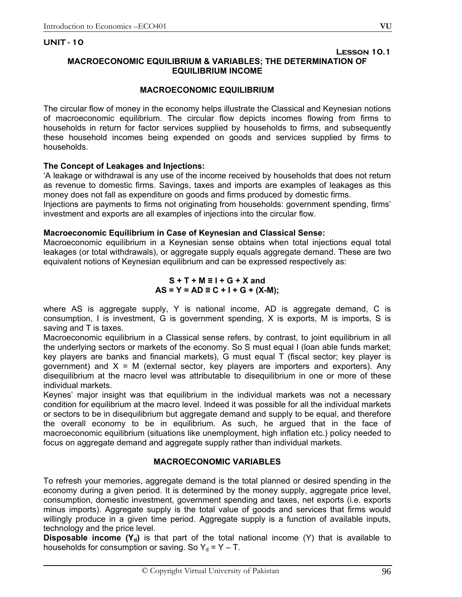#### **UNIT - 10**

#### **Lesson 10.1**

#### **MACROECONOMIC EQUILIBRIUM & VARIABLES; THE DETERMINATION OF EQUILIBRIUM INCOME**

#### **MACROECONOMIC EQUILIBRIUM**

The circular flow of money in the economy helps illustrate the Classical and Keynesian notions of macroeconomic equilibrium. The circular flow depicts incomes flowing from firms to households in return for factor services supplied by households to firms, and subsequently these household incomes being expended on goods and services supplied by firms to households.

#### **The Concept of Leakages and Injections:**

'A leakage or withdrawal is any use of the income received by households that does not return as revenue to domestic firms. Savings, taxes and imports are examples of leakages as this money does not fall as expenditure on goods and firms produced by domestic firms.

Injections are payments to firms not originating from households: government spending, firms' investment and exports are all examples of injections into the circular flow.

#### **Macroeconomic Equilibrium in Case of Keynesian and Classical Sense:**

Macroeconomic equilibrium in a Keynesian sense obtains when total injections equal total leakages (or total withdrawals), or aggregate supply equals aggregate demand. These are two equivalent notions of Keynesian equilibrium and can be expressed respectively as:

## **S + T + M ≡ I + G + X and AS = Y = AD ≡ C + I + G + (X-M);**

where AS is aggregate supply, Y is national income, AD is aggregate demand, C is consumption, I is investment, G is government spending, X is exports, M is imports, S is saving and T is taxes.

Macroeconomic equilibrium in a Classical sense refers, by contrast, to joint equilibrium in all the underlying sectors or markets of the economy. So S must equal I (loan able funds market; key players are banks and financial markets), G must equal T (fiscal sector; key player is government) and  $X = M$  (external sector, key players are importers and exporters). Any disequilibrium at the macro level was attributable to disequilibrium in one or more of these individual markets.

Keynes' major insight was that equilibrium in the individual markets was not a necessary condition for equilibrium at the macro level. Indeed it was possible for all the individual markets or sectors to be in disequilibrium but aggregate demand and supply to be equal, and therefore the overall economy to be in equilibrium. As such, he argued that in the face of macroeconomic equilibrium (situations like unemployment, high inflation etc.) policy needed to focus on aggregate demand and aggregate supply rather than individual markets.

#### **MACROECONOMIC VARIABLES**

To refresh your memories, aggregate demand is the total planned or desired spending in the economy during a given period. It is determined by the money supply, aggregate price level, consumption, domestic investment, government spending and taxes, net exports (i.e. exports minus imports). Aggregate supply is the total value of goods and services that firms would willingly produce in a given time period. Aggregate supply is a function of available inputs, technology and the price level.

**Disposable income**  $(Y_d)$  is that part of the total national income  $(Y)$  that is available to households for consumption or saving. So  $Y_d = Y - T$ .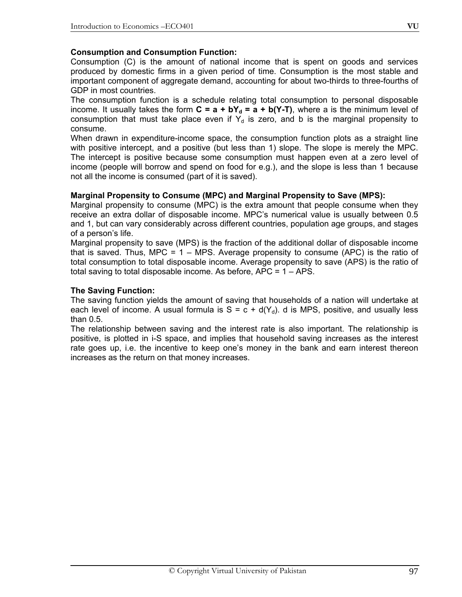# **Consumption and Consumption Function:**

Consumption (C) is the amount of national income that is spent on goods and services produced by domestic firms in a given period of time. Consumption is the most stable and important component of aggregate demand, accounting for about two-thirds to three-fourths of GDP in most countries.

The consumption function is a schedule relating total consumption to personal disposable income. It usually takes the form  $C = a + bY_d = a + b(Y-T)$ , where a is the minimum level of consumption that must take place even if  $Y_d$  is zero, and b is the marginal propensity to consume.

When drawn in expenditure-income space, the consumption function plots as a straight line with positive intercept, and a positive (but less than 1) slope. The slope is merely the MPC. The intercept is positive because some consumption must happen even at a zero level of income (people will borrow and spend on food for e.g.), and the slope is less than 1 because not all the income is consumed (part of it is saved).

# **Marginal Propensity to Consume (MPC) and Marginal Propensity to Save (MPS):**

Marginal propensity to consume (MPC) is the extra amount that people consume when they receive an extra dollar of disposable income. MPC's numerical value is usually between 0.5 and 1, but can vary considerably across different countries, population age groups, and stages of a person's life.

Marginal propensity to save (MPS) is the fraction of the additional dollar of disposable income that is saved. Thus, MPC =  $1 -$  MPS. Average propensity to consume (APC) is the ratio of total consumption to total disposable income. Average propensity to save (APS) is the ratio of total saving to total disposable income. As before, APC = 1 – APS.

# **The Saving Function:**

The saving function yields the amount of saving that households of a nation will undertake at each level of income. A usual formula is  $S = c + d(Y_d)$ . d is MPS, positive, and usually less than 0.5.

The relationship between saving and the interest rate is also important. The relationship is positive, is plotted in i-S space, and implies that household saving increases as the interest rate goes up, i.e. the incentive to keep one's money in the bank and earn interest thereon increases as the return on that money increases.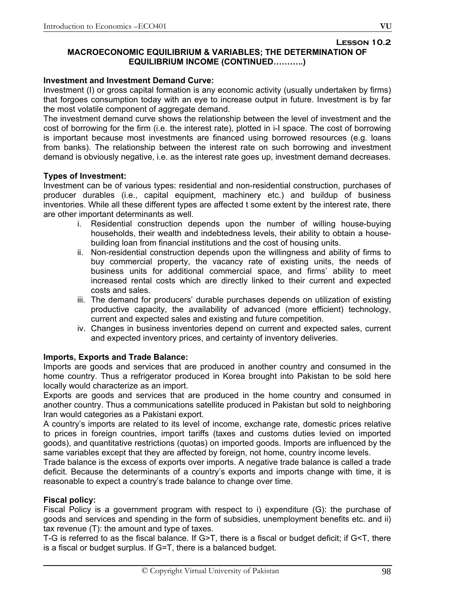# **Lesson 10.2**

# **MACROECONOMIC EQUILIBRIUM & VARIABLES; THE DETERMINATION OF EQUILIBRIUM INCOME (CONTINUED………..)**

# **Investment and Investment Demand Curve:**

Investment (I) or gross capital formation is any economic activity (usually undertaken by firms) that forgoes consumption today with an eye to increase output in future. Investment is by far the most volatile component of aggregate demand.

The investment demand curve shows the relationship between the level of investment and the cost of borrowing for the firm (i.e. the interest rate), plotted in i-I space. The cost of borrowing is important because most investments are financed using borrowed resources (e.g. loans from banks). The relationship between the interest rate on such borrowing and investment demand is obviously negative, i.e. as the interest rate goes up, investment demand decreases.

# **Types of Investment:**

Investment can be of various types: residential and non-residential construction, purchases of producer durables (i.e., capital equipment, machinery etc.) and buildup of business inventories. While all these different types are affected t some extent by the interest rate, there are other important determinants as well.

- i. Residential construction depends upon the number of willing house-buying households, their wealth and indebtedness levels, their ability to obtain a housebuilding loan from financial institutions and the cost of housing units.
- ii. Non-residential construction depends upon the willingness and ability of firms to buy commercial property, the vacancy rate of existing units, the needs of business units for additional commercial space, and firms' ability to meet increased rental costs which are directly linked to their current and expected costs and sales.
- iii. The demand for producers' durable purchases depends on utilization of existing productive capacity, the availability of advanced (more efficient) technology, current and expected sales and existing and future competition.
- iv. Changes in business inventories depend on current and expected sales, current and expected inventory prices, and certainty of inventory deliveries.

# **Imports, Exports and Trade Balance:**

Imports are goods and services that are produced in another country and consumed in the home country. Thus a refrigerator produced in Korea brought into Pakistan to be sold here locally would characterize as an import.

Exports are goods and services that are produced in the home country and consumed in another country. Thus a communications satellite produced in Pakistan but sold to neighboring Iran would categories as a Pakistani export.

A country's imports are related to its level of income, exchange rate, domestic prices relative to prices in foreign countries, import tariffs (taxes and customs duties levied on imported goods), and quantitative restrictions (quotas) on imported goods. Imports are influenced by the same variables except that they are affected by foreign, not home, country income levels.

Trade balance is the excess of exports over imports. A negative trade balance is called a trade deficit. Because the determinants of a country's exports and imports change with time, it is reasonable to expect a country's trade balance to change over time.

# **Fiscal policy:**

Fiscal Policy is a government program with respect to i) expenditure (G): the purchase of goods and services and spending in the form of subsidies, unemployment benefits etc. and ii) tax revenue (T): the amount and type of taxes.

T-G is referred to as the fiscal balance. If G>T, there is a fiscal or budget deficit; if G<T, there is a fiscal or budget surplus. If G=T, there is a balanced budget.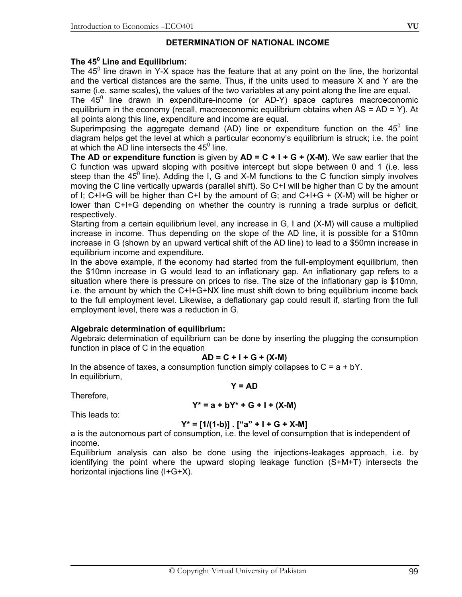## **DETERMINATION OF NATIONAL INCOME**

## **The 45<sup>0</sup> Line and Equilibrium:**

The 45<sup>0</sup> line drawn in Y-X space has the feature that at any point on the line, the horizontal and the vertical distances are the same. Thus, if the units used to measure X and Y are the same (i.e. same scales), the values of the two variables at any point along the line are equal.

The  $45^{\circ}$  line drawn in expenditure-income (or AD-Y) space captures macroeconomic equilibrium in the economy (recall, macroeconomic equilibrium obtains when  $AS = AD = Y$ ). At all points along this line, expenditure and income are equal.

Superimposing the aggregate demand (AD) line or expenditure function on the  $45^{\circ}$  line diagram helps get the level at which a particular economy's equilibrium is struck; i.e. the point at which the AD line intersects the  $45^0$  line.

**The AD or expenditure function** is given by **AD = C + I + G + (X-M)**. We saw earlier that the C function was upward sloping with positive intercept but slope between 0 and 1 (i.e. less steep than the  $45^{\circ}$  line). Adding the I, G and X-M functions to the C function simply involves moving the C line vertically upwards (parallel shift). So C+I will be higher than C by the amount of I; C+I+G will be higher than C+I by the amount of G; and C+I+G +  $(X-M)$  will be higher or lower than C+I+G depending on whether the country is running a trade surplus or deficit, respectively.

Starting from a certain equilibrium level, any increase in G, I and (X-M) will cause a multiplied increase in income. Thus depending on the slope of the AD line, it is possible for a \$10mn increase in G (shown by an upward vertical shift of the AD line) to lead to a \$50mn increase in equilibrium income and expenditure.

In the above example, if the economy had started from the full-employment equilibrium, then the \$10mn increase in G would lead to an inflationary gap. An inflationary gap refers to a situation where there is pressure on prices to rise. The size of the inflationary gap is \$10mn, i.e. the amount by which the C+I+G+NX line must shift down to bring equilibrium income back to the full employment level. Likewise, a deflationary gap could result if, starting from the full employment level, there was a reduction in G.

## **Algebraic determination of equilibrium:**

Algebraic determination of equilibrium can be done by inserting the plugging the consumption function in place of C in the equation

$$
AD = C + I + G + (X-M)
$$

In the absence of taxes, a consumption function simply collapses to  $C = a + bY$ . In equilibrium,

Therefore,

$$
Y^* = a + bY^* + G + I + (X-M)
$$

**Y = AD** 

This leads to:

#### **Y\* = [1/(1-b)] . ["a" + I + G + X-M]**

a is the autonomous part of consumption, i.e. the level of consumption that is independent of income.

Equilibrium analysis can also be done using the injections-leakages approach, i.e. by identifying the point where the upward sloping leakage function (S+M+T) intersects the horizontal injections line (I+G+X).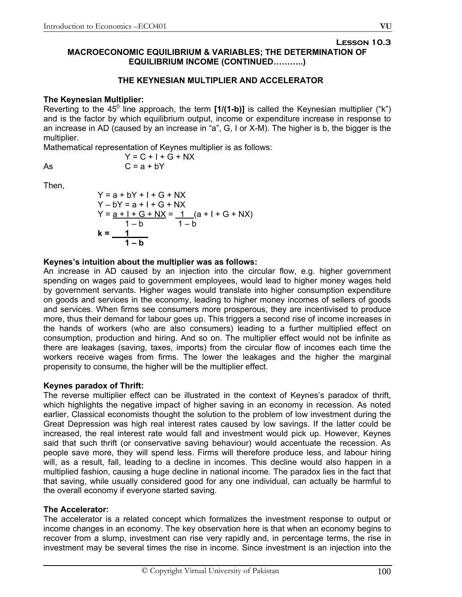# **Lesson 10.3**

## **MACROECONOMIC EQUILIBRIUM & VARIABLES; THE DETERMINATION OF EQUILIBRIUM INCOME (CONTINUED………..)**

## **THE KEYNESIAN MULTIPLIER AND ACCELERATOR**

## **The Keynesian Multiplier:**

Reverting to the 45<sup>0</sup> line approach, the term  $[1/(1-b)]$  is called the Keynesian multiplier ("k") and is the factor by which equilibrium output, income or expenditure increase in response to an increase in AD (caused by an increase in "a", G, I or X-M). The higher is b, the bigger is the multiplier.

Mathematical representation of Keynes multiplier is as follows:

$$
Y = C + I + G +
$$
  
As 
$$
C = a + bY
$$

Then,

Y = a + bY + I + G + NX Y – bY = a + I + G + NX Y = a + I + G + NX = 1 (a + I + G + NX) 1 – b 1 – b **k = 1\_\_\_\_ 1 – b** 

 $NX$ 

## **Keynes's intuition about the multiplier was as follows:**

An increase in AD caused by an injection into the circular flow, e.g. higher government spending on wages paid to government employees, would lead to higher money wages held by government servants. Higher wages would translate into higher consumption expenditure on goods and services in the economy, leading to higher money incomes of sellers of goods and services. When firms see consumers more prosperous, they are incentivised to produce more, thus their demand for labour goes up. This triggers a second rise of income increases in the hands of workers (who are also consumers) leading to a further multiplied effect on consumption, production and hiring. And so on. The multiplier effect would not be infinite as there are leakages (saving, taxes, imports) from the circular flow of incomes each time the workers receive wages from firms. The lower the leakages and the higher the marginal propensity to consume, the higher will be the multiplier effect.

## **Keynes paradox of Thrift:**

The reverse multiplier effect can be illustrated in the context of Keynes's paradox of thrift, which highlights the negative impact of higher saving in an economy in recession. As noted earlier, Classical economists thought the solution to the problem of low investment during the Great Depression was high real interest rates caused by low savings. If the latter could be increased, the real interest rate would fall and investment would pick up. However, Keynes said that such thrift (or conservative saving behaviour) would accentuate the recession. As people save more, they will spend less. Firms will therefore produce less, and labour hiring will, as a result, fall, leading to a decline in incomes. This decline would also happen in a multiplied fashion, causing a huge decline in national income. The paradox lies in the fact that that saving, while usually considered good for any one individual, can actually be harmful to the overall economy if everyone started saving.

## **The Accelerator:**

The accelerator is a related concept which formalizes the investment response to output or income changes in an economy. The key observation here is that when an economy begins to recover from a slump, investment can rise very rapidly and, in percentage terms, the rise in investment may be several times the rise in income. Since investment is an injection into the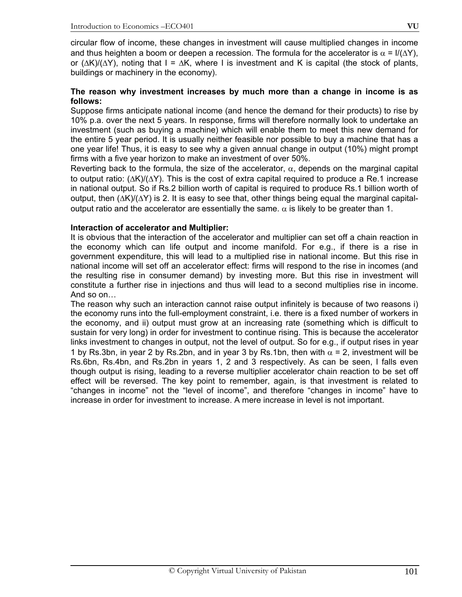circular flow of income, these changes in investment will cause multiplied changes in income and thus heighten a boom or deepen a recession. The formula for the accelerator is  $\alpha = I/(\Delta Y)$ , or ( $\Delta$ K)/( $\Delta$ Y), noting that I =  $\Delta$ K, where I is investment and K is capital (the stock of plants, buildings or machinery in the economy).

## **The reason why investment increases by much more than a change in income is as follows:**

Suppose firms anticipate national income (and hence the demand for their products) to rise by 10% p.a. over the next 5 years. In response, firms will therefore normally look to undertake an investment (such as buying a machine) which will enable them to meet this new demand for the entire 5 year period. It is usually neither feasible nor possible to buy a machine that has a one year life! Thus, it is easy to see why a given annual change in output (10%) might prompt firms with a five year horizon to make an investment of over 50%.

Reverting back to the formula, the size of the accelerator,  $\alpha$ , depends on the marginal capital to output ratio: (ΔK)/(ΔY). This is the cost of extra capital required to produce a Re.1 increase in national output. So if Rs.2 billion worth of capital is required to produce Rs.1 billion worth of output, then  $(\Delta K)/(\Delta Y)$  is 2. It is easy to see that, other things being equal the marginal capitaloutput ratio and the accelerator are essentially the same.  $\alpha$  is likely to be greater than 1.

## **Interaction of accelerator and Multiplier:**

It is obvious that the interaction of the accelerator and multiplier can set off a chain reaction in the economy which can life output and income manifold. For e.g., if there is a rise in government expenditure, this will lead to a multiplied rise in national income. But this rise in national income will set off an accelerator effect: firms will respond to the rise in incomes (and the resulting rise in consumer demand) by investing more. But this rise in investment will constitute a further rise in injections and thus will lead to a second multiplies rise in income. And so on…

The reason why such an interaction cannot raise output infinitely is because of two reasons i) the economy runs into the full-employment constraint, i.e. there is a fixed number of workers in the economy, and ii) output must grow at an increasing rate (something which is difficult to sustain for very long) in order for investment to continue rising. This is because the accelerator links investment to changes in output, not the level of output. So for e.g., if output rises in year 1 by Rs.3bn, in year 2 by Rs.2bn, and in year 3 by Rs.1bn, then with  $\alpha$  = 2, investment will be Rs.6bn, Rs.4bn, and Rs.2bn in years 1, 2 and 3 respectively. As can be seen, I falls even though output is rising, leading to a reverse multiplier accelerator chain reaction to be set off effect will be reversed. The key point to remember, again, is that investment is related to "changes in income" not the "level of income", and therefore "changes in income" have to increase in order for investment to increase. A mere increase in level is not important.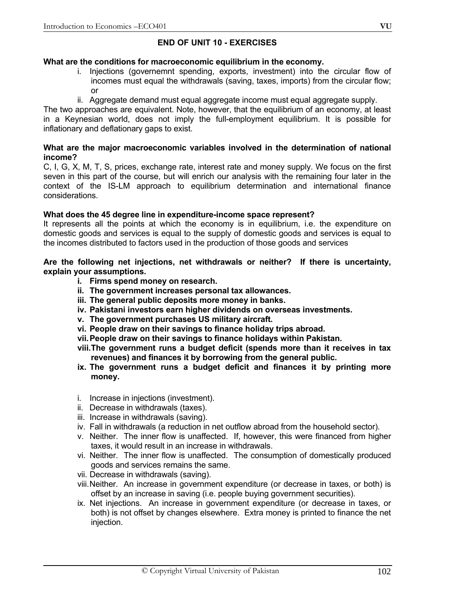## **END OF UNIT 10 - EXERCISES**

#### **What are the conditions for macroeconomic equilibrium in the economy.**

- i. Injections (governemnt spending, exports, investment) into the circular flow of incomes must equal the withdrawals (saving, taxes, imports) from the circular flow; or
- ii. Aggregate demand must equal aggregate income must equal aggregate supply.

The two approaches are equivalent. Note, however, that the equilibrium of an economy, at least in a Keynesian world, does not imply the full-employment equilibrium. It is possible for inflationary and deflationary gaps to exist.

#### **What are the major macroeconomic variables involved in the determination of national income?**

C, I, G, X, M, T, S, prices, exchange rate, interest rate and money supply. We focus on the first seven in this part of the course, but will enrich our analysis with the remaining four later in the context of the IS-LM approach to equilibrium determination and international finance considerations.

#### **What does the 45 degree line in expenditure-income space represent?**

It represents all the points at which the economy is in equilibrium, i.e. the expenditure on domestic goods and services is equal to the supply of domestic goods and services is equal to the incomes distributed to factors used in the production of those goods and services

#### **Are the following net injections, net withdrawals or neither? If there is uncertainty, explain your assumptions.**

- **i. Firms spend money on research.**
- **ii. The government increases personal tax allowances.**
- **iii. The general public deposits more money in banks.**
- **iv. Pakistani investors earn higher dividends on overseas investments.**
- **v. The government purchases US military aircraft.**
- **vi. People draw on their savings to finance holiday trips abroad.**
- **vii. People draw on their savings to finance holidays within Pakistan.**
- **viii. The government runs a budget deficit (spends more than it receives in tax revenues) and finances it by borrowing from the general public.**
- **ix. The government runs a budget deficit and finances it by printing more money.**
- i. Increase in injections (investment).
- ii. Decrease in withdrawals (taxes).
- iii. Increase in withdrawals (saving).
- iv. Fall in withdrawals (a reduction in net outflow abroad from the household sector).
- v. Neither. The inner flow is unaffected. If, however, this were financed from higher taxes, it would result in an increase in withdrawals.
- vi. Neither. The inner flow is unaffected. The consumption of domestically produced goods and services remains the same.
- vii. Decrease in withdrawals (saving).
- viii. Neither. An increase in government expenditure (or decrease in taxes, or both) is offset by an increase in saving (i.e. people buying government securities).
- ix. Net injections. An increase in government expenditure (or decrease in taxes, or both) is not offset by changes elsewhere. Extra money is printed to finance the net injection.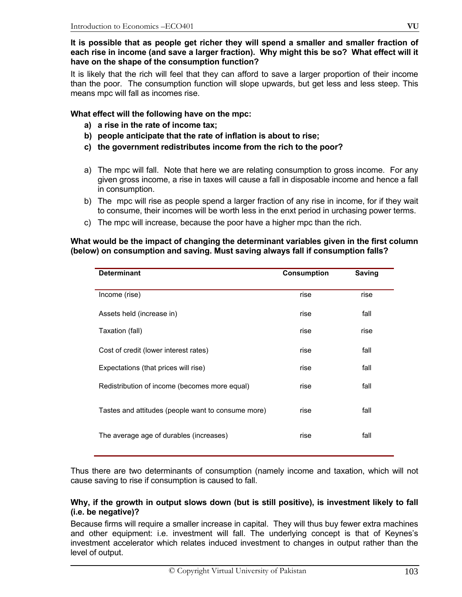## **It is possible that as people get richer they will spend a smaller and smaller fraction of each rise in income (and save a larger fraction). Why might this be so? What effect will it have on the shape of the consumption function?**

It is likely that the rich will feel that they can afford to save a larger proportion of their income than the poor. The consumption function will slope upwards, but get less and less steep. This means mpc will fall as incomes rise.

## **What effect will the following have on the mpc:**

- **a) a rise in the rate of income tax;**
- **b) people anticipate that the rate of inflation is about to rise;**
- **c) the government redistributes income from the rich to the poor?**
- a) The mpc will fall. Note that here we are relating consumption to gross income. For any given gross income, a rise in taxes will cause a fall in disposable income and hence a fall in consumption.
- b) The mpc will rise as people spend a larger fraction of any rise in income, for if they wait to consume, their incomes will be worth less in the enxt period in urchasing power terms.
- c) The mpc will increase, because the poor have a higher mpc than the rich.

## **What would be the impact of changing the determinant variables given in the first column (below) on consumption and saving. Must saving always fall if consumption falls?**

| <b>Determinant</b>                                 | <b>Consumption</b> | <b>Saving</b> |
|----------------------------------------------------|--------------------|---------------|
| Income (rise)                                      | rise               | rise          |
| Assets held (increase in)                          | rise               | fall          |
| Taxation (fall)                                    | rise               | rise          |
| Cost of credit (lower interest rates)              | rise               | fall          |
| Expectations (that prices will rise)               | rise               | fall          |
| Redistribution of income (becomes more equal)      | rise               | fall          |
| Tastes and attitudes (people want to consume more) | rise               | fall          |
| The average age of durables (increases)            | rise               | fall          |
|                                                    |                    |               |

Thus there are two determinants of consumption (namely income and taxation, which will not cause saving to rise if consumption is caused to fall.

## **Why, if the growth in output slows down (but is still positive), is investment likely to fall (i.e. be negative)?**

Because firms will require a smaller increase in capital. They will thus buy fewer extra machines and other equipment: i.e. investment will fall. The underlying concept is that of Keynes's investment accelerator which relates induced investment to changes in output rather than the level of output.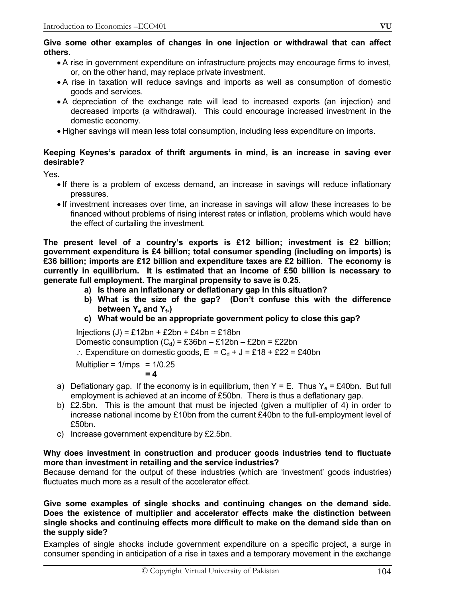## **Give some other examples of changes in one injection or withdrawal that can affect others.**

- A rise in government expenditure on infrastructure projects may encourage firms to invest, or, on the other hand, may replace private investment.
- A rise in taxation will reduce savings and imports as well as consumption of domestic goods and services.
- A depreciation of the exchange rate will lead to increased exports (an injection) and decreased imports (a withdrawal). This could encourage increased investment in the domestic economy.
- Higher savings will mean less total consumption, including less expenditure on imports.

## **Keeping Keynes's paradox of thrift arguments in mind, is an increase in saving ever desirable?**

Yes.

- If there is a problem of excess demand, an increase in savings will reduce inflationary pressures.
- If investment increases over time, an increase in savings will allow these increases to be financed without problems of rising interest rates or inflation, problems which would have the effect of curtailing the investment.

**The present level of a country's exports is £12 billion; investment is £2 billion; government expenditure is £4 billion; total consumer spending (including on imports) is £36 billion; imports are £12 billion and expenditure taxes are £2 billion. The economy is currently in equilibrium. It is estimated that an income of £50 billion is necessary to generate full employment. The marginal propensity to save is 0.25.** 

- **a) Is there an inflationary or deflationary gap in this situation?**
- **b) What is the size of the gap? (Don't confuse this with the difference**  between Y<sub>e</sub> and Y<sub>f</sub>.)
- **c) What would be an appropriate government policy to close this gap?**

Injections  $(J) = £12bn + £2bn + £4bn = £18bn$ 

Domestic consumption  $(C_d)$  = £36bn – £12bn – £2bn = £22bn

∴ Expenditure on domestic goods,  $E = C_d + J = \text{\textsterling}18 + \text{\textsterling}22 = \text{\textsterling}40$ bn

Multiplier =  $1/mps = 1/0.25$  $= 4$ 

- a) Deflationary gap. If the economy is in equilibrium, then  $Y = E$ . Thus  $Y_e = \text{\textsterling}40$ bn. But full employment is achieved at an income of £50bn. There is thus a deflationary gap.
- b) £2.5bn. This is the amount that must be injected (given a multiplier of 4) in order to increase national income by £10bn from the current £40bn to the full-employment level of £50bn.
- c) Increase government expenditure by £2.5bn.

## **Why does investment in construction and producer goods industries tend to fluctuate more than investment in retailing and the service industries?**

Because demand for the output of these industries (which are 'investment' goods industries) fluctuates much more as a result of the accelerator effect.

#### **Give some examples of single shocks and continuing changes on the demand side. Does the existence of multiplier and accelerator effects make the distinction between single shocks and continuing effects more difficult to make on the demand side than on the supply side?**

Examples of single shocks include government expenditure on a specific project, a surge in consumer spending in anticipation of a rise in taxes and a temporary movement in the exchange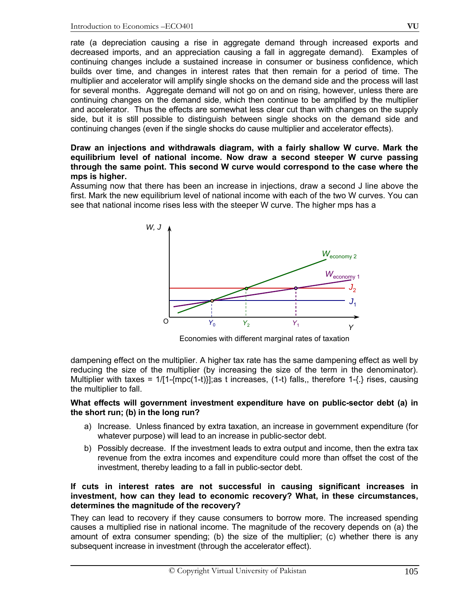rate (a depreciation causing a rise in aggregate demand through increased exports and decreased imports, and an appreciation causing a fall in aggregate demand). Examples of continuing changes include a sustained increase in consumer or business confidence, which builds over time, and changes in interest rates that then remain for a period of time. The multiplier and accelerator will amplify single shocks on the demand side and the process will last for several months. Aggregate demand will not go on and on rising, however, unless there are continuing changes on the demand side, which then continue to be amplified by the multiplier and accelerator. Thus the effects are somewhat less clear cut than with changes on the supply side, but it is still possible to distinguish between single shocks on the demand side and continuing changes (even if the single shocks do cause multiplier and accelerator effects).

**Draw an injections and withdrawals diagram, with a fairly shallow W curve. Mark the equilibrium level of national income. Now draw a second steeper W curve passing through the same point. This second W curve would correspond to the case where the mps is higher.**

Assuming now that there has been an increase in injections, draw a second J line above the first. Mark the new equilibrium level of national income with each of the two W curves. You can see that national income rises less with the steeper W curve. The higher mps has a



Economies with different marginal rates of taxation

dampening effect on the multiplier. A higher tax rate has the same dampening effect as well by reducing the size of the multiplier (by increasing the size of the term in the denominator). Multiplier with taxes = 1/[1-{mpc(1-t)}];as t increases, (1-t) falls,, therefore 1-{.} rises, causing the multiplier to fall.

## **What effects will government investment expenditure have on public-sector debt (a) in the short run; (b) in the long run?**

- a) Increase. Unless financed by extra taxation, an increase in government expenditure (for whatever purpose) will lead to an increase in public-sector debt.
- b) Possibly decrease. If the investment leads to extra output and income, then the extra tax revenue from the extra incomes and expenditure could more than offset the cost of the investment, thereby leading to a fall in public-sector debt.

### **If cuts in interest rates are not successful in causing significant increases in investment, how can they lead to economic recovery? What, in these circumstances, determines the magnitude of the recovery?**

They can lead to recovery if they cause consumers to borrow more. The increased spending causes a multiplied rise in national income. The magnitude of the recovery depends on (a) the amount of extra consumer spending; (b) the size of the multiplier; (c) whether there is any subsequent increase in investment (through the accelerator effect).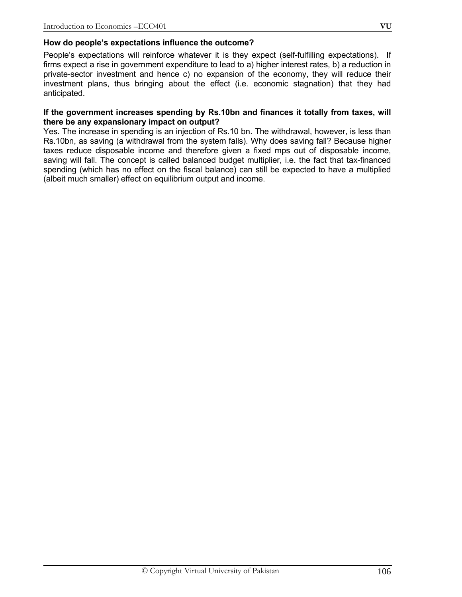#### **How do people's expectations influence the outcome?**

People's expectations will reinforce whatever it is they expect (self-fulfilling expectations). If firms expect a rise in government expenditure to lead to a) higher interest rates, b) a reduction in private-sector investment and hence c) no expansion of the economy, they will reduce their investment plans, thus bringing about the effect (i.e. economic stagnation) that they had anticipated.

#### **If the government increases spending by Rs.10bn and finances it totally from taxes, will there be any expansionary impact on output?**

Yes. The increase in spending is an injection of Rs.10 bn. The withdrawal, however, is less than Rs.10bn, as saving (a withdrawal from the system falls). Why does saving fall? Because higher taxes reduce disposable income and therefore given a fixed mps out of disposable income, saving will fall. The concept is called balanced budget multiplier, i.e. the fact that tax-financed spending (which has no effect on the fiscal balance) can still be expected to have a multiplied (albeit much smaller) effect on equilibrium output and income.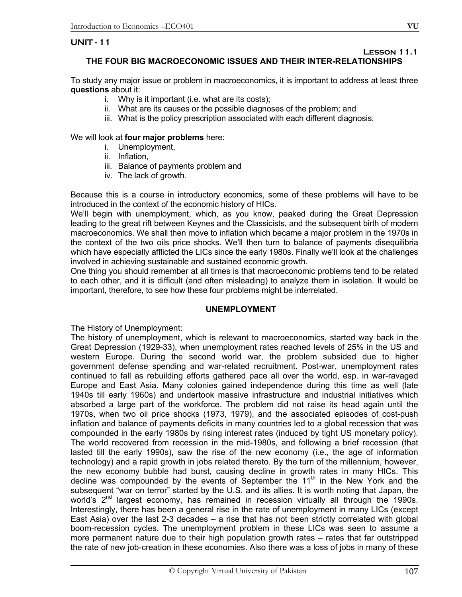#### **UNIT - 11**

**Lesson 11.1** 

# **THE FOUR BIG MACROECONOMIC ISSUES AND THEIR INTER-RELATIONSHIPS**

To study any major issue or problem in macroeconomics, it is important to address at least three **questions** about it:

- i. Why is it important (i.e. what are its costs);
- ii. What are its causes or the possible diagnoses of the problem; and
- iii. What is the policy prescription associated with each different diagnosis.

#### We will look at **four major problems** here:

- i. Unemployment,
- ii. Inflation,
- iii. Balance of payments problem and
- iv. The lack of growth.

Because this is a course in introductory economics, some of these problems will have to be introduced in the context of the economic history of HICs.

We'll begin with unemployment, which, as you know, peaked during the Great Depression leading to the great rift between Keynes and the Classicists, and the subsequent birth of modern macroeconomics. We shall then move to inflation which became a major problem in the 1970s in the context of the two oils price shocks. We'll then turn to balance of payments disequilibria which have especially afflicted the LICs since the early 1980s. Finally we'll look at the challenges involved in achieving sustainable and sustained economic growth.

One thing you should remember at all times is that macroeconomic problems tend to be related to each other, and it is difficult (and often misleading) to analyze them in isolation. It would be important, therefore, to see how these four problems might be interrelated.

## **UNEMPLOYMENT**

The History of Unemployment:

The history of unemployment, which is relevant to macroeconomics, started way back in the Great Depression (1929-33), when unemployment rates reached levels of 25% in the US and western Europe. During the second world war, the problem subsided due to higher government defense spending and war-related recruitment. Post-war, unemployment rates continued to fall as rebuilding efforts gathered pace all over the world, esp. in war-ravaged Europe and East Asia. Many colonies gained independence during this time as well (late 1940s till early 1960s) and undertook massive infrastructure and industrial initiatives which absorbed a large part of the workforce. The problem did not raise its head again until the 1970s, when two oil price shocks (1973, 1979), and the associated episodes of cost-push inflation and balance of payments deficits in many countries led to a global recession that was compounded in the early 1980s by rising interest rates (induced by tight US monetary policy). The world recovered from recession in the mid-1980s, and following a brief recession (that lasted till the early 1990s), saw the rise of the new economy (i.e., the age of information technology) and a rapid growth in jobs related thereto. By the turn of the millennium, however, the new economy bubble had burst, causing decline in growth rates in many HICs. This decline was compounded by the events of September the  $11<sup>th</sup>$  in the New York and the subsequent "war on terror" started by the U.S. and its allies. It is worth noting that Japan, the world's  $2^{nd}$  largest economy, has remained in recession virtually all through the 1990s. Interestingly, there has been a general rise in the rate of unemployment in many LICs (except East Asia) over the last 2-3 decades  $-$  a rise that has not been strictly correlated with global boom-recession cycles. The unemployment problem in these LICs was seen to assume a more permanent nature due to their high population growth rates – rates that far outstripped the rate of new job-creation in these economies. Also there was a loss of jobs in many of these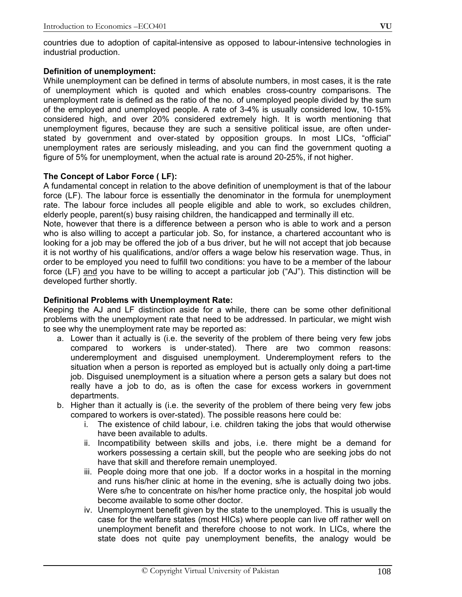countries due to adoption of capital-intensive as opposed to labour-intensive technologies in industrial production.

# **Definition of unemployment:**

While unemployment can be defined in terms of absolute numbers, in most cases, it is the rate of unemployment which is quoted and which enables cross-country comparisons. The unemployment rate is defined as the ratio of the no. of unemployed people divided by the sum of the employed and unemployed people. A rate of 3-4% is usually considered low, 10-15% considered high, and over 20% considered extremely high. It is worth mentioning that unemployment figures, because they are such a sensitive political issue, are often understated by government and over-stated by opposition groups. In most LICs, "official" unemployment rates are seriously misleading, and you can find the government quoting a figure of 5% for unemployment, when the actual rate is around 20-25%, if not higher.

# **The Concept of Labor Force ( LF):**

A fundamental concept in relation to the above definition of unemployment is that of the labour force (LF). The labour force is essentially the denominator in the formula for unemployment rate. The labour force includes all people eligible and able to work, so excludes children, elderly people, parent(s) busy raising children, the handicapped and terminally ill etc.

Note, however that there is a difference between a person who is able to work and a person who is also willing to accept a particular job. So, for instance, a chartered accountant who is looking for a job may be offered the job of a bus driver, but he will not accept that job because it is not worthy of his qualifications, and/or offers a wage below his reservation wage. Thus, in order to be employed you need to fulfill two conditions: you have to be a member of the labour force (LF) and you have to be willing to accept a particular job ("AJ"). This distinction will be developed further shortly.

# **Definitional Problems with Unemployment Rate:**

Keeping the AJ and LF distinction aside for a while, there can be some other definitional problems with the unemployment rate that need to be addressed. In particular, we might wish to see why the unemployment rate may be reported as:

- a. Lower than it actually is (i.e. the severity of the problem of there being very few jobs compared to workers is under-stated). There are two common reasons: underemployment and disguised unemployment. Underemployment refers to the situation when a person is reported as employed but is actually only doing a part-time job. Disguised unemployment is a situation where a person gets a salary but does not really have a job to do, as is often the case for excess workers in government departments.
- b. Higher than it actually is (i.e. the severity of the problem of there being very few jobs compared to workers is over-stated). The possible reasons here could be:
	- i. The existence of child labour, i.e. children taking the jobs that would otherwise have been available to adults.
	- ii. Incompatibility between skills and jobs, i.e. there might be a demand for workers possessing a certain skill, but the people who are seeking jobs do not have that skill and therefore remain unemployed.
	- iii. People doing more that one job. If a doctor works in a hospital in the morning and runs his/her clinic at home in the evening, s/he is actually doing two jobs. Were s/he to concentrate on his/her home practice only, the hospital job would become available to some other doctor.
	- iv. Unemployment benefit given by the state to the unemployed. This is usually the case for the welfare states (most HICs) where people can live off rather well on unemployment benefit and therefore choose to not work. In LICs, where the state does not quite pay unemployment benefits, the analogy would be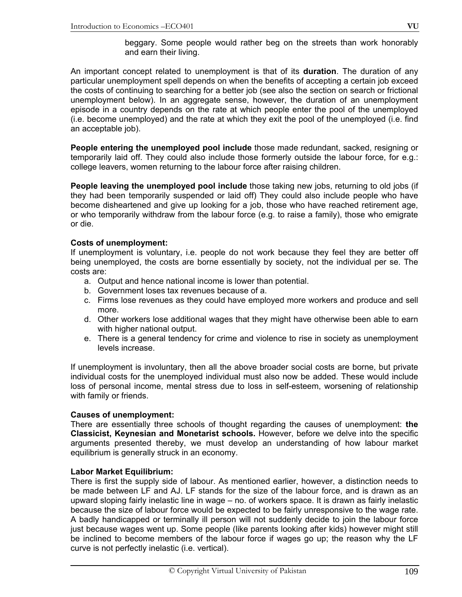An important concept related to unemployment is that of its **duration**. The duration of any particular unemployment spell depends on when the benefits of accepting a certain job exceed the costs of continuing to searching for a better job (see also the section on search or frictional unemployment below). In an aggregate sense, however, the duration of an unemployment episode in a country depends on the rate at which people enter the pool of the unemployed (i.e. become unemployed) and the rate at which they exit the pool of the unemployed (i.e. find an acceptable job).

**People entering the unemployed pool include** those made redundant, sacked, resigning or temporarily laid off. They could also include those formerly outside the labour force, for e.g.: college leavers, women returning to the labour force after raising children.

**People leaving the unemployed pool include** those taking new jobs, returning to old jobs (if they had been temporarily suspended or laid off) They could also include people who have become disheartened and give up looking for a job, those who have reached retirement age, or who temporarily withdraw from the labour force (e.g. to raise a family), those who emigrate or die.

# **Costs of unemployment:**

If unemployment is voluntary, i.e. people do not work because they feel they are better off being unemployed, the costs are borne essentially by society, not the individual per se. The costs are:

- a. Output and hence national income is lower than potential.
- b. Government loses tax revenues because of a.
- c. Firms lose revenues as they could have employed more workers and produce and sell more.
- d. Other workers lose additional wages that they might have otherwise been able to earn with higher national output.
- e. There is a general tendency for crime and violence to rise in society as unemployment levels increase.

If unemployment is involuntary, then all the above broader social costs are borne, but private individual costs for the unemployed individual must also now be added. These would include loss of personal income, mental stress due to loss in self-esteem, worsening of relationship with family or friends.

# **Causes of unemployment:**

There are essentially three schools of thought regarding the causes of unemployment: **the Classicist, Keynesian and Monetarist schools.** However, before we delve into the specific arguments presented thereby, we must develop an understanding of how labour market equilibrium is generally struck in an economy.

# **Labor Market Equilibrium:**

There is first the supply side of labour. As mentioned earlier, however, a distinction needs to be made between LF and AJ. LF stands for the size of the labour force, and is drawn as an upward sloping fairly inelastic line in wage – no. of workers space. It is drawn as fairly inelastic because the size of labour force would be expected to be fairly unresponsive to the wage rate. A badly handicapped or terminally ill person will not suddenly decide to join the labour force just because wages went up. Some people (like parents looking after kids) however might still be inclined to become members of the labour force if wages go up; the reason why the LF curve is not perfectly inelastic (i.e. vertical).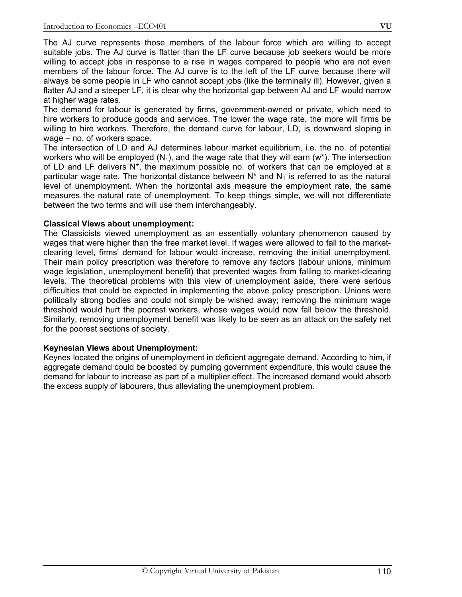The AJ curve represents those members of the labour force which are willing to accept suitable jobs. The AJ curve is flatter than the LF curve because job seekers would be more willing to accept jobs in response to a rise in wages compared to people who are not even members of the labour force. The AJ curve is to the left of the LF curve because there will always be some people in LF who cannot accept jobs (like the terminally ill). However, given a flatter AJ and a steeper LF, it is clear why the horizontal gap between AJ and LF would narrow at higher wage rates.

The demand for labour is generated by firms, government-owned or private, which need to hire workers to produce goods and services. The lower the wage rate, the more will firms be willing to hire workers. Therefore, the demand curve for labour, LD, is downward sloping in wage – no. of workers space.

The intersection of LD and AJ determines labour market equilibrium, i.e. the no. of potential workers who will be employed  $(N_1)$ , and the wage rate that they will earn  $(w^*)$ . The intersection of LD and LF delivers N\*, the maximum possible no. of workers that can be employed at a particular wage rate. The horizontal distance between  $N^*$  and  $N_1$  is referred to as the natural level of unemployment. When the horizontal axis measure the employment rate, the same measures the natural rate of unemployment. To keep things simple, we will not differentiate between the two terms and will use them interchangeably.

# **Classical Views about unemployment:**

The Classicists viewed unemployment as an essentially voluntary phenomenon caused by wages that were higher than the free market level. If wages were allowed to fall to the marketclearing level, firms' demand for labour would increase, removing the initial unemployment. Their main policy prescription was therefore to remove any factors (labour unions, minimum wage legislation, unemployment benefit) that prevented wages from falling to market-clearing levels. The theoretical problems with this view of unemployment aside, there were serious difficulties that could be expected in implementing the above policy prescription. Unions were politically strong bodies and could not simply be wished away; removing the minimum wage threshold would hurt the poorest workers, whose wages would now fall below the threshold. Similarly, removing unemployment benefit was likely to be seen as an attack on the safety net for the poorest sections of society.

# **Keynesian Views about Unemployment:**

Keynes located the origins of unemployment in deficient aggregate demand. According to him, if aggregate demand could be boosted by pumping government expenditure, this would cause the demand for labour to increase as part of a multiplier effect. The increased demand would absorb the excess supply of labourers, thus alleviating the unemployment problem.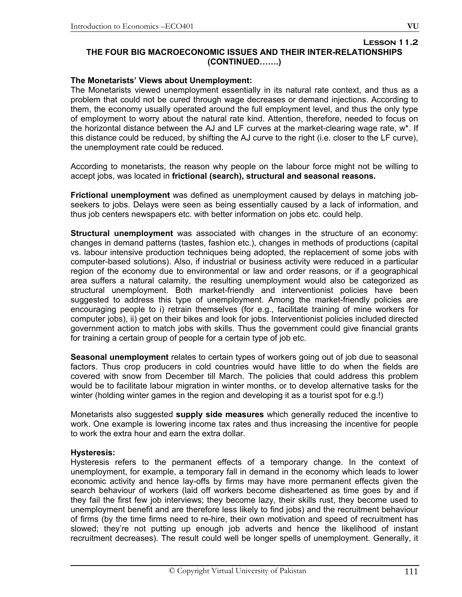# **Lesson 11.2**

# **THE FOUR BIG MACROECONOMIC ISSUES AND THEIR INTER-RELATIONSHIPS (CONTINUED…….)**

# **The Monetarists' Views about Unemployment:**

The Monetarists viewed unemployment essentially in its natural rate context, and thus as a problem that could not be cured through wage decreases or demand injections. According to them, the economy usually operated around the full employment level, and thus the only type of employment to worry about the natural rate kind. Attention, therefore, needed to focus on the horizontal distance between the AJ and LF curves at the market-clearing wage rate, w\*. If this distance could be reduced, by shifting the AJ curve to the right (i.e. closer to the LF curve), the unemployment rate could be reduced.

According to monetarists, the reason why people on the labour force might not be willing to accept jobs, was located in **frictional (search), structural and seasonal reasons.**

**Frictional unemployment** was defined as unemployment caused by delays in matching jobseekers to jobs. Delays were seen as being essentially caused by a lack of information, and thus job centers newspapers etc. with better information on jobs etc. could help.

**Structural unemployment** was associated with changes in the structure of an economy: changes in demand patterns (tastes, fashion etc.), changes in methods of productions (capital vs. labour intensive production techniques being adopted, the replacement of some jobs with computer-based solutions). Also, if industrial or business activity were reduced in a particular region of the economy due to environmental or law and order reasons, or if a geographical area suffers a natural calamity, the resulting unemployment would also be categorized as structural unemployment. Both market-friendly and interventionist policies have been suggested to address this type of unemployment. Among the market-friendly policies are encouraging people to i) retrain themselves (for e.g., facilitate training of mine workers for computer jobs), ii) get on their bikes and look for jobs. Interventionist policies included directed government action to match jobs with skills. Thus the government could give financial grants for training a certain group of people for a certain type of job etc.

**Seasonal unemployment** relates to certain types of workers going out of job due to seasonal factors. Thus crop producers in cold countries would have little to do when the fields are covered with snow from December till March. The policies that could address this problem would be to facilitate labour migration in winter months, or to develop alternative tasks for the winter (holding winter games in the region and developing it as a tourist spot for e.g.!)

Monetarists also suggested **supply side measures** which generally reduced the incentive to work. One example is lowering income tax rates and thus increasing the incentive for people to work the extra hour and earn the extra dollar.

# **Hysteresis:**

Hysteresis refers to the permanent effects of a temporary change. In the context of unemployment, for example, a temporary fall in demand in the economy which leads to lower economic activity and hence lay-offs by firms may have more permanent effects given the search behaviour of workers (laid off workers become disheartened as time goes by and if they fail the first few job interviews; they become lazy, their skills rust, they become used to unemployment benefit and are therefore less likely to find jobs) and the recruitment behaviour of firms (by the time firms need to re-hire, their own motivation and speed of recruitment has slowed; they're not putting up enough job adverts and hence the likelihood of instant recruitment decreases). The result could well be longer spells of unemployment. Generally, it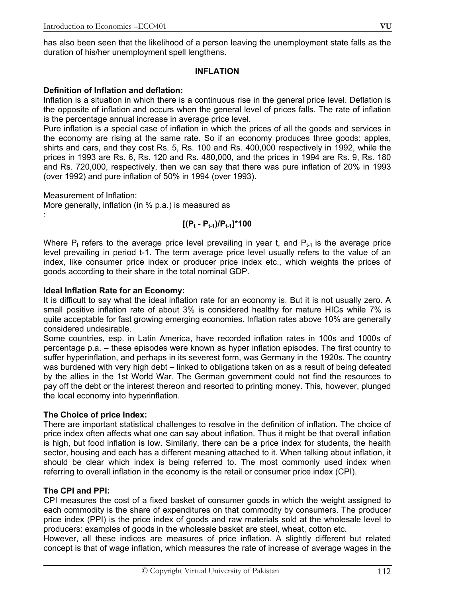has also been seen that the likelihood of a person leaving the unemployment state falls as the duration of his/her unemployment spell lengthens.

#### **INFLATION**

#### **Definition of Inflation and deflation:**

Inflation is a situation in which there is a continuous rise in the general price level. Deflation is the opposite of inflation and occurs when the general level of prices falls. The rate of inflation is the percentage annual increase in average price level.

Pure inflation is a special case of inflation in which the prices of all the goods and services in the economy are rising at the same rate. So if an economy produces three goods: apples, shirts and cars, and they cost Rs. 5, Rs. 100 and Rs. 400,000 respectively in 1992, while the prices in 1993 are Rs. 6, Rs. 120 and Rs. 480,000, and the prices in 1994 are Rs. 9, Rs. 180 and Rs. 720,000, respectively, then we can say that there was pure inflation of 20% in 1993 (over 1992) and pure inflation of 50% in 1994 (over 1993).

Measurement of Inflation:

:

More generally, inflation (in % p.a.) is measured as

# $[(P_t - P_{t-1})/P_{t-1}]^*$ 100

Where  $P_t$  refers to the average price level prevailing in year t, and  $P_{t-1}$  is the average price level prevailing in period t-1. The term average price level usually refers to the value of an index, like consumer price index or producer price index etc., which weights the prices of goods according to their share in the total nominal GDP.

#### **Ideal Inflation Rate for an Economy:**

It is difficult to say what the ideal inflation rate for an economy is. But it is not usually zero. A small positive inflation rate of about 3% is considered healthy for mature HICs while 7% is quite acceptable for fast growing emerging economies. Inflation rates above 10% are generally considered undesirable.

Some countries, esp. in Latin America, have recorded inflation rates in 100s and 1000s of percentage p.a. – these episodes were known as hyper inflation episodes. The first country to suffer hyperinflation, and perhaps in its severest form, was Germany in the 1920s. The country was burdened with very high debt – linked to obligations taken on as a result of being defeated by the allies in the 1st World War. The German government could not find the resources to pay off the debt or the interest thereon and resorted to printing money. This, however, plunged the local economy into hyperinflation.

# **The Choice of price Index:**

There are important statistical challenges to resolve in the definition of inflation. The choice of price index often affects what one can say about inflation. Thus it might be that overall inflation is high, but food inflation is low. Similarly, there can be a price index for students, the health sector, housing and each has a different meaning attached to it. When talking about inflation, it should be clear which index is being referred to. The most commonly used index when referring to overall inflation in the economy is the retail or consumer price index (CPI).

# **The CPI and PPI:**

CPI measures the cost of a fixed basket of consumer goods in which the weight assigned to each commodity is the share of expenditures on that commodity by consumers. The producer price index (PPI) is the price index of goods and raw materials sold at the wholesale level to producers: examples of goods in the wholesale basket are steel, wheat, cotton etc.

However, all these indices are measures of price inflation. A slightly different but related concept is that of wage inflation, which measures the rate of increase of average wages in the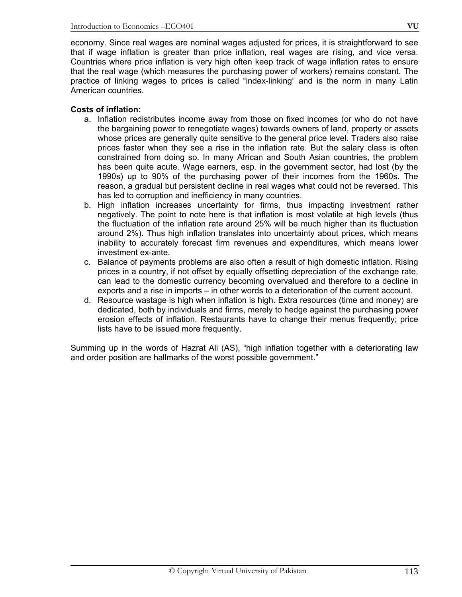economy. Since real wages are nominal wages adjusted for prices, it is straightforward to see that if wage inflation is greater than price inflation, real wages are rising, and vice versa. Countries where price inflation is very high often keep track of wage inflation rates to ensure that the real wage (which measures the purchasing power of workers) remains constant. The practice of linking wages to prices is called "index-linking" and is the norm in many Latin American countries.

# **Costs of inflation:**

- a. Inflation redistributes income away from those on fixed incomes (or who do not have the bargaining power to renegotiate wages) towards owners of land, property or assets whose prices are generally quite sensitive to the general price level. Traders also raise prices faster when they see a rise in the inflation rate. But the salary class is often constrained from doing so. In many African and South Asian countries, the problem has been quite acute. Wage earners, esp. in the government sector, had lost (by the 1990s) up to 90% of the purchasing power of their incomes from the 1960s. The reason, a gradual but persistent decline in real wages what could not be reversed. This has led to corruption and inefficiency in many countries.
- b. High inflation increases uncertainty for firms, thus impacting investment rather negatively. The point to note here is that inflation is most volatile at high levels (thus the fluctuation of the inflation rate around 25% will be much higher than its fluctuation around 2%). Thus high inflation translates into uncertainty about prices, which means inability to accurately forecast firm revenues and expenditures, which means lower investment ex-ante.
- c. Balance of payments problems are also often a result of high domestic inflation. Rising prices in a country, if not offset by equally offsetting depreciation of the exchange rate, can lead to the domestic currency becoming overvalued and therefore to a decline in exports and a rise in imports – in other words to a deterioration of the current account.
- d. Resource wastage is high when inflation is high. Extra resources (time and money) are dedicated, both by individuals and firms, merely to hedge against the purchasing power erosion effects of inflation. Restaurants have to change their menus frequently; price lists have to be issued more frequently.

Summing up in the words of Hazrat Ali (AS), "high inflation together with a deteriorating law and order position are hallmarks of the worst possible government."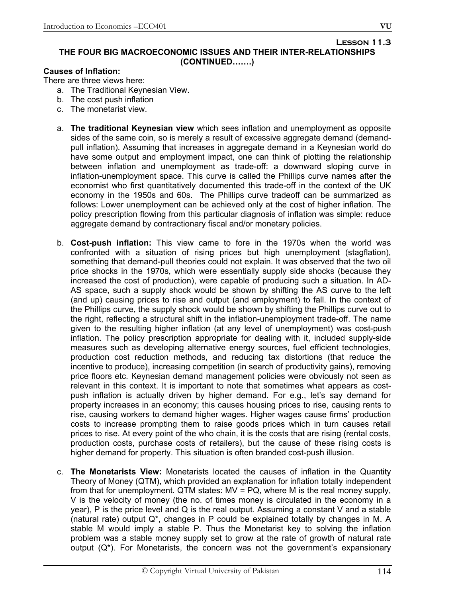#### **Lesson 11.3 THE FOUR BIG MACROECONOMIC ISSUES AND THEIR INTER-RELATIONSHIPS (CONTINUED…….)**

# **Causes of Inflation:**

There are three views here:

- a. The Traditional Keynesian View.
- b. The cost push inflation
- c. The monetarist view.
- a. **The traditional Keynesian view** which sees inflation and unemployment as opposite sides of the same coin, so is merely a result of excessive aggregate demand (demandpull inflation). Assuming that increases in aggregate demand in a Keynesian world do have some output and employment impact, one can think of plotting the relationship between inflation and unemployment as trade-off: a downward sloping curve in inflation-unemployment space. This curve is called the Phillips curve names after the economist who first quantitatively documented this trade-off in the context of the UK economy in the 1950s and 60s. The Phillips curve tradeoff can be summarized as follows: Lower unemployment can be achieved only at the cost of higher inflation. The policy prescription flowing from this particular diagnosis of inflation was simple: reduce aggregate demand by contractionary fiscal and/or monetary policies.
- b. **Cost-push inflation:** This view came to fore in the 1970s when the world was confronted with a situation of rising prices but high unemployment (stagflation), something that demand-pull theories could not explain. It was observed that the two oil price shocks in the 1970s, which were essentially supply side shocks (because they increased the cost of production), were capable of producing such a situation. In AD-AS space, such a supply shock would be shown by shifting the AS curve to the left (and up) causing prices to rise and output (and employment) to fall. In the context of the Phillips curve, the supply shock would be shown by shifting the Phillips curve out to the right, reflecting a structural shift in the inflation-unemployment trade-off. The name given to the resulting higher inflation (at any level of unemployment) was cost-push inflation. The policy prescription appropriate for dealing with it, included supply-side measures such as developing alternative energy sources, fuel efficient technologies, production cost reduction methods, and reducing tax distortions (that reduce the incentive to produce), increasing competition (in search of productivity gains), removing price floors etc. Keynesian demand management policies were obviously not seen as relevant in this context. It is important to note that sometimes what appears as costpush inflation is actually driven by higher demand. For e.g., let's say demand for property increases in an economy; this causes housing prices to rise, causing rents to rise, causing workers to demand higher wages. Higher wages cause firms' production costs to increase prompting them to raise goods prices which in turn causes retail prices to rise. At every point of the who chain, it is the costs that are rising (rental costs, production costs, purchase costs of retailers), but the cause of these rising costs is higher demand for property. This situation is often branded cost-push illusion.
- c. **The Monetarists View:** Monetarists located the causes of inflation in the Quantity Theory of Money (QTM), which provided an explanation for inflation totally independent from that for unemployment. QTM states: MV = PQ, where M is the real money supply, V is the velocity of money (the no. of times money is circulated in the economy in a year), P is the price level and Q is the real output. Assuming a constant V and a stable (natural rate) output Q\*, changes in P could be explained totally by changes in M. A stable M would imply a stable P. Thus the Monetarist key to solving the inflation problem was a stable money supply set to grow at the rate of growth of natural rate output  $(Q^*)$ . For Monetarists, the concern was not the government's expansionary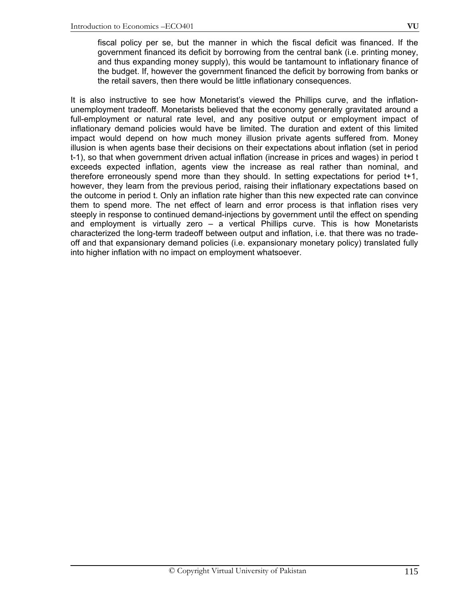fiscal policy per se, but the manner in which the fiscal deficit was financed. If the government financed its deficit by borrowing from the central bank (i.e. printing money, and thus expanding money supply), this would be tantamount to inflationary finance of the budget. If, however the government financed the deficit by borrowing from banks or the retail savers, then there would be little inflationary consequences.

It is also instructive to see how Monetarist's viewed the Phillips curve, and the inflationunemployment tradeoff. Monetarists believed that the economy generally gravitated around a full-employment or natural rate level, and any positive output or employment impact of inflationary demand policies would have be limited. The duration and extent of this limited impact would depend on how much money illusion private agents suffered from. Money illusion is when agents base their decisions on their expectations about inflation (set in period t-1), so that when government driven actual inflation (increase in prices and wages) in period t exceeds expected inflation, agents view the increase as real rather than nominal, and therefore erroneously spend more than they should. In setting expectations for period t+1, however, they learn from the previous period, raising their inflationary expectations based on the outcome in period t. Only an inflation rate higher than this new expected rate can convince them to spend more. The net effect of learn and error process is that inflation rises very steeply in response to continued demand-injections by government until the effect on spending and employment is virtually zero  $-$  a vertical Phillips curve. This is how Monetarists characterized the long-term tradeoff between output and inflation, i.e. that there was no tradeoff and that expansionary demand policies (i.e. expansionary monetary policy) translated fully into higher inflation with no impact on employment whatsoever.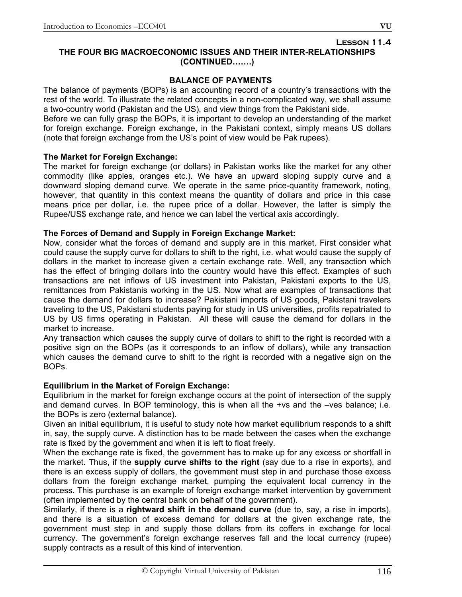#### **Lesson 11.4 THE FOUR BIG MACROECONOMIC ISSUES AND THEIR INTER-RELATIONSHIPS (CONTINUED…….)**

# **BALANCE OF PAYMENTS**

The balance of payments (BOPs) is an accounting record of a country's transactions with the rest of the world. To illustrate the related concepts in a non-complicated way, we shall assume a two-country world (Pakistan and the US), and view things from the Pakistani side.

Before we can fully grasp the BOPs, it is important to develop an understanding of the market for foreign exchange. Foreign exchange, in the Pakistani context, simply means US dollars (note that foreign exchange from the US's point of view would be Pak rupees).

# **The Market for Foreign Exchange:**

The market for foreign exchange (or dollars) in Pakistan works like the market for any other commodity (like apples, oranges etc.). We have an upward sloping supply curve and a downward sloping demand curve. We operate in the same price-quantity framework, noting, however, that quantity in this context means the quantity of dollars and price in this case means price per dollar, i.e. the rupee price of a dollar. However, the latter is simply the Rupee/US\$ exchange rate, and hence we can label the vertical axis accordingly.

# **The Forces of Demand and Supply in Foreign Exchange Market:**

Now, consider what the forces of demand and supply are in this market. First consider what could cause the supply curve for dollars to shift to the right, i.e. what would cause the supply of dollars in the market to increase given a certain exchange rate. Well, any transaction which has the effect of bringing dollars into the country would have this effect. Examples of such transactions are net inflows of US investment into Pakistan, Pakistani exports to the US, remittances from Pakistanis working in the US. Now what are examples of transactions that cause the demand for dollars to increase? Pakistani imports of US goods, Pakistani travelers traveling to the US, Pakistani students paying for study in US universities, profits repatriated to US by US firms operating in Pakistan. All these will cause the demand for dollars in the market to increase.

Any transaction which causes the supply curve of dollars to shift to the right is recorded with a positive sign on the BOPs (as it corresponds to an inflow of dollars), while any transaction which causes the demand curve to shift to the right is recorded with a negative sign on the BOPs.

# **Equilibrium in the Market of Foreign Exchange:**

Equilibrium in the market for foreign exchange occurs at the point of intersection of the supply and demand curves. In BOP terminology, this is when all the +vs and the –ves balance; i.e. the BOPs is zero (external balance).

Given an initial equilibrium, it is useful to study note how market equilibrium responds to a shift in, say, the supply curve. A distinction has to be made between the cases when the exchange rate is fixed by the government and when it is left to float freely.

When the exchange rate is fixed, the government has to make up for any excess or shortfall in the market. Thus, if the **supply curve shifts to the right** (say due to a rise in exports), and there is an excess supply of dollars, the government must step in and purchase those excess dollars from the foreign exchange market, pumping the equivalent local currency in the process. This purchase is an example of foreign exchange market intervention by government (often implemented by the central bank on behalf of the government).

Similarly, if there is a **rightward shift in the demand curve** (due to, say, a rise in imports), and there is a situation of excess demand for dollars at the given exchange rate, the government must step in and supply those dollars from its coffers in exchange for local currency. The government's foreign exchange reserves fall and the local currency (rupee) supply contracts as a result of this kind of intervention.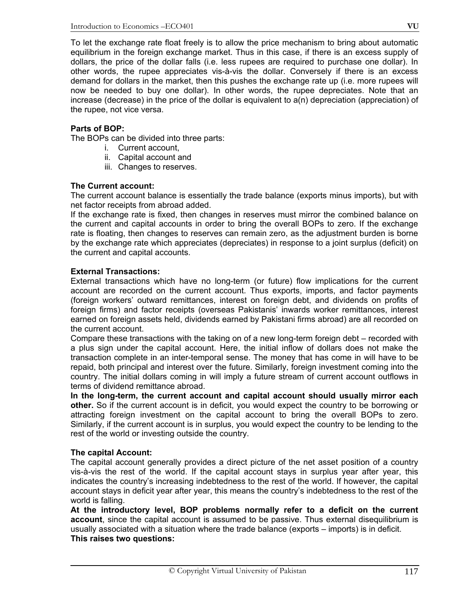To let the exchange rate float freely is to allow the price mechanism to bring about automatic equilibrium in the foreign exchange market. Thus in this case, if there is an excess supply of dollars, the price of the dollar falls (i.e. less rupees are required to purchase one dollar). In other words, the rupee appreciates vis-à-vis the dollar. Conversely if there is an excess demand for dollars in the market, then this pushes the exchange rate up (i.e. more rupees will now be needed to buy one dollar). In other words, the rupee depreciates. Note that an increase (decrease) in the price of the dollar is equivalent to  $a(n)$  depreciation (appreciation) of the rupee, not vice versa.

# **Parts of BOP:**

The BOPs can be divided into three parts:

- i. Current account,
- ii. Capital account and
- iii. Changes to reserves.

# **The Current account:**

The current account balance is essentially the trade balance (exports minus imports), but with net factor receipts from abroad added.

If the exchange rate is fixed, then changes in reserves must mirror the combined balance on the current and capital accounts in order to bring the overall BOPs to zero. If the exchange rate is floating, then changes to reserves can remain zero, as the adjustment burden is borne by the exchange rate which appreciates (depreciates) in response to a joint surplus (deficit) on the current and capital accounts.

# **External Transactions:**

External transactions which have no long-term (or future) flow implications for the current account are recorded on the current account. Thus exports, imports, and factor payments (foreign workers' outward remittances, interest on foreign debt, and dividends on profits of foreign firms) and factor receipts (overseas Pakistanis' inwards worker remittances, interest earned on foreign assets held, dividends earned by Pakistani firms abroad) are all recorded on the current account.

Compare these transactions with the taking on of a new long-term foreign debt – recorded with a plus sign under the capital account. Here, the initial inflow of dollars does not make the transaction complete in an inter-temporal sense. The money that has come in will have to be repaid, both principal and interest over the future. Similarly, foreign investment coming into the country. The initial dollars coming in will imply a future stream of current account outflows in terms of dividend remittance abroad.

**In the long-term, the current account and capital account should usually mirror each other.** So if the current account is in deficit, you would expect the country to be borrowing or attracting foreign investment on the capital account to bring the overall BOPs to zero. Similarly, if the current account is in surplus, you would expect the country to be lending to the rest of the world or investing outside the country.

# **The capital Account:**

The capital account generally provides a direct picture of the net asset position of a country vis-à-vis the rest of the world. If the capital account stays in surplus year after year, this indicates the country's increasing indebtedness to the rest of the world. If however, the capital account stays in deficit year after year, this means the country's indebtedness to the rest of the world is falling.

**At the introductory level, BOP problems normally refer to a deficit on the current account**, since the capital account is assumed to be passive. Thus external disequilibrium is usually associated with a situation where the trade balance (exports – imports) is in deficit. **This raises two questions:**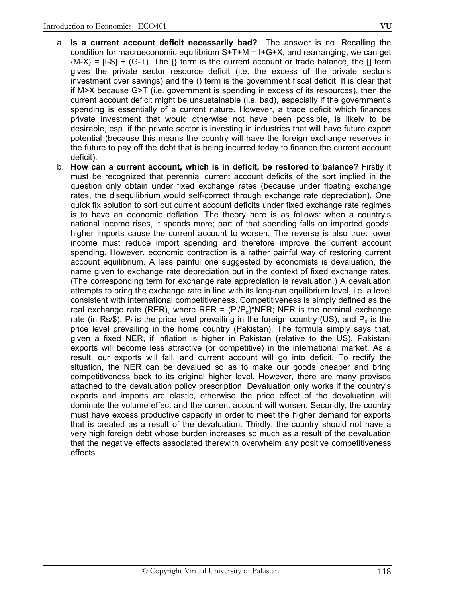- a. **Is a current account deficit necessarily bad?** The answer is no. Recalling the condition for macroeconomic equilibrium  $S+T+M = I+G+X$ , and rearranging, we can get  ${M-X} = [I-S] + (G-T)$ . The  ${}$  term is the current account or trade balance, the [] term gives the private sector resource deficit (i.e. the excess of the private sector's investment over savings) and the () term is the government fiscal deficit. It is clear that if M>X because G>T (i.e. government is spending in excess of its resources), then the current account deficit might be unsustainable (i.e. bad), especially if the government's spending is essentially of a current nature. However, a trade deficit which finances private investment that would otherwise not have been possible, is likely to be desirable, esp. if the private sector is investing in industries that will have future export potential (because this means the country will have the foreign exchange reserves in the future to pay off the debt that is being incurred today to finance the current account deficit).
- b. **How can a current account, which is in deficit, be restored to balance?** Firstly it must be recognized that perennial current account deficits of the sort implied in the question only obtain under fixed exchange rates (because under floating exchange rates, the disequilibrium would self-correct through exchange rate depreciation). One quick fix solution to sort out current account deficits under fixed exchange rate regimes is to have an economic deflation. The theory here is as follows: when a country's national income rises, it spends more; part of that spending falls on imported goods; higher imports cause the current account to worsen. The reverse is also true: lower income must reduce import spending and therefore improve the current account spending. However, economic contraction is a rather painful way of restoring current account equilibrium. A less painful one suggested by economists is devaluation, the name given to exchange rate depreciation but in the context of fixed exchange rates. (The corresponding term for exchange rate appreciation is revaluation.) A devaluation attempts to bring the exchange rate in line with its long-run equilibrium level, i.e. a level consistent with international competitiveness. Competitiveness is simply defined as the real exchange rate (RER), where RER =  $(P_f/P_d)^*NER$ ; NER is the nominal exchange rate (in Rs/\$),  $P_f$  is the price level prevailing in the foreign country (US), and  $P_d$  is the price level prevailing in the home country (Pakistan). The formula simply says that, given a fixed NER, if inflation is higher in Pakistan (relative to the US), Pakistani exports will become less attractive (or competitive) in the international market. As a result, our exports will fall, and current account will go into deficit. To rectify the situation, the NER can be devalued so as to make our goods cheaper and bring competitiveness back to its original higher level. However, there are many provisos attached to the devaluation policy prescription. Devaluation only works if the country's exports and imports are elastic, otherwise the price effect of the devaluation will dominate the volume effect and the current account will worsen. Secondly, the country must have excess productive capacity in order to meet the higher demand for exports that is created as a result of the devaluation. Thirdly, the country should not have a very high foreign debt whose burden increases so much as a result of the devaluation that the negative effects associated therewith overwhelm any positive competitiveness effects.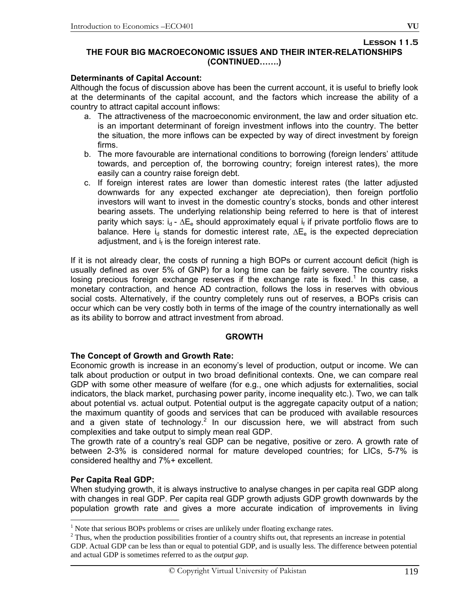# **Lesson 11.5**

# **THE FOUR BIG MACROECONOMIC ISSUES AND THEIR INTER-RELATIONSHIPS (CONTINUED…….)**

# **Determinants of Capital Account:**

Although the focus of discussion above has been the current account, it is useful to briefly look at the determinants of the capital account, and the factors which increase the ability of a country to attract capital account inflows:

- a. The attractiveness of the macroeconomic environment, the law and order situation etc. is an important determinant of foreign investment inflows into the country. The better the situation, the more inflows can be expected by way of direct investment by foreign firms.
- b. The more favourable are international conditions to borrowing (foreign lenders' attitude towards, and perception of, the borrowing country; foreign interest rates), the more easily can a country raise foreign debt.
- c. If foreign interest rates are lower than domestic interest rates (the latter adjusted downwards for any expected exchanger ate depreciation), then foreign portfolio investors will want to invest in the domestic country's stocks, bonds and other interest bearing assets. The underlying relationship being referred to here is that of interest parity which says:  $i_d - \Delta E_e$  should approximately equal  $i_f$  if private portfolio flows are to balance. Here  $i_d$  stands for domestic interest rate,  $\Delta E_e$  is the expected depreciation adjustment, and  $i_f$  is the foreign interest rate.

If it is not already clear, the costs of running a high BOPs or current account deficit (high is usually defined as over 5% of GNP) for a long time can be fairly severe. The country risks losing precious foreign exchange reserves if the exchange rate is fixed.<sup>1</sup> In this case, a monetary contraction, and hence AD contraction, follows the loss in reserves with obvious social costs. Alternatively, if the country completely runs out of reserves, a BOPs crisis can occur which can be very costly both in terms of the image of the country internationally as well as its ability to borrow and attract investment from abroad.

# **GROWTH**

# **The Concept of Growth and Growth Rate:**

Economic growth is increase in an economy's level of production, output or income. We can talk about production or output in two broad definitional contexts. One, we can compare real GDP with some other measure of welfare (for e.g., one which adjusts for externalities, social indicators, the black market, purchasing power parity, income inequality etc.). Two, we can talk about potential vs. actual output. Potential output is the aggregate capacity output of a nation; the maximum quantity of goods and services that can be produced with available resources and a given state of technology.<sup>2</sup> In our discussion here, we will abstract from such complexities and take output to simply mean real GDP.

The growth rate of a country's real GDP can be negative, positive or zero. A growth rate of between 2-3% is considered normal for mature developed countries; for LICs, 5-7% is considered healthy and 7%+ excellent.

# **Per Capita Real GDP:**

 $\overline{a}$ 

When studying growth, it is always instructive to analyse changes in per capita real GDP along with changes in real GDP. Per capita real GDP growth adjusts GDP growth downwards by the population growth rate and gives a more accurate indication of improvements in living

<sup>&</sup>lt;sup>1</sup> Note that serious BOPs problems or crises are unlikely under floating exchange rates.<br><sup>2</sup> Thus, when the production possibilities frontier of a country shifts out, that represents

 $2$  Thus, when the production possibilities frontier of a country shifts out, that represents an increase in potential GDP. Actual GDP can be less than or equal to potential GDP, and is usually less. The difference between potential and actual GDP is sometimes referred to as the *output gap*.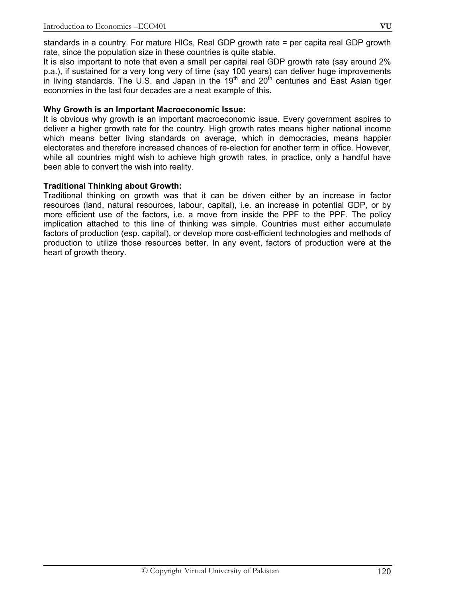standards in a country. For mature HICs, Real GDP growth rate = per capita real GDP growth rate, since the population size in these countries is quite stable.

It is also important to note that even a small per capital real GDP growth rate (say around 2% p.a.), if sustained for a very long very of time (say 100 years) can deliver huge improvements in living standards. The U.S. and Japan in the  $19<sup>th</sup>$  and  $20<sup>th</sup>$  centuries and East Asian tiger economies in the last four decades are a neat example of this.

#### **Why Growth is an Important Macroeconomic Issue:**

It is obvious why growth is an important macroeconomic issue. Every government aspires to deliver a higher growth rate for the country. High growth rates means higher national income which means better living standards on average, which in democracies, means happier electorates and therefore increased chances of re-election for another term in office. However, while all countries might wish to achieve high growth rates, in practice, only a handful have been able to convert the wish into reality.

#### **Traditional Thinking about Growth:**

Traditional thinking on growth was that it can be driven either by an increase in factor resources (land, natural resources, labour, capital), i.e. an increase in potential GDP, or by more efficient use of the factors, i.e. a move from inside the PPF to the PPF. The policy implication attached to this line of thinking was simple. Countries must either accumulate factors of production (esp. capital), or develop more cost-efficient technologies and methods of production to utilize those resources better. In any event, factors of production were at the heart of growth theory.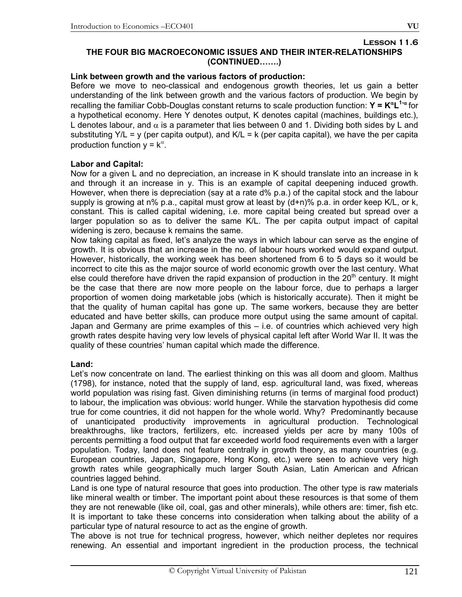# **Lesson 11.6**

# **THE FOUR BIG MACROECONOMIC ISSUES AND THEIR INTER-RELATIONSHIPS (CONTINUED…….)**

# **Link between growth and the various factors of production:**

Before we move to neo-classical and endogenous growth theories, let us gain a better understanding of the link between growth and the various factors of production. We begin by recalling the familiar Cobb-Douglas constant returns to scale production function: **Y = K**<sup>α</sup> **L1-**<sup>α</sup> for a hypothetical economy. Here Y denotes output, K denotes capital (machines, buildings etc.), L denotes labour, and  $\alpha$  is a parameter that lies between 0 and 1. Dividing both sides by L and substituting Y/L = y (per capita output), and  $K/L = k$  (per capita capital), we have the per capita production function  $y = k^{\alpha}$ .

# **Labor and Capital:**

Now for a given L and no depreciation, an increase in K should translate into an increase in k and through it an increase in y. This is an example of capital deepening induced growth. However, when there is depreciation (say at a rate d% p.a.) of the capital stock and the labour supply is growing at  $n\%$  p.a., capital must grow at least by  $(d+n)\%$  p.a. in order keep K/L, or k, constant. This is called capital widening, i.e. more capital being created but spread over a larger population so as to deliver the same K/L. The per capita output impact of capital widening is zero, because k remains the same.

Now taking capital as fixed, let's analyze the ways in which labour can serve as the engine of growth. It is obvious that an increase in the no. of labour hours worked would expand output. However, historically, the working week has been shortened from 6 to 5 days so it would be incorrect to cite this as the major source of world economic growth over the last century. What else could therefore have driven the rapid expansion of production in the  $20<sup>th</sup>$  century. It might be the case that there are now more people on the labour force, due to perhaps a larger proportion of women doing marketable jobs (which is historically accurate). Then it might be that the quality of human capital has gone up. The same workers, because they are better educated and have better skills, can produce more output using the same amount of capital. Japan and Germany are prime examples of this – i.e. of countries which achieved very high growth rates despite having very low levels of physical capital left after World War II. It was the quality of these countries' human capital which made the difference.

# **Land:**

Let's now concentrate on land. The earliest thinking on this was all doom and gloom. Malthus (1798), for instance, noted that the supply of land, esp. agricultural land, was fixed, whereas world population was rising fast. Given diminishing returns (in terms of marginal food product) to labour, the implication was obvious: world hunger. While the starvation hypothesis did come true for come countries, it did not happen for the whole world. Why? Predominantly because of unanticipated productivity improvements in agricultural production. Technological breakthroughs, like tractors, fertilizers, etc. increased yields per acre by many 100s of percents permitting a food output that far exceeded world food requirements even with a larger population. Today, land does not feature centrally in growth theory, as many countries (e.g. European countries, Japan, Singapore, Hong Kong, etc.) were seen to achieve very high growth rates while geographically much larger South Asian, Latin American and African countries lagged behind.

Land is one type of natural resource that goes into production. The other type is raw materials like mineral wealth or timber. The important point about these resources is that some of them they are not renewable (like oil, coal, gas and other minerals), while others are: timer, fish etc. It is important to take these concerns into consideration when talking about the ability of a particular type of natural resource to act as the engine of growth.

The above is not true for technical progress, however, which neither depletes nor requires renewing. An essential and important ingredient in the production process, the technical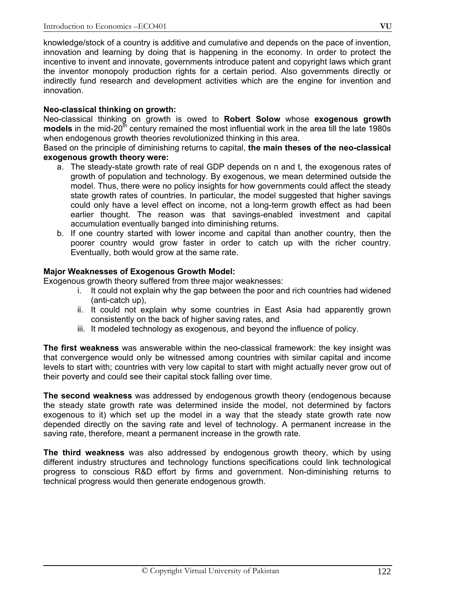knowledge/stock of a country is additive and cumulative and depends on the pace of invention, innovation and learning by doing that is happening in the economy. In order to protect the incentive to invent and innovate, governments introduce patent and copyright laws which grant the inventor monopoly production rights for a certain period. Also governments directly or indirectly fund research and development activities which are the engine for invention and innovation.

# **Neo-classical thinking on growth:**

Neo-classical thinking on growth is owed to **Robert Solow** whose **exogenous growth models** in the mid-20<sup>th</sup> century remained the most influential work in the area till the late 1980s when endogenous growth theories revolutionized thinking in this area.

Based on the principle of diminishing returns to capital, **the main theses of the neo-classical exogenous growth theory were:**

- a. The steady-state growth rate of real GDP depends on n and t, the exogenous rates of growth of population and technology. By exogenous, we mean determined outside the model. Thus, there were no policy insights for how governments could affect the steady state growth rates of countries. In particular, the model suggested that higher savings could only have a level effect on income, not a long-term growth effect as had been earlier thought. The reason was that savings-enabled investment and capital accumulation eventually banged into diminishing returns.
- b. If one country started with lower income and capital than another country, then the poorer country would grow faster in order to catch up with the richer country. Eventually, both would grow at the same rate.

# **Major Weaknesses of Exogenous Growth Model:**

Exogenous growth theory suffered from three major weaknesses:

- i. It could not explain why the gap between the poor and rich countries had widened (anti-catch up),
- ii. It could not explain why some countries in East Asia had apparently grown consistently on the back of higher saving rates, and
- iii. It modeled technology as exogenous, and beyond the influence of policy.

**The first weakness** was answerable within the neo-classical framework: the key insight was that convergence would only be witnessed among countries with similar capital and income levels to start with; countries with very low capital to start with might actually never grow out of their poverty and could see their capital stock falling over time.

**The second weakness** was addressed by endogenous growth theory (endogenous because the steady state growth rate was determined inside the model, not determined by factors exogenous to it) which set up the model in a way that the steady state growth rate now depended directly on the saving rate and level of technology. A permanent increase in the saving rate, therefore, meant a permanent increase in the growth rate.

**The third weakness** was also addressed by endogenous growth theory, which by using different industry structures and technology functions specifications could link technological progress to conscious R&D effort by firms and government. Non-diminishing returns to technical progress would then generate endogenous growth.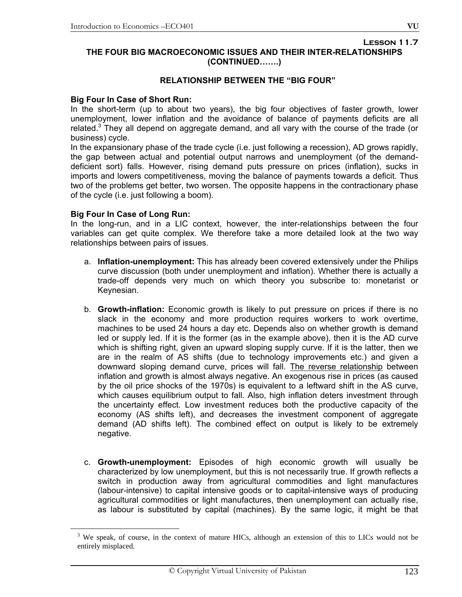# **Lesson 11.7**

# **THE FOUR BIG MACROECONOMIC ISSUES AND THEIR INTER-RELATIONSHIPS (CONTINUED…….)**

#### **RELATIONSHIP BETWEEN THE "BIG FOUR"**

#### **Big Four In Case of Short Run:**

In the short-term (up to about two years), the big four objectives of faster growth, lower unemployment, lower inflation and the avoidance of balance of payments deficits are all related.<sup>3</sup> They all depend on aggregate demand, and all vary with the course of the trade (or business) cycle.

In the expansionary phase of the trade cycle (i.e. just following a recession), AD grows rapidly, the gap between actual and potential output narrows and unemployment (of the demanddeficient sort) falls. However, rising demand puts pressure on prices (inflation), sucks in imports and lowers competitiveness, moving the balance of payments towards a deficit. Thus two of the problems get better, two worsen. The opposite happens in the contractionary phase of the cycle (i.e. just following a boom).

#### **Big Four In Case of Long Run:**

In the long-run, and in a LIC context, however, the inter-relationships between the four variables can get quite complex. We therefore take a more detailed look at the two way relationships between pairs of issues.

- a. **Inflation-unemployment:** This has already been covered extensively under the Philips curve discussion (both under unemployment and inflation). Whether there is actually a trade-off depends very much on which theory you subscribe to: monetarist or Keynesian.
- b. **Growth-inflation:** Economic growth is likely to put pressure on prices if there is no slack in the economy and more production requires workers to work overtime, machines to be used 24 hours a day etc. Depends also on whether growth is demand led or supply led. If it is the former (as in the example above), then it is the AD curve which is shifting right, given an upward sloping supply curve. If it is the latter, then we are in the realm of AS shifts (due to technology improvements etc.) and given a downward sloping demand curve, prices will fall. The reverse relationship between inflation and growth is almost always negative. An exogenous rise in prices (as caused by the oil price shocks of the 1970s) is equivalent to a leftward shift in the AS curve, which causes equilibrium output to fall. Also, high inflation deters investment through the uncertainty effect. Low investment reduces both the productive capacity of the economy (AS shifts left), and decreases the investment component of aggregate demand (AD shifts left). The combined effect on output is likely to be extremely negative.
- c. **Growth-unemployment:** Episodes of high economic growth will usually be characterized by low unemployment, but this is not necessarily true. If growth reflects a switch in production away from agricultural commodities and light manufactures (labour-intensive) to capital intensive goods or to capital-intensive ways of producing agricultural commodities or light manufactures, then unemployment can actually rise, as labour is substituted by capital (machines). By the same logic, it might be that

<sup>&</sup>lt;sup>3</sup> We speak, of course, in the context of mature HICs, although an extension of this to LICs would not be entirely misplaced.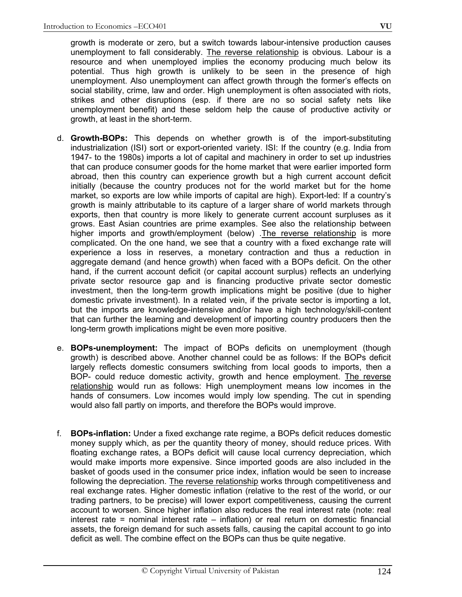growth is moderate or zero, but a switch towards labour-intensive production causes unemployment to fall considerably. The reverse relationship is obvious. Labour is a resource and when unemployed implies the economy producing much below its potential. Thus high growth is unlikely to be seen in the presence of high unemployment. Also unemployment can affect growth through the former's effects on social stability, crime, law and order. High unemployment is often associated with riots, strikes and other disruptions (esp. if there are no so social safety nets like unemployment benefit) and these seldom help the cause of productive activity or growth, at least in the short-term.

- d. **Growth-BOPs:** This depends on whether growth is of the import-substituting industrialization (ISI) sort or export-oriented variety. ISI: If the country (e.g. India from 1947- to the 1980s) imports a lot of capital and machinery in order to set up industries that can produce consumer goods for the home market that were earlier imported form abroad, then this country can experience growth but a high current account deficit initially (because the country produces not for the world market but for the home market, so exports are low while imports of capital are high). Export-led: If a country's growth is mainly attributable to its capture of a larger share of world markets through exports, then that country is more likely to generate current account surpluses as it grows. East Asian countries are prime examples. See also the relationship between higher imports and growth/employment (below) .The reverse relationship is more complicated. On the one hand, we see that a country with a fixed exchange rate will experience a loss in reserves, a monetary contraction and thus a reduction in aggregate demand (and hence growth) when faced with a BOPs deficit. On the other hand, if the current account deficit (or capital account surplus) reflects an underlying private sector resource gap and is financing productive private sector domestic investment, then the long-term growth implications might be positive (due to higher domestic private investment). In a related vein, if the private sector is importing a lot, but the imports are knowledge-intensive and/or have a high technology/skill-content that can further the learning and development of importing country producers then the long-term growth implications might be even more positive.
- e. **BOPs-unemployment:** The impact of BOPs deficits on unemployment (though growth) is described above. Another channel could be as follows: If the BOPs deficit largely reflects domestic consumers switching from local goods to imports, then a BOP- could reduce domestic activity, growth and hence employment. The reverse relationship would run as follows: High unemployment means low incomes in the hands of consumers. Low incomes would imply low spending. The cut in spending would also fall partly on imports, and therefore the BOPs would improve.
- f. **BOPs-inflation:** Under a fixed exchange rate regime, a BOPs deficit reduces domestic money supply which, as per the quantity theory of money, should reduce prices. With floating exchange rates, a BOPs deficit will cause local currency depreciation, which would make imports more expensive. Since imported goods are also included in the basket of goods used in the consumer price index, inflation would be seen to increase following the depreciation. The reverse relationship works through competitiveness and real exchange rates. Higher domestic inflation (relative to the rest of the world, or our trading partners, to be precise) will lower export competitiveness, causing the current account to worsen. Since higher inflation also reduces the real interest rate (note: real interest rate = nominal interest rate – inflation) or real return on domestic financial assets, the foreign demand for such assets falls, causing the capital account to go into deficit as well. The combine effect on the BOPs can thus be quite negative.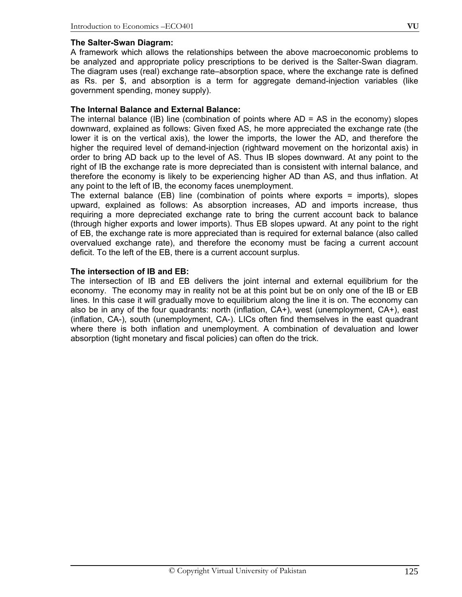#### **The Salter-Swan Diagram:**

A framework which allows the relationships between the above macroeconomic problems to be analyzed and appropriate policy prescriptions to be derived is the Salter-Swan diagram. The diagram uses (real) exchange rate–absorption space, where the exchange rate is defined as Rs. per \$, and absorption is a term for aggregate demand-injection variables (like government spending, money supply).

#### **The Internal Balance and External Balance:**

The internal balance (IB) line (combination of points where  $AD = AS$  in the economy) slopes downward, explained as follows: Given fixed AS, he more appreciated the exchange rate (the lower it is on the vertical axis), the lower the imports, the lower the AD, and therefore the higher the required level of demand-injection (rightward movement on the horizontal axis) in order to bring AD back up to the level of AS. Thus IB slopes downward. At any point to the right of IB the exchange rate is more depreciated than is consistent with internal balance, and therefore the economy is likely to be experiencing higher AD than AS, and thus inflation. At any point to the left of IB, the economy faces unemployment.

The external balance (EB) line (combination of points where exports = imports), slopes upward, explained as follows: As absorption increases, AD and imports increase, thus requiring a more depreciated exchange rate to bring the current account back to balance (through higher exports and lower imports). Thus EB slopes upward. At any point to the right of EB, the exchange rate is more appreciated than is required for external balance (also called overvalued exchange rate), and therefore the economy must be facing a current account deficit. To the left of the EB, there is a current account surplus.

#### **The intersection of IB and EB:**

The intersection of IB and EB delivers the joint internal and external equilibrium for the economy. The economy may in reality not be at this point but be on only one of the IB or EB lines. In this case it will gradually move to equilibrium along the line it is on. The economy can also be in any of the four quadrants: north (inflation, CA+), west (unemployment, CA+), east (inflation, CA-), south (unemployment, CA-). LICs often find themselves in the east quadrant where there is both inflation and unemployment. A combination of devaluation and lower absorption (tight monetary and fiscal policies) can often do the trick.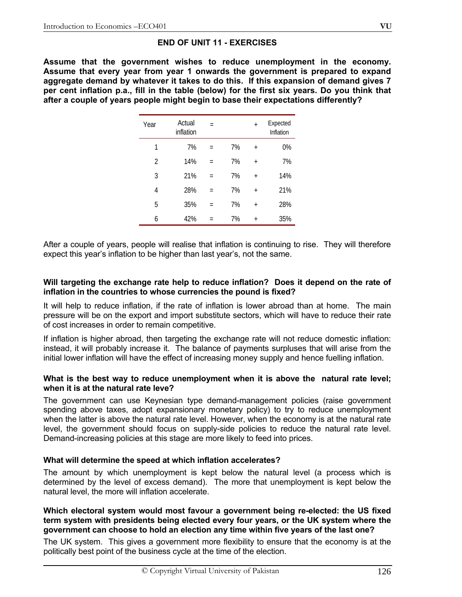# **END OF UNIT 11 - EXERCISES**

**Assume that the government wishes to reduce unemployment in the economy. Assume that every year from year 1 onwards the government is prepared to expand aggregate demand by whatever it takes to do this. If this expansion of demand gives 7 per cent inflation p.a., fill in the table (below) for the first six years. Do you think that after a couple of years people might begin to base their expectations differently?** 

| Year | Actual<br>inflation | =   |    | $^{+}$ | Expected<br>Inflation |
|------|---------------------|-----|----|--------|-----------------------|
| 1    | 7%                  | $=$ | 7% | $^{+}$ | 0%                    |
| 2    | 14%                 | $=$ | 7% | $^{+}$ | 7%                    |
| 3    | 21%                 | $=$ | 7% | $^{+}$ | 14%                   |
| 4    | 28%                 | $=$ | 7% | $^{+}$ | 21%                   |
| 5    | 35%                 | $=$ | 7% | $^{+}$ | 28%                   |
| 6    | 42%                 | $=$ | 7% | $^{+}$ | 35%                   |

After a couple of years, people will realise that inflation is continuing to rise. They will therefore expect this year's inflation to be higher than last year's, not the same.

#### **Will targeting the exchange rate help to reduce inflation? Does it depend on the rate of inflation in the countries to whose currencies the pound is fixed?**

It will help to reduce inflation, if the rate of inflation is lower abroad than at home. The main pressure will be on the export and import substitute sectors, which will have to reduce their rate of cost increases in order to remain competitive.

If inflation is higher abroad, then targeting the exchange rate will not reduce domestic inflation: instead, it will probably increase it. The balance of payments surpluses that will arise from the initial lower inflation will have the effect of increasing money supply and hence fuelling inflation.

#### **What is the best way to reduce unemployment when it is above the natural rate level; when it is at the natural rate leve?**

The government can use Keynesian type demand-management policies (raise government spending above taxes, adopt expansionary monetary policy) to try to reduce unemployment when the latter is above the natural rate level. However, when the economy is at the natural rate level, the government should focus on supply-side policies to reduce the natural rate level. Demand-increasing policies at this stage are more likely to feed into prices.

# **What will determine the speed at which inflation accelerates?**

The amount by which unemployment is kept below the natural level (a process which is determined by the level of excess demand). The more that unemployment is kept below the natural level, the more will inflation accelerate.

#### **Which electoral system would most favour a government being re-elected: the US fixed term system with presidents being elected every four years, or the UK system where the government can choose to hold an election any time within five years of the last one?**

The UK system. This gives a government more flexibility to ensure that the economy is at the politically best point of the business cycle at the time of the election.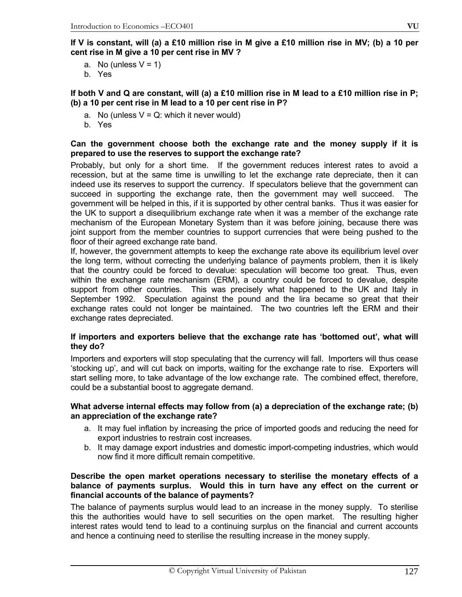- a. No (unless  $V = 1$ )
- b. Yes

# **If both V and Q are constant, will (a) a £10 million rise in M lead to a £10 million rise in P; (b) a 10 per cent rise in M lead to a 10 per cent rise in P?**

- a. No (unless  $V = Q$ : which it never would)
- b. Yes

# **Can the government choose both the exchange rate and the money supply if it is prepared to use the reserves to support the exchange rate?**

Probably, but only for a short time. If the government reduces interest rates to avoid a recession, but at the same time is unwilling to let the exchange rate depreciate, then it can indeed use its reserves to support the currency. If speculators believe that the government can succeed in supporting the exchange rate, then the government may well succeed. The government will be helped in this, if it is supported by other central banks. Thus it was easier for the UK to support a disequilibrium exchange rate when it was a member of the exchange rate mechanism of the European Monetary System than it was before joining, because there was joint support from the member countries to support currencies that were being pushed to the floor of their agreed exchange rate band.

If, however, the government attempts to keep the exchange rate above its equilibrium level over the long term, without correcting the underlying balance of payments problem, then it is likely that the country could be forced to devalue: speculation will become too great. Thus, even within the exchange rate mechanism (ERM), a country could be forced to devalue, despite support from other countries. This was precisely what happened to the UK and Italy in September 1992. Speculation against the pound and the lira became so great that their exchange rates could not longer be maintained. The two countries left the ERM and their exchange rates depreciated.

# **If importers and exporters believe that the exchange rate has 'bottomed out', what will they do?**

Importers and exporters will stop speculating that the currency will fall. Importers will thus cease 'stocking up', and will cut back on imports, waiting for the exchange rate to rise. Exporters will start selling more, to take advantage of the low exchange rate. The combined effect, therefore, could be a substantial boost to aggregate demand.

# **What adverse internal effects may follow from (a) a depreciation of the exchange rate; (b) an appreciation of the exchange rate?**

- a. It may fuel inflation by increasing the price of imported goods and reducing the need for export industries to restrain cost increases.
- b. It may damage export industries and domestic import-competing industries, which would now find it more difficult remain competitive.

# **Describe the open market operations necessary to sterilise the monetary effects of a balance of payments surplus. Would this in turn have any effect on the current or financial accounts of the balance of payments?**

The balance of payments surplus would lead to an increase in the money supply. To sterilise this the authorities would have to sell securities on the open market. The resulting higher interest rates would tend to lead to a continuing surplus on the financial and current accounts and hence a continuing need to sterilise the resulting increase in the money supply.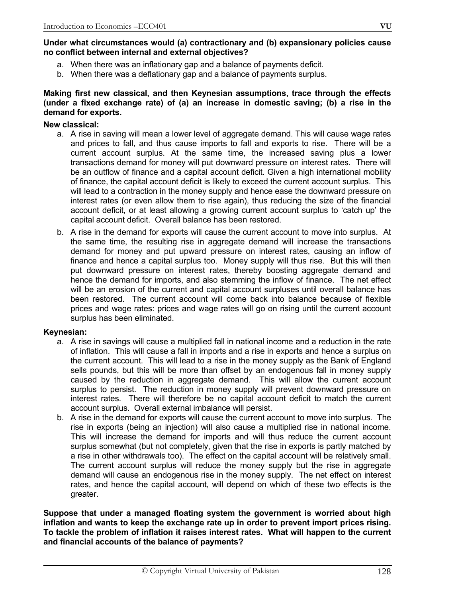- a. When there was an inflationary gap and a balance of payments deficit.
- b. When there was a deflationary gap and a balance of payments surplus.

# **Making first new classical, and then Keynesian assumptions, trace through the effects (under a fixed exchange rate) of (a) an increase in domestic saving; (b) a rise in the demand for exports.**

# **New classical:**

- a. A rise in saving will mean a lower level of aggregate demand. This will cause wage rates and prices to fall, and thus cause imports to fall and exports to rise. There will be a current account surplus. At the same time, the increased saving plus a lower transactions demand for money will put downward pressure on interest rates. There will be an outflow of finance and a capital account deficit. Given a high international mobility of finance, the capital account deficit is likely to exceed the current account surplus. This will lead to a contraction in the money supply and hence ease the downward pressure on interest rates (or even allow them to rise again), thus reducing the size of the financial account deficit, or at least allowing a growing current account surplus to 'catch up' the capital account deficit. Overall balance has been restored.
- b. A rise in the demand for exports will cause the current account to move into surplus. At the same time, the resulting rise in aggregate demand will increase the transactions demand for money and put upward pressure on interest rates, causing an inflow of finance and hence a capital surplus too. Money supply will thus rise. But this will then put downward pressure on interest rates, thereby boosting aggregate demand and hence the demand for imports, and also stemming the inflow of finance. The net effect will be an erosion of the current and capital account surpluses until overall balance has been restored. The current account will come back into balance because of flexible prices and wage rates: prices and wage rates will go on rising until the current account surplus has been eliminated.

# **Keynesian:**

- a. A rise in savings will cause a multiplied fall in national income and a reduction in the rate of inflation. This will cause a fall in imports and a rise in exports and hence a surplus on the current account. This will lead to a rise in the money supply as the Bank of England sells pounds, but this will be more than offset by an endogenous fall in money supply caused by the reduction in aggregate demand. This will allow the current account surplus to persist. The reduction in money supply will prevent downward pressure on interest rates. There will therefore be no capital account deficit to match the current account surplus. Overall external imbalance will persist.
- b. A rise in the demand for exports will cause the current account to move into surplus. The rise in exports (being an injection) will also cause a multiplied rise in national income. This will increase the demand for imports and will thus reduce the current account surplus somewhat (but not completely, given that the rise in exports is partly matched by a rise in other withdrawals too). The effect on the capital account will be relatively small. The current account surplus will reduce the money supply but the rise in aggregate demand will cause an endogenous rise in the money supply. The net effect on interest rates, and hence the capital account, will depend on which of these two effects is the greater.

#### **Suppose that under a managed floating system the government is worried about high inflation and wants to keep the exchange rate up in order to prevent import prices rising. To tackle the problem of inflation it raises interest rates. What will happen to the current and financial accounts of the balance of payments?**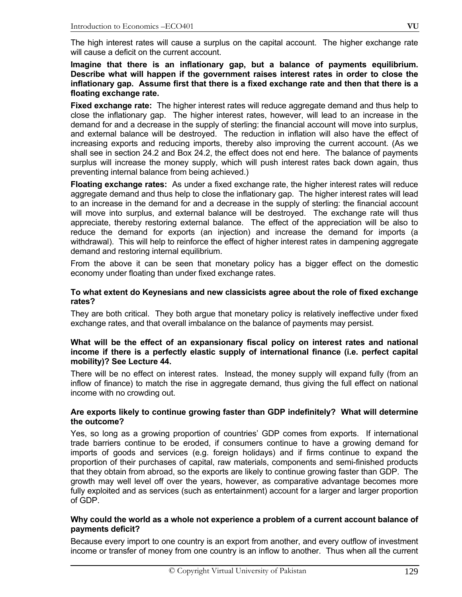The high interest rates will cause a surplus on the capital account. The higher exchange rate will cause a deficit on the current account.

**Imagine that there is an inflationary gap, but a balance of payments equilibrium. Describe what will happen if the government raises interest rates in order to close the inflationary gap. Assume first that there is a fixed exchange rate and then that there is a floating exchange rate.** 

**Fixed exchange rate:** The higher interest rates will reduce aggregate demand and thus help to close the inflationary gap. The higher interest rates, however, will lead to an increase in the demand for and a decrease in the supply of sterling: the financial account will move into surplus, and external balance will be destroyed. The reduction in inflation will also have the effect of increasing exports and reducing imports, thereby also improving the current account. (As we shall see in section 24.2 and Box 24.2, the effect does not end here. The balance of payments surplus will increase the money supply, which will push interest rates back down again, thus preventing internal balance from being achieved.)

**Floating exchange rates:** As under a fixed exchange rate, the higher interest rates will reduce aggregate demand and thus help to close the inflationary gap. The higher interest rates will lead to an increase in the demand for and a decrease in the supply of sterling: the financial account will move into surplus, and external balance will be destroyed. The exchange rate will thus appreciate, thereby restoring external balance. The effect of the appreciation will be also to reduce the demand for exports (an injection) and increase the demand for imports (a withdrawal). This will help to reinforce the effect of higher interest rates in dampening aggregate demand and restoring internal equilibrium.

From the above it can be seen that monetary policy has a bigger effect on the domestic economy under floating than under fixed exchange rates.

# **To what extent do Keynesians and new classicists agree about the role of fixed exchange rates?**

They are both critical. They both argue that monetary policy is relatively ineffective under fixed exchange rates, and that overall imbalance on the balance of payments may persist.

#### **What will be the effect of an expansionary fiscal policy on interest rates and national income if there is a perfectly elastic supply of international finance (i.e. perfect capital mobility)? See Lecture 44.**

There will be no effect on interest rates. Instead, the money supply will expand fully (from an inflow of finance) to match the rise in aggregate demand, thus giving the full effect on national income with no crowding out.

# **Are exports likely to continue growing faster than GDP indefinitely? What will determine the outcome?**

Yes, so long as a growing proportion of countries' GDP comes from exports. If international trade barriers continue to be eroded, if consumers continue to have a growing demand for imports of goods and services (e.g. foreign holidays) and if firms continue to expand the proportion of their purchases of capital, raw materials, components and semi-finished products that they obtain from abroad, so the exports are likely to continue growing faster than GDP. The growth may well level off over the years, however, as comparative advantage becomes more fully exploited and as services (such as entertainment) account for a larger and larger proportion of GDP.

# **Why could the world as a whole not experience a problem of a current account balance of payments deficit?**

Because every import to one country is an export from another, and every outflow of investment income or transfer of money from one country is an inflow to another. Thus when all the current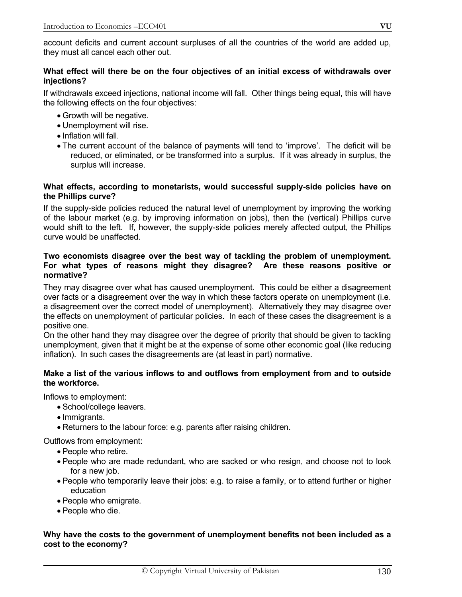# **What effect will there be on the four objectives of an initial excess of withdrawals over injections?**

If withdrawals exceed injections, national income will fall. Other things being equal, this will have the following effects on the four objectives:

- Growth will be negative.
- Unemployment will rise.
- Inflation will fall.
- The current account of the balance of payments will tend to 'improve'. The deficit will be reduced, or eliminated, or be transformed into a surplus. If it was already in surplus, the surplus will increase.

# **What effects, according to monetarists, would successful supply-side policies have on the Phillips curve?**

If the supply-side policies reduced the natural level of unemployment by improving the working of the labour market (e.g. by improving information on jobs), then the (vertical) Phillips curve would shift to the left. If, however, the supply-side policies merely affected output, the Phillips curve would be unaffected.

# **Two economists disagree over the best way of tackling the problem of unemployment. For what types of reasons might they disagree? Are these reasons positive or normative?**

They may disagree over what has caused unemployment. This could be either a disagreement over facts or a disagreement over the way in which these factors operate on unemployment (i.e. a disagreement over the correct model of unemployment). Alternatively they may disagree over the effects on unemployment of particular policies. In each of these cases the disagreement is a positive one.

On the other hand they may disagree over the degree of priority that should be given to tackling unemployment, given that it might be at the expense of some other economic goal (like reducing inflation). In such cases the disagreements are (at least in part) normative.

# **Make a list of the various inflows to and outflows from employment from and to outside the workforce.**

Inflows to employment:

- School/college leavers.
- Immigrants.
- Returners to the labour force: e.g. parents after raising children.

Outflows from employment:

- People who retire.
- People who are made redundant, who are sacked or who resign, and choose not to look for a new job.
- People who temporarily leave their jobs: e.g. to raise a family, or to attend further or higher education
- People who emigrate.
- People who die.

# **Why have the costs to the government of unemployment benefits not been included as a cost to the economy?**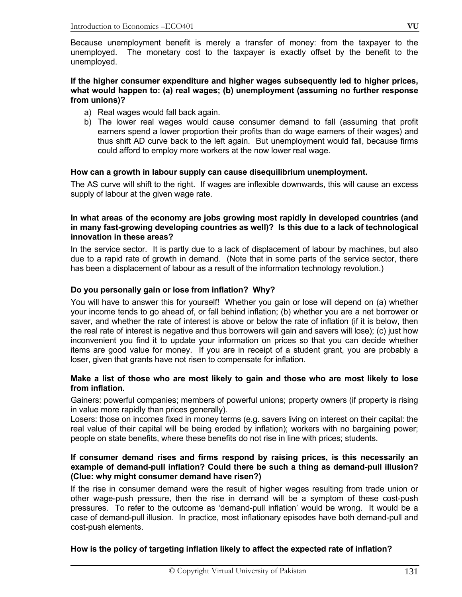Because unemployment benefit is merely a transfer of money: from the taxpayer to the unemployed. The monetary cost to the taxpayer is exactly offset by the benefit to the unemployed.

#### **If the higher consumer expenditure and higher wages subsequently led to higher prices, what would happen to: (a) real wages; (b) unemployment (assuming no further response from unions)?**

- a) Real wages would fall back again.
- b) The lower real wages would cause consumer demand to fall (assuming that profit earners spend a lower proportion their profits than do wage earners of their wages) and thus shift AD curve back to the left again. But unemployment would fall, because firms could afford to employ more workers at the now lower real wage.

# **How can a growth in labour supply can cause disequilibrium unemployment.**

The AS curve will shift to the right. If wages are inflexible downwards, this will cause an excess supply of labour at the given wage rate.

#### **In what areas of the economy are jobs growing most rapidly in developed countries (and in many fast-growing developing countries as well)? Is this due to a lack of technological innovation in these areas?**

In the service sector. It is partly due to a lack of displacement of labour by machines, but also due to a rapid rate of growth in demand. (Note that in some parts of the service sector, there has been a displacement of labour as a result of the information technology revolution.)

# **Do you personally gain or lose from inflation? Why?**

You will have to answer this for yourself! Whether you gain or lose will depend on (a) whether your income tends to go ahead of, or fall behind inflation; (b) whether you are a net borrower or saver, and whether the rate of interest is above or below the rate of inflation (if it is below, then the real rate of interest is negative and thus borrowers will gain and savers will lose); (c) just how inconvenient you find it to update your information on prices so that you can decide whether items are good value for money. If you are in receipt of a student grant, you are probably a loser, given that grants have not risen to compensate for inflation.

# **Make a list of those who are most likely to gain and those who are most likely to lose from inflation.**

Gainers: powerful companies; members of powerful unions; property owners (if property is rising in value more rapidly than prices generally).

Losers: those on incomes fixed in money terms (e.g. savers living on interest on their capital: the real value of their capital will be being eroded by inflation); workers with no bargaining power; people on state benefits, where these benefits do not rise in line with prices; students.

#### **If consumer demand rises and firms respond by raising prices, is this necessarily an example of demand-pull inflation? Could there be such a thing as demand-pull illusion? (Clue: why might consumer demand have risen?)**

If the rise in consumer demand were the result of higher wages resulting from trade union or other wage-push pressure, then the rise in demand will be a symptom of these cost-push pressures. To refer to the outcome as 'demand-pull inflation' would be wrong. It would be a case of demand-pull illusion. In practice, most inflationary episodes have both demand-pull and cost-push elements.

# **How is the policy of targeting inflation likely to affect the expected rate of inflation?**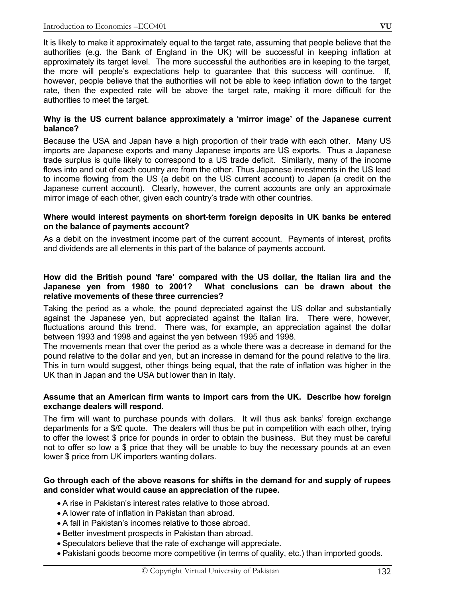It is likely to make it approximately equal to the target rate, assuming that people believe that the authorities (e.g. the Bank of England in the UK) will be successful in keeping inflation at approximately its target level. The more successful the authorities are in keeping to the target, the more will people's expectations help to guarantee that this success will continue. If, however, people believe that the authorities will not be able to keep inflation down to the target rate, then the expected rate will be above the target rate, making it more difficult for the authorities to meet the target.

#### **Why is the US current balance approximately a 'mirror image' of the Japanese current balance?**

Because the USA and Japan have a high proportion of their trade with each other. Many US imports are Japanese exports and many Japanese imports are US exports. Thus a Japanese trade surplus is quite likely to correspond to a US trade deficit. Similarly, many of the income flows into and out of each country are from the other. Thus Japanese investments in the US lead to income flowing from the US (a debit on the US current account) to Japan (a credit on the Japanese current account). Clearly, however, the current accounts are only an approximate mirror image of each other, given each country's trade with other countries.

#### **Where would interest payments on short-term foreign deposits in UK banks be entered on the balance of payments account?**

As a debit on the investment income part of the current account. Payments of interest, profits and dividends are all elements in this part of the balance of payments account.

#### **How did the British pound 'fare' compared with the US dollar, the Italian lira and the What conclusions can be drawn about the relative movements of these three currencies?**

Taking the period as a whole, the pound depreciated against the US dollar and substantially against the Japanese yen, but appreciated against the Italian lira. There were, however, fluctuations around this trend. There was, for example, an appreciation against the dollar between 1993 and 1998 and against the yen between 1995 and 1998.

The movements mean that over the period as a whole there was a decrease in demand for the pound relative to the dollar and yen, but an increase in demand for the pound relative to the lira. This in turn would suggest, other things being equal, that the rate of inflation was higher in the UK than in Japan and the USA but lower than in Italy.

# **Assume that an American firm wants to import cars from the UK. Describe how foreign exchange dealers will respond.**

The firm will want to purchase pounds with dollars. It will thus ask banks' foreign exchange departments for a \$/£ quote. The dealers will thus be put in competition with each other, trying to offer the lowest \$ price for pounds in order to obtain the business. But they must be careful not to offer so low a \$ price that they will be unable to buy the necessary pounds at an even lower \$ price from UK importers wanting dollars.

# **Go through each of the above reasons for shifts in the demand for and supply of rupees and consider what would cause an appreciation of the rupee.**

- A rise in Pakistan's interest rates relative to those abroad.
- A lower rate of inflation in Pakistan than abroad.
- A fall in Pakistan's incomes relative to those abroad.
- Better investment prospects in Pakistan than abroad.
- Speculators believe that the rate of exchange will appreciate.
- Pakistani goods become more competitive (in terms of quality, etc.) than imported goods.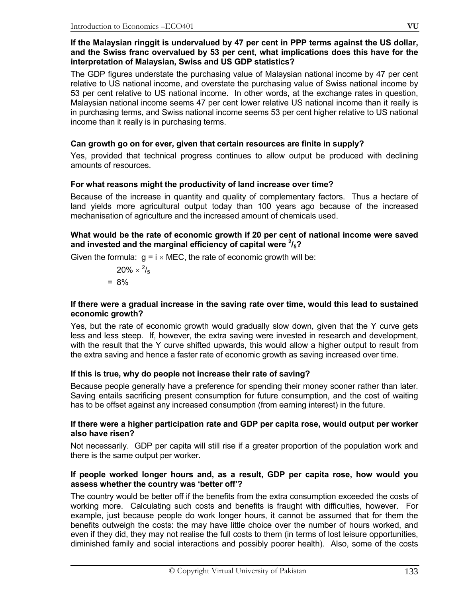#### **If the Malaysian ringgit is undervalued by 47 per cent in PPP terms against the US dollar, and the Swiss franc overvalued by 53 per cent, what implications does this have for the interpretation of Malaysian, Swiss and US GDP statistics?**

The GDP figures understate the purchasing value of Malaysian national income by 47 per cent relative to US national income, and overstate the purchasing value of Swiss national income by 53 per cent relative to US national income. In other words, at the exchange rates in question, Malaysian national income seems 47 per cent lower relative US national income than it really is in purchasing terms, and Swiss national income seems 53 per cent higher relative to US national income than it really is in purchasing terms.

# **Can growth go on for ever, given that certain resources are finite in supply?**

Yes, provided that technical progress continues to allow output be produced with declining amounts of resources.

# **For what reasons might the productivity of land increase over time?**

Because of the increase in quantity and quality of complementary factors. Thus a hectare of land yields more agricultural output today than 100 years ago because of the increased mechanisation of agriculture and the increased amount of chemicals used.

# **What would be the rate of economic growth if 20 per cent of national income were saved**  and invested and the marginal efficiency of capital were  $\frac{2}{5}$ ?

Given the formula:  $g = i \times MEC$ , the rate of economic growth will be:

$$
20\% \times \frac{2}{5}
$$
  
= 8%

# **If there were a gradual increase in the saving rate over time, would this lead to sustained economic growth?**

Yes, but the rate of economic growth would gradually slow down, given that the Y curve gets less and less steep. If, however, the extra saving were invested in research and development, with the result that the Y curve shifted upwards, this would allow a higher output to result from the extra saving and hence a faster rate of economic growth as saving increased over time.

# **If this is true, why do people not increase their rate of saving?**

Because people generally have a preference for spending their money sooner rather than later. Saving entails sacrificing present consumption for future consumption, and the cost of waiting has to be offset against any increased consumption (from earning interest) in the future.

#### **If there were a higher participation rate and GDP per capita rose, would output per worker also have risen?**

Not necessarily. GDP per capita will still rise if a greater proportion of the population work and there is the same output per worker.

# **If people worked longer hours and, as a result, GDP per capita rose, how would you assess whether the country was 'better off'?**

The country would be better off if the benefits from the extra consumption exceeded the costs of working more. Calculating such costs and benefits is fraught with difficulties, however. For example, just because people do work longer hours, it cannot be assumed that for them the benefits outweigh the costs: the may have little choice over the number of hours worked, and even if they did, they may not realise the full costs to them (in terms of lost leisure opportunities, diminished family and social interactions and possibly poorer health). Also, some of the costs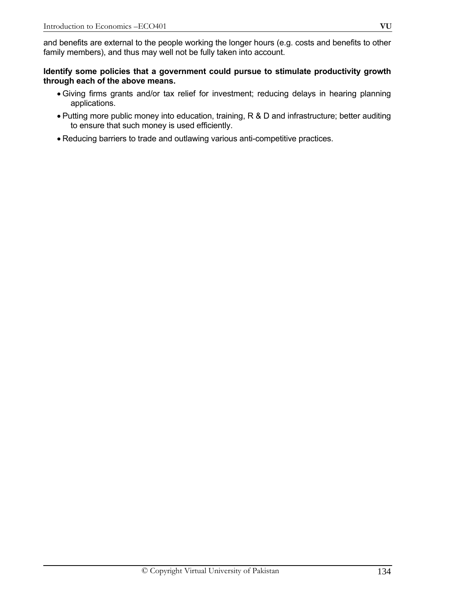and benefits are external to the people working the longer hours (e.g. costs and benefits to other family members), and thus may well not be fully taken into account.

# **Identify some policies that a government could pursue to stimulate productivity growth through each of the above means.**

- Giving firms grants and/or tax relief for investment; reducing delays in hearing planning applications.
- Putting more public money into education, training, R & D and infrastructure; better auditing to ensure that such money is used efficiently.
- Reducing barriers to trade and outlawing various anti-competitive practices.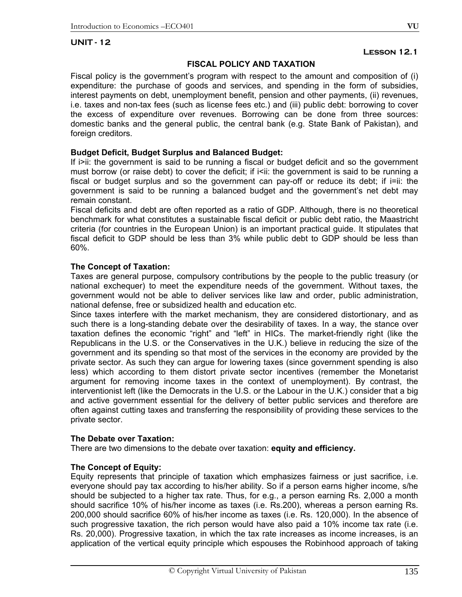#### **UNIT - 12**

# **Lesson 12.1**

# **FISCAL POLICY AND TAXATION**

Fiscal policy is the government's program with respect to the amount and composition of (i) expenditure: the purchase of goods and services, and spending in the form of subsidies, interest payments on debt, unemployment benefit, pension and other payments, (ii) revenues, i.e. taxes and non-tax fees (such as license fees etc.) and (iii) public debt: borrowing to cover the excess of expenditure over revenues. Borrowing can be done from three sources: domestic banks and the general public, the central bank (e.g. State Bank of Pakistan), and foreign creditors.

# **Budget Deficit, Budget Surplus and Balanced Budget:**

If i>ii: the government is said to be running a fiscal or budget deficit and so the government must borrow (or raise debt) to cover the deficit; if i<ii: the government is said to be running a fiscal or budget surplus and so the government can pay-off or reduce its debt; if i=ii: the government is said to be running a balanced budget and the government's net debt may remain constant.

Fiscal deficits and debt are often reported as a ratio of GDP. Although, there is no theoretical benchmark for what constitutes a sustainable fiscal deficit or public debt ratio, the Maastricht criteria (for countries in the European Union) is an important practical guide. It stipulates that fiscal deficit to GDP should be less than 3% while public debt to GDP should be less than 60%.

# **The Concept of Taxation:**

Taxes are general purpose, compulsory contributions by the people to the public treasury (or national exchequer) to meet the expenditure needs of the government. Without taxes, the government would not be able to deliver services like law and order, public administration, national defense, free or subsidized health and education etc.

Since taxes interfere with the market mechanism, they are considered distortionary, and as such there is a long-standing debate over the desirability of taxes. In a way, the stance over taxation defines the economic "right" and "left" in HICs. The market-friendly right (like the Republicans in the U.S. or the Conservatives in the U.K.) believe in reducing the size of the government and its spending so that most of the services in the economy are provided by the private sector. As such they can argue for lowering taxes (since government spending is also less) which according to them distort private sector incentives (remember the Monetarist argument for removing income taxes in the context of unemployment). By contrast, the interventionist left (like the Democrats in the U.S. or the Labour in the U.K.) consider that a big and active government essential for the delivery of better public services and therefore are often against cutting taxes and transferring the responsibility of providing these services to the private sector.

#### **The Debate over Taxation:**

There are two dimensions to the debate over taxation: **equity and efficiency.**

# **The Concept of Equity:**

Equity represents that principle of taxation which emphasizes fairness or just sacrifice, i.e. everyone should pay tax according to his/her ability. So if a person earns higher income, s/he should be subjected to a higher tax rate. Thus, for e.g., a person earning Rs. 2,000 a month should sacrifice 10% of his/her income as taxes (i.e. Rs.200), whereas a person earning Rs. 200,000 should sacrifice 60% of his/her income as taxes (i.e. Rs. 120,000). In the absence of such progressive taxation, the rich person would have also paid a 10% income tax rate (i.e. Rs. 20,000). Progressive taxation, in which the tax rate increases as income increases, is an application of the vertical equity principle which espouses the Robinhood approach of taking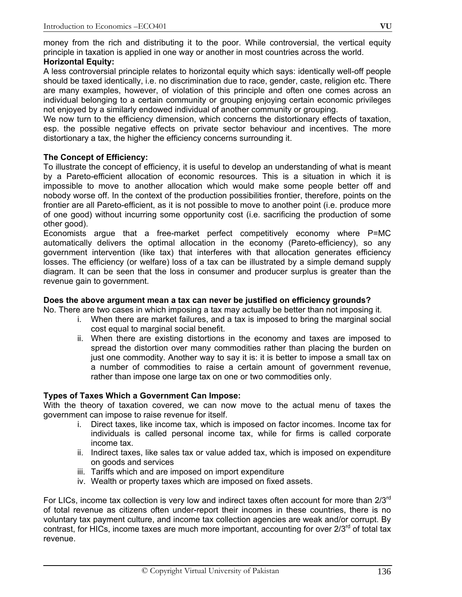money from the rich and distributing it to the poor. While controversial, the vertical equity principle in taxation is applied in one way or another in most countries across the world.

# **Horizontal Equity:**

A less controversial principle relates to horizontal equity which says: identically well-off people should be taxed identically, i.e. no discrimination due to race, gender, caste, religion etc. There are many examples, however, of violation of this principle and often one comes across an individual belonging to a certain community or grouping enjoying certain economic privileges not enjoyed by a similarly endowed individual of another community or grouping.

We now turn to the efficiency dimension, which concerns the distortionary effects of taxation, esp. the possible negative effects on private sector behaviour and incentives. The more distortionary a tax, the higher the efficiency concerns surrounding it.

# **The Concept of Efficiency:**

To illustrate the concept of efficiency, it is useful to develop an understanding of what is meant by a Pareto-efficient allocation of economic resources. This is a situation in which it is impossible to move to another allocation which would make some people better off and nobody worse off. In the context of the production possibilities frontier, therefore, points on the frontier are all Pareto-efficient, as it is not possible to move to another point (i.e. produce more of one good) without incurring some opportunity cost (i.e. sacrificing the production of some other good).

Economists argue that a free-market perfect competitively economy where P=MC automatically delivers the optimal allocation in the economy (Pareto-efficiency), so any government intervention (like tax) that interferes with that allocation generates efficiency losses. The efficiency (or welfare) loss of a tax can be illustrated by a simple demand supply diagram. It can be seen that the loss in consumer and producer surplus is greater than the revenue gain to government.

# **Does the above argument mean a tax can never be justified on efficiency grounds?**

No. There are two cases in which imposing a tax may actually be better than not imposing it.

- i. When there are market failures, and a tax is imposed to bring the marginal social cost equal to marginal social benefit.
- ii. When there are existing distortions in the economy and taxes are imposed to spread the distortion over many commodities rather than placing the burden on just one commodity. Another way to say it is: it is better to impose a small tax on a number of commodities to raise a certain amount of government revenue, rather than impose one large tax on one or two commodities only.

# **Types of Taxes Which a Government Can Impose:**

With the theory of taxation covered, we can now move to the actual menu of taxes the government can impose to raise revenue for itself.

- i. Direct taxes, like income tax, which is imposed on factor incomes. Income tax for individuals is called personal income tax, while for firms is called corporate income tax.
- ii. Indirect taxes, like sales tax or value added tax, which is imposed on expenditure on goods and services
- iii. Tariffs which and are imposed on import expenditure
- iv. Wealth or property taxes which are imposed on fixed assets.

For LICs, income tax collection is very low and indirect taxes often account for more than 2/3<sup>rd</sup> of total revenue as citizens often under-report their incomes in these countries, there is no voluntary tax payment culture, and income tax collection agencies are weak and/or corrupt. By contrast, for HICs, income taxes are much more important, accounting for over  $2/3^{rd}$  of total tax revenue.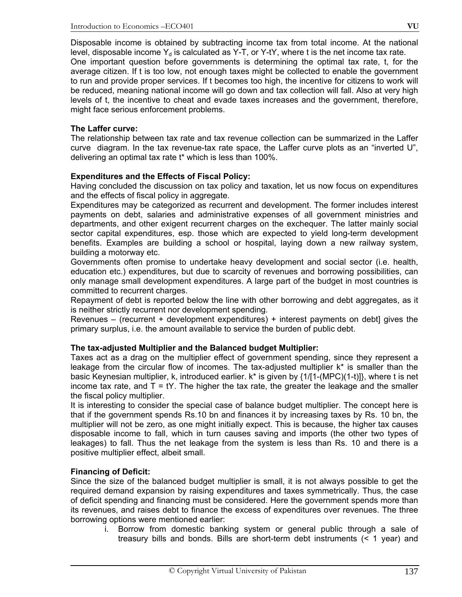Disposable income is obtained by subtracting income tax from total income. At the national level, disposable income  $Y_d$  is calculated as Y-T, or Y-tY, where t is the net income tax rate. One important question before governments is determining the optimal tax rate, t, for the

average citizen. If t is too low, not enough taxes might be collected to enable the government to run and provide proper services. If t becomes too high, the incentive for citizens to work will be reduced, meaning national income will go down and tax collection will fall. Also at very high levels of t, the incentive to cheat and evade taxes increases and the government, therefore, might face serious enforcement problems.

# **The Laffer curve:**

The relationship between tax rate and tax revenue collection can be summarized in the Laffer curve diagram. In the tax revenue-tax rate space, the Laffer curve plots as an "inverted U", delivering an optimal tax rate t\* which is less than 100%.

# **Expenditures and the Effects of Fiscal Policy:**

Having concluded the discussion on tax policy and taxation, let us now focus on expenditures and the effects of fiscal policy in aggregate.

Expenditures may be categorized as recurrent and development. The former includes interest payments on debt, salaries and administrative expenses of all government ministries and departments, and other exigent recurrent charges on the exchequer. The latter mainly social sector capital expenditures, esp. those which are expected to yield long-term development benefits. Examples are building a school or hospital, laying down a new railway system, building a motorway etc.

Governments often promise to undertake heavy development and social sector (i.e. health, education etc.) expenditures, but due to scarcity of revenues and borrowing possibilities, can only manage small development expenditures. A large part of the budget in most countries is committed to recurrent charges.

Repayment of debt is reported below the line with other borrowing and debt aggregates, as it is neither strictly recurrent nor development spending.

Revenues – (recurrent  $+$  development expenditures)  $+$  interest payments on debt] gives the primary surplus, i.e. the amount available to service the burden of public debt.

# **The tax-adjusted Multiplier and the Balanced budget Multiplier:**

Taxes act as a drag on the multiplier effect of government spending, since they represent a leakage from the circular flow of incomes. The tax-adjusted multiplier  $k^*$  is smaller than the basic Keynesian multiplier, k, introduced earlier. k\* is given by {1/[1-(MPC)(1-t)]}, where t is net income tax rate, and  $T = tY$ . The higher the tax rate, the greater the leakage and the smaller the fiscal policy multiplier.

It is interesting to consider the special case of balance budget multiplier. The concept here is that if the government spends Rs.10 bn and finances it by increasing taxes by Rs. 10 bn, the multiplier will not be zero, as one might initially expect. This is because, the higher tax causes disposable income to fall, which in turn causes saving and imports (the other two types of leakages) to fall. Thus the net leakage from the system is less than Rs. 10 and there is a positive multiplier effect, albeit small.

# **Financing of Deficit:**

Since the size of the balanced budget multiplier is small, it is not always possible to get the required demand expansion by raising expenditures and taxes symmetrically. Thus, the case of deficit spending and financing must be considered. Here the government spends more than its revenues, and raises debt to finance the excess of expenditures over revenues. The three borrowing options were mentioned earlier:

i. Borrow from domestic banking system or general public through a sale of treasury bills and bonds. Bills are short-term debt instruments (< 1 year) and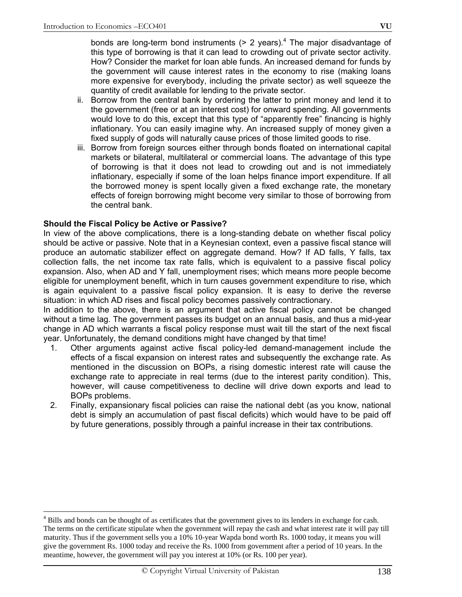bonds are long-term bond instruments  $(> 2 \text{ years})$ .<sup>4</sup> The major disadvantage of this type of borrowing is that it can lead to crowding out of private sector activity. How? Consider the market for loan able funds. An increased demand for funds by the government will cause interest rates in the economy to rise (making loans more expensive for everybody, including the private sector) as well squeeze the quantity of credit available for lending to the private sector.

- ii. Borrow from the central bank by ordering the latter to print money and lend it to the government (free or at an interest cost) for onward spending. All governments would love to do this, except that this type of "apparently free" financing is highly inflationary. You can easily imagine why. An increased supply of money given a fixed supply of gods will naturally cause prices of those limited goods to rise.
- iii. Borrow from foreign sources either through bonds floated on international capital markets or bilateral, multilateral or commercial loans. The advantage of this type of borrowing is that it does not lead to crowding out and is not immediately inflationary, especially if some of the loan helps finance import expenditure. If all the borrowed money is spent locally given a fixed exchange rate, the monetary effects of foreign borrowing might become very similar to those of borrowing from the central bank.

# **Should the Fiscal Policy be Active or Passive?**

 $\overline{a}$ 

In view of the above complications, there is a long-standing debate on whether fiscal policy should be active or passive. Note that in a Keynesian context, even a passive fiscal stance will produce an automatic stabilizer effect on aggregate demand. How? If AD falls, Y falls, tax collection falls, the net income tax rate falls, which is equivalent to a passive fiscal policy expansion. Also, when AD and Y fall, unemployment rises; which means more people become eligible for unemployment benefit, which in turn causes government expenditure to rise, which is again equivalent to a passive fiscal policy expansion. It is easy to derive the reverse situation: in which AD rises and fiscal policy becomes passively contractionary.

In addition to the above, there is an argument that active fiscal policy cannot be changed without a time lag. The government passes its budget on an annual basis, and thus a mid-year change in AD which warrants a fiscal policy response must wait till the start of the next fiscal year. Unfortunately, the demand conditions might have changed by that time!

- 1. Other arguments against active fiscal policy-led demand-management include the effects of a fiscal expansion on interest rates and subsequently the exchange rate. As mentioned in the discussion on BOPs, a rising domestic interest rate will cause the exchange rate to appreciate in real terms (due to the interest parity condition). This, however, will cause competitiveness to decline will drive down exports and lead to BOPs problems.
- 2. Finally, expansionary fiscal policies can raise the national debt (as you know, national debt is simply an accumulation of past fiscal deficits) which would have to be paid off by future generations, possibly through a painful increase in their tax contributions.

<sup>&</sup>lt;sup>4</sup> Bills and bonds can be thought of as certificates that the government gives to its lenders in exchange for cash. The terms on the certificate stipulate when the government will repay the cash and what interest rate it will pay till maturity. Thus if the government sells you a 10% 10-year Wapda bond worth Rs. 1000 today, it means you will give the government Rs. 1000 today and receive the Rs. 1000 from government after a period of 10 years. In the meantime, however, the government will pay you interest at 10% (or Rs. 100 per year).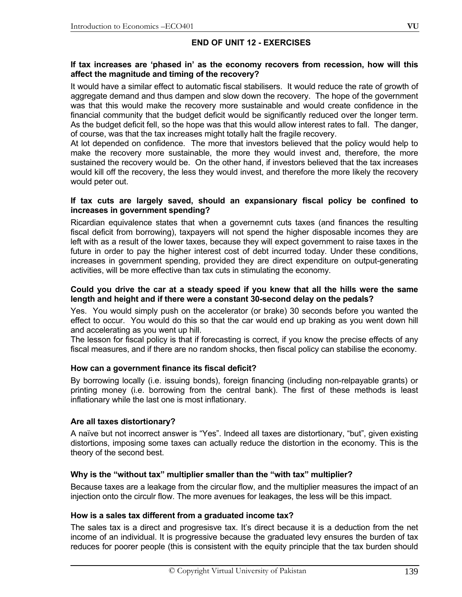# **END OF UNIT 12 - EXERCISES**

#### **If tax increases are 'phased in' as the economy recovers from recession, how will this affect the magnitude and timing of the recovery?**

It would have a similar effect to automatic fiscal stabilisers. It would reduce the rate of growth of aggregate demand and thus dampen and slow down the recovery. The hope of the government was that this would make the recovery more sustainable and would create confidence in the financial community that the budget deficit would be significantly reduced over the longer term. As the budget deficit fell, so the hope was that this would allow interest rates to fall. The danger, of course, was that the tax increases might totally halt the fragile recovery.

At lot depended on confidence. The more that investors believed that the policy would help to make the recovery more sustainable, the more they would invest and, therefore, the more sustained the recovery would be. On the other hand, if investors believed that the tax increases would kill off the recovery, the less they would invest, and therefore the more likely the recovery would peter out.

#### **If tax cuts are largely saved, should an expansionary fiscal policy be confined to increases in government spending?**

Ricardian equivalence states that when a governemnt cuts taxes (and finances the resulting fiscal deficit from borrowing), taxpayers will not spend the higher disposable incomes they are left with as a result of the lower taxes, because they will expect government to raise taxes in the future in order to pay the higher interest cost of debt incurred today. Under these conditions, increases in government spending, provided they are direct expenditure on output-generating activities, will be more effective than tax cuts in stimulating the economy.

#### **Could you drive the car at a steady speed if you knew that all the hills were the same length and height and if there were a constant 30-second delay on the pedals?**

Yes. You would simply push on the accelerator (or brake) 30 seconds before you wanted the effect to occur. You would do this so that the car would end up braking as you went down hill and accelerating as you went up hill.

The lesson for fiscal policy is that if forecasting is correct, if you know the precise effects of any fiscal measures, and if there are no random shocks, then fiscal policy can stabilise the economy.

# **How can a government finance its fiscal deficit?**

By borrowing locally (i.e. issuing bonds), foreign financing (including non-relpayable grants) or printing money (i.e. borrowing from the central bank). The first of these methods is least inflationary while the last one is most inflationary.

# **Are all taxes distortionary?**

A naïve but not incorrect answer is "Yes". Indeed all taxes are distortionary, "but", given existing distortions, imposing some taxes can actually reduce the distortion in the economy. This is the theory of the second best.

#### **Why is the "without tax" multiplier smaller than the "with tax" multiplier?**

Because taxes are a leakage from the circular flow, and the multiplier measures the impact of an injection onto the circulr flow. The more avenues for leakages, the less will be this impact.

#### **How is a sales tax different from a graduated income tax?**

The sales tax is a direct and progresisve tax. It's direct because it is a deduction from the net income of an individual. It is progressive because the graduated levy ensures the burden of tax reduces for poorer people (this is consistent with the equity principle that the tax burden should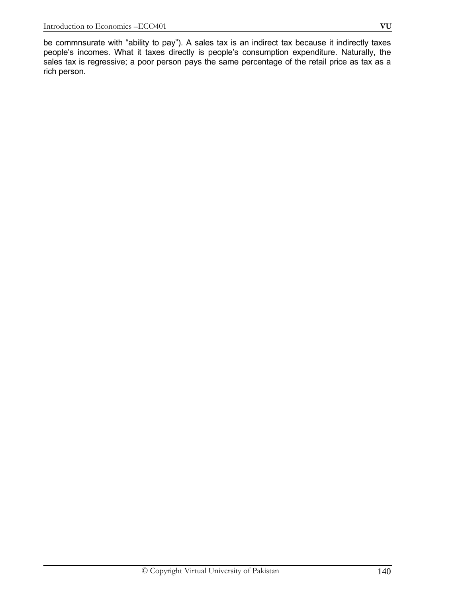be commnsurate with "ability to pay"). A sales tax is an indirect tax because it indirectly taxes people's incomes. What it taxes directly is people's consumption expenditure. Naturally, the sales tax is regressive; a poor person pays the same percentage of the retail price as tax as a rich person.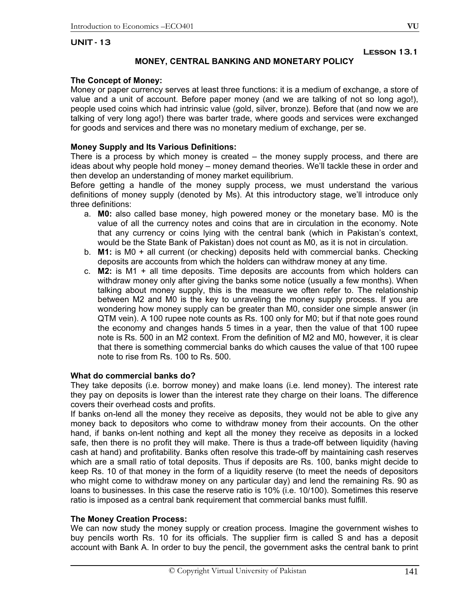#### **UNIT - 13**

# **Lesson 13.1**

# **MONEY, CENTRAL BANKING AND MONETARY POLICY**

#### **The Concept of Money:**

Money or paper currency serves at least three functions: it is a medium of exchange, a store of value and a unit of account. Before paper money (and we are talking of not so long ago!), people used coins which had intrinsic value (gold, silver, bronze). Before that (and now we are talking of very long ago!) there was barter trade, where goods and services were exchanged for goods and services and there was no monetary medium of exchange, per se.

#### **Money Supply and Its Various Definitions:**

There is a process by which money is created – the money supply process, and there are ideas about why people hold money – money demand theories. We'll tackle these in order and then develop an understanding of money market equilibrium.

Before getting a handle of the money supply process, we must understand the various definitions of money supply (denoted by Ms). At this introductory stage, we'll introduce only three definitions:

- a. **M0:** also called base money, high powered money or the monetary base. M0 is the value of all the currency notes and coins that are in circulation in the economy. Note that any currency or coins lying with the central bank (which in Pakistan's context, would be the State Bank of Pakistan) does not count as M0, as it is not in circulation.
- b. **M1:** is M0 + all current (or checking) deposits held with commercial banks. Checking deposits are accounts from which the holders can withdraw money at any time.
- c. **M2:** is M1 + all time deposits. Time deposits are accounts from which holders can withdraw money only after giving the banks some notice (usually a few months). When talking about money supply, this is the measure we often refer to. The relationship between M2 and M0 is the key to unraveling the money supply process. If you are wondering how money supply can be greater than M0, consider one simple answer (in QTM vein). A 100 rupee note counts as Rs. 100 only for M0; but if that note goes round the economy and changes hands 5 times in a year, then the value of that 100 rupee note is Rs. 500 in an M2 context. From the definition of M2 and M0, however, it is clear that there is something commercial banks do which causes the value of that 100 rupee note to rise from Rs. 100 to Rs. 500.

#### **What do commercial banks do?**

They take deposits (i.e. borrow money) and make loans (i.e. lend money). The interest rate they pay on deposits is lower than the interest rate they charge on their loans. The difference covers their overhead costs and profits.

If banks on-lend all the money they receive as deposits, they would not be able to give any money back to depositors who come to withdraw money from their accounts. On the other hand, if banks on-lent nothing and kept all the money they receive as deposits in a locked safe, then there is no profit they will make. There is thus a trade-off between liquidity (having cash at hand) and profitability. Banks often resolve this trade-off by maintaining cash reserves which are a small ratio of total deposits. Thus if deposits are Rs. 100, banks might decide to keep Rs. 10 of that money in the form of a liquidity reserve (to meet the needs of depositors who might come to withdraw money on any particular day) and lend the remaining Rs. 90 as loans to businesses. In this case the reserve ratio is 10% (i.e. 10/100). Sometimes this reserve ratio is imposed as a central bank requirement that commercial banks must fulfill.

# **The Money Creation Process:**

We can now study the money supply or creation process. Imagine the government wishes to buy pencils worth Rs. 10 for its officials. The supplier firm is called S and has a deposit account with Bank A. In order to buy the pencil, the government asks the central bank to print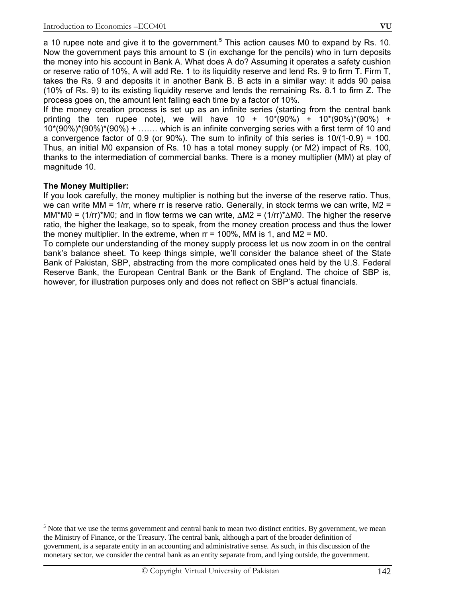a 10 rupee note and give it to the government.<sup>5</sup> This action causes M0 to expand by Rs. 10. Now the government pays this amount to S (in exchange for the pencils) who in turn deposits the money into his account in Bank A. What does A do? Assuming it operates a safety cushion or reserve ratio of 10%, A will add Re. 1 to its liquidity reserve and lend Rs. 9 to firm T. Firm T, takes the Rs. 9 and deposits it in another Bank B. B acts in a similar way: it adds 90 paisa (10% of Rs. 9) to its existing liquidity reserve and lends the remaining Rs. 8.1 to firm Z. The process goes on, the amount lent falling each time by a factor of 10%.

If the money creation process is set up as an infinite series (starting from the central bank printing the ten rupee note), we will have  $10 + 10*(90\%) + 10*(90\%)*(90\%) +$  $10*(90\%)*(90\%)*(90\%) + \ldots$  which is an infinite converging series with a first term of 10 and a convergence factor of 0.9 (or  $90\%$ ). The sum to infinity of this series is  $10/(1-0.9) = 100$ . Thus, an initial M0 expansion of Rs. 10 has a total money supply (or M2) impact of Rs. 100, thanks to the intermediation of commercial banks. There is a money multiplier (MM) at play of magnitude 10.

# **The Money Multiplier:**

 $\overline{a}$ 

If you look carefully, the money multiplier is nothing but the inverse of the reserve ratio. Thus, we can write MM = 1/rr, where rr is reserve ratio. Generally, in stock terms we can write, M2 = MM\*M0 = (1/rr)\*M0; and in flow terms we can write,  $\Delta M2 = (1/rr)^* \Delta M0$ . The higher the reserve ratio, the higher the leakage, so to speak, from the money creation process and thus the lower the money multiplier. In the extreme, when  $rr = 100\%$ , MM is 1, and M2 = M0.

To complete our understanding of the money supply process let us now zoom in on the central bank's balance sheet. To keep things simple, we'll consider the balance sheet of the State Bank of Pakistan, SBP, abstracting from the more complicated ones held by the U.S. Federal Reserve Bank, the European Central Bank or the Bank of England. The choice of SBP is, however, for illustration purposes only and does not reflect on SBP's actual financials.

 $<sup>5</sup>$  Note that we use the terms government and central bank to mean two distinct entities. By government, we mean</sup> the Ministry of Finance, or the Treasury. The central bank, although a part of the broader definition of government, is a separate entity in an accounting and administrative sense. As such, in this discussion of the monetary sector, we consider the central bank as an entity separate from, and lying outside, the government.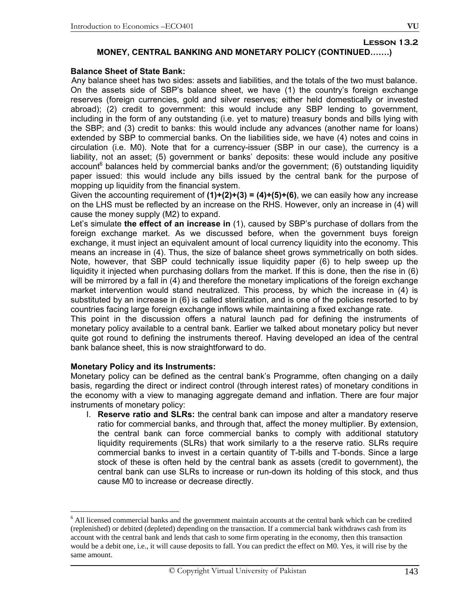#### **Lesson 13.2**

# **MONEY, CENTRAL BANKING AND MONETARY POLICY (CONTINUED…….)**

#### **Balance Sheet of State Bank:**

Any balance sheet has two sides: assets and liabilities, and the totals of the two must balance. On the assets side of SBP's balance sheet, we have (1) the country's foreign exchange reserves (foreign currencies, gold and silver reserves; either held domestically or invested abroad); (2) credit to government: this would include any SBP lending to government, including in the form of any outstanding (i.e. yet to mature) treasury bonds and bills lying with the SBP; and (3) credit to banks: this would include any advances (another name for loans) extended by SBP to commercial banks. On the liabilities side, we have (4) notes and coins in circulation (i.e. M0). Note that for a currency-issuer (SBP in our case), the currency is a liability, not an asset; (5) government or banks' deposits: these would include any positive account<sup>6</sup> balances held by commercial banks and/or the government; (6) outstanding liquidity paper issued: this would include any bills issued by the central bank for the purpose of mopping up liquidity from the financial system.

Given the accounting requirement of **(1)+(2)+(3) = (4)+(5)+(6)**, we can easily how any increase on the LHS must be reflected by an increase on the RHS. However, only an increase in (4) will cause the money supply (M2) to expand.

Let's simulate **the effect of an increase in** (1), caused by SBP's purchase of dollars from the foreign exchange market. As we discussed before, when the government buys foreign exchange, it must inject an equivalent amount of local currency liquidity into the economy. This means an increase in (4). Thus, the size of balance sheet grows symmetrically on both sides. Note, however, that SBP could technically issue liquidity paper (6) to help sweep up the liquidity it injected when purchasing dollars from the market. If this is done, then the rise in (6) will be mirrored by a fall in (4) and therefore the monetary implications of the foreign exchange market intervention would stand neutralized. This process, by which the increase in (4) is substituted by an increase in (6) is called sterilization, and is one of the policies resorted to by countries facing large foreign exchange inflows while maintaining a fixed exchange rate.

This point in the discussion offers a natural launch pad for defining the instruments of monetary policy available to a central bank. Earlier we talked about monetary policy but never quite got round to defining the instruments thereof. Having developed an idea of the central bank balance sheet, this is now straightforward to do.

# **Monetary Policy and its Instruments:**

 $\overline{a}$ 

Monetary policy can be defined as the central bank's Programme, often changing on a daily basis, regarding the direct or indirect control (through interest rates) of monetary conditions in the economy with a view to managing aggregate demand and inflation. There are four major instruments of monetary policy:

I. **Reserve ratio and SLRs:** the central bank can impose and alter a mandatory reserve ratio for commercial banks, and through that, affect the money multiplier. By extension, the central bank can force commercial banks to comply with additional statutory liquidity requirements (SLRs) that work similarly to a the reserve ratio. SLRs require commercial banks to invest in a certain quantity of T-bills and T-bonds. Since a large stock of these is often held by the central bank as assets (credit to government), the central bank can use SLRs to increase or run-down its holding of this stock, and thus cause M0 to increase or decrease directly.

<sup>&</sup>lt;sup>6</sup> All licensed commercial banks and the government maintain accounts at the central bank which can be credited (replenished) or debited (depleted) depending on the transaction. If a commercial bank withdraws cash from its account with the central bank and lends that cash to some firm operating in the economy, then this transaction would be a debit one, i.e., it will cause deposits to fall. You can predict the effect on M0. Yes, it will rise by the same amount.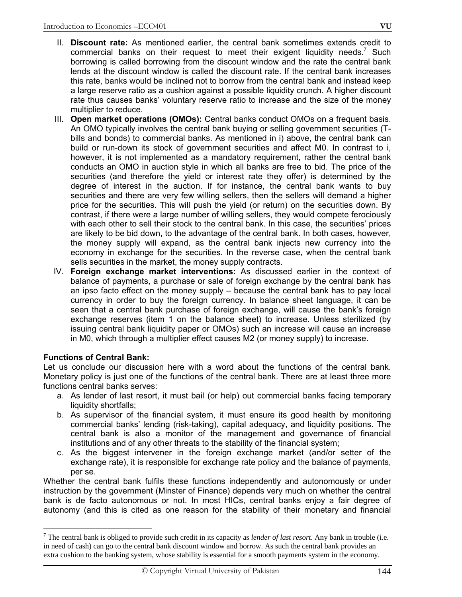- II. **Discount rate:** As mentioned earlier, the central bank sometimes extends credit to commercial banks on their request to meet their exigent liquidity needs.<sup>7</sup> Such borrowing is called borrowing from the discount window and the rate the central bank lends at the discount window is called the discount rate. If the central bank increases this rate, banks would be inclined not to borrow from the central bank and instead keep a large reserve ratio as a cushion against a possible liquidity crunch. A higher discount rate thus causes banks' voluntary reserve ratio to increase and the size of the money multiplier to reduce.
- III. **Open market operations (OMOs):** Central banks conduct OMOs on a frequent basis. An OMO typically involves the central bank buying or selling government securities (Tbills and bonds) to commercial banks. As mentioned in i) above, the central bank can build or run-down its stock of government securities and affect M0. In contrast to i, however, it is not implemented as a mandatory requirement, rather the central bank conducts an OMO in auction style in which all banks are free to bid. The price of the securities (and therefore the yield or interest rate they offer) is determined by the degree of interest in the auction. If for instance, the central bank wants to buy securities and there are very few willing sellers, then the sellers will demand a higher price for the securities. This will push the yield (or return) on the securities down. By contrast, if there were a large number of willing sellers, they would compete ferociously with each other to sell their stock to the central bank. In this case, the securities' prices are likely to be bid down, to the advantage of the central bank. In both cases, however, the money supply will expand, as the central bank injects new currency into the economy in exchange for the securities. In the reverse case, when the central bank sells securities in the market, the money supply contracts.
- IV. **Foreign exchange market interventions:** As discussed earlier in the context of balance of payments, a purchase or sale of foreign exchange by the central bank has an ipso facto effect on the money supply – because the central bank has to pay local currency in order to buy the foreign currency. In balance sheet language, it can be seen that a central bank purchase of foreign exchange, will cause the bank's foreign exchange reserves (item 1 on the balance sheet) to increase. Unless sterilized (by issuing central bank liquidity paper or OMOs) such an increase will cause an increase in M0, which through a multiplier effect causes M2 (or money supply) to increase.

# **Functions of Central Bank:**

 $\overline{a}$ 

Let us conclude our discussion here with a word about the functions of the central bank. Monetary policy is just one of the functions of the central bank. There are at least three more functions central banks serves:

- a. As lender of last resort, it must bail (or help) out commercial banks facing temporary liquidity shortfalls;
- b. As supervisor of the financial system, it must ensure its good health by monitoring commercial banks' lending (risk-taking), capital adequacy, and liquidity positions. The central bank is also a monitor of the management and governance of financial institutions and of any other threats to the stability of the financial system;
- c. As the biggest intervener in the foreign exchange market (and/or setter of the exchange rate), it is responsible for exchange rate policy and the balance of payments, per se.

Whether the central bank fulfils these functions independently and autonomously or under instruction by the government (Minster of Finance) depends very much on whether the central bank is de facto autonomous or not. In most HICs, central banks enjoy a fair degree of autonomy (and this is cited as one reason for the stability of their monetary and financial

 $<sup>7</sup>$  The central bank is obliged to provide such credit in its capacity as *lender of last resort*. Any bank in trouble (i.e.</sup> in need of cash) can go to the central bank discount window and borrow. As such the central bank provides an extra cushion to the banking system, whose stability is essential for a smooth payments system in the economy.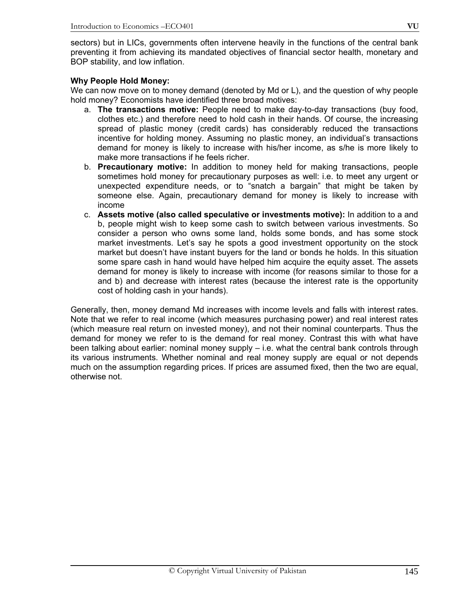sectors) but in LICs, governments often intervene heavily in the functions of the central bank preventing it from achieving its mandated objectives of financial sector health, monetary and BOP stability, and low inflation.

# **Why People Hold Money:**

We can now move on to money demand (denoted by Md or L), and the question of why people hold money? Economists have identified three broad motives:

- a. **The transactions motive:** People need to make day-to-day transactions (buy food, clothes etc.) and therefore need to hold cash in their hands. Of course, the increasing spread of plastic money (credit cards) has considerably reduced the transactions incentive for holding money. Assuming no plastic money, an individual's transactions demand for money is likely to increase with his/her income, as s/he is more likely to make more transactions if he feels richer.
- b. **Precautionary motive:** In addition to money held for making transactions, people sometimes hold money for precautionary purposes as well: i.e. to meet any urgent or unexpected expenditure needs, or to "snatch a bargain" that might be taken by someone else. Again, precautionary demand for money is likely to increase with income
- c. **Assets motive (also called speculative or investments motive):** In addition to a and b, people might wish to keep some cash to switch between various investments. So consider a person who owns some land, holds some bonds, and has some stock market investments. Let's say he spots a good investment opportunity on the stock market but doesn't have instant buyers for the land or bonds he holds. In this situation some spare cash in hand would have helped him acquire the equity asset. The assets demand for money is likely to increase with income (for reasons similar to those for a and b) and decrease with interest rates (because the interest rate is the opportunity cost of holding cash in your hands).

Generally, then, money demand Md increases with income levels and falls with interest rates. Note that we refer to real income (which measures purchasing power) and real interest rates (which measure real return on invested money), and not their nominal counterparts. Thus the demand for money we refer to is the demand for real money. Contrast this with what have been talking about earlier: nominal money supply – i.e. what the central bank controls through its various instruments. Whether nominal and real money supply are equal or not depends much on the assumption regarding prices. If prices are assumed fixed, then the two are equal, otherwise not.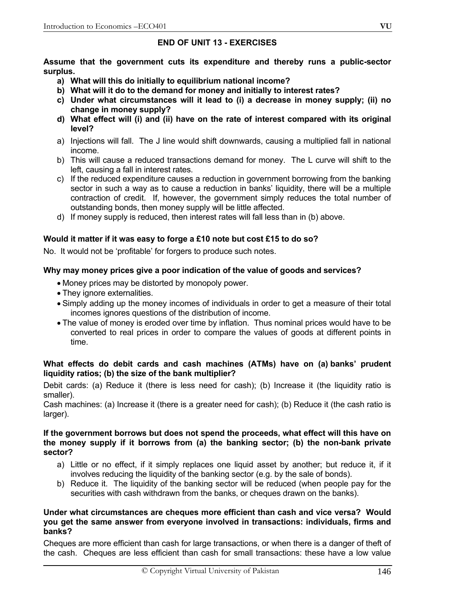# **END OF UNIT 13 - EXERCISES**

**Assume that the government cuts its expenditure and thereby runs a public-sector surplus.** 

- **a) What will this do initially to equilibrium national income?**
- **b) What will it do to the demand for money and initially to interest rates?**
- **c) Under what circumstances will it lead to (i) a decrease in money supply; (ii) no change in money supply?**
- **d) What effect will (i) and (ii) have on the rate of interest compared with its original level?**
- a) Injections will fall. The J line would shift downwards, causing a multiplied fall in national income.
- b) This will cause a reduced transactions demand for money. The L curve will shift to the left, causing a fall in interest rates.
- c) If the reduced expenditure causes a reduction in government borrowing from the banking sector in such a way as to cause a reduction in banks' liquidity, there will be a multiple contraction of credit. If, however, the government simply reduces the total number of outstanding bonds, then money supply will be little affected.
- d) If money supply is reduced, then interest rates will fall less than in (b) above.

# **Would it matter if it was easy to forge a £10 note but cost £15 to do so?**

No. It would not be 'profitable' for forgers to produce such notes.

# **Why may money prices give a poor indication of the value of goods and services?**

- Money prices may be distorted by monopoly power.
- They ignore externalities.
- Simply adding up the money incomes of individuals in order to get a measure of their total incomes ignores questions of the distribution of income.
- The value of money is eroded over time by inflation. Thus nominal prices would have to be converted to real prices in order to compare the values of goods at different points in time.

### **What effects do debit cards and cash machines (ATMs) have on (a) banks' prudent liquidity ratios; (b) the size of the bank multiplier?**

Debit cards: (a) Reduce it (there is less need for cash); (b) Increase it (the liquidity ratio is smaller).

Cash machines: (a) Increase it (there is a greater need for cash); (b) Reduce it (the cash ratio is larger).

### **If the government borrows but does not spend the proceeds, what effect will this have on the money supply if it borrows from (a) the banking sector; (b) the non-bank private sector?**

- a) Little or no effect, if it simply replaces one liquid asset by another; but reduce it, if it involves reducing the liquidity of the banking sector (e.g. by the sale of bonds).
- b) Reduce it. The liquidity of the banking sector will be reduced (when people pay for the securities with cash withdrawn from the banks, or cheques drawn on the banks).

### **Under what circumstances are cheques more efficient than cash and vice versa? Would you get the same answer from everyone involved in transactions: individuals, firms and banks?**

Cheques are more efficient than cash for large transactions, or when there is a danger of theft of the cash. Cheques are less efficient than cash for small transactions: these have a low value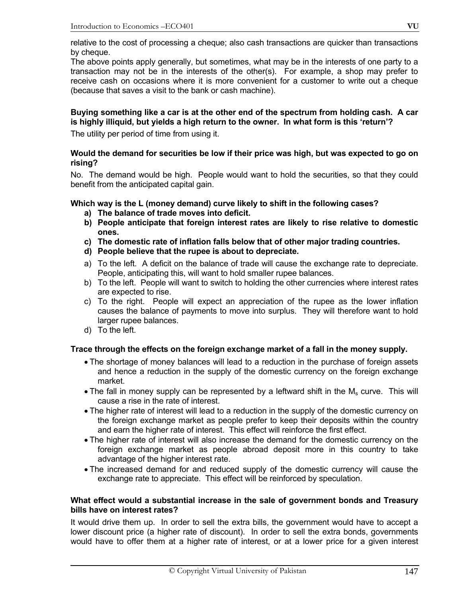relative to the cost of processing a cheque; also cash transactions are quicker than transactions by cheque.

The above points apply generally, but sometimes, what may be in the interests of one party to a transaction may not be in the interests of the other(s). For example, a shop may prefer to receive cash on occasions where it is more convenient for a customer to write out a cheque (because that saves a visit to the bank or cash machine).

# **Buying something like a car is at the other end of the spectrum from holding cash. A car is highly illiquid, but yields a high return to the owner. In what form is this 'return'?**

The utility per period of time from using it.

### **Would the demand for securities be low if their price was high, but was expected to go on rising?**

No. The demand would be high. People would want to hold the securities, so that they could benefit from the anticipated capital gain.

# **Which way is the L (money demand) curve likely to shift in the following cases?**

- **a) The balance of trade moves into deficit.**
- **b) People anticipate that foreign interest rates are likely to rise relative to domestic ones.**
- **c) The domestic rate of inflation falls below that of other major trading countries.**
- **d) People believe that the rupee is about to depreciate.**
- a) To the left. A deficit on the balance of trade will cause the exchange rate to depreciate. People, anticipating this, will want to hold smaller rupee balances.
- b) To the left. People will want to switch to holding the other currencies where interest rates are expected to rise.
- c) To the right. People will expect an appreciation of the rupee as the lower inflation causes the balance of payments to move into surplus. They will therefore want to hold larger rupee balances.
- d) To the left.

# **Trace through the effects on the foreign exchange market of a fall in the money supply.**

- The shortage of money balances will lead to a reduction in the purchase of foreign assets and hence a reduction in the supply of the domestic currency on the foreign exchange market.
- The fall in money supply can be represented by a leftward shift in the  $M_s$  curve. This will cause a rise in the rate of interest.
- The higher rate of interest will lead to a reduction in the supply of the domestic currency on the foreign exchange market as people prefer to keep their deposits within the country and earn the higher rate of interest. This effect will reinforce the first effect.
- The higher rate of interest will also increase the demand for the domestic currency on the foreign exchange market as people abroad deposit more in this country to take advantage of the higher interest rate.
- The increased demand for and reduced supply of the domestic currency will cause the exchange rate to appreciate. This effect will be reinforced by speculation.

# **What effect would a substantial increase in the sale of government bonds and Treasury bills have on interest rates?**

It would drive them up. In order to sell the extra bills, the government would have to accept a lower discount price (a higher rate of discount). In order to sell the extra bonds, governments would have to offer them at a higher rate of interest, or at a lower price for a given interest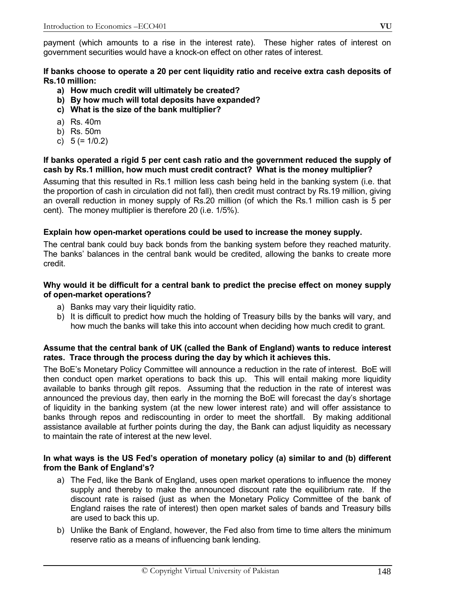payment (which amounts to a rise in the interest rate). These higher rates of interest on government securities would have a knock-on effect on other rates of interest.

**If banks choose to operate a 20 per cent liquidity ratio and receive extra cash deposits of Rs.10 million:** 

- **a) How much credit will ultimately be created?**
- **b) By how much will total deposits have expanded?**
- **c) What is the size of the bank multiplier?**
- a) Rs. 40m
- b) Rs. 50m
- c)  $5 (= 1/0.2)$

# **If banks operated a rigid 5 per cent cash ratio and the government reduced the supply of cash by Rs.1 million, how much must credit contract? What is the money multiplier?**

Assuming that this resulted in Rs.1 million less cash being held in the banking system (i.e. that the proportion of cash in circulation did not fall), then credit must contract by Rs.19 million, giving an overall reduction in money supply of Rs.20 million (of which the Rs.1 million cash is 5 per cent). The money multiplier is therefore 20 (i.e. 1/5%).

# **Explain how open-market operations could be used to increase the money supply.**

The central bank could buy back bonds from the banking system before they reached maturity. The banks' balances in the central bank would be credited, allowing the banks to create more credit.

### **Why would it be difficult for a central bank to predict the precise effect on money supply of open-market operations?**

- a) Banks may vary their liquidity ratio.
- b) It is difficult to predict how much the holding of Treasury bills by the banks will vary, and how much the banks will take this into account when deciding how much credit to grant.

# **Assume that the central bank of UK (called the Bank of England) wants to reduce interest rates. Trace through the process during the day by which it achieves this.**

The BoE's Monetary Policy Committee will announce a reduction in the rate of interest. BoE will then conduct open market operations to back this up. This will entail making more liquidity available to banks through gilt repos. Assuming that the reduction in the rate of interest was announced the previous day, then early in the morning the BoE will forecast the day's shortage of liquidity in the banking system (at the new lower interest rate) and will offer assistance to banks through repos and rediscounting in order to meet the shortfall. By making additional assistance available at further points during the day, the Bank can adjust liquidity as necessary to maintain the rate of interest at the new level.

# **In what ways is the US Fed's operation of monetary policy (a) similar to and (b) different from the Bank of England's?**

- a) The Fed, like the Bank of England, uses open market operations to influence the money supply and thereby to make the announced discount rate the equilibrium rate. If the discount rate is raised (just as when the Monetary Policy Committee of the bank of England raises the rate of interest) then open market sales of bands and Treasury bills are used to back this up.
- b) Unlike the Bank of England, however, the Fed also from time to time alters the minimum reserve ratio as a means of influencing bank lending.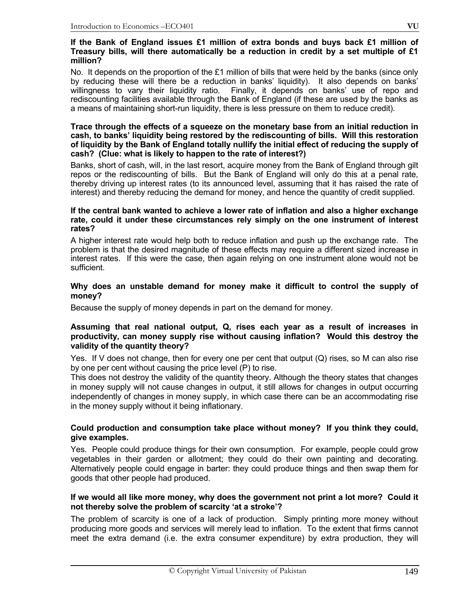### **If the Bank of England issues £1 million of extra bonds and buys back £1 million of Treasury bills, will there automatically be a reduction in credit by a set multiple of £1 million?**

No. It depends on the proportion of the £1 million of bills that were held by the banks (since only by reducing these will there be a reduction in banks' liquidity). It also depends on banks' willingness to vary their liquidity ratio. Finally, it depends on banks' use of repo and rediscounting facilities available through the Bank of England (if these are used by the banks as a means of maintaining short-run liquidity, there is less pressure on them to reduce credit).

#### **Trace through the effects of a squeeze on the monetary base from an initial reduction in cash, to banks' liquidity being restored by the rediscounting of bills. Will this restoration of liquidity by the Bank of England totally nullify the initial effect of reducing the supply of cash? (Clue: what is likely to happen to the rate of interest?)**

Banks, short of cash, will, in the last resort, acquire money from the Bank of England through gilt repos or the rediscounting of bills. But the Bank of England will only do this at a penal rate, thereby driving up interest rates (to its announced level, assuming that it has raised the rate of interest) and thereby reducing the demand for money, and hence the quantity of credit supplied.

#### **If the central bank wanted to achieve a lower rate of inflation and also a higher exchange rate, could it under these circumstances rely simply on the one instrument of interest rates?**

A higher interest rate would help both to reduce inflation and push up the exchange rate. The problem is that the desired magnitude of these effects may require a different sized increase in interest rates. If this were the case, then again relying on one instrument alone would not be sufficient.

#### **Why does an unstable demand for money make it difficult to control the supply of money?**

Because the supply of money depends in part on the demand for money.

#### **Assuming that real national output, Q, rises each year as a result of increases in productivity, can money supply rise without causing inflation? Would this destroy the validity of the quantity theory?**

Yes. If V does not change, then for every one per cent that output (Q) rises, so M can also rise by one per cent without causing the price level (P) to rise.

This does not destroy the validity of the quantity theory. Although the theory states that changes in money supply will not cause changes in output, it still allows for changes in output occurring independently of changes in money supply, in which case there can be an accommodating rise in the money supply without it being inflationary.

# **Could production and consumption take place without money? If you think they could, give examples.**

Yes. People could produce things for their own consumption. For example, people could grow vegetables in their garden or allotment; they could do their own painting and decorating. Alternatively people could engage in barter: they could produce things and then swap them for goods that other people had produced.

### **If we would all like more money, why does the government not print a lot more? Could it not thereby solve the problem of scarcity 'at a stroke'?**

The problem of scarcity is one of a lack of production. Simply printing more money without producing more goods and services will merely lead to inflation. To the extent that firms cannot meet the extra demand (i.e. the extra consumer expenditure) by extra production, they will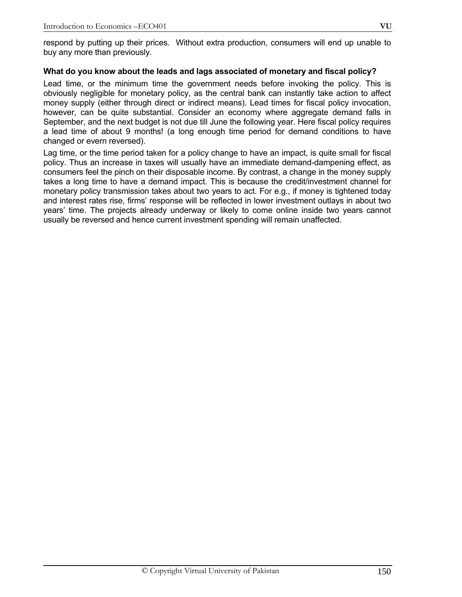respond by putting up their prices. Without extra production, consumers will end up unable to buy any more than previously.

# **What do you know about the leads and lags associated of monetary and fiscal policy?**

Lead time, or the minimum time the government needs before invoking the policy. This is obviously negligible for monetary policy, as the central bank can instantly take action to affect money supply (either through direct or indirect means). Lead times for fiscal policy invocation, however, can be quite substantial. Consider an economy where aggregate demand falls in September, and the next budget is not due till June the following year. Here fiscal policy requires a lead time of about 9 months! (a long enough time period for demand conditions to have changed or evern reversed).

Lag time, or the time period taken for a policy change to have an impact, is quite small for fiscal policy. Thus an increase in taxes will usually have an immediate demand-dampening effect, as consumers feel the pinch on their disposable income. By contrast, a change in the money supply takes a long time to have a demand impact. This is because the credit/investment channel for monetary policy transmission takes about two years to act. For e.g., if money is tightened today and interest rates rise, firms' response will be reflected in lower investment outlays in about two years' time. The projects already underway or likely to come online inside two years cannot usually be reversed and hence current investment spending will remain unaffected.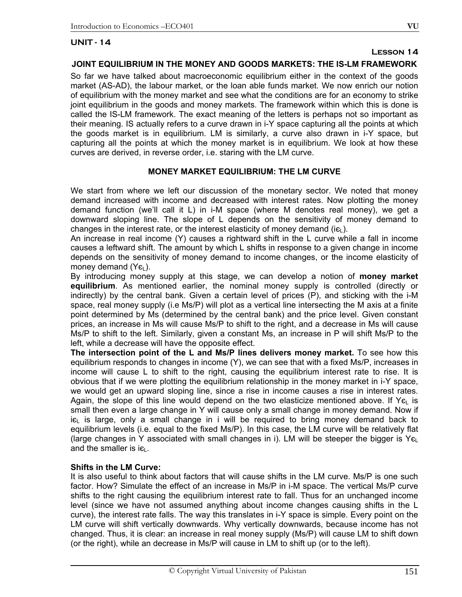### **UNIT - 14**

#### **Lesson 14**

### **JOINT EQUILIBRIUM IN THE MONEY AND GOODS MARKETS: THE IS-LM FRAMEWORK**

So far we have talked about macroeconomic equilibrium either in the context of the goods market (AS-AD), the labour market, or the loan able funds market. We now enrich our notion of equilibrium with the money market and see what the conditions are for an economy to strike joint equilibrium in the goods and money markets. The framework within which this is done is called the IS-LM framework. The exact meaning of the letters is perhaps not so important as their meaning. IS actually refers to a curve drawn in i-Y space capturing all the points at which the goods market is in equilibrium. LM is similarly, a curve also drawn in i-Y space, but capturing all the points at which the money market is in equilibrium. We look at how these curves are derived, in reverse order, i.e. staring with the LM curve.

# **MONEY MARKET EQUILIBRIUM: THE LM CURVE**

We start from where we left our discussion of the monetary sector. We noted that money demand increased with income and decreased with interest rates. Now plotting the money demand function (we'll call it L) in i-M space (where M denotes real money), we get a downward sloping line. The slope of L depends on the sensitivity of money demand to changes in the interest rate, or the interest elasticity of money demand (i $\varepsilon$ ).

An increase in real income (Y) causes a rightward shift in the L curve while a fall in income causes a leftward shift. The amount by which L shifts in response to a given change in income depends on the sensitivity of money demand to income changes, or the income elasticity of money demand  $(Y\varepsilon_{\mathsf{L}})$ .

By introducing money supply at this stage, we can develop a notion of **money market equilibrium**. As mentioned earlier, the nominal money supply is controlled (directly or indirectly) by the central bank. Given a certain level of prices (P), and sticking with the i-M space, real money supply (i.e Ms/P) will plot as a vertical line intersecting the M axis at a finite point determined by Ms (determined by the central bank) and the price level. Given constant prices, an increase in Ms will cause Ms/P to shift to the right, and a decrease in Ms will cause Ms/P to shift to the left. Similarly, given a constant Ms, an increase in P will shift Ms/P to the left, while a decrease will have the opposite effect.

**The intersection point of the L and Ms/P lines delivers money market.** To see how this equilibrium responds to changes in income (Y), we can see that with a fixed Ms/P, increases in income will cause L to shift to the right, causing the equilibrium interest rate to rise. It is obvious that if we were plotting the equilibrium relationship in the money market in i-Y space, we would get an upward sloping line, since a rise in income causes a rise in interest rates. Again, the slope of this line would depend on the two elasticize mentioned above. If  $Y_{\epsilon}$  is small then even a large change in Y will cause only a small change in money demand. Now if  $i\epsilon$  is large, only a small change in i will be required to bring money demand back to equilibrium levels (i.e. equal to the fixed Ms/P). In this case, the LM curve will be relatively flat (large changes in Y associated with small changes in i). LM will be steeper the bigger is  $Y \epsilon$ and the smaller is  $i\varepsilon$ .

# **Shifts in the LM Curve:**

It is also useful to think about factors that will cause shifts in the LM curve. Ms/P is one such factor. How? Simulate the effect of an increase in Ms/P in i-M space. The vertical Ms/P curve shifts to the right causing the equilibrium interest rate to fall. Thus for an unchanged income level (since we have not assumed anything about income changes causing shifts in the L curve), the interest rate falls. The way this translates in i-Y space is simple. Every point on the LM curve will shift vertically downwards. Why vertically downwards, because income has not changed. Thus, it is clear: an increase in real money supply (Ms/P) will cause LM to shift down (or the right), while an decrease in Ms/P will cause in LM to shift up (or to the left).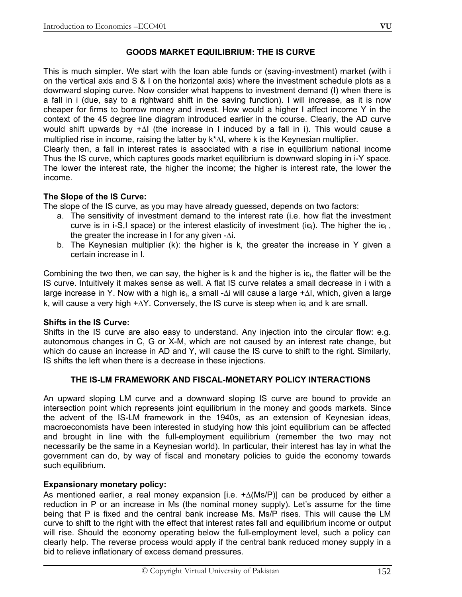# **GOODS MARKET EQUILIBRIUM: THE IS CURVE**

This is much simpler. We start with the loan able funds or (saving-investment) market (with i on the vertical axis and S & I on the horizontal axis) where the investment schedule plots as a downward sloping curve. Now consider what happens to investment demand (I) when there is a fall in i (due, say to a rightward shift in the saving function). I will increase, as it is now cheaper for firms to borrow money and invest. How would a higher I affect income Y in the context of the 45 degree line diagram introduced earlier in the course. Clearly, the AD curve would shift upwards by +ΔI (the increase in I induced by a fall in i). This would cause a multiplied rise in income, raising the latter by k\*ΔI, where k is the Keynesian multiplier.

Clearly then, a fall in interest rates is associated with a rise in equilibrium national income Thus the IS curve, which captures goods market equilibrium is downward sloping in i-Y space. The lower the interest rate, the higher the income; the higher is interest rate, the lower the income.

# **The Slope of the IS Curve:**

The slope of the IS curve, as you may have already guessed, depends on two factors:

- a. The sensitivity of investment demand to the interest rate (i.e. how flat the investment curve is in i-S,I space) or the interest elasticity of investment (i $\epsilon$ <sub>I</sub>). The higher the  $i\epsilon$ <sub>I</sub>, the greater the increase in I for any given -Δi.
- b. The Keynesian multiplier (k): the higher is k, the greater the increase in Y given a certain increase in I.

Combining the two then, we can say, the higher is k and the higher is  $i\varepsilon$ <sub>1</sub>, the flatter will be the IS curve. Intuitively it makes sense as well. A flat IS curve relates a small decrease in i with a large increase in Y. Now with a high iε<sub>l</sub>, a small -Δi will cause a large +Δl, which, given a large k, will cause a very high  $+\Delta Y$ . Conversely, the IS curve is steep when i $\varepsilon_1$  and k are small.

# **Shifts in the IS Curve:**

Shifts in the IS curve are also easy to understand. Any injection into the circular flow: e.g. autonomous changes in C, G or X-M, which are not caused by an interest rate change, but which do cause an increase in AD and Y, will cause the IS curve to shift to the right. Similarly, IS shifts the left when there is a decrease in these injections.

# **THE IS-LM FRAMEWORK AND FISCAL-MONETARY POLICY INTERACTIONS**

An upward sloping LM curve and a downward sloping IS curve are bound to provide an intersection point which represents joint equilibrium in the money and goods markets. Since the advent of the IS-LM framework in the 1940s, as an extension of Keynesian ideas, macroeconomists have been interested in studying how this joint equilibrium can be affected and brought in line with the full-employment equilibrium (remember the two may not necessarily be the same in a Keynesian world). In particular, their interest has lay in what the government can do, by way of fiscal and monetary policies to guide the economy towards such equilibrium.

# **Expansionary monetary policy:**

As mentioned earlier, a real money expansion [i.e.  $+\Delta(Ms/P)$ ] can be produced by either a reduction in P or an increase in Ms (the nominal money supply). Let's assume for the time being that P is fixed and the central bank increase Ms. Ms/P rises. This will cause the LM curve to shift to the right with the effect that interest rates fall and equilibrium income or output will rise. Should the economy operating below the full-employment level, such a policy can clearly help. The reverse process would apply if the central bank reduced money supply in a bid to relieve inflationary of excess demand pressures.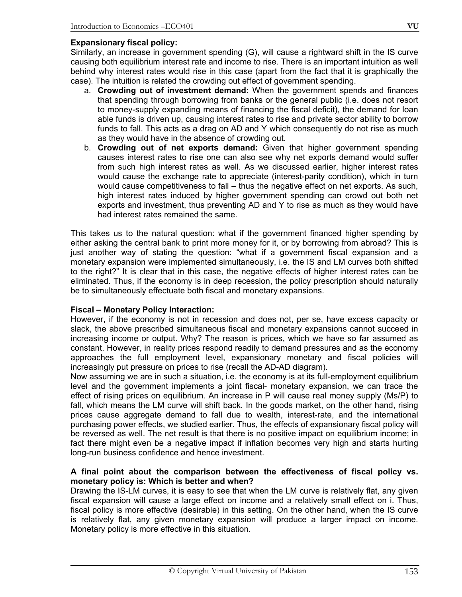### **Expansionary fiscal policy:**

Similarly, an increase in government spending (G), will cause a rightward shift in the IS curve causing both equilibrium interest rate and income to rise. There is an important intuition as well behind why interest rates would rise in this case (apart from the fact that it is graphically the case). The intuition is related the crowding out effect of government spending.

- a. **Crowding out of investment demand:** When the government spends and finances that spending through borrowing from banks or the general public (i.e. does not resort to money-supply expanding means of financing the fiscal deficit), the demand for loan able funds is driven up, causing interest rates to rise and private sector ability to borrow funds to fall. This acts as a drag on AD and Y which consequently do not rise as much as they would have in the absence of crowding out.
- b. **Crowding out of net exports demand:** Given that higher government spending causes interest rates to rise one can also see why net exports demand would suffer from such high interest rates as well. As we discussed earlier, higher interest rates would cause the exchange rate to appreciate (interest-parity condition), which in turn would cause competitiveness to fall – thus the negative effect on net exports. As such, high interest rates induced by higher government spending can crowd out both net exports and investment, thus preventing AD and Y to rise as much as they would have had interest rates remained the same.

This takes us to the natural question: what if the government financed higher spending by either asking the central bank to print more money for it, or by borrowing from abroad? This is just another way of stating the question: "what if a government fiscal expansion and a monetary expansion were implemented simultaneously, i.e. the IS and LM curves both shifted to the right?" It is clear that in this case, the negative effects of higher interest rates can be eliminated. Thus, if the economy is in deep recession, the policy prescription should naturally be to simultaneously effectuate both fiscal and monetary expansions.

# **Fiscal – Monetary Policy Interaction:**

However, if the economy is not in recession and does not, per se, have excess capacity or slack, the above prescribed simultaneous fiscal and monetary expansions cannot succeed in increasing income or output. Why? The reason is prices, which we have so far assumed as constant. However, in reality prices respond readily to demand pressures and as the economy approaches the full employment level, expansionary monetary and fiscal policies will increasingly put pressure on prices to rise (recall the AD-AD diagram).

Now assuming we are in such a situation, i.e. the economy is at its full-employment equilibrium level and the government implements a joint fiscal- monetary expansion, we can trace the effect of rising prices on equilibrium. An increase in P will cause real money supply (Ms/P) to fall, which means the LM curve will shift back. In the goods market, on the other hand, rising prices cause aggregate demand to fall due to wealth, interest-rate, and the international purchasing power effects, we studied earlier. Thus, the effects of expansionary fiscal policy will be reversed as well. The net result is that there is no positive impact on equilibrium income; in fact there might even be a negative impact if inflation becomes very high and starts hurting long-run business confidence and hence investment.

#### **A final point about the comparison between the effectiveness of fiscal policy vs. monetary policy is: Which is better and when?**

Drawing the IS-LM curves, it is easy to see that when the LM curve is relatively flat, any given fiscal expansion will cause a large effect on income and a relatively small effect on i. Thus, fiscal policy is more effective (desirable) in this setting. On the other hand, when the IS curve is relatively flat, any given monetary expansion will produce a larger impact on income. Monetary policy is more effective in this situation.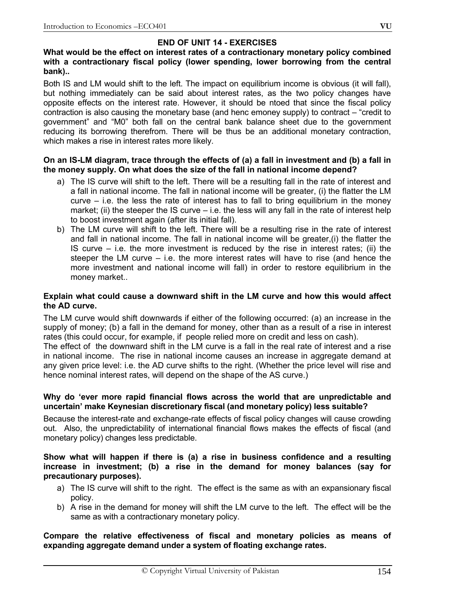# **END OF UNIT 14 - EXERCISES**

# **What would be the effect on interest rates of a contractionary monetary policy combined with a contractionary fiscal policy (lower spending, lower borrowing from the central bank)..**

Both IS and LM would shift to the left. The impact on equilibrium income is obvious (it will fall), but nothing immediately can be said about interest rates, as the two policy changes have opposite effects on the interest rate. However, it should be ntoed that since the fiscal policy contraction is also causing the monetary base (and henc emoney supply) to contract – "credit to government" and "M0" both fall on the central bank balance sheet due to the government reducing its borrowing therefrom. There will be thus be an additional monetary contraction, which makes a rise in interest rates more likely.

### **On an IS-LM diagram, trace through the effects of (a) a fall in investment and (b) a fall in the money supply. On what does the size of the fall in national income depend?**

- a) The IS curve will shift to the left. There will be a resulting fall in the rate of interest and a fall in national income. The fall in national income will be greater, (i) the flatter the LM curve  $-$  i.e. the less the rate of interest has to fall to bring equilibrium in the money market; (ii) the steeper the IS curve  $-$  i.e. the less will any fall in the rate of interest help to boost investment again (after its initial fall).
- b) The LM curve will shift to the left. There will be a resulting rise in the rate of interest and fall in national income. The fall in national income will be greater,(i) the flatter the IS curve  $-$  i.e. the more investment is reduced by the rise in interest rates; (ii) the steeper the LM curve  $-$  i.e. the more interest rates will have to rise (and hence the more investment and national income will fall) in order to restore equilibrium in the money market..

### **Explain what could cause a downward shift in the LM curve and how this would affect the AD curve.**

The LM curve would shift downwards if either of the following occurred: (a) an increase in the supply of money; (b) a fall in the demand for money, other than as a result of a rise in interest rates (this could occur, for example, if people relied more on credit and less on cash).

The effect of the downward shift in the LM curve is a fall in the real rate of interest and a rise in national income. The rise in national income causes an increase in aggregate demand at any given price level: i.e. the AD curve shifts to the right. (Whether the price level will rise and hence nominal interest rates, will depend on the shape of the AS curve.)

# **Why do 'ever more rapid financial flows across the world that are unpredictable and uncertain' make Keynesian discretionary fiscal (and monetary policy) less suitable?**

Because the interest-rate and exchange-rate effects of fiscal policy changes will cause crowding out. Also, the unpredictability of international financial flows makes the effects of fiscal (and monetary policy) changes less predictable.

#### **Show what will happen if there is (a) a rise in business confidence and a resulting increase in investment; (b) a rise in the demand for money balances (say for precautionary purposes).**

- a) The IS curve will shift to the right. The effect is the same as with an expansionary fiscal policy.
- b) A rise in the demand for money will shift the LM curve to the left. The effect will be the same as with a contractionary monetary policy.

**Compare the relative effectiveness of fiscal and monetary policies as means of expanding aggregate demand under a system of floating exchange rates.**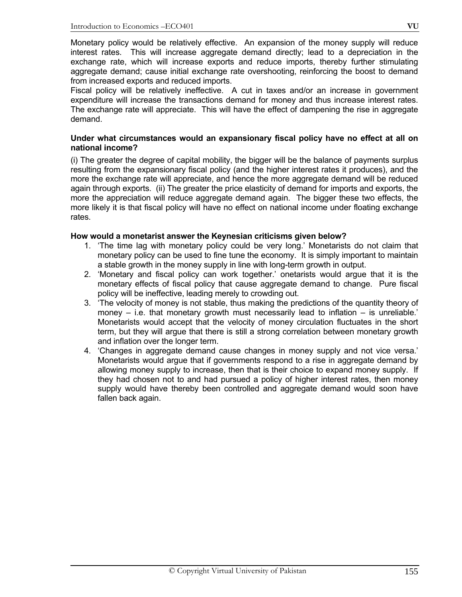Monetary policy would be relatively effective. An expansion of the money supply will reduce interest rates. This will increase aggregate demand directly; lead to a depreciation in the exchange rate, which will increase exports and reduce imports, thereby further stimulating aggregate demand; cause initial exchange rate overshooting, reinforcing the boost to demand from increased exports and reduced imports.

Fiscal policy will be relatively ineffective. A cut in taxes and/or an increase in government expenditure will increase the transactions demand for money and thus increase interest rates. The exchange rate will appreciate. This will have the effect of dampening the rise in aggregate demand.

### **Under what circumstances would an expansionary fiscal policy have no effect at all on national income?**

(i) The greater the degree of capital mobility, the bigger will be the balance of payments surplus resulting from the expansionary fiscal policy (and the higher interest rates it produces), and the more the exchange rate will appreciate, and hence the more aggregate demand will be reduced again through exports. (ii) The greater the price elasticity of demand for imports and exports, the more the appreciation will reduce aggregate demand again. The bigger these two effects, the more likely it is that fiscal policy will have no effect on national income under floating exchange rates.

# **How would a monetarist answer the Keynesian criticisms given below?**

- 1. 'The time lag with monetary policy could be very long.' Monetarists do not claim that monetary policy can be used to fine tune the economy. It is simply important to maintain a stable growth in the money supply in line with long-term growth in output.
- 2. 'Monetary and fiscal policy can work together.' onetarists would argue that it is the monetary effects of fiscal policy that cause aggregate demand to change. Pure fiscal policy will be ineffective, leading merely to crowding out.
- 3. 'The velocity of money is not stable, thus making the predictions of the quantity theory of money  $-$  i.e. that monetary growth must necessarily lead to inflation  $-$  is unreliable.' Monetarists would accept that the velocity of money circulation fluctuates in the short term, but they will argue that there is still a strong correlation between monetary growth and inflation over the longer term.
- 4. 'Changes in aggregate demand cause changes in money supply and not vice versa.' Monetarists would argue that if governments respond to a rise in aggregate demand by allowing money supply to increase, then that is their choice to expand money supply. If they had chosen not to and had pursued a policy of higher interest rates, then money supply would have thereby been controlled and aggregate demand would soon have fallen back again.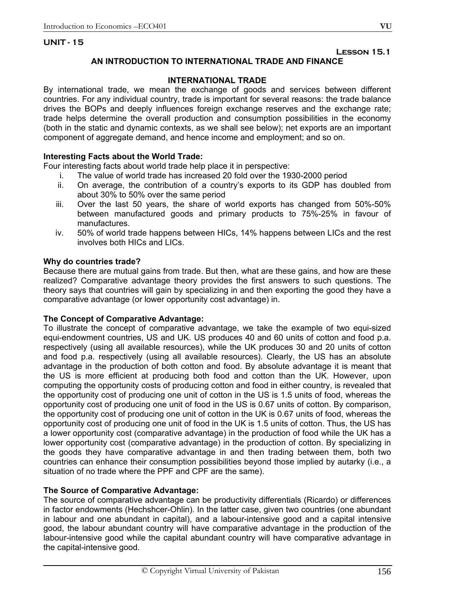# **UNIT - 15**

# **Lesson 15.1**

# **AN INTRODUCTION TO INTERNATIONAL TRADE AND FINANCE**

# **INTERNATIONAL TRADE**

By international trade, we mean the exchange of goods and services between different countries. For any individual country, trade is important for several reasons: the trade balance drives the BOPs and deeply influences foreign exchange reserves and the exchange rate; trade helps determine the overall production and consumption possibilities in the economy (both in the static and dynamic contexts, as we shall see below); net exports are an important component of aggregate demand, and hence income and employment; and so on.

# **Interesting Facts about the World Trade:**

Four interesting facts about world trade help place it in perspective:

- i. The value of world trade has increased 20 fold over the 1930-2000 period
- ii. On average, the contribution of a country's exports to its GDP has doubled from about 30% to 50% over the same period
- iii. Over the last 50 years, the share of world exports has changed from 50%-50% between manufactured goods and primary products to 75%-25% in favour of manufactures.
- iv. 50% of world trade happens between HICs, 14% happens between LICs and the rest involves both HICs and LICs.

# **Why do countries trade?**

Because there are mutual gains from trade. But then, what are these gains, and how are these realized? Comparative advantage theory provides the first answers to such questions. The theory says that countries will gain by specializing in and then exporting the good they have a comparative advantage (or lower opportunity cost advantage) in.

# **The Concept of Comparative Advantage:**

To illustrate the concept of comparative advantage, we take the example of two equi-sized equi-endowment countries, US and UK. US produces 40 and 60 units of cotton and food p.a. respectively (using all available resources), while the UK produces 30 and 20 units of cotton and food p.a. respectively (using all available resources). Clearly, the US has an absolute advantage in the production of both cotton and food. By absolute advantage it is meant that the US is more efficient at producing both food and cotton than the UK. However, upon computing the opportunity costs of producing cotton and food in either country, is revealed that the opportunity cost of producing one unit of cotton in the US is 1.5 units of food, whereas the opportunity cost of producing one unit of food in the US is 0.67 units of cotton. By comparison, the opportunity cost of producing one unit of cotton in the UK is 0.67 units of food, whereas the opportunity cost of producing one unit of food in the UK is 1.5 units of cotton. Thus, the US has a lower opportunity cost (comparative advantage) in the production of food while the UK has a lower opportunity cost (comparative advantage) in the production of cotton. By specializing in the goods they have comparative advantage in and then trading between them, both two countries can enhance their consumption possibilities beyond those implied by autarky (i.e., a situation of no trade where the PPF and CPF are the same).

# **The Source of Comparative Advantage:**

The source of comparative advantage can be productivity differentials (Ricardo) or differences in factor endowments (Hechshcer-Ohlin). In the latter case, given two countries (one abundant in labour and one abundant in capital), and a labour-intensive good and a capital intensive good, the labour abundant country will have comparative advantage in the production of the labour-intensive good while the capital abundant country will have comparative advantage in the capital-intensive good.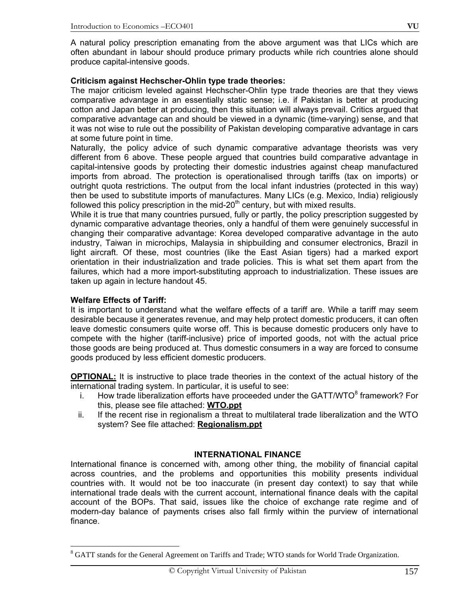A natural policy prescription emanating from the above argument was that LICs which are often abundant in labour should produce primary products while rich countries alone should produce capital-intensive goods.

# **Criticism against Hechscher-Ohlin type trade theories:**

The major criticism leveled against Hechscher-Ohlin type trade theories are that they views comparative advantage in an essentially static sense; i.e. if Pakistan is better at producing cotton and Japan better at producing, then this situation will always prevail. Critics argued that comparative advantage can and should be viewed in a dynamic (time-varying) sense, and that it was not wise to rule out the possibility of Pakistan developing comparative advantage in cars at some future point in time.

Naturally, the policy advice of such dynamic comparative advantage theorists was very different from 6 above. These people argued that countries build comparative advantage in capital-intensive goods by protecting their domestic industries against cheap manufactured imports from abroad. The protection is operationalised through tariffs (tax on imports) or outright quota restrictions. The output from the local infant industries (protected in this way) then be used to substitute imports of manufactures. Many LICs (e.g. Mexico, India) religiously followed this policy prescription in the mid- $20<sup>th</sup>$  century, but with mixed results.

While it is true that many countries pursued, fully or partly, the policy prescription suggested by dynamic comparative advantage theories, only a handful of them were genuinely successful in changing their comparative advantage: Korea developed comparative advantage in the auto industry, Taiwan in microchips, Malaysia in shipbuilding and consumer electronics, Brazil in light aircraft. Of these, most countries (like the East Asian tigers) had a marked export orientation in their industrialization and trade policies. This is what set them apart from the failures, which had a more import-substituting approach to industrialization. These issues are taken up again in lecture handout 45.

# **Welfare Effects of Tariff:**

 $\overline{a}$ 

It is important to understand what the welfare effects of a tariff are. While a tariff may seem desirable because it generates revenue, and may help protect domestic producers, it can often leave domestic consumers quite worse off. This is because domestic producers only have to compete with the higher (tariff-inclusive) price of imported goods, not with the actual price those goods are being produced at. Thus domestic consumers in a way are forced to consume goods produced by less efficient domestic producers.

**OPTIONAL:** It is instructive to place trade theories in the context of the actual history of the international trading system. In particular, it is useful to see:

- i. How trade liberalization efforts have proceeded under the GATT/WTO $^8$  framework? For this, please see file attached: **WTO.ppt**
- ii. If the recent rise in regionalism a threat to multilateral trade liberalization and the WTO system? See file attached: **Regionalism.ppt**

# **INTERNATIONAL FINANCE**

International finance is concerned with, among other thing, the mobility of financial capital across countries, and the problems and opportunities this mobility presents individual countries with. It would not be too inaccurate (in present day context) to say that while international trade deals with the current account, international finance deals with the capital account of the BOPs. That said, issues like the choice of exchange rate regime and of modern-day balance of payments crises also fall firmly within the purview of international finance.

<sup>&</sup>lt;sup>8</sup> GATT stands for the General Agreement on Tariffs and Trade; WTO stands for World Trade Organization.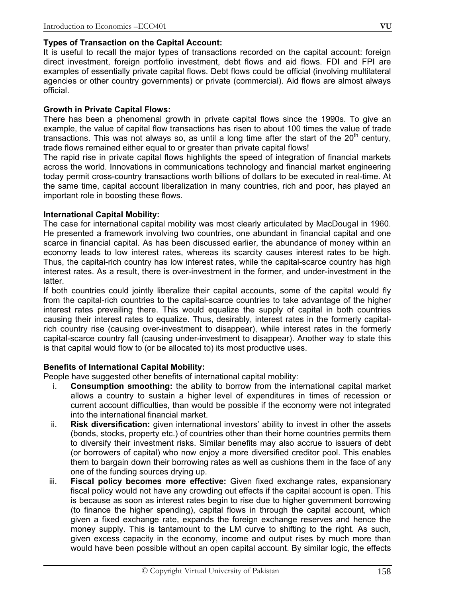### **Types of Transaction on the Capital Account:**

It is useful to recall the major types of transactions recorded on the capital account: foreign direct investment, foreign portfolio investment, debt flows and aid flows. FDI and FPI are examples of essentially private capital flows. Debt flows could be official (involving multilateral agencies or other country governments) or private (commercial). Aid flows are almost always official.

### **Growth in Private Capital Flows:**

There has been a phenomenal growth in private capital flows since the 1990s. To give an example, the value of capital flow transactions has risen to about 100 times the value of trade transactions. This was not always so, as until a long time after the start of the  $20<sup>th</sup>$  century, trade flows remained either equal to or greater than private capital flows!

The rapid rise in private capital flows highlights the speed of integration of financial markets across the world. Innovations in communications technology and financial market engineering today permit cross-country transactions worth billions of dollars to be executed in real-time. At the same time, capital account liberalization in many countries, rich and poor, has played an important role in boosting these flows.

### **International Capital Mobility:**

The case for international capital mobility was most clearly articulated by MacDougal in 1960. He presented a framework involving two countries, one abundant in financial capital and one scarce in financial capital. As has been discussed earlier, the abundance of money within an economy leads to low interest rates, whereas its scarcity causes interest rates to be high. Thus, the capital-rich country has low interest rates, while the capital-scarce country has high interest rates. As a result, there is over-investment in the former, and under-investment in the latter.

If both countries could jointly liberalize their capital accounts, some of the capital would fly from the capital-rich countries to the capital-scarce countries to take advantage of the higher interest rates prevailing there. This would equalize the supply of capital in both countries causing their interest rates to equalize. Thus, desirably, interest rates in the formerly capitalrich country rise (causing over-investment to disappear), while interest rates in the formerly capital-scarce country fall (causing under-investment to disappear). Another way to state this is that capital would flow to (or be allocated to) its most productive uses.

# **Benefits of International Capital Mobility:**

People have suggested other benefits of international capital mobility:

- i. **Consumption smoothing:** the ability to borrow from the international capital market allows a country to sustain a higher level of expenditures in times of recession or current account difficulties, than would be possible if the economy were not integrated into the international financial market.
- ii. **Risk diversification:** given international investors' ability to invest in other the assets (bonds, stocks, property etc.) of countries other than their home countries permits them to diversify their investment risks. Similar benefits may also accrue to issuers of debt (or borrowers of capital) who now enjoy a more diversified creditor pool. This enables them to bargain down their borrowing rates as well as cushions them in the face of any one of the funding sources drying up.
- iii. **Fiscal policy becomes more effective:** Given fixed exchange rates, expansionary fiscal policy would not have any crowding out effects if the capital account is open. This is because as soon as interest rates begin to rise due to higher government borrowing (to finance the higher spending), capital flows in through the capital account, which given a fixed exchange rate, expands the foreign exchange reserves and hence the money supply. This is tantamount to the LM curve to shifting to the right. As such, given excess capacity in the economy, income and output rises by much more than would have been possible without an open capital account. By similar logic, the effects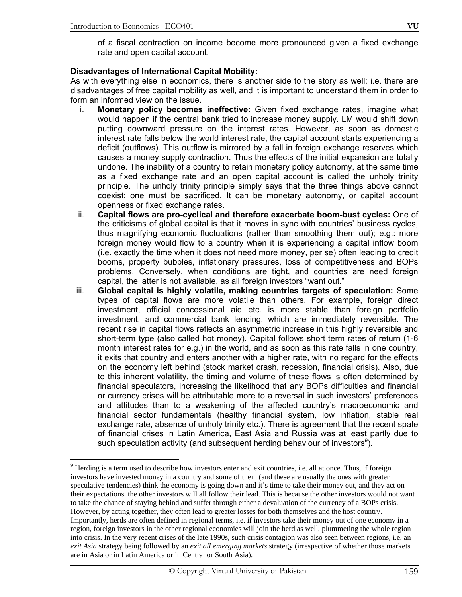$\overline{a}$ 

# **Disadvantages of International Capital Mobility:**

As with everything else in economics, there is another side to the story as well; i.e. there are disadvantages of free capital mobility as well, and it is important to understand them in order to form an informed view on the issue.

- i. **Monetary policy becomes ineffective:** Given fixed exchange rates, imagine what would happen if the central bank tried to increase money supply. LM would shift down putting downward pressure on the interest rates. However, as soon as domestic interest rate falls below the world interest rate, the capital account starts experiencing a deficit (outflows). This outflow is mirrored by a fall in foreign exchange reserves which causes a money supply contraction. Thus the effects of the initial expansion are totally undone. The inability of a country to retain monetary policy autonomy, at the same time as a fixed exchange rate and an open capital account is called the unholy trinity principle. The unholy trinity principle simply says that the three things above cannot coexist; one must be sacrificed. It can be monetary autonomy, or capital account openness or fixed exchange rates.
- ii. **Capital flows are pro-cyclical and therefore exacerbate boom-bust cycles:** One of the criticisms of global capital is that it moves in sync with countries' business cycles, thus magnifying economic fluctuations (rather than smoothing them out); e.g.: more foreign money would flow to a country when it is experiencing a capital inflow boom (i.e. exactly the time when it does not need more money, per se) often leading to credit booms, property bubbles, inflationary pressures, loss of competitiveness and BOPs problems. Conversely, when conditions are tight, and countries are need foreign capital, the latter is not available, as all foreign investors "want out."
- iii. **Global capital is highly volatile, making countries targets of speculation:** Some types of capital flows are more volatile than others. For example, foreign direct investment, official concessional aid etc. is more stable than foreign portfolio investment, and commercial bank lending, which are immediately reversible. The recent rise in capital flows reflects an asymmetric increase in this highly reversible and short-term type (also called hot money). Capital follows short term rates of return (1-6 month interest rates for e.g.) in the world, and as soon as this rate falls in one country, it exits that country and enters another with a higher rate, with no regard for the effects on the economy left behind (stock market crash, recession, financial crisis). Also, due to this inherent volatility, the timing and volume of these flows is often determined by financial speculators, increasing the likelihood that any BOPs difficulties and financial or currency crises will be attributable more to a reversal in such investors' preferences and attitudes than to a weakening of the affected country's macroeconomic and financial sector fundamentals (healthy financial system, low inflation, stable real exchange rate, absence of unholy trinity etc.). There is agreement that the recent spate of financial crises in Latin America, East Asia and Russia was at least partly due to such speculation activity (and subsequent herding behaviour of investors $9$ ).

 $9$  Herding is a term used to describe how investors enter and exit countries, i.e. all at once. Thus, if foreign investors have invested money in a country and some of them (and these are usually the ones with greater speculative tendencies) think the economy is going down and it's time to take their money out, and they act on their expectations, the other investors will all follow their lead. This is because the other investors would not want to take the chance of staying behind and suffer through either a devaluation of the currency of a BOPs crisis. However, by acting together, they often lead to greater losses for both themselves and the host country. Importantly, herds are often defined in regional terms, i.e. if investors take their money out of one economy in a region, foreign investors in the other regional economies will join the herd as well, plummeting the whole region into crisis. In the very recent crises of the late 1990s, such crisis contagion was also seen between regions, i.e. an *exit Asia* strategy being followed by an *exit all emerging markets* strategy (irrespective of whether those markets are in Asia or in Latin America or in Central or South Asia).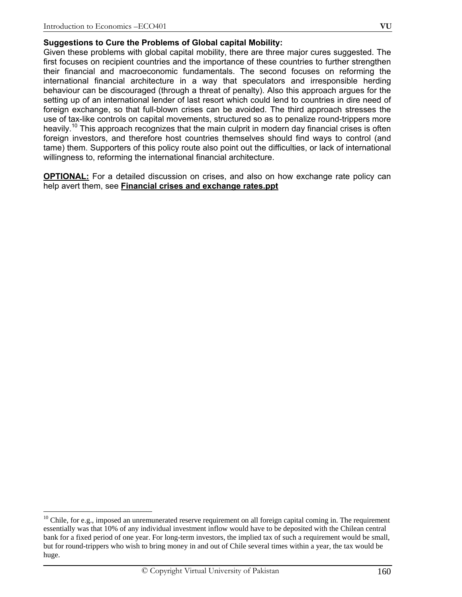$\overline{a}$ 

# **Suggestions to Cure the Problems of Global capital Mobility:**

Given these problems with global capital mobility, there are three major cures suggested. The first focuses on recipient countries and the importance of these countries to further strengthen their financial and macroeconomic fundamentals. The second focuses on reforming the international financial architecture in a way that speculators and irresponsible herding behaviour can be discouraged (through a threat of penalty). Also this approach argues for the setting up of an international lender of last resort which could lend to countries in dire need of foreign exchange, so that full-blown crises can be avoided. The third approach stresses the use of tax-like controls on capital movements, structured so as to penalize round-trippers more heavily.<sup>10</sup> This approach recognizes that the main culprit in modern day financial crises is often foreign investors, and therefore host countries themselves should find ways to control (and tame) them. Supporters of this policy route also point out the difficulties, or lack of international willingness to, reforming the international financial architecture.

**OPTIONAL:** For a detailed discussion on crises, and also on how exchange rate policy can help avert them, see **Financial crises and exchange rates.ppt**

 $10$  Chile, for e.g., imposed an unremunerated reserve requirement on all foreign capital coming in. The requirement essentially was that 10% of any individual investment inflow would have to be deposited with the Chilean central bank for a fixed period of one year. For long-term investors, the implied tax of such a requirement would be small, but for round-trippers who wish to bring money in and out of Chile several times within a year, the tax would be huge.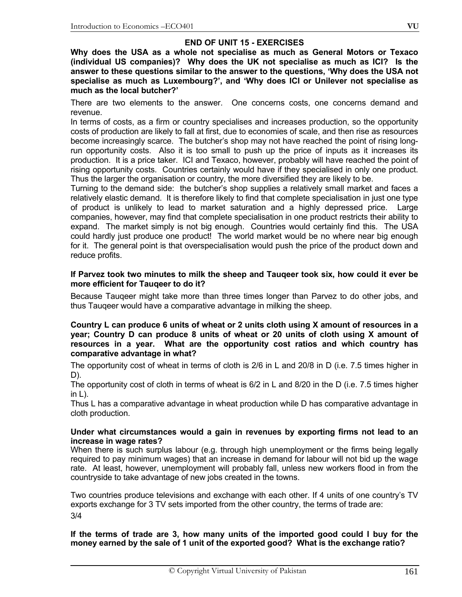# **END OF UNIT 15 - EXERCISES**

**Why does the USA as a whole not specialise as much as General Motors or Texaco (individual US companies)? Why does the UK not specialise as much as ICI? Is the answer to these questions similar to the answer to the questions, 'Why does the USA not specialise as much as Luxembourg?', and 'Why does ICI or Unilever not specialise as much as the local butcher?'** 

There are two elements to the answer. One concerns costs, one concerns demand and revenue.

In terms of costs, as a firm or country specialises and increases production, so the opportunity costs of production are likely to fall at first, due to economies of scale, and then rise as resources become increasingly scarce. The butcher's shop may not have reached the point of rising longrun opportunity costs. Also it is too small to push up the price of inputs as it increases its production. It is a price taker. ICI and Texaco, however, probably will have reached the point of rising opportunity costs. Countries certainly would have if they specialised in only one product. Thus the larger the organisation or country, the more diversified they are likely to be.

Turning to the demand side: the butcher's shop supplies a relatively small market and faces a relatively elastic demand. It is therefore likely to find that complete specialisation in just one type of product is unlikely to lead to market saturation and a highly depressed price. Large companies, however, may find that complete specialisation in one product restricts their ability to expand. The market simply is not big enough. Countries would certainly find this. The USA could hardly just produce one product! The world market would be no where near big enough for it. The general point is that overspecialisation would push the price of the product down and reduce profits.

### **If Parvez took two minutes to milk the sheep and Tauqeer took six, how could it ever be more efficient for Tauqeer to do it?**

Because Tauqeer might take more than three times longer than Parvez to do other jobs, and thus Tauqeer would have a comparative advantage in milking the sheep.

**Country L can produce 6 units of wheat or 2 units cloth using X amount of resources in a year; Country D can produce 8 units of wheat or 20 units of cloth using X amount of resources in a year. What are the opportunity cost ratios and which country has comparative advantage in what?** 

The opportunity cost of wheat in terms of cloth is 2/6 in L and 20/8 in D (i.e. 7.5 times higher in D).

The opportunity cost of cloth in terms of wheat is 6/2 in L and 8/20 in the D (i.e. 7.5 times higher  $in L$ ).

Thus L has a comparative advantage in wheat production while D has comparative advantage in cloth production.

#### **Under what circumstances would a gain in revenues by exporting firms not lead to an increase in wage rates?**

When there is such surplus labour (e.g. through high unemployment or the firms being legally required to pay minimum wages) that an increase in demand for labour will not bid up the wage rate. At least, however, unemployment will probably fall, unless new workers flood in from the countryside to take advantage of new jobs created in the towns.

Two countries produce televisions and exchange with each other. If 4 units of one country's TV exports exchange for 3 TV sets imported from the other country, the terms of trade are: 3/4

**If the terms of trade are 3, how many units of the imported good could I buy for the money earned by the sale of 1 unit of the exported good? What is the exchange ratio?**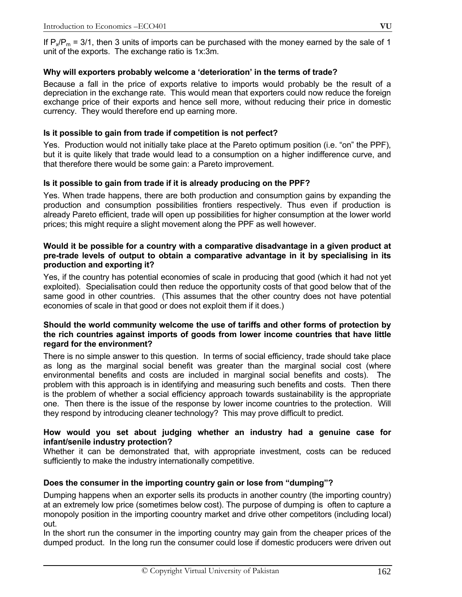If  $P_x/P_m = 3/1$ , then 3 units of imports can be purchased with the money earned by the sale of 1 unit of the exports. The exchange ratio is 1x:3m.

# **Why will exporters probably welcome a 'deterioration' in the terms of trade?**

Because a fall in the price of exports relative to imports would probably be the result of a depreciation in the exchange rate. This would mean that exporters could now reduce the foreign exchange price of their exports and hence sell more, without reducing their price in domestic currency. They would therefore end up earning more.

# **Is it possible to gain from trade if competition is not perfect?**

Yes. Production would not initially take place at the Pareto optimum position (i.e. "on" the PPF), but it is quite likely that trade would lead to a consumption on a higher indifference curve, and that therefore there would be some gain: a Pareto improvement.

# **Is it possible to gain from trade if it is already producing on the PPF?**

Yes. When trade happens, there are both production and consumption gains by expanding the production and consumption possibilities frontiers respectively. Thus even if production is already Pareto efficient, trade will open up possibilities for higher consumption at the lower world prices; this might require a slight movement along the PPF as well however.

### **Would it be possible for a country with a comparative disadvantage in a given product at pre-trade levels of output to obtain a comparative advantage in it by specialising in its production and exporting it?**

Yes, if the country has potential economies of scale in producing that good (which it had not yet exploited). Specialisation could then reduce the opportunity costs of that good below that of the same good in other countries. (This assumes that the other country does not have potential economies of scale in that good or does not exploit them if it does.)

### **Should the world community welcome the use of tariffs and other forms of protection by the rich countries against imports of goods from lower income countries that have little regard for the environment?**

There is no simple answer to this question. In terms of social efficiency, trade should take place as long as the marginal social benefit was greater than the marginal social cost (where environmental benefits and costs are included in marginal social benefits and costs). The problem with this approach is in identifying and measuring such benefits and costs. Then there is the problem of whether a social efficiency approach towards sustainability is the appropriate one. Then there is the issue of the response by lower income countries to the protection. Will they respond by introducing cleaner technology? This may prove difficult to predict.

### **How would you set about judging whether an industry had a genuine case for infant/senile industry protection?**

Whether it can be demonstrated that, with appropriate investment, costs can be reduced sufficiently to make the industry internationally competitive.

# **Does the consumer in the importing country gain or lose from "dumping"?**

Dumping happens when an exporter sells its products in another country (the importing country) at an extremely low price (sometimes below cost). The purpose of dumping is often to capture a monopoly position in the importing coountry market and drive other competitors (including local) out.

In the short run the consumer in the importing country may gain from the cheaper prices of the dumped product. In the long run the consumer could lose if domestic producers were driven out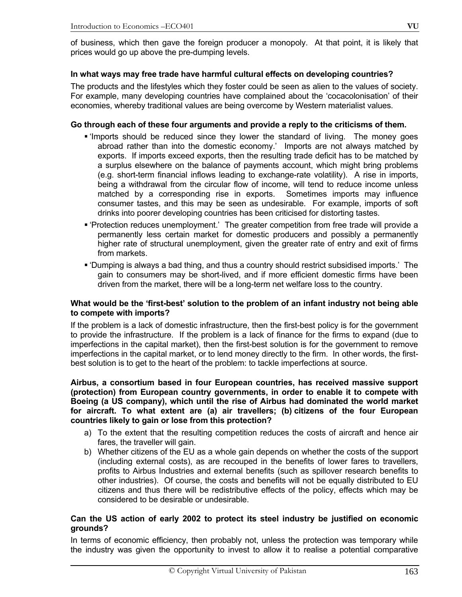of business, which then gave the foreign producer a monopoly. At that point, it is likely that prices would go up above the pre-dumping levels.

# **In what ways may free trade have harmful cultural effects on developing countries?**

The products and the lifestyles which they foster could be seen as alien to the values of society. For example, many developing countries have complained about the 'cocacolonisation' of their economies, whereby traditional values are being overcome by Western materialist values.

#### **Go through each of these four arguments and provide a reply to the criticisms of them.**

- 'Imports should be reduced since they lower the standard of living. The money goes abroad rather than into the domestic economy.' Imports are not always matched by exports. If imports exceed exports, then the resulting trade deficit has to be matched by a surplus elsewhere on the balance of payments account, which might bring problems (e.g. short-term financial inflows leading to exchange-rate volatility). A rise in imports, being a withdrawal from the circular flow of income, will tend to reduce income unless matched by a corresponding rise in exports. Sometimes imports may influence consumer tastes, and this may be seen as undesirable. For example, imports of soft drinks into poorer developing countries has been criticised for distorting tastes.
- 'Protection reduces unemployment.' The greater competition from free trade will provide a permanently less certain market for domestic producers and possibly a permanently higher rate of structural unemployment, given the greater rate of entry and exit of firms from markets.
- 'Dumping is always a bad thing, and thus a country should restrict subsidised imports.' The gain to consumers may be short-lived, and if more efficient domestic firms have been driven from the market, there will be a long-term net welfare loss to the country.

### **What would be the 'first-best' solution to the problem of an infant industry not being able to compete with imports?**

If the problem is a lack of domestic infrastructure, then the first-best policy is for the government to provide the infrastructure. If the problem is a lack of finance for the firms to expand (due to imperfections in the capital market), then the first-best solution is for the government to remove imperfections in the capital market, or to lend money directly to the firm. In other words, the firstbest solution is to get to the heart of the problem: to tackle imperfections at source.

#### **Airbus, a consortium based in four European countries, has received massive support (protection) from European country governments, in order to enable it to compete with Boeing (a US company), which until the rise of Airbus had dominated the world market for aircraft. To what extent are (a) air travellers; (b) citizens of the four European countries likely to gain or lose from this protection?**

- a) To the extent that the resulting competition reduces the costs of aircraft and hence air fares, the traveller will gain.
- b) Whether citizens of the EU as a whole gain depends on whether the costs of the support (including external costs), as are recouped in the benefits of lower fares to travellers, profits to Airbus Industries and external benefits (such as spillover research benefits to other industries). Of course, the costs and benefits will not be equally distributed to EU citizens and thus there will be redistributive effects of the policy, effects which may be considered to be desirable or undesirable.

# **Can the US action of early 2002 to protect its steel industry be justified on economic grounds?**

In terms of economic efficiency, then probably not, unless the protection was temporary while the industry was given the opportunity to invest to allow it to realise a potential comparative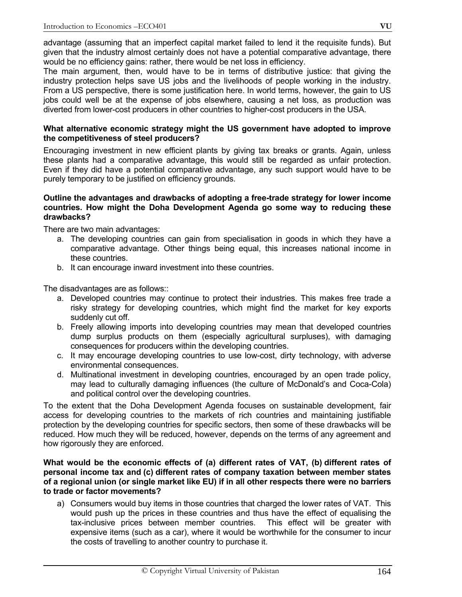advantage (assuming that an imperfect capital market failed to lend it the requisite funds). But given that the industry almost certainly does not have a potential comparative advantage, there would be no efficiency gains: rather, there would be net loss in efficiency.

The main argument, then, would have to be in terms of distributive justice: that giving the industry protection helps save US jobs and the livelihoods of people working in the industry. From a US perspective, there is some justification here. In world terms, however, the gain to US jobs could well be at the expense of jobs elsewhere, causing a net loss, as production was diverted from lower-cost producers in other countries to higher-cost producers in the USA.

# **What alternative economic strategy might the US government have adopted to improve the competitiveness of steel producers?**

Encouraging investment in new efficient plants by giving tax breaks or grants. Again, unless these plants had a comparative advantage, this would still be regarded as unfair protection. Even if they did have a potential comparative advantage, any such support would have to be purely temporary to be justified on efficiency grounds.

### **Outline the advantages and drawbacks of adopting a free-trade strategy for lower income countries. How might the Doha Development Agenda go some way to reducing these drawbacks?**

There are two main advantages:

- a. The developing countries can gain from specialisation in goods in which they have a comparative advantage. Other things being equal, this increases national income in these countries.
- b. It can encourage inward investment into these countries.

The disadvantages are as follows::

- a. Developed countries may continue to protect their industries. This makes free trade a risky strategy for developing countries, which might find the market for key exports suddenly cut off.
- b. Freely allowing imports into developing countries may mean that developed countries dump surplus products on them (especially agricultural surpluses), with damaging consequences for producers within the developing countries.
- c. It may encourage developing countries to use low-cost, dirty technology, with adverse environmental consequences.
- d. Multinational investment in developing countries, encouraged by an open trade policy, may lead to culturally damaging influences (the culture of McDonald's and Coca-Cola) and political control over the developing countries.

To the extent that the Doha Development Agenda focuses on sustainable development, fair access for developing countries to the markets of rich countries and maintaining justifiable protection by the developing countries for specific sectors, then some of these drawbacks will be reduced. How much they will be reduced, however, depends on the terms of any agreement and how rigorously they are enforced.

#### **What would be the economic effects of (a) different rates of VAT, (b) different rates of personal income tax and (c) different rates of company taxation between member states of a regional union (or single market like EU) if in all other respects there were no barriers to trade or factor movements?**

a) Consumers would buy items in those countries that charged the lower rates of VAT. This would push up the prices in these countries and thus have the effect of equalising the tax-inclusive prices between member countries. This effect will be greater with expensive items (such as a car), where it would be worthwhile for the consumer to incur the costs of travelling to another country to purchase it.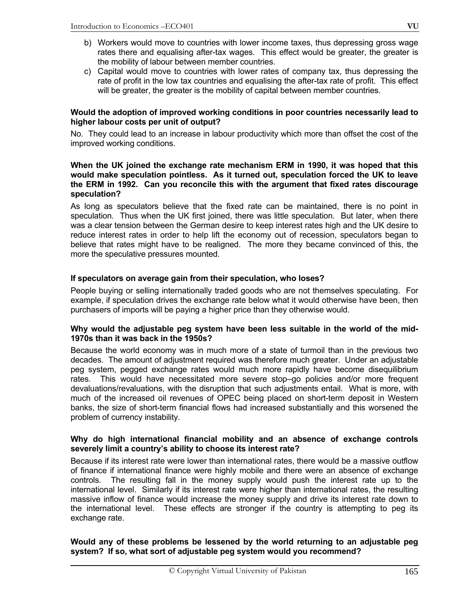- b) Workers would move to countries with lower income taxes, thus depressing gross wage rates there and equalising after-tax wages. This effect would be greater, the greater is the mobility of labour between member countries.
- c) Capital would move to countries with lower rates of company tax, thus depressing the rate of profit in the low tax countries and equalising the after-tax rate of profit. This effect will be greater, the greater is the mobility of capital between member countries.

#### **Would the adoption of improved working conditions in poor countries necessarily lead to higher labour costs per unit of output?**

No. They could lead to an increase in labour productivity which more than offset the cost of the improved working conditions.

#### **When the UK joined the exchange rate mechanism ERM in 1990, it was hoped that this would make speculation pointless. As it turned out, speculation forced the UK to leave the ERM in 1992. Can you reconcile this with the argument that fixed rates discourage speculation?**

As long as speculators believe that the fixed rate can be maintained, there is no point in speculation. Thus when the UK first joined, there was little speculation. But later, when there was a clear tension between the German desire to keep interest rates high and the UK desire to reduce interest rates in order to help lift the economy out of recession, speculators began to believe that rates might have to be realigned. The more they became convinced of this, the more the speculative pressures mounted.

# **If speculators on average gain from their speculation, who loses?**

People buying or selling internationally traded goods who are not themselves speculating. For example, if speculation drives the exchange rate below what it would otherwise have been, then purchasers of imports will be paying a higher price than they otherwise would.

### **Why would the adjustable peg system have been less suitable in the world of the mid-1970s than it was back in the 1950s?**

Because the world economy was in much more of a state of turmoil than in the previous two decades. The amount of adjustment required was therefore much greater. Under an adjustable peg system, pegged exchange rates would much more rapidly have become disequilibrium rates. This would have necessitated more severe stop–go policies and/or more frequent devaluations/revaluations, with the disruption that such adjustments entail. What is more, with much of the increased oil revenues of OPEC being placed on short-term deposit in Western banks, the size of short-term financial flows had increased substantially and this worsened the problem of currency instability.

### **Why do high international financial mobility and an absence of exchange controls severely limit a country's ability to choose its interest rate?**

Because if its interest rate were lower than international rates, there would be a massive outflow of finance if international finance were highly mobile and there were an absence of exchange controls. The resulting fall in the money supply would push the interest rate up to the international level. Similarly if its interest rate were higher than international rates, the resulting massive inflow of finance would increase the money supply and drive its interest rate down to the international level. These effects are stronger if the country is attempting to peg its exchange rate.

**Would any of these problems be lessened by the world returning to an adjustable peg system? If so, what sort of adjustable peg system would you recommend?**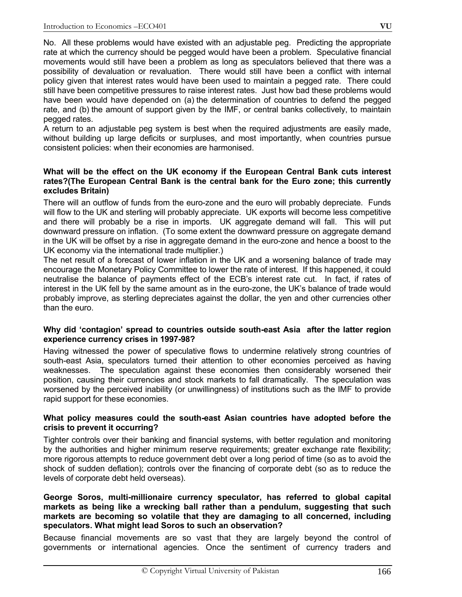No. All these problems would have existed with an adjustable peg. Predicting the appropriate rate at which the currency should be pegged would have been a problem. Speculative financial movements would still have been a problem as long as speculators believed that there was a possibility of devaluation or revaluation. There would still have been a conflict with internal policy given that interest rates would have been used to maintain a pegged rate. There could still have been competitive pressures to raise interest rates. Just how bad these problems would have been would have depended on (a) the determination of countries to defend the pegged rate, and (b) the amount of support given by the IMF, or central banks collectively, to maintain pegged rates.

A return to an adjustable peg system is best when the required adjustments are easily made, without building up large deficits or surpluses, and most importantly, when countries pursue consistent policies: when their economies are harmonised.

### **What will be the effect on the UK economy if the European Central Bank cuts interest rates?(The European Central Bank is the central bank for the Euro zone; this currently excludes Britain)**

There will an outflow of funds from the euro-zone and the euro will probably depreciate. Funds will flow to the UK and sterling will probably appreciate. UK exports will become less competitive and there will probably be a rise in imports. UK aggregate demand will fall. This will put downward pressure on inflation. (To some extent the downward pressure on aggregate demand in the UK will be offset by a rise in aggregate demand in the euro-zone and hence a boost to the UK economy via the international trade multiplier.)

The net result of a forecast of lower inflation in the UK and a worsening balance of trade may encourage the Monetary Policy Committee to lower the rate of interest. If this happened, it could neutralise the balance of payments effect of the ECB's interest rate cut. In fact, if rates of interest in the UK fell by the same amount as in the euro-zone, the UK's balance of trade would probably improve, as sterling depreciates against the dollar, the yen and other currencies other than the euro.

# **Why did 'contagion' spread to countries outside south-east Asia after the latter region experience currency crises in 1997-98?**

Having witnessed the power of speculative flows to undermine relatively strong countries of south-east Asia, speculators turned their attention to other economies perceived as having weaknesses. The speculation against these economies then considerably worsened their position, causing their currencies and stock markets to fall dramatically. The speculation was worsened by the perceived inability (or unwillingness) of institutions such as the IMF to provide rapid support for these economies.

# **What policy measures could the south-east Asian countries have adopted before the crisis to prevent it occurring?**

Tighter controls over their banking and financial systems, with better regulation and monitoring by the authorities and higher minimum reserve requirements; greater exchange rate flexibility; more rigorous attempts to reduce government debt over a long period of time (so as to avoid the shock of sudden deflation); controls over the financing of corporate debt (so as to reduce the levels of corporate debt held overseas).

### **George Soros, multi-millionaire currency speculator, has referred to global capital markets as being like a wrecking ball rather than a pendulum, suggesting that such markets are becoming so volatile that they are damaging to all concerned, including speculators. What might lead Soros to such an observation?**

Because financial movements are so vast that they are largely beyond the control of governments or international agencies. Once the sentiment of currency traders and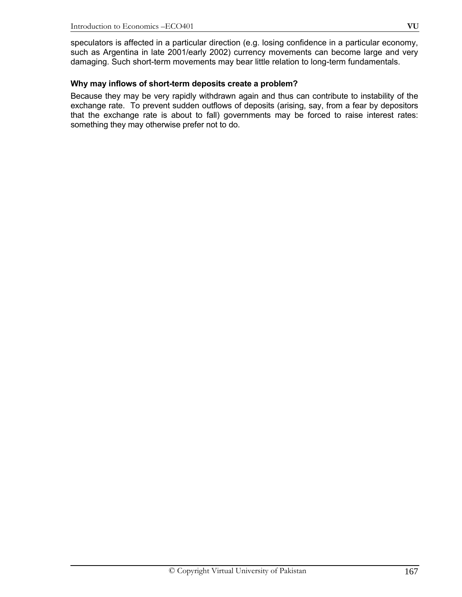speculators is affected in a particular direction (e.g. losing confidence in a particular economy, such as Argentina in late 2001/early 2002) currency movements can become large and very damaging. Such short-term movements may bear little relation to long-term fundamentals.

# **Why may inflows of short-term deposits create a problem?**

Because they may be very rapidly withdrawn again and thus can contribute to instability of the exchange rate. To prevent sudden outflows of deposits (arising, say, from a fear by depositors that the exchange rate is about to fall) governments may be forced to raise interest rates: something they may otherwise prefer not to do.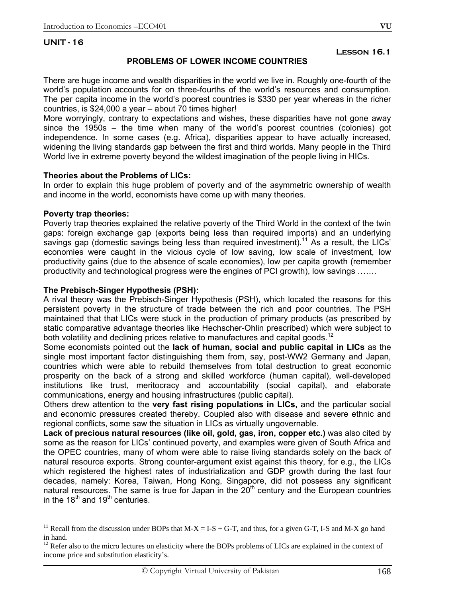#### **UNIT - 16**

#### **Lesson 16.1**

### **PROBLEMS OF LOWER INCOME COUNTRIES**

There are huge income and wealth disparities in the world we live in. Roughly one-fourth of the world's population accounts for on three-fourths of the world's resources and consumption. The per capita income in the world's poorest countries is \$330 per year whereas in the richer countries, is \$24,000 a year – about 70 times higher!

More worryingly, contrary to expectations and wishes, these disparities have not gone away since the 1950s – the time when many of the world's poorest countries (colonies) got independence. In some cases (e.g. Africa), disparities appear to have actually increased, widening the living standards gap between the first and third worlds. Many people in the Third World live in extreme poverty beyond the wildest imagination of the people living in HICs.

#### **Theories about the Problems of LICs:**

In order to explain this huge problem of poverty and of the asymmetric ownership of wealth and income in the world, economists have come up with many theories.

### **Poverty trap theories:**

 $\overline{a}$ 

Poverty trap theories explained the relative poverty of the Third World in the context of the twin gaps: foreign exchange gap (exports being less than required imports) and an underlying savings gap (domestic savings being less than required investment).<sup>11</sup> As a result, the LICs' economies were caught in the vicious cycle of low saving, low scale of investment, low productivity gains (due to the absence of scale economies), low per capita growth (remember productivity and technological progress were the engines of PCI growth), low savings …….

### **The Prebisch-Singer Hypothesis (PSH):**

A rival theory was the Prebisch-Singer Hypothesis (PSH), which located the reasons for this persistent poverty in the structure of trade between the rich and poor countries. The PSH maintained that that LICs were stuck in the production of primary products (as prescribed by static comparative advantage theories like Hechscher-Ohlin prescribed) which were subject to both volatility and declining prices relative to manufactures and capital goods.<sup>12</sup>

Some economists pointed out the **lack of human, social and public capital in LICs** as the single most important factor distinguishing them from, say, post-WW2 Germany and Japan, countries which were able to rebuild themselves from total destruction to great economic prosperity on the back of a strong and skilled workforce (human capital), well-developed institutions like trust, meritocracy and accountability (social capital), and elaborate communications, energy and housing infrastructures (public capital).

Others drew attention to the **very fast rising populations in LICs,** and the particular social and economic pressures created thereby. Coupled also with disease and severe ethnic and regional conflicts, some saw the situation in LICs as virtually ungovernable.

**Lack of precious natural resources (like oil, gold, gas, iron, copper etc.)** was also cited by some as the reason for LICs' continued poverty, and examples were given of South Africa and the OPEC countries, many of whom were able to raise living standards solely on the back of natural resource exports. Strong counter-argument exist against this theory, for e.g., the LICs which registered the highest rates of industrialization and GDP growth during the last four decades, namely: Korea, Taiwan, Hong Kong, Singapore, did not possess any significant natural resources. The same is true for Japan in the  $20<sup>th</sup>$  century and the European countries in the 18<sup>th</sup> and 19<sup>th</sup> centuries.

<sup>&</sup>lt;sup>11</sup> Recall from the discussion under BOPs that M-X = I-S + G-T, and thus, for a given G-T, I-S and M-X go hand in hand.

 $12$  Refer also to the micro lectures on elasticity where the BOPs problems of LICs are explained in the context of income price and substitution elasticity's.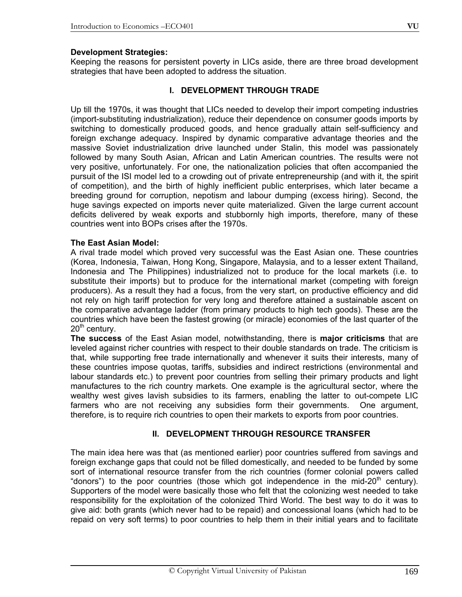#### **Development Strategies:**

Keeping the reasons for persistent poverty in LICs aside, there are three broad development strategies that have been adopted to address the situation.

### **I. DEVELOPMENT THROUGH TRADE**

Up till the 1970s, it was thought that LICs needed to develop their import competing industries (import-substituting industrialization), reduce their dependence on consumer goods imports by switching to domestically produced goods, and hence gradually attain self-sufficiency and foreign exchange adequacy. Inspired by dynamic comparative advantage theories and the massive Soviet industrialization drive launched under Stalin, this model was passionately followed by many South Asian, African and Latin American countries. The results were not very positive, unfortunately. For one, the nationalization policies that often accompanied the pursuit of the ISI model led to a crowding out of private entrepreneurship (and with it, the spirit of competition), and the birth of highly inefficient public enterprises, which later became a breeding ground for corruption, nepotism and labour dumping (excess hiring). Second, the huge savings expected on imports never quite materialized. Given the large current account deficits delivered by weak exports and stubbornly high imports, therefore, many of these countries went into BOPs crises after the 1970s.

### **The East Asian Model:**

A rival trade model which proved very successful was the East Asian one. These countries (Korea, Indonesia, Taiwan, Hong Kong, Singapore, Malaysia, and to a lesser extent Thailand, Indonesia and The Philippines) industrialized not to produce for the local markets (i.e. to substitute their imports) but to produce for the international market (competing with foreign producers). As a result they had a focus, from the very start, on productive efficiency and did not rely on high tariff protection for very long and therefore attained a sustainable ascent on the comparative advantage ladder (from primary products to high tech goods). These are the countries which have been the fastest growing (or miracle) economies of the last quarter of the 20<sup>th</sup> century.

**The success** of the East Asian model, notwithstanding, there is **major criticisms** that are leveled against richer countries with respect to their double standards on trade. The criticism is that, while supporting free trade internationally and whenever it suits their interests, many of these countries impose quotas, tariffs, subsidies and indirect restrictions (environmental and labour standards etc.) to prevent poor countries from selling their primary products and light manufactures to the rich country markets. One example is the agricultural sector, where the wealthy west gives lavish subsidies to its farmers, enabling the latter to out-compete LIC farmers who are not receiving any subsidies form their governments. One argument, therefore, is to require rich countries to open their markets to exports from poor countries.

# **II. DEVELOPMENT THROUGH RESOURCE TRANSFER**

The main idea here was that (as mentioned earlier) poor countries suffered from savings and foreign exchange gaps that could not be filled domestically, and needed to be funded by some sort of international resource transfer from the rich countries (former colonial powers called "donors") to the poor countries (those which got independence in the mid-20<sup>th</sup> century). Supporters of the model were basically those who felt that the colonizing west needed to take responsibility for the exploitation of the colonized Third World. The best way to do it was to give aid: both grants (which never had to be repaid) and concessional loans (which had to be repaid on very soft terms) to poor countries to help them in their initial years and to facilitate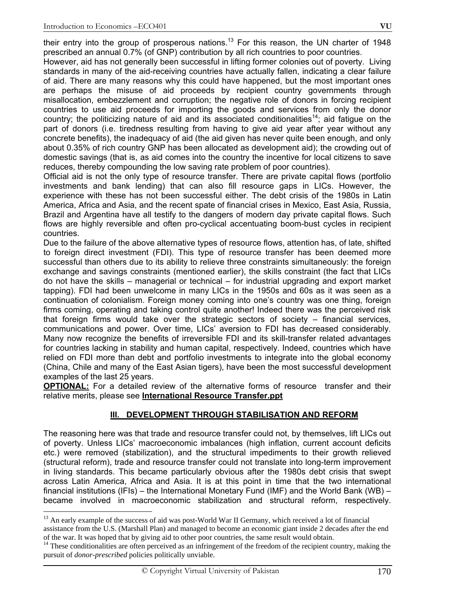$\overline{a}$ 

their entry into the group of prosperous nations.<sup>13</sup> For this reason, the UN charter of 1948 prescribed an annual 0.7% (of GNP) contribution by all rich countries to poor countries.

However, aid has not generally been successful in lifting former colonies out of poverty. Living standards in many of the aid-receiving countries have actually fallen, indicating a clear failure of aid. There are many reasons why this could have happened, but the most important ones are perhaps the misuse of aid proceeds by recipient country governments through misallocation, embezzlement and corruption; the negative role of donors in forcing recipient countries to use aid proceeds for importing the goods and services from only the donor country; the politicizing nature of aid and its associated conditionalities<sup>14</sup>; aid fatigue on the part of donors (i.e. tiredness resulting from having to give aid year after year without any concrete benefits), the inadequacy of aid (the aid given has never quite been enough, and only about 0.35% of rich country GNP has been allocated as development aid); the crowding out of domestic savings (that is, as aid comes into the country the incentive for local citizens to save reduces, thereby compounding the low saving rate problem of poor countries).

Official aid is not the only type of resource transfer. There are private capital flows (portfolio investments and bank lending) that can also fill resource gaps in LICs. However, the experience with these has not been successful either. The debt crisis of the 1980s in Latin America, Africa and Asia, and the recent spate of financial crises in Mexico, East Asia, Russia, Brazil and Argentina have all testify to the dangers of modern day private capital flows. Such flows are highly reversible and often pro-cyclical accentuating boom-bust cycles in recipient countries.

Due to the failure of the above alternative types of resource flows, attention has, of late, shifted to foreign direct investment (FDI). This type of resource transfer has been deemed more successful than others due to its ability to relieve three constraints simultaneously: the foreign exchange and savings constraints (mentioned earlier), the skills constraint (the fact that LICs do not have the skills – managerial or technical – for industrial upgrading and export market tapping). FDI had been unwelcome in many LICs in the 1950s and 60s as it was seen as a continuation of colonialism. Foreign money coming into one's country was one thing, foreign firms coming, operating and taking control quite another! Indeed there was the perceived risk that foreign firms would take over the strategic sectors of society – financial services, communications and power. Over time, LICs' aversion to FDI has decreased considerably. Many now recognize the benefits of irreversible FDI and its skill-transfer related advantages for countries lacking in stability and human capital, respectively. Indeed, countries which have relied on FDI more than debt and portfolio investments to integrate into the global economy (China, Chile and many of the East Asian tigers), have been the most successful development examples of the last 25 years.

**OPTIONAL:** For a detailed review of the alternative forms of resource transfer and their relative merits, please see **International Resource Transfer.ppt**

# **III. DEVELOPMENT THROUGH STABILISATION AND REFORM**

The reasoning here was that trade and resource transfer could not, by themselves, lift LICs out of poverty. Unless LICs' macroeconomic imbalances (high inflation, current account deficits etc.) were removed (stabilization), and the structural impediments to their growth relieved (structural reform), trade and resource transfer could not translate into long-term improvement in living standards. This became particularly obvious after the 1980s debt crisis that swept across Latin America, Africa and Asia. It is at this point in time that the two international financial institutions (IFIs) – the International Monetary Fund (IMF) and the World Bank (WB) – became involved in macroeconomic stabilization and structural reform, respectively.

<sup>&</sup>lt;sup>13</sup> An early example of the success of aid was post-World War II Germany, which received a lot of financial assistance from the U.S. (Marshall Plan) and managed to become an economic giant inside 2 decades after the end of the war. It was hoped that by giving aid to other poor countries, the same result would obtain.

 $14$  These conditionalities are often perceived as an infringement of the freedom of the recipient country, making the pursuit of *donor-prescribed* policies politically unviable.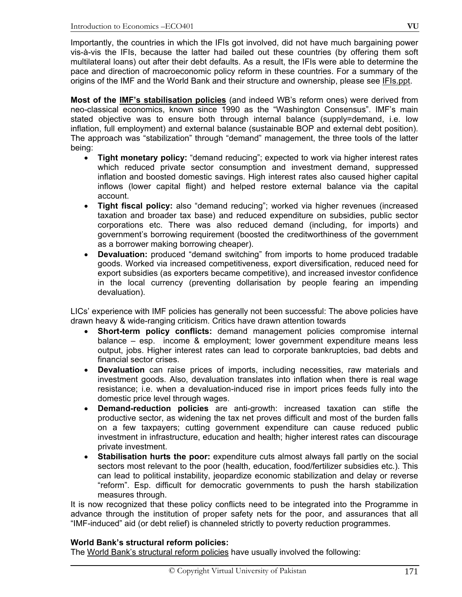Importantly, the countries in which the IFIs got involved, did not have much bargaining power vis-à-vis the IFIs, because the latter had bailed out these countries (by offering them soft multilateral loans) out after their debt defaults. As a result, the IFIs were able to determine the pace and direction of macroeconomic policy reform in these countries. For a summary of the origins of the IMF and the World Bank and their structure and ownership, please see IFIs.ppt.

**Most of the IMF's stabilisation policies** (and indeed WB's reform ones) were derived from neo-classical economics, known since 1990 as the "Washington Consensus". IMF's main stated objective was to ensure both through internal balance (supply=demand, i.e. low inflation, full employment) and external balance (sustainable BOP and external debt position). The approach was "stabilization" through "demand" management, the three tools of the latter being:

- **Tight monetary policy:** "demand reducing"; expected to work via higher interest rates which reduced private sector consumption and investment demand, suppressed inflation and boosted domestic savings. High interest rates also caused higher capital inflows (lower capital flight) and helped restore external balance via the capital account.
- **Tight fiscal policy:** also "demand reducing"; worked via higher revenues (increased taxation and broader tax base) and reduced expenditure on subsidies, public sector corporations etc. There was also reduced demand (including, for imports) and government's borrowing requirement (boosted the creditworthiness of the government as a borrower making borrowing cheaper).
- **Devaluation:** produced "demand switching" from imports to home produced tradable goods. Worked via increased competitiveness, export diversification, reduced need for export subsidies (as exporters became competitive), and increased investor confidence in the local currency (preventing dollarisation by people fearing an impending devaluation).

LICs' experience with IMF policies has generally not been successful: The above policies have drawn heavy & wide-ranging criticism. Critics have drawn attention towards

- **Short-term policy conflicts:** demand management policies compromise internal balance – esp. income & employment; lower government expenditure means less output, jobs. Higher interest rates can lead to corporate bankruptcies, bad debts and financial sector crises.
- **Devaluation** can raise prices of imports, including necessities, raw materials and investment goods. Also, devaluation translates into inflation when there is real wage resistance; i.e. when a devaluation-induced rise in import prices feeds fully into the domestic price level through wages.
- **Demand-reduction policies** are anti-growth: increased taxation can stifle the productive sector, as widening the tax net proves difficult and most of the burden falls on a few taxpayers; cutting government expenditure can cause reduced public investment in infrastructure, education and health; higher interest rates can discourage private investment.
- **Stabilisation hurts the poor:** expenditure cuts almost always fall partly on the social sectors most relevant to the poor (health, education, food/fertilizer subsidies etc.). This can lead to political instability, jeopardize economic stabilization and delay or reverse "reform". Esp. difficult for democratic governments to push the harsh stabilization measures through.

It is now recognized that these policy conflicts need to be integrated into the Programme in advance through the institution of proper safety nets for the poor, and assurances that all "IMF-induced" aid (or debt relief) is channeled strictly to poverty reduction programmes.

# **World Bank's structural reform policies:**

The World Bank's structural reform policies have usually involved the following: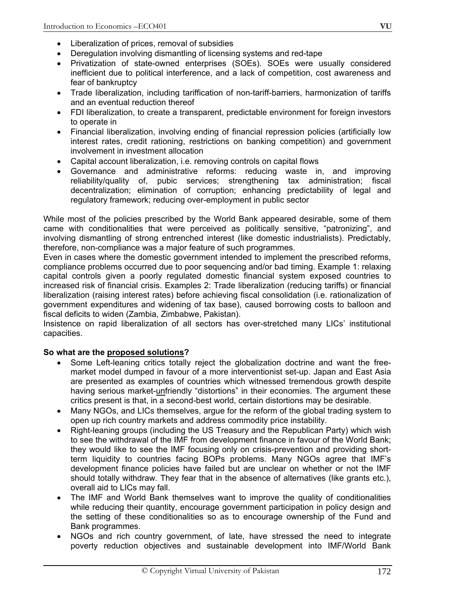- Liberalization of prices, removal of subsidies
- Deregulation involving dismantling of licensing systems and red-tape
- Privatization of state-owned enterprises (SOEs). SOEs were usually considered inefficient due to political interference, and a lack of competition, cost awareness and fear of bankruptcy
- Trade liberalization, including tariffication of non-tariff-barriers, harmonization of tariffs and an eventual reduction thereof
- FDI liberalization, to create a transparent, predictable environment for foreign investors to operate in
- Financial liberalization, involving ending of financial repression policies (artificially low interest rates, credit rationing, restrictions on banking competition) and government involvement in investment allocation
- Capital account liberalization, i.e. removing controls on capital flows
- Governance and administrative reforms: reducing waste in, and improving reliability/quality of, pubic services; strengthening tax administration; fiscal decentralization; elimination of corruption; enhancing predictability of legal and regulatory framework; reducing over-employment in public sector

While most of the policies prescribed by the World Bank appeared desirable, some of them came with conditionalities that were perceived as politically sensitive, "patronizing", and involving dismantling of strong entrenched interest (like domestic industrialists). Predictably, therefore, non-compliance was a major feature of such programmes.

Even in cases where the domestic government intended to implement the prescribed reforms, compliance problems occurred due to poor sequencing and/or bad timing. Example 1: relaxing capital controls given a poorly regulated domestic financial system exposed countries to increased risk of financial crisis. Examples 2: Trade liberalization (reducing tariffs) or financial liberalization (raising interest rates) before achieving fiscal consolidation (i.e. rationalization of government expenditures and widening of tax base), caused borrowing costs to balloon and fiscal deficits to widen (Zambia, Zimbabwe, Pakistan).

Insistence on rapid liberalization of all sectors has over-stretched many LICs' institutional capacities.

# **So what are the proposed solutions?**

- Some Left-leaning critics totally reject the globalization doctrine and want the freemarket model dumped in favour of a more interventionist set-up. Japan and East Asia are presented as examples of countries which witnessed tremendous growth despite having serious market-unfriendly "distortions" in their economies. The argument these critics present is that, in a second-best world, certain distortions may be desirable.
- Many NGOs, and LICs themselves, argue for the reform of the global trading system to open up rich country markets and address commodity price instability.
- Right-leaning groups (including the US Treasury and the Republican Party) which wish to see the withdrawal of the IMF from development finance in favour of the World Bank; they would like to see the IMF focusing only on crisis-prevention and providing shortterm liquidity to countries facing BOPs problems. Many NGOs agree that IMF's development finance policies have failed but are unclear on whether or not the IMF should totally withdraw. They fear that in the absence of alternatives (like grants etc.), overall aid to LICs may fall.
- The IMF and World Bank themselves want to improve the quality of conditionalities while reducing their quantity, encourage government participation in policy design and the setting of these conditionalities so as to encourage ownership of the Fund and Bank programmes.
- NGOs and rich country government, of late, have stressed the need to integrate poverty reduction objectives and sustainable development into IMF/World Bank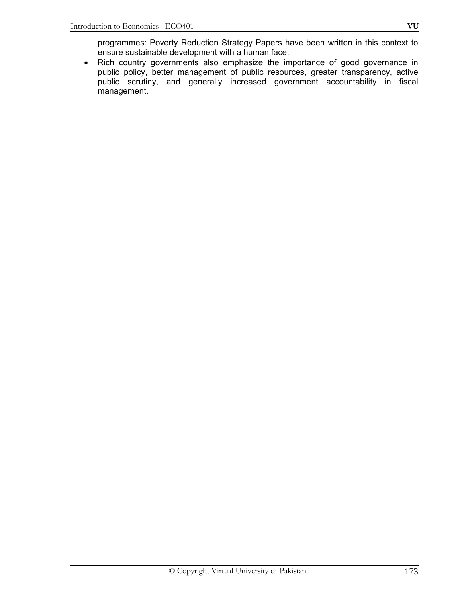programmes: Poverty Reduction Strategy Papers have been written in this context to ensure sustainable development with a human face.

• Rich country governments also emphasize the importance of good governance in public policy, better management of public resources, greater transparency, active public scrutiny, and generally increased government accountability in fiscal management.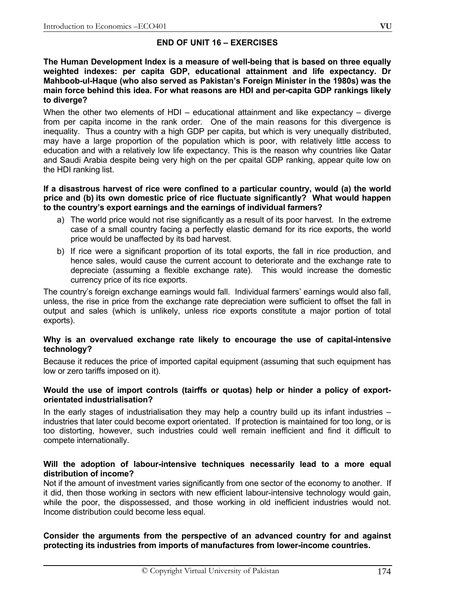# **END OF UNIT 16 – EXERCISES**

**The Human Development Index is a measure of well-being that is based on three equally weighted indexes: per capita GDP, educational attainment and life expectancy. Dr Mahboob-ul-Haque (who also served as Pakistan's Foreign Minister in the 1980s) was the main force behind this idea. For what reasons are HDI and per-capita GDP rankings likely to diverge?** 

When the other two elements of HDI – educational attainment and like expectancy – diverge from per capita income in the rank order. One of the main reasons for this divergence is inequality. Thus a country with a high GDP per capita, but which is very unequally distributed, may have a large proportion of the population which is poor, with relatively little access to education and with a relatively low life expectancy. This is the reason why countries like Qatar and Saudi Arabia despite being very high on the per cpaital GDP ranking, appear quite low on the HDI ranking list.

#### **If a disastrous harvest of rice were confined to a particular country, would (a) the world price and (b) its own domestic price of rice fluctuate significantly? What would happen to the country's export earnings and the earnings of individual farmers?**

- a) The world price would not rise significantly as a result of its poor harvest. In the extreme case of a small country facing a perfectly elastic demand for its rice exports, the world price would be unaffected by its bad harvest.
- b) If rice were a significant proportion of its total exports, the fall in rice production, and hence sales, would cause the current account to deteriorate and the exchange rate to depreciate (assuming a flexible exchange rate). This would increase the domestic currency price of its rice exports.

The country's foreign exchange earnings would fall. Individual farmers' earnings would also fall, unless, the rise in price from the exchange rate depreciation were sufficient to offset the fall in output and sales (which is unlikely, unless rice exports constitute a major portion of total exports).

### **Why is an overvalued exchange rate likely to encourage the use of capital-intensive technology?**

Because it reduces the price of imported capital equipment (assuming that such equipment has low or zero tariffs imposed on it).

### **Would the use of import controls (tairffs or quotas) help or hinder a policy of exportorientated industrialisation?**

In the early stages of industrialisation they may help a country build up its infant industries – industries that later could become export orientated. If protection is maintained for too long, or is too distorting, however, such industries could well remain inefficient and find it difficult to compete internationally.

# **Will the adoption of labour-intensive techniques necessarily lead to a more equal distribution of income?**

Not if the amount of investment varies significantly from one sector of the economy to another. If it did, then those working in sectors with new efficient labour-intensive technology would gain, while the poor, the dispossessed, and those working in old inefficient industries would not. Income distribution could become less equal.

### **Consider the arguments from the perspective of an advanced country for and against protecting its industries from imports of manufactures from lower-income countries.**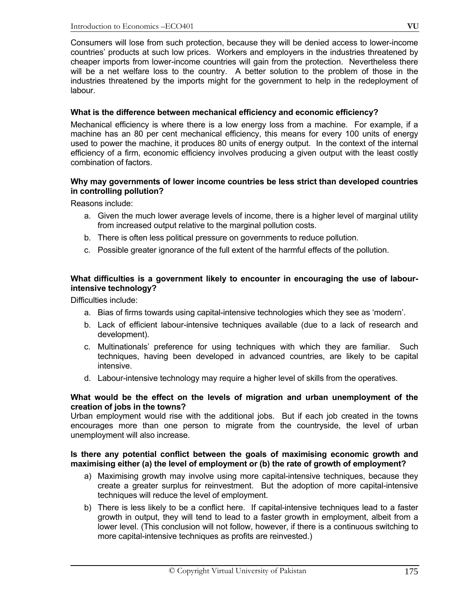Consumers will lose from such protection, because they will be denied access to lower-income countries' products at such low prices. Workers and employers in the industries threatened by cheaper imports from lower-income countries will gain from the protection. Nevertheless there will be a net welfare loss to the country. A better solution to the problem of those in the industries threatened by the imports might for the government to help in the redeployment of labour.

### **What is the difference between mechanical efficiency and economic efficiency?**

Mechanical efficiency is where there is a low energy loss from a machine. For example, if a machine has an 80 per cent mechanical efficiency, this means for every 100 units of energy used to power the machine, it produces 80 units of energy output. In the context of the internal efficiency of a firm, economic efficiency involves producing a given output with the least costly combination of factors.

### **Why may governments of lower income countries be less strict than developed countries in controlling pollution?**

Reasons include:

- a. Given the much lower average levels of income, there is a higher level of marginal utility from increased output relative to the marginal pollution costs.
- b. There is often less political pressure on governments to reduce pollution.
- c. Possible greater ignorance of the full extent of the harmful effects of the pollution.

# **What difficulties is a government likely to encounter in encouraging the use of labourintensive technology?**

Difficulties include:

- a. Bias of firms towards using capital-intensive technologies which they see as 'modern'.
- b. Lack of efficient labour-intensive techniques available (due to a lack of research and development).
- c. Multinationals' preference for using techniques with which they are familiar. Such techniques, having been developed in advanced countries, are likely to be capital intensive.
- d. Labour-intensive technology may require a higher level of skills from the operatives.

### **What would be the effect on the levels of migration and urban unemployment of the creation of jobs in the towns?**

Urban employment would rise with the additional jobs. But if each job created in the towns encourages more than one person to migrate from the countryside, the level of urban unemployment will also increase.

# **Is there any potential conflict between the goals of maximising economic growth and maximising either (a) the level of employment or (b) the rate of growth of employment?**

- a) Maximising growth may involve using more capital-intensive techniques, because they create a greater surplus for reinvestment. But the adoption of more capital-intensive techniques will reduce the level of employment.
- b) There is less likely to be a conflict here. If capital-intensive techniques lead to a faster growth in output, they will tend to lead to a faster growth in employment, albeit from a lower level. (This conclusion will not follow, however, if there is a continuous switching to more capital-intensive techniques as profits are reinvested.)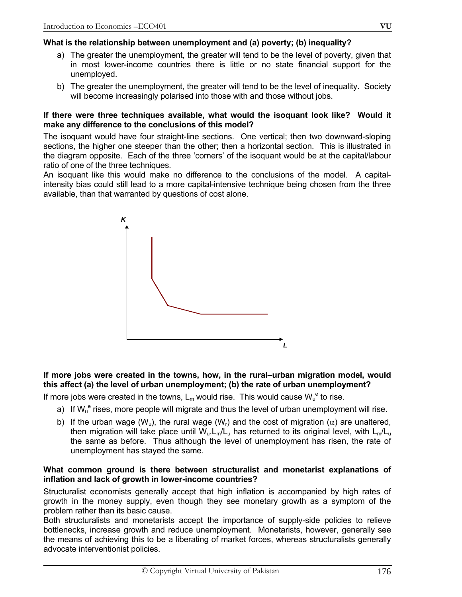# **What is the relationship between unemployment and (a) poverty; (b) inequality?**

- a) The greater the unemployment, the greater will tend to be the level of poverty, given that in most lower-income countries there is little or no state financial support for the unemployed.
- b) The greater the unemployment, the greater will tend to be the level of inequality. Society will become increasingly polarised into those with and those without jobs.

#### **If there were three techniques available, what would the isoquant look like? Would it make any difference to the conclusions of this model?**

The isoquant would have four straight-line sections. One vertical; then two downward-sloping sections, the higher one steeper than the other; then a horizontal section. This is illustrated in the diagram opposite. Each of the three 'corners' of the isoquant would be at the capital/labour ratio of one of the three techniques.

An isoquant like this would make no difference to the conclusions of the model. A capitalintensity bias could still lead to a more capital-intensive technique being chosen from the three available, than that warranted by questions of cost alone.



# **If more jobs were created in the towns, how, in the rural–urban migration model, would this affect (a) the level of urban unemployment; (b) the rate of urban unemployment?**

If more jobs were created in the towns,  $L_m$  would rise. This would cause  $W_u^e$  to rise.

- a) If  $W_u^e$  rises, more people will migrate and thus the level of urban unemployment will rise.
- b) If the urban wage (W<sub>u</sub>), the rural wage (W<sub>r</sub>) and the cost of migration ( $\alpha$ ) are unaltered, then migration will take place until  $W_u L_m/L_u$  has returned to its original level, with  $L_m/L_u$ the same as before. Thus although the level of unemployment has risen, the rate of unemployment has stayed the same.

### **What common ground is there between structuralist and monetarist explanations of inflation and lack of growth in lower-income countries?**

Structuralist economists generally accept that high inflation is accompanied by high rates of growth in the money supply, even though they see monetary growth as a symptom of the problem rather than its basic cause.

Both structuralists and monetarists accept the importance of supply-side policies to relieve bottlenecks, increase growth and reduce unemployment. Monetarists, however, generally see the means of achieving this to be a liberating of market forces, whereas structuralists generally advocate interventionist policies.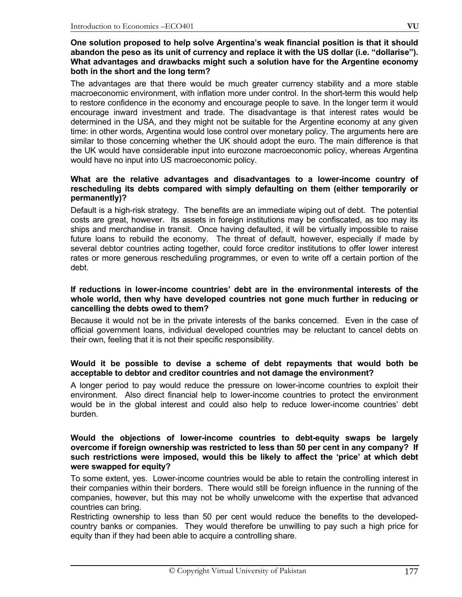# **One solution proposed to help solve Argentina's weak financial position is that it should abandon the peso as its unit of currency and replace it with the US dollar (i.e. "dollarise"). What advantages and drawbacks might such a solution have for the Argentine economy both in the short and the long term?**

The advantages are that there would be much greater currency stability and a more stable macroeconomic environment, with inflation more under control. In the short-term this would help to restore confidence in the economy and encourage people to save. In the longer term it would encourage inward investment and trade. The disadvantage is that interest rates would be determined in the USA, and they might not be suitable for the Argentine economy at any given time: in other words, Argentina would lose control over monetary policy. The arguments here are similar to those concerning whether the UK should adopt the euro. The main difference is that the UK would have considerable input into eurozone macroeconomic policy, whereas Argentina would have no input into US macroeconomic policy.

# **What are the relative advantages and disadvantages to a lower-income country of rescheduling its debts compared with simply defaulting on them (either temporarily or permanently)?**

Default is a high-risk strategy. The benefits are an immediate wiping out of debt. The potential costs are great, however. Its assets in foreign institutions may be confiscated, as too may its ships and merchandise in transit. Once having defaulted, it will be virtually impossible to raise future loans to rebuild the economy. The threat of default, however, especially if made by several debtor countries acting together, could force creditor institutions to offer lower interest rates or more generous rescheduling programmes, or even to write off a certain portion of the debt.

### **If reductions in lower-income countries' debt are in the environmental interests of the whole world, then why have developed countries not gone much further in reducing or cancelling the debts owed to them?**

Because it would not be in the private interests of the banks concerned. Even in the case of official government loans, individual developed countries may be reluctant to cancel debts on their own, feeling that it is not their specific responsibility.

# **Would it be possible to devise a scheme of debt repayments that would both be acceptable to debtor and creditor countries and not damage the environment?**

A longer period to pay would reduce the pressure on lower-income countries to exploit their environment. Also direct financial help to lower-income countries to protect the environment would be in the global interest and could also help to reduce lower-income countries' debt burden.

#### **Would the objections of lower-income countries to debt-equity swaps be largely overcome if foreign ownership was restricted to less than 50 per cent in any company? If such restrictions were imposed, would this be likely to affect the 'price' at which debt were swapped for equity?**

To some extent, yes. Lower-income countries would be able to retain the controlling interest in their companies within their borders. There would still be foreign influence in the running of the companies, however, but this may not be wholly unwelcome with the expertise that advanced countries can bring.

Restricting ownership to less than 50 per cent would reduce the benefits to the developedcountry banks or companies. They would therefore be unwilling to pay such a high price for equity than if they had been able to acquire a controlling share.